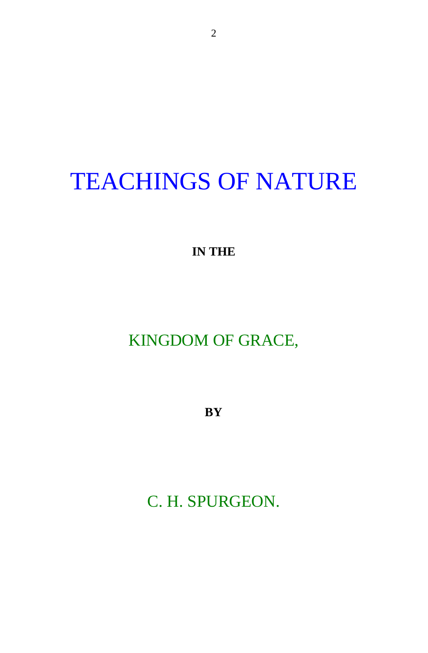### TEACHINGS OF NATURE

**IN THE**

### KINGDOM OF GRACE,

**BY**

C. H. SPURGEON.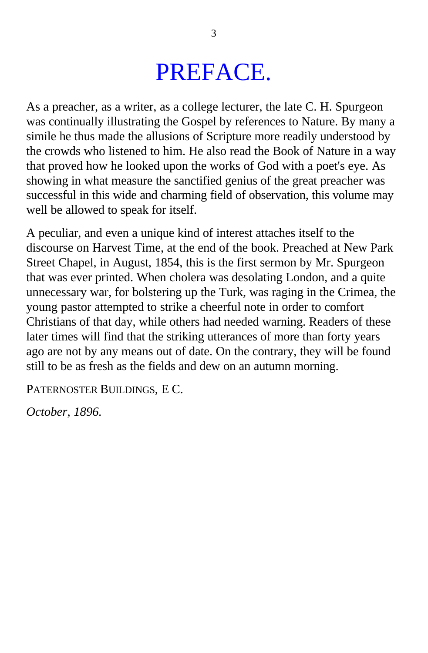### PREFACE.

As a preacher, as a writer, as a college lecturer, the late C. H. Spurgeon was continually illustrating the Gospel by references to Nature. By many a simile he thus made the allusions of Scripture more readily understood by the crowds who listened to him. He also read the Book of Nature in a way that proved how he looked upon the works of God with a poet's eye. As showing in what measure the sanctified genius of the great preacher was successful in this wide and charming field of observation, this volume may well be allowed to speak for itself.

A peculiar, and even a unique kind of interest attaches itself to the discourse on Harvest Time, at the end of the book. Preached at New Park Street Chapel, in August, 1854, this is the first sermon by Mr. Spurgeon that was ever printed. When cholera was desolating London, and a quite unnecessary war, for bolstering up the Turk, was raging in the Crimea, the young pastor attempted to strike a cheerful note in order to comfort Christians of that day, while others had needed warning. Readers of these later times will find that the striking utterances of more than forty years ago are not by any means out of date. On the contrary, they will be found still to be as fresh as the fields and dew on an autumn morning.

PATERNOSTER BUILDINGS, E C.

*October, 1896.*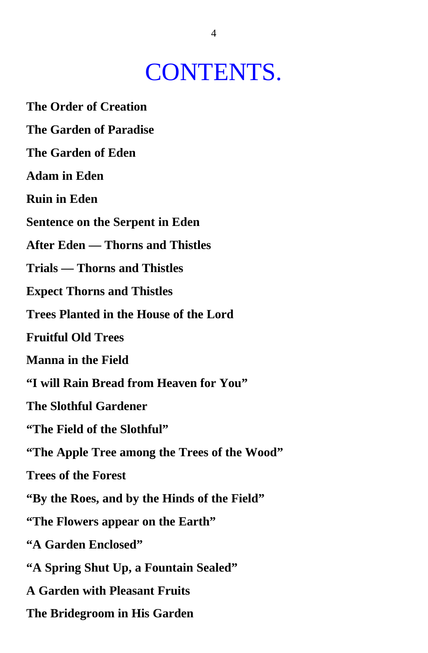### CONTENTS.

**The Order of Creation The Garden of Paradise The Garden of Eden Adam in Eden Ruin in Eden Sentence on the Serpent in Eden After Eden — Thorns and Thistles Trials — Thorns and Thistles Expect Thorns and Thistles Trees Planted in the House of the Lord Fruitful Old Trees Manna in the Field "I will Rain Bread from Heaven for You" The Slothful Gardener "The Field of the Slothful" "The Apple Tree among the Trees of the Wood" Trees of the Forest "By the Roes, and by the Hinds of the Field" "The Flowers appear on the Earth" "A Garden Enclosed" "A Spring Shut Up, a Fountain Sealed" A Garden with Pleasant Fruits The Bridegroom in His Garden**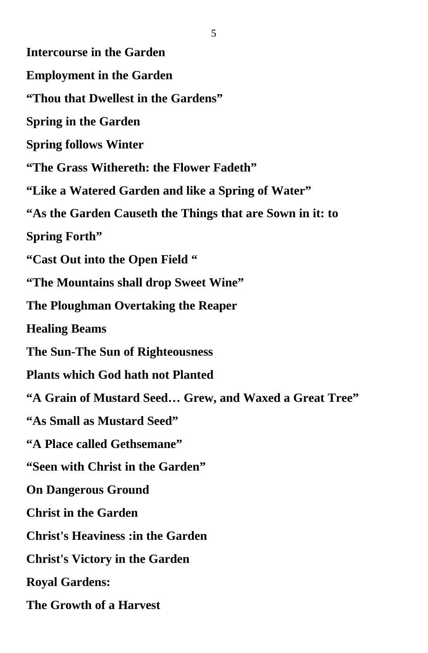**Intercourse in the Garden**

**Employment in the Garden**

**"Thou that Dwellest in the Gardens"**

**Spring in the Garden**

**Spring follows Winter**

**"The Grass Withereth: the Flower Fadeth"**

**"Like a Watered Garden and like a Spring of Water"**

**"As the Garden Causeth the Things that are Sown in it: to**

**Spring Forth"**

**"Cast Out into the Open Field "**

**"The Mountains shall drop Sweet Wine"**

**The Ploughman Overtaking the Reaper**

**Healing Beams**

**The Sun-The Sun of Righteousness**

**Plants which God hath not Planted**

**"A Grain of Mustard Seed… Grew, and Waxed a Great Tree"**

**"As Small as Mustard Seed"**

**"A Place called Gethsemane"**

**"Seen with Christ in the Garden"**

**On Dangerous Ground**

**Christ in the Garden**

**Christ's Heaviness :in the Garden**

**Christ's Victory in the Garden**

**Royal Gardens:**

**The Growth of a Harvest**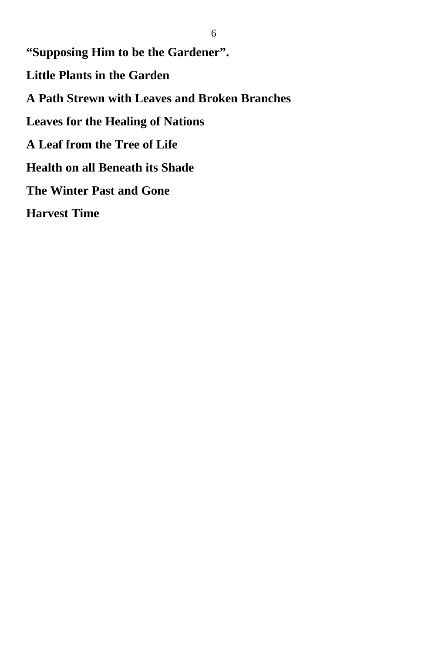**"Supposing Him to be the Gardener". Little Plants in the Garden A Path Strewn with Leaves and Broken Branches Leaves for the Healing of Nations A Leaf from the Tree of Life Health on all Beneath its Shade The Winter Past and Gone Harvest Time**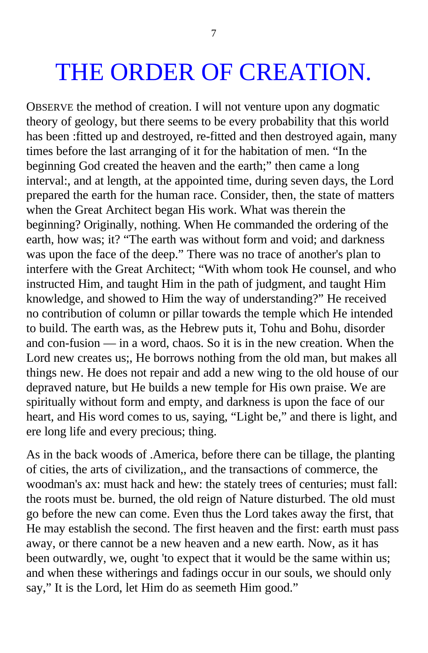## THE ORDER OF CREATION.

OBSERVE the method of creation. I will not venture upon any dogmatic theory of geology, but there seems to be every probability that this world has been :fitted up and destroyed, re-fitted and then destroyed again, many times before the last arranging of it for the habitation of men. "In the beginning God created the heaven and the earth;" then came a long interval:, and at length, at the appointed time, during seven days, the Lord prepared the earth for the human race. Consider, then, the state of matters when the Great Architect began His work. What was therein the beginning? Originally, nothing. When He commanded the ordering of the earth, how was; it? "The earth was without form and void; and darkness was upon the face of the deep." There was no trace of another's plan to interfere with the Great Architect; "With whom took He counsel, and who instructed Him, and taught Him in the path of judgment, and taught Him knowledge, and showed to Him the way of understanding?" He received no contribution of column or pillar towards the temple which He intended to build. The earth was, as the Hebrew puts it, Tohu and Bohu, disorder and con-fusion — in a word, chaos. So it is in the new creation. When the Lord new creates us;, He borrows nothing from the old man, but makes all things new. He does not repair and add a new wing to the old house of our depraved nature, but He builds a new temple for His own praise. We are spiritually without form and empty, and darkness is upon the face of our heart, and His word comes to us, saying, "Light be," and there is light, and ere long life and every precious; thing.

As in the back woods of .America, before there can be tillage, the planting of cities, the arts of civilization,, and the transactions of commerce, the woodman's ax: must hack and hew: the stately trees of centuries; must fall: the roots must be. burned, the old reign of Nature disturbed. The old must go before the new can come. Even thus the Lord takes away the first, that He may establish the second. The first heaven and the first: earth must pass away, or there cannot be a new heaven and a new earth. Now, as it has been outwardly, we, ought 'to expect that it would be the same within us; and when these witherings and fadings occur in our souls, we should only say," It is the Lord, let Him do as seemeth Him good."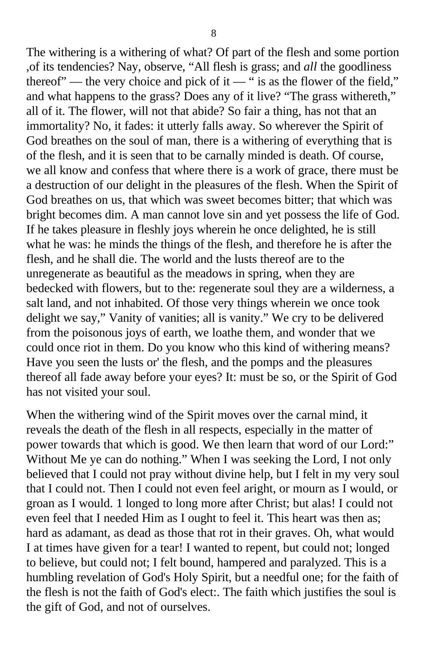The withering is a withering of what? Of part of the flesh and some portion ,of its tendencies? Nay, observe, "All flesh is grass; and *all* the goodliness thereof" — the very choice and pick of it — " is as the flower of the field," and what happens to the grass? Does any of it live? "The grass withereth," all of it. The flower, will not that abide? So fair a thing, has not that an immortality? No, it fades: it utterly falls away. So wherever the Spirit of God breathes on the soul of man, there is a withering of everything that is of the flesh, and it is seen that to be carnally minded is death. Of course, we all know and confess that where there is a work of grace, there must be a destruction of our delight in the pleasures of the flesh. When the Spirit of God breathes on us, that which was sweet becomes bitter; that which was bright becomes dim. A man cannot love sin and yet possess the life of God. If he takes pleasure in fleshly joys wherein he once delighted, he is still what he was: he minds the things of the flesh, and therefore he is after the flesh, and he shall die. The world and the lusts thereof are to the unregenerate as beautiful as the meadows in spring, when they are bedecked with flowers, but to the: regenerate soul they are a wilderness, a salt land, and not inhabited. Of those very things wherein we once took delight we say," Vanity of vanities; all is vanity." We cry to be delivered from the poisonous joys of earth, we loathe them, and wonder that we could once riot in them. Do you know who this kind of withering means? Have you seen the lusts or' the flesh, and the pomps and the pleasures thereof all fade away before your eyes? It: must be so, or the Spirit of God has not visited your soul.

When the withering wind of the Spirit moves over the carnal mind, it reveals the death of the flesh in all respects, especially in the matter of power towards that which is good. We then learn that word of our Lord:" Without Me ye can do nothing." When I was seeking the Lord, I not only believed that I could not pray without divine help, but I felt in my very soul that I could not. Then I could not even feel aright, or mourn as I would, or groan as I would. 1 longed to long more after Christ; but alas! I could not even feel that I needed Him as I ought to feel it. This heart was then as; hard as adamant, as dead as those that rot in their graves. Oh, what would I at times have given for a tear! I wanted to repent, but could not; longed to believe, but could not; I felt bound, hampered and paralyzed. This is a humbling revelation of God's Holy Spirit, but a needful one; for the faith of the flesh is not the faith of God's elect:. The faith which justifies the soul is the gift of God, and not of ourselves.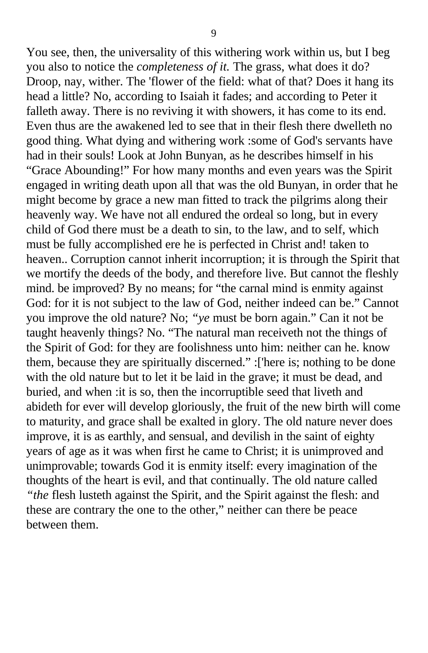You see, then, the universality of this withering work within us, but I beg you also to notice the *completeness of it.* The grass, what does it do? Droop, nay, wither. The 'flower of the field: what of that? Does it hang its head a little? No, according to Isaiah it fades; and according to Peter it falleth away. There is no reviving it with showers, it has come to its end. Even thus are the awakened led to see that in their flesh there dwelleth no good thing. What dying and withering work :some of God's servants have had in their souls! Look at John Bunyan, as he describes himself in his "Grace Abounding!" For how many months and even years was the Spirit engaged in writing death upon all that was the old Bunyan, in order that he might become by grace a new man fitted to track the pilgrims along their heavenly way. We have not all endured the ordeal so long, but in every child of God there must be a death to sin, to the law, and to self, which must be fully accomplished ere he is perfected in Christ and! taken to heaven.. Corruption cannot inherit incorruption; it is through the Spirit that we mortify the deeds of the body, and therefore live. But cannot the fleshly mind. be improved? By no means; for "the carnal mind is enmity against God: for it is not subject to the law of God, neither indeed can be." Cannot you improve the old nature? No; *"ye* must be born again." Can it not be taught heavenly things? No. "The natural man receiveth not the things of the Spirit of God: for they are foolishness unto him: neither can he. know them, because they are spiritually discerned." :['here is; nothing to be done with the old nature but to let it be laid in the grave; it must be dead, and buried, and when :it is so, then the incorruptible seed that liveth and abideth for ever will develop gloriously, the fruit of the new birth will come to maturity, and grace shall be exalted in glory. The old nature never does improve, it is as earthly, and sensual, and devilish in the saint of eighty years of age as it was when first he came to Christ; it is unimproved and unimprovable; towards God it is enmity itself: every imagination of the thoughts of the heart is evil, and that continually. The old nature called *"the* flesh lusteth against the Spirit, and the Spirit against the flesh: and these are contrary the one to the other," neither can there be peace between them.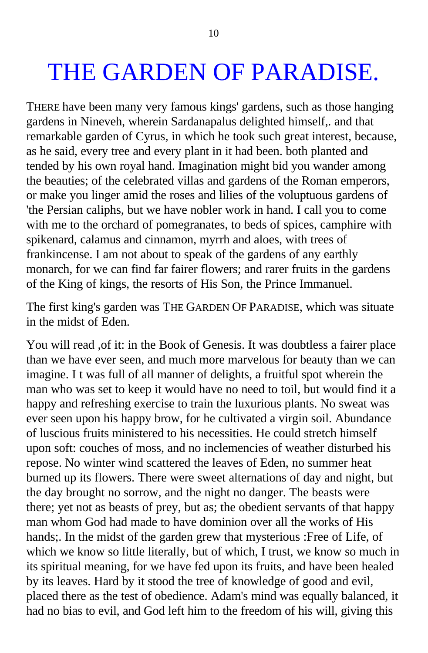## THE GARDEN OF PARADISE.

THERE have been many very famous kings' gardens, such as those hanging gardens in Nineveh, wherein Sardanapalus delighted himself,. and that remarkable garden of Cyrus, in which he took such great interest, because, as he said, every tree and every plant in it had been. both planted and tended by his own royal hand. Imagination might bid you wander among the beauties; of the celebrated villas and gardens of the Roman emperors, or make you linger amid the roses and lilies of the voluptuous gardens of 'the Persian caliphs, but we have nobler work in hand. I call you to come with me to the orchard of pomegranates, to beds of spices, camphire with spikenard, calamus and cinnamon, myrrh and aloes, with trees of frankincense. I am not about to speak of the gardens of any earthly monarch, for we can find far fairer flowers; and rarer fruits in the gardens of the King of kings, the resorts of His Son, the Prince Immanuel.

The first king's garden was THE GARDEN OF PARADISE, which was situate in the midst of Eden.

You will read ,of it: in the Book of Genesis. It was doubtless a fairer place than we have ever seen, and much more marvelous for beauty than we can imagine. I t was full of all manner of delights, a fruitful spot wherein the man who was set to keep it would have no need to toil, but would find it a happy and refreshing exercise to train the luxurious plants. No sweat was ever seen upon his happy brow, for he cultivated a virgin soil. Abundance of luscious fruits ministered to his necessities. He could stretch himself upon soft: couches of moss, and no inclemencies of weather disturbed his repose. No winter wind scattered the leaves of Eden, no summer heat burned up its flowers. There were sweet alternations of day and night, but the day brought no sorrow, and the night no danger. The beasts were there; yet not as beasts of prey, but as; the obedient servants of that happy man whom God had made to have dominion over all the works of His hands;. In the midst of the garden grew that mysterious :Free of Life, of which we know so little literally, but of which, I trust, we know so much in its spiritual meaning, for we have fed upon its fruits, and have been healed by its leaves. Hard by it stood the tree of knowledge of good and evil, placed there as the test of obedience. Adam's mind was equally balanced, it had no bias to evil, and God left him to the freedom of his will, giving this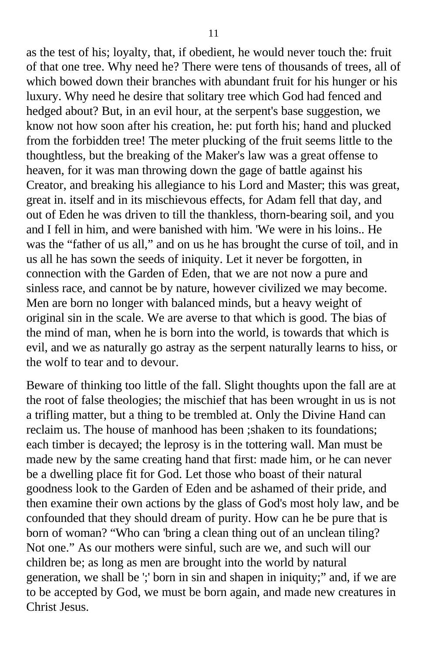as the test of his; loyalty, that, if obedient, he would never touch the: fruit of that one tree. Why need he? There were tens of thousands of trees, all of which bowed down their branches with abundant fruit for his hunger or his luxury. Why need he desire that solitary tree which God had fenced and hedged about? But, in an evil hour, at the serpent's base suggestion, we know not how soon after his creation, he: put forth his; hand and plucked from the forbidden tree! The meter plucking of the fruit seems little to the thoughtless, but the breaking of the Maker's law was a great offense to heaven, for it was man throwing down the gage of battle against his Creator, and breaking his allegiance to his Lord and Master; this was great, great in. itself and in its mischievous effects, for Adam fell that day, and out of Eden he was driven to till the thankless, thorn-bearing soil, and you and I fell in him, and were banished with him. 'We were in his loins.. He was the "father of us all," and on us he has brought the curse of toil, and in us all he has sown the seeds of iniquity. Let it never be forgotten, in connection with the Garden of Eden, that we are not now a pure and sinless race, and cannot be by nature, however civilized we may become. Men are born no longer with balanced minds, but a heavy weight of original sin in the scale. We are averse to that which is good. The bias of the mind of man, when he is born into the world, is towards that which is evil, and we as naturally go astray as the serpent naturally learns to hiss, or the wolf to tear and to devour.

Beware of thinking too little of the fall. Slight thoughts upon the fall are at the root of false theologies; the mischief that has been wrought in us is not a trifling matter, but a thing to be trembled at. Only the Divine Hand can reclaim us. The house of manhood has been ;shaken to its foundations; each timber is decayed; the leprosy is in the tottering wall. Man must be made new by the same creating hand that first: made him, or he can never be a dwelling place fit for God. Let those who boast of their natural goodness look to the Garden of Eden and be ashamed of their pride, and then examine their own actions by the glass of God's most holy law, and be confounded that they should dream of purity. How can he be pure that is born of woman? "Who can 'bring a clean thing out of an unclean tiling? Not one." As our mothers were sinful, such are we, and such will our children be; as long as men are brought into the world by natural generation, we shall be ';' born in sin and shapen in iniquity;" and, if we are to be accepted by God, we must be born again, and made new creatures in Christ Jesus.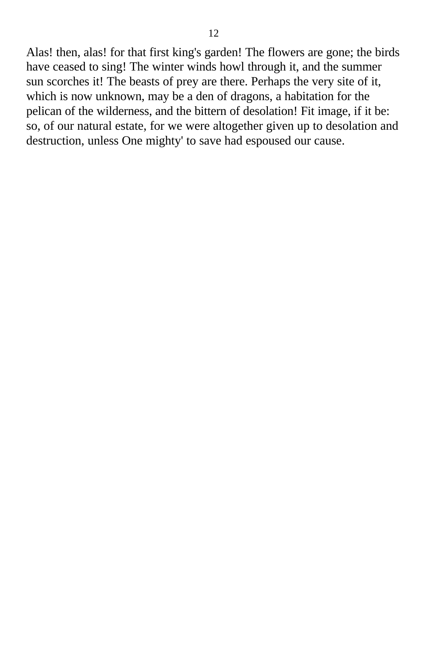Alas! then, alas! for that first king's garden! The flowers are gone; the birds have ceased to sing! The winter winds howl through it, and the summer sun scorches it! The beasts of prey are there. Perhaps the very site of it, which is now unknown, may be a den of dragons, a habitation for the pelican of the wilderness, and the bittern of desolation! Fit image, if it be: so, of our natural estate, for we were altogether given up to desolation and destruction, unless One mighty' to save had espoused our cause.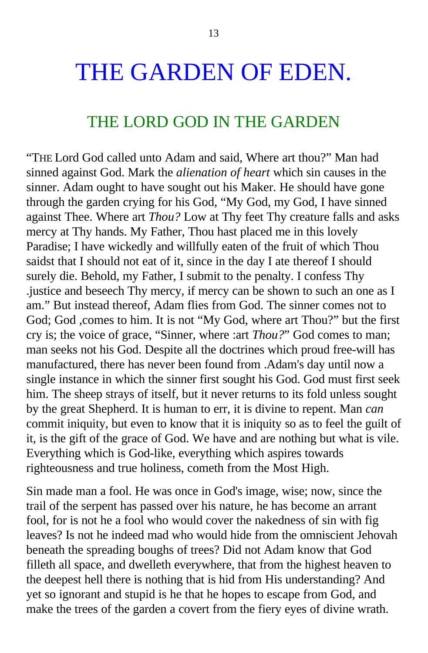### THE GARDEN OF EDEN.

#### THE LORD GOD IN THE GARDEN

"THE Lord God called unto Adam and said, Where art thou?" Man had sinned against God. Mark the *alienation of heart* which sin causes in the sinner. Adam ought to have sought out his Maker. He should have gone through the garden crying for his God, "My God, my God, I have sinned against Thee. Where art *Thou?* Low at Thy feet Thy creature falls and asks mercy at Thy hands. My Father, Thou hast placed me in this lovely Paradise; I have wickedly and willfully eaten of the fruit of which Thou saidst that I should not eat of it, since in the day I ate thereof I should surely die. Behold, my Father, I submit to the penalty. I confess Thy .justice and beseech Thy mercy, if mercy can be shown to such an one as I am." But instead thereof, Adam flies from God. The sinner comes not to God; God , comes to him. It is not "My God, where art Thou?" but the first cry is; the voice of grace, "Sinner, where :art *Thou?*" God comes to man; man seeks not his God. Despite all the doctrines which proud free-will has manufactured, there has never been found from .Adam's day until now a single instance in which the sinner first sought his God. God must first seek him. The sheep strays of itself, but it never returns to its fold unless sought by the great Shepherd. It is human to err, it is divine to repent. Man *can* commit iniquity, but even to know that it is iniquity so as to feel the guilt of it, is the gift of the grace of God. We have and are nothing but what is vile. Everything which is God-like, everything which aspires towards righteousness and true holiness, cometh from the Most High.

Sin made man a fool. He was once in God's image, wise; now, since the trail of the serpent has passed over his nature, he has become an arrant fool, for is not he a fool who would cover the nakedness of sin with fig leaves? Is not he indeed mad who would hide from the omniscient Jehovah beneath the spreading boughs of trees? Did not Adam know that God filleth all space, and dwelleth everywhere, that from the highest heaven to the deepest hell there is nothing that is hid from His understanding? And yet so ignorant and stupid is he that he hopes to escape from God, and make the trees of the garden a covert from the fiery eyes of divine wrath.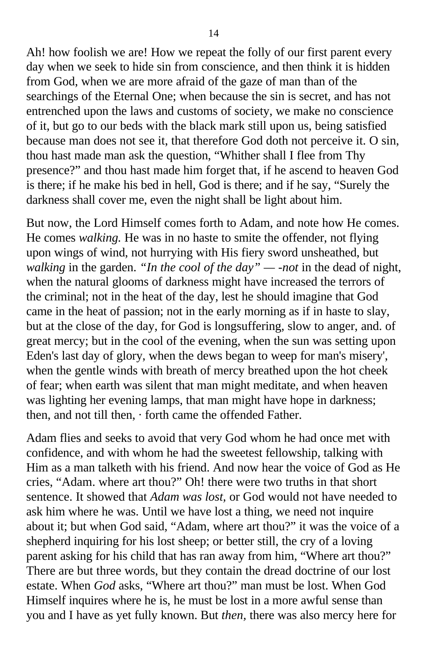Ah! how foolish we are! How we repeat the folly of our first parent every day when we seek to hide sin from conscience, and then think it is hidden from God, when we are more afraid of the gaze of man than of the searchings of the Eternal One; when because the sin is secret, and has not entrenched upon the laws and customs of society, we make no conscience of it, but go to our beds with the black mark still upon us, being satisfied because man does not see it, that therefore God doth not perceive it. O sin, thou hast made man ask the question, "Whither shall I flee from Thy presence?" and thou hast made him forget that, if he ascend to heaven God is there; if he make his bed in hell, God is there; and if he say, "Surely the darkness shall cover me, even the night shall be light about him.

But now, the Lord Himself comes forth to Adam, and note how He comes. He comes *walking.* He was in no haste to smite the offender, not flying upon wings of wind, not hurrying with His fiery sword unsheathed, but *walking* in the garden. *"In the cool of the day" — -not* in the dead of night, when the natural glooms of darkness might have increased the terrors of the criminal; not in the heat of the day, lest he should imagine that God came in the heat of passion; not in the early morning as if in haste to slay, but at the close of the day, for God is longsuffering, slow to anger, and. of great mercy; but in the cool of the evening, when the sun was setting upon Eden's last day of glory, when the dews began to weep for man's misery', when the gentle winds with breath of mercy breathed upon the hot cheek of fear; when earth was silent that man might meditate, and when heaven was lighting her evening lamps, that man might have hope in darkness; then, and not till then, · forth came the offended Father.

Adam flies and seeks to avoid that very God whom he had once met with confidence, and with whom he had the sweetest fellowship, talking with Him as a man talketh with his friend. And now hear the voice of God as He cries, "Adam. where art thou?" Oh! there were two truths in that short sentence. It showed that *Adam was lost,* or God would not have needed to ask him where he was. Until we have lost a thing, we need not inquire about it; but when God said, "Adam, where art thou?" it was the voice of a shepherd inquiring for his lost sheep; or better still, the cry of a loving parent asking for his child that has ran away from him, "Where art thou?" There are but three words, but they contain the dread doctrine of our lost estate. When *God* asks, "Where art thou?" man must be lost. When God Himself inquires where he is, he must be lost in a more awful sense than you and I have as yet fully known. But *then,* there was also mercy here for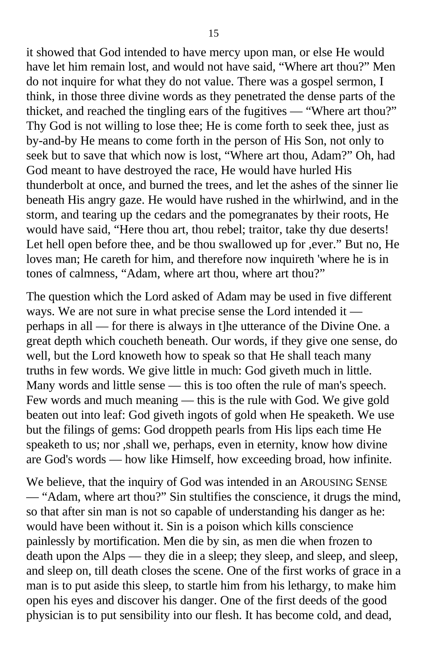it showed that God intended to have mercy upon man, or else He would have let him remain lost, and would not have said, "Where art thou?" Men do not inquire for what they do not value. There was a gospel sermon, I think, in those three divine words as they penetrated the dense parts of the thicket, and reached the tingling ears of the fugitives — "Where art thou?" Thy God is not willing to lose thee; He is come forth to seek thee, just as by-and-by He means to come forth in the person of His Son, not only to seek but to save that which now is lost, "Where art thou, Adam?" Oh, had God meant to have destroyed the race, He would have hurled His thunderbolt at once, and burned the trees, and let the ashes of the sinner lie beneath His angry gaze. He would have rushed in the whirlwind, and in the storm, and tearing up the cedars and the pomegranates by their roots, He would have said, "Here thou art, thou rebel; traitor, take thy due deserts! Let hell open before thee, and be thou swallowed up for ,ever." But no, He loves man; He careth for him, and therefore now inquireth 'where he is in tones of calmness, "Adam, where art thou, where art thou?"

The question which the Lord asked of Adam may be used in five different ways. We are not sure in what precise sense the Lord intended it perhaps in all — for there is always in t]he utterance of the Divine One. a great depth which coucheth beneath. Our words, if they give one sense, do well, but the Lord knoweth how to speak so that He shall teach many truths in few words. We give little in much: God giveth much in little. Many words and little sense — this is too often the rule of man's speech. Few words and much meaning — this is the rule with God. We give gold beaten out into leaf: God giveth ingots of gold when He speaketh. We use but the filings of gems: God droppeth pearls from His lips each time He speaketh to us; nor ,shall we, perhaps, even in eternity, know how divine are God's words — how like Himself, how exceeding broad, how infinite.

We believe, that the inquiry of God was intended in an AROUSING SENSE — "Adam, where art thou?" Sin stultifies the conscience, it drugs the mind, so that after sin man is not so capable of understanding his danger as he: would have been without it. Sin is a poison which kills conscience painlessly by mortification. Men die by sin, as men die when frozen to death upon the Alps — they die in a sleep; they sleep, and sleep, and sleep, and sleep on, till death closes the scene. One of the first works of grace in a man is to put aside this sleep, to startle him from his lethargy, to make him open his eyes and discover his danger. One of the first deeds of the good physician is to put sensibility into our flesh. It has become cold, and dead,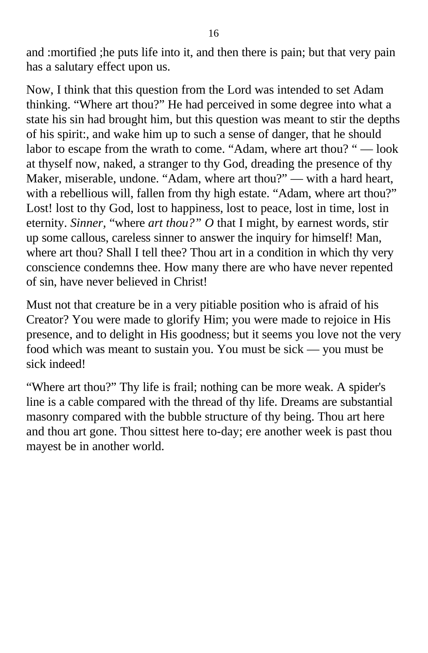and :mortified ;he puts life into it, and then there is pain; but that very pain has a salutary effect upon us.

Now, I think that this question from the Lord was intended to set Adam thinking. "Where art thou?" He had perceived in some degree into what a state his sin had brought him, but this question was meant to stir the depths of his spirit:, and wake him up to such a sense of danger, that he should labor to escape from the wrath to come. "Adam, where art thou? " — look at thyself now, naked, a stranger to thy God, dreading the presence of thy Maker, miserable, undone. "Adam, where art thou?" — with a hard heart, with a rebellious will, fallen from thy high estate. "Adam, where art thou?" Lost! lost to thy God, lost to happiness, lost to peace, lost in time, lost in eternity. *Sinner,* "where *art thou?" O* that I might, by earnest words, stir up some callous, careless sinner to answer the inquiry for himself! Man, where art thou? Shall I tell thee? Thou art in a condition in which thy very conscience condemns thee. How many there are who have never repented of sin, have never believed in Christ!

Must not that creature be in a very pitiable position who is afraid of his Creator? You were made to glorify Him; you were made to rejoice in His presence, and to delight in His goodness; but it seems you love not the very food which was meant to sustain you. You must be sick — you must be sick indeed!

"Where art thou?" Thy life is frail; nothing can be more weak. A spider's line is a cable compared with the thread of thy life. Dreams are substantial masonry compared with the bubble structure of thy being. Thou art here and thou art gone. Thou sittest here to-day; ere another week is past thou mayest be in another world.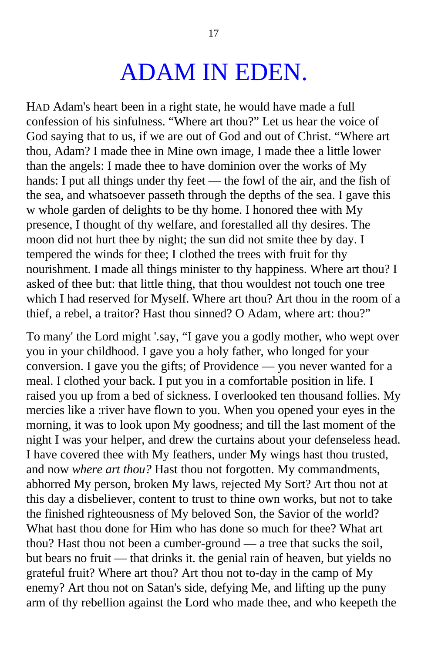### ADAM IN EDEN.

HAD Adam's heart been in a right state, he would have made a full confession of his sinfulness. "Where art thou?" Let us hear the voice of God saying that to us, if we are out of God and out of Christ. "Where art thou, Adam? I made thee in Mine own image, I made thee a little lower than the angels: I made thee to have dominion over the works of My hands: I put all things under thy feet — the fowl of the air, and the fish of the sea, and whatsoever passeth through the depths of the sea. I gave this w whole garden of delights to be thy home. I honored thee with My presence, I thought of thy welfare, and forestalled all thy desires. The moon did not hurt thee by night; the sun did not smite thee by day. I tempered the winds for thee; I clothed the trees with fruit for thy nourishment. I made all things minister to thy happiness. Where art thou? I asked of thee but: that little thing, that thou wouldest not touch one tree which I had reserved for Myself. Where art thou? Art thou in the room of a thief, a rebel, a traitor? Hast thou sinned? O Adam, where art: thou?"

To many' the Lord might '.say, "I gave you a godly mother, who wept over you in your childhood. I gave you a holy father, who longed for your conversion. I gave you the gifts; of Providence — you never wanted for a meal. I clothed your back. I put you in a comfortable position in life. I raised you up from a bed of sickness. I overlooked ten thousand follies. My mercies like a :river have flown to you. When you opened your eyes in the morning, it was to look upon My goodness; and till the last moment of the night I was your helper, and drew the curtains about your defenseless head. I have covered thee with My feathers, under My wings hast thou trusted, and now *where art thou?* Hast thou not forgotten. My commandments, abhorred My person, broken My laws, rejected My Sort? Art thou not at this day a disbeliever, content to trust to thine own works, but not to take the finished righteousness of My beloved Son, the Savior of the world? What hast thou done for Him who has done so much for thee? What art thou? Hast thou not been a cumber-ground — a tree that sucks the soil, but bears no fruit — that drinks it. the genial rain of heaven, but yields no grateful fruit? Where art thou? Art thou not to-day in the camp of My enemy? Art thou not on Satan's side, defying Me, and lifting up the puny arm of thy rebellion against the Lord who made thee, and who keepeth the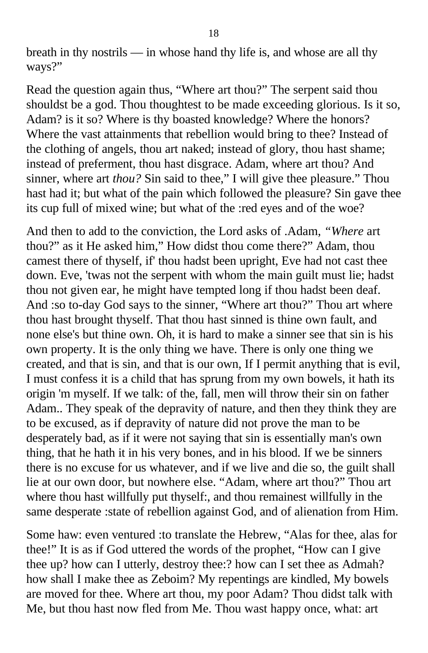breath in thy nostrils — in whose hand thy life is, and whose are all thy ways?"

Read the question again thus, "Where art thou?" The serpent said thou shouldst be a god. Thou thoughtest to be made exceeding glorious. Is it so, Adam? is it so? Where is thy boasted knowledge? Where the honors? Where the vast attainments that rebellion would bring to thee? Instead of the clothing of angels, thou art naked; instead of glory, thou hast shame; instead of preferment, thou hast disgrace. Adam, where art thou? And sinner, where art *thou?* Sin said to thee," I will give thee pleasure." Thou hast had it; but what of the pain which followed the pleasure? Sin gave thee its cup full of mixed wine; but what of the :red eyes and of the woe?

And then to add to the conviction, the Lord asks of .Adam, *"Where* art thou?" as it He asked him," How didst thou come there?" Adam, thou camest there of thyself, if' thou hadst been upright, Eve had not cast thee down. Eve, 'twas not the serpent with whom the main guilt must lie; hadst thou not given ear, he might have tempted long if thou hadst been deaf. And :so to-day God says to the sinner, "Where art thou?" Thou art where thou hast brought thyself. That thou hast sinned is thine own fault, and none else's but thine own. Oh, it is hard to make a sinner see that sin is his own property. It is the only thing we have. There is only one thing we created, and that is sin, and that is our own, If I permit anything that is evil, I must confess it is a child that has sprung from my own bowels, it hath its origin 'm myself. If we talk: of the, fall, men will throw their sin on father Adam.. They speak of the depravity of nature, and then they think they are to be excused, as if depravity of nature did not prove the man to be desperately bad, as if it were not saying that sin is essentially man's own thing, that he hath it in his very bones, and in his blood. If we be sinners there is no excuse for us whatever, and if we live and die so, the guilt shall lie at our own door, but nowhere else. "Adam, where art thou?" Thou art where thou hast willfully put thyself:, and thou remainest willfully in the same desperate :state of rebellion against God, and of alienation from Him.

Some haw: even ventured :to translate the Hebrew, "Alas for thee, alas for thee!" It is as if God uttered the words of the prophet, "How can I give thee up? how can I utterly, destroy thee:? how can I set thee as Admah? how shall I make thee as Zeboim? My repentings are kindled, My bowels are moved for thee. Where art thou, my poor Adam? Thou didst talk with Me, but thou hast now fled from Me. Thou wast happy once, what: art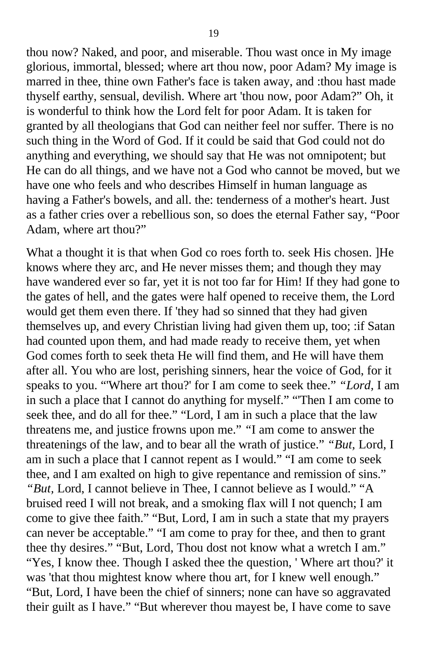thou now? Naked, and poor, and miserable. Thou wast once in My image glorious, immortal, blessed; where art thou now, poor Adam? My image is marred in thee, thine own Father's face is taken away, and :thou hast made thyself earthy, sensual, devilish. Where art 'thou now, poor Adam?" Oh, it is wonderful to think how the Lord felt for poor Adam. It is taken for granted by all theologians that God can neither feel nor suffer. There is no such thing in the Word of God. If it could be said that God could not do anything and everything, we should say that He was not omnipotent; but He can do all things, and we have not a God who cannot be moved, but we have one who feels and who describes Himself in human language as having a Father's bowels, and all. the: tenderness of a mother's heart. Just as a father cries over a rebellious son, so does the eternal Father say, "Poor Adam, where art thou?"

What a thought it is that when God co roes forth to. seek His chosen. [He knows where they arc, and He never misses them; and though they may have wandered ever so far, yet it is not too far for Him! If they had gone to the gates of hell, and the gates were half opened to receive them, the Lord would get them even there. If 'they had so sinned that they had given themselves up, and every Christian living had given them up, too; :if Satan had counted upon them, and had made ready to receive them, yet when God comes forth to seek theta He will find them, and He will have them after all. You who are lost, perishing sinners, hear the voice of God, for it speaks to you. "'Where art thou?' for I am come to seek thee." *"Lord,* I am in such a place that I cannot do anything for myself." "'Then I am come to seek thee, and do all for thee." "Lord, I am in such a place that the law threatens me, and justice frowns upon me." *"*I am come to answer the threatenings of the law, and to bear all the wrath of justice." *"But,* Lord, I am in such a place that I cannot repent as I would." "I am come to seek thee, and I am exalted on high to give repentance and remission of sins." *"But,* Lord, I cannot believe in Thee, I cannot believe as I would." "A bruised reed I will not break, and a smoking flax will I not quench; I am come to give thee faith." "But, Lord, I am in such a state that my prayers can never be acceptable." "I am come to pray for thee, and then to grant thee thy desires." "But, Lord, Thou dost not know what a wretch I am." "Yes, I know thee. Though I asked thee the question, ' Where art thou?' it was 'that thou mightest know where thou art, for I knew well enough." "But, Lord, I have been the chief of sinners; none can have so aggravated their guilt as I have." "But wherever thou mayest be, I have come to save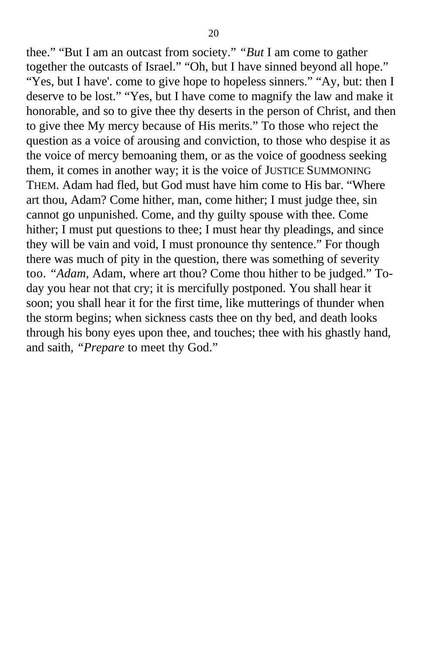thee." "But I am an outcast from society." *"But* I am come to gather together the outcasts of Israel." "Oh, but I have sinned beyond all hope." "Yes, but I have'. come to give hope to hopeless sinners." "Ay, but: then I deserve to be lost." "Yes, but I have come to magnify the law and make it honorable, and so to give thee thy deserts in the person of Christ, and then to give thee My mercy because of His merits." To those who reject the question as a voice of arousing and conviction, to those who despise it as the voice of mercy bemoaning them, or as the voice of goodness seeking them, it comes in another way; it is the voice of JUSTICE SUMMONING THEM. Adam had fled, but God must have him come to His bar. "Where art thou, Adam? Come hither, man, come hither; I must judge thee, sin cannot go unpunished. Come, and thy guilty spouse with thee. Come hither; I must put questions to thee; I must hear thy pleadings, and since they will be vain and void, I must pronounce thy sentence." For though there was much of pity in the question, there was something of severity too. *"Adam,* Adam, where art thou? Come thou hither to be judged." Today you hear not that cry; it is mercifully postponed. You shall hear it soon; you shall hear it for the first time, like mutterings of thunder when the storm begins; when sickness casts thee on thy bed, and death looks through his bony eyes upon thee, and touches; thee with his ghastly hand, and saith, *"Prepare* to meet thy God."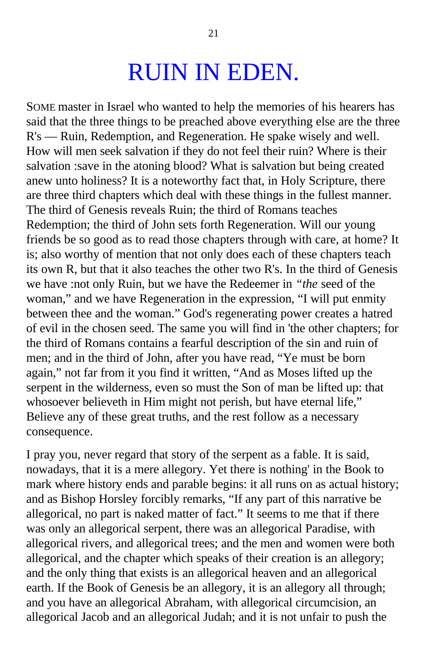### RUIN IN EDEN.

SOME master in Israel who wanted to help the memories of his hearers has said that the three things to be preached above everything else are the three R's — Ruin, Redemption, and Regeneration. He spake wisely and well. How will men seek salvation if they do not feel their ruin? Where is their salvation :save in the atoning blood? What is salvation but being created anew unto holiness? It is a noteworthy fact that, in Holy Scripture, there are three third chapters which deal with these things in the fullest manner. The third of Genesis reveals Ruin; the third of Romans teaches Redemption; the third of John sets forth Regeneration. Will our young friends be so good as to read those chapters through with care, at home? It is; also worthy of mention that not only does each of these chapters teach its own R, but that it also teaches the other two R's. In the third of Genesis we have :not only Ruin, but we have the Redeemer in *"the* seed of the woman," and we have Regeneration in the expression, "I will put enmity between thee and the woman." God's regenerating power creates a hatred of evil in the chosen seed. The same you will find in 'the other chapters; for the third of Romans contains a fearful description of the sin and ruin of men; and in the third of John, after you have read, "Ye must be born again," not far from it you find it written, "And as Moses lifted up the serpent in the wilderness, even so must the Son of man be lifted up: that whosoever believeth in Him might not perish, but have eternal life," Believe any of these great truths, and the rest follow as a necessary consequence.

I pray you, never regard that story of the serpent as a fable. It is said, nowadays, that it is a mere allegory. Yet there is nothing' in the Book to mark where history ends and parable begins: it all runs on as actual history; and as Bishop Horsley forcibly remarks, "If any part of this narrative be allegorical, no part is naked matter of fact." It seems to me that if there was only an allegorical serpent, there was an allegorical Paradise, with allegorical rivers, and allegorical trees; and the men and women were both allegorical, and the chapter which speaks of their creation is an allegory; and the only thing that exists is an allegorical heaven and an allegorical earth. If the Book of Genesis be an allegory, it is an allegory all through; and you have an allegorical Abraham, with allegorical circumcision, an allegorical Jacob and an allegorical Judah; and it is not unfair to push the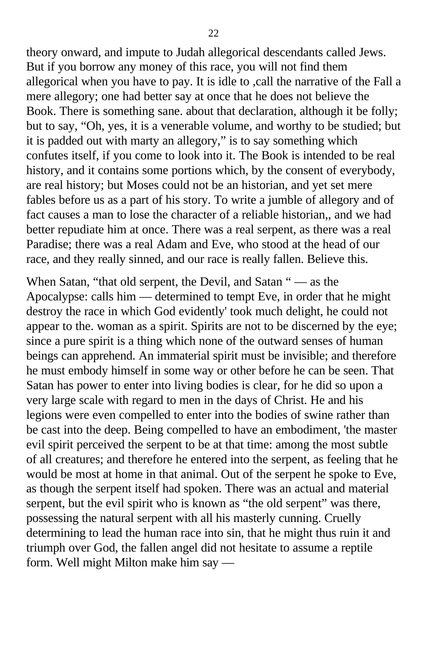theory onward, and impute to Judah allegorical descendants called Jews. But if you borrow any money of this race, you will not find them allegorical when you have to pay. It is idle to ,call the narrative of the Fall a mere allegory; one had better say at once that he does not believe the Book. There is something sane. about that declaration, although it be folly; but to say, "Oh, yes, it is a venerable volume, and worthy to be studied; but it is padded out with marty an allegory," is to say something which confutes itself, if you come to look into it. The Book is intended to be real history, and it contains some portions which, by the consent of everybody, are real history; but Moses could not be an historian, and yet set mere fables before us as a part of his story. To write a jumble of allegory and of fact causes a man to lose the character of a reliable historian,, and we had better repudiate him at once. There was a real serpent, as there was a real Paradise; there was a real Adam and Eve, who stood at the head of our race, and they really sinned, and our race is really fallen. Believe this.

When Satan, "that old serpent, the Devil, and Satan " — as the Apocalypse: calls him — determined to tempt Eve, in order that he might destroy the race in which God evidently' took much delight, he could not appear to the. woman as a spirit. Spirits are not to be discerned by the eye; since a pure spirit is a thing which none of the outward senses of human beings can apprehend. An immaterial spirit must be invisible; and therefore he must embody himself in some way or other before he can be seen. That Satan has power to enter into living bodies is clear, for he did so upon a very large scale with regard to men in the days of Christ. He and his legions were even compelled to enter into the bodies of swine rather than be cast into the deep. Being compelled to have an embodiment, 'the master evil spirit perceived the serpent to be at that time: among the most subtle of all creatures; and therefore he entered into the serpent, as feeling that he would be most at home in that animal. Out of the serpent he spoke to Eve, as though the serpent itself had spoken. There was an actual and material serpent, but the evil spirit who is known as "the old serpent" was there, possessing the natural serpent with all his masterly cunning. Cruelly determining to lead the human race into sin, that he might thus ruin it and triumph over God, the fallen angel did not hesitate to assume a reptile form. Well might Milton make him say —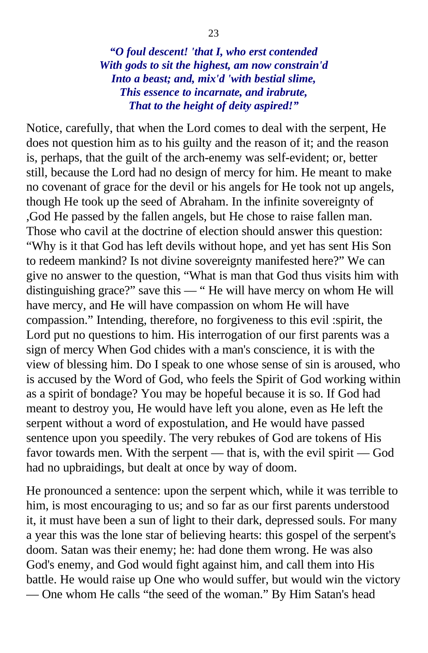*"O foul descent! 'that I, who erst contended With gods to sit the highest, am now constrain'd Into a beast; and, mix'd 'with bestial slime, This essence to incarnate, and irabrute, That to the height of deity aspired!"*

Notice, carefully, that when the Lord comes to deal with the serpent, He does not question him as to his guilty and the reason of it; and the reason is, perhaps, that the guilt of the arch-enemy was self-evident; or, better still, because the Lord had no design of mercy for him. He meant to make no covenant of grace for the devil or his angels for He took not up angels, though He took up the seed of Abraham. In the infinite sovereignty of ,God He passed by the fallen angels, but He chose to raise fallen man. Those who cavil at the doctrine of election should answer this question: "Why is it that God has left devils without hope, and yet has sent His Son to redeem mankind? Is not divine sovereignty manifested here?" We can give no answer to the question, "What is man that God thus visits him with distinguishing grace?" save this — " He will have mercy on whom He will have mercy, and He will have compassion on whom He will have compassion." Intending, therefore, no forgiveness to this evil :spirit, the Lord put no questions to him. His interrogation of our first parents was a sign of mercy When God chides with a man's conscience, it is with the view of blessing him. Do I speak to one whose sense of sin is aroused, who is accused by the Word of God, who feels the Spirit of God working within as a spirit of bondage? You may be hopeful because it is so. If God had meant to destroy you, He would have left you alone, even as He left the serpent without a word of expostulation, and He would have passed sentence upon you speedily. The very rebukes of God are tokens of His favor towards men. With the serpent — that is, with the evil spirit — God had no upbraidings, but dealt at once by way of doom.

He pronounced a sentence: upon the serpent which, while it was terrible to him, is most encouraging to us; and so far as our first parents understood it, it must have been a sun of light to their dark, depressed souls. For many a year this was the lone star of believing hearts: this gospel of the serpent's doom. Satan was their enemy; he: had done them wrong. He was also God's enemy, and God would fight against him, and call them into His battle. He would raise up One who would suffer, but would win the victory — One whom He calls "the seed of the woman." By Him Satan's head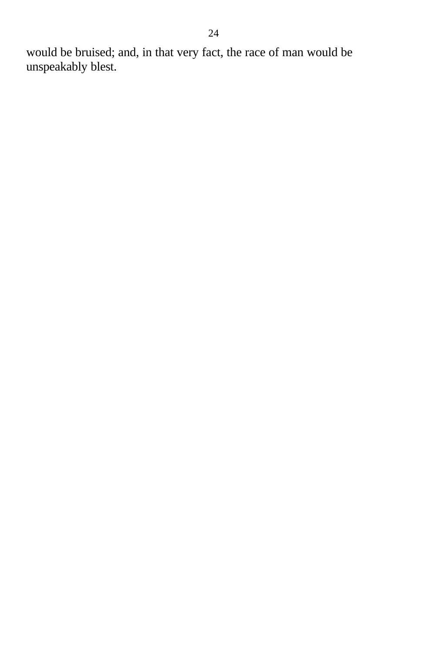would be bruised; and, in that very fact, the race of man would be unspeakably blest.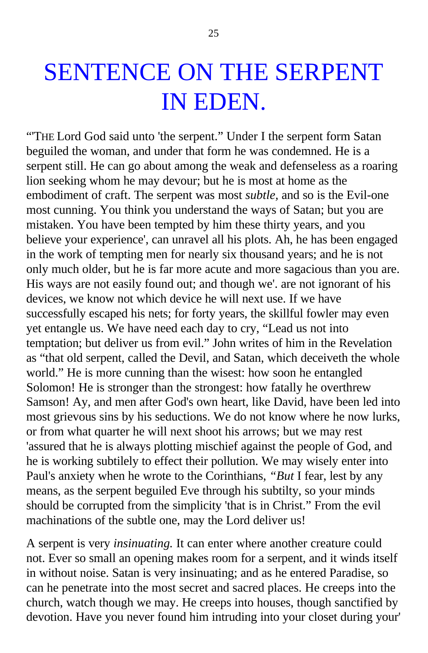## SENTENCE ON THE SERPENT IN EDEN.

"'THE Lord God said unto 'the serpent." Under I the serpent form Satan beguiled the woman, and under that form he was condemned. He is a serpent still. He can go about among the weak and defenseless as a roaring lion seeking whom he may devour; but he is most at home as the embodiment of craft. The serpent was most *subtle,* and so is the Evil-one most cunning. You think you understand the ways of Satan; but you are mistaken. You have been tempted by him these thirty years, and you believe your experience', can unravel all his plots. Ah, he has been engaged in the work of tempting men for nearly six thousand years; and he is not only much older, but he is far more acute and more sagacious than you are. His ways are not easily found out; and though we'. are not ignorant of his devices, we know not which device he will next use. If we have successfully escaped his nets; for forty years, the skillful fowler may even yet entangle us. We have need each day to cry, "Lead us not into temptation; but deliver us from evil." John writes of him in the Revelation as "that old serpent, called the Devil, and Satan, which deceiveth the whole world." He is more cunning than the wisest: how soon he entangled Solomon! He is stronger than the strongest: how fatally he overthrew Samson! Ay, and men after God's own heart, like David, have been led into most grievous sins by his seductions. We do not know where he now lurks, or from what quarter he will next shoot his arrows; but we may rest 'assured that he is always plotting mischief against the people of God, and he is working subtilely to effect their pollution. We may wisely enter into Paul's anxiety when he wrote to the Corinthians, *"But* I fear, lest by any means, as the serpent beguiled Eve through his subtilty, so your minds should be corrupted from the simplicity 'that is in Christ." From the evil machinations of the subtle one, may the Lord deliver us!

A serpent is very *insinuating.* It can enter where another creature could not. Ever so small an opening makes room for a serpent, and it winds itself in without noise. Satan is very insinuating; and as he entered Paradise, so can he penetrate into the most secret and sacred places. He creeps into the church, watch though we may. He creeps into houses, though sanctified by devotion. Have you never found him intruding into your closet during your'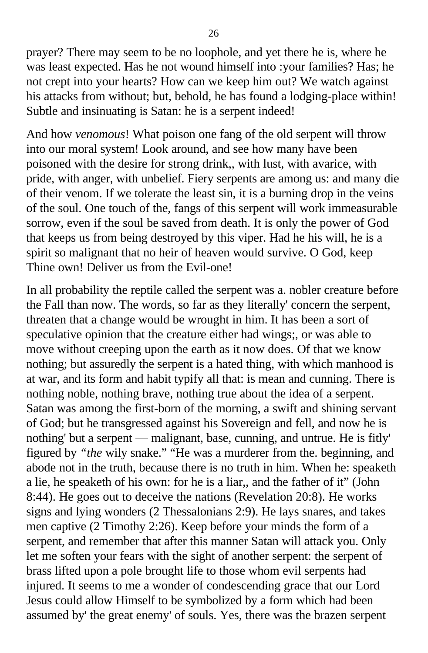prayer? There may seem to be no loophole, and yet there he is, where he was least expected. Has he not wound himself into :your families? Has; he not crept into your hearts? How can we keep him out? We watch against his attacks from without; but, behold, he has found a lodging-place within! Subtle and insinuating is Satan: he is a serpent indeed!

And how *venomous*! What poison one fang of the old serpent will throw into our moral system! Look around, and see how many have been poisoned with the desire for strong drink,, with lust, with avarice, with pride, with anger, with unbelief. Fiery serpents are among us: and many die of their venom. If we tolerate the least sin, it is a burning drop in the veins of the soul. One touch of the, fangs of this serpent will work immeasurable sorrow, even if the soul be saved from death. It is only the power of God that keeps us from being destroyed by this viper. Had he his will, he is a spirit so malignant that no heir of heaven would survive. O God, keep Thine own! Deliver us from the Evil-one!

In all probability the reptile called the serpent was a. nobler creature before the Fall than now. The words, so far as they literally' concern the serpent, threaten that a change would be wrought in him. It has been a sort of speculative opinion that the creature either had wings;, or was able to move without creeping upon the earth as it now does. Of that we know nothing; but assuredly the serpent is a hated thing, with which manhood is at war, and its form and habit typify all that: is mean and cunning. There is nothing noble, nothing brave, nothing true about the idea of a serpent. Satan was among the first-born of the morning, a swift and shining servant of God; but he transgressed against his Sovereign and fell, and now he is nothing' but a serpent — malignant, base, cunning, and untrue. He is fitly' figured by *"the* wily snake." "He was a murderer from the. beginning, and abode not in the truth, because there is no truth in him. When he: speaketh a lie, he speaketh of his own: for he is a liar,, and the father of it" (John 8:44). He goes out to deceive the nations (Revelation 20:8). He works signs and lying wonders (2 Thessalonians 2:9). He lays snares, and takes men captive (2 Timothy 2:26). Keep before your minds the form of a serpent, and remember that after this manner Satan will attack you. Only let me soften your fears with the sight of another serpent: the serpent of brass lifted upon a pole brought life to those whom evil serpents had injured. It seems to me a wonder of condescending grace that our Lord Jesus could allow Himself to be symbolized by a form which had been assumed by' the great enemy' of souls. Yes, there was the brazen serpent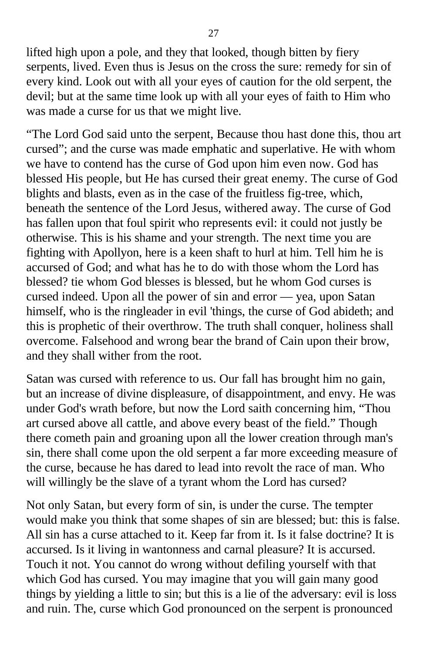lifted high upon a pole, and they that looked, though bitten by fiery serpents, lived. Even thus is Jesus on the cross the sure: remedy for sin of every kind. Look out with all your eyes of caution for the old serpent, the devil; but at the same time look up with all your eyes of faith to Him who was made a curse for us that we might live.

"The Lord God said unto the serpent, Because thou hast done this, thou art cursed"; and the curse was made emphatic and superlative. He with whom we have to contend has the curse of God upon him even now. God has blessed His people, but He has cursed their great enemy. The curse of God blights and blasts, even as in the case of the fruitless fig-tree, which, beneath the sentence of the Lord Jesus, withered away. The curse of God has fallen upon that foul spirit who represents evil: it could not justly be otherwise. This is his shame and your strength. The next time you are fighting with Apollyon, here is a keen shaft to hurl at him. Tell him he is accursed of God; and what has he to do with those whom the Lord has blessed? tie whom God blesses is blessed, but he whom God curses is cursed indeed. Upon all the power of sin and error — yea, upon Satan himself, who is the ringleader in evil 'things, the curse of God abideth; and this is prophetic of their overthrow. The truth shall conquer, holiness shall overcome. Falsehood and wrong bear the brand of Cain upon their brow, and they shall wither from the root.

Satan was cursed with reference to us. Our fall has brought him no gain, but an increase of divine displeasure, of disappointment, and envy. He was under God's wrath before, but now the Lord saith concerning him, "Thou art cursed above all cattle, and above every beast of the field." Though there cometh pain and groaning upon all the lower creation through man's sin, there shall come upon the old serpent a far more exceeding measure of the curse, because he has dared to lead into revolt the race of man. Who will willingly be the slave of a tyrant whom the Lord has cursed?

Not only Satan, but every form of sin, is under the curse. The tempter would make you think that some shapes of sin are blessed; but: this is false. All sin has a curse attached to it. Keep far from it. Is it false doctrine? It is accursed. Is it living in wantonness and carnal pleasure? It is accursed. Touch it not. You cannot do wrong without defiling yourself with that which God has cursed. You may imagine that you will gain many good things by yielding a little to sin; but this is a lie of the adversary: evil is loss and ruin. The, curse which God pronounced on the serpent is pronounced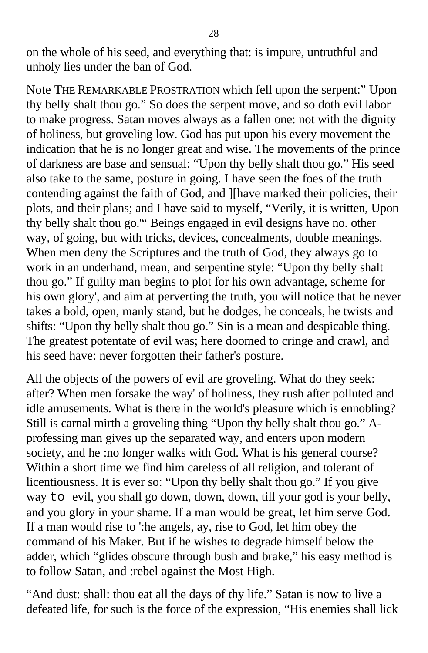on the whole of his seed, and everything that: is impure, untruthful and unholy lies under the ban of God.

Note THE REMARKABLE PROSTRATION which fell upon the serpent:" Upon thy belly shalt thou go." So does the serpent move, and so doth evil labor to make progress. Satan moves always as a fallen one: not with the dignity of holiness, but groveling low. God has put upon his every movement the indication that he is no longer great and wise. The movements of the prince of darkness are base and sensual: "Upon thy belly shalt thou go." His seed also take to the same, posture in going. I have seen the foes of the truth contending against the faith of God, and ][have marked their policies, their plots, and their plans; and I have said to myself, "Verily, it is written, Upon thy belly shalt thou go.'" Beings engaged in evil designs have no. other way, of going, but with tricks, devices, concealments, double meanings. When men deny the Scriptures and the truth of God, they always go to work in an underhand, mean, and serpentine style: "Upon thy belly shalt thou go." If guilty man begins to plot for his own advantage, scheme for his own glory', and aim at perverting the truth, you will notice that he never takes a bold, open, manly stand, but he dodges, he conceals, he twists and shifts: "Upon thy belly shalt thou go." Sin is a mean and despicable thing. The greatest potentate of evil was; here doomed to cringe and crawl, and his seed have: never forgotten their father's posture.

All the objects of the powers of evil are groveling. What do they seek: after? When men forsake the way' of holiness, they rush after polluted and idle amusements. What is there in the world's pleasure which is ennobling? Still is carnal mirth a groveling thing "Upon thy belly shalt thou go." Aprofessing man gives up the separated way, and enters upon modern society, and he :no longer walks with God. What is his general course? Within a short time we find him careless of all religion, and tolerant of licentiousness. It is ever so: "Upon thy belly shalt thou go." If you give way to evil, you shall go down, down, down, till your god is your belly, and you glory in your shame. If a man would be great, let him serve God. If a man would rise to ':he angels, ay, rise to God, let him obey the command of his Maker. But if he wishes to degrade himself below the adder, which "glides obscure through bush and brake," his easy method is to follow Satan, and :rebel against the Most High.

"And dust: shall: thou eat all the days of thy life." Satan is now to live a defeated life, for such is the force of the expression, "His enemies shall lick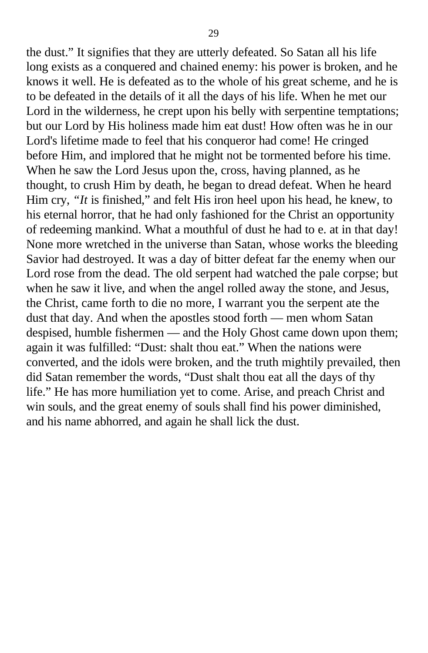the dust." It signifies that they are utterly defeated. So Satan all his life long exists as a conquered and chained enemy: his power is broken, and he knows it well. He is defeated as to the whole of his great scheme, and he is to be defeated in the details of it all the days of his life. When he met our Lord in the wilderness, he crept upon his belly with serpentine temptations; but our Lord by His holiness made him eat dust! How often was he in our Lord's lifetime made to feel that his conqueror had come! He cringed before Him, and implored that he might not be tormented before his time. When he saw the Lord Jesus upon the, cross, having planned, as he thought, to crush Him by death, he began to dread defeat. When he heard Him cry, *"It* is finished," and felt His iron heel upon his head, he knew, to his eternal horror, that he had only fashioned for the Christ an opportunity of redeeming mankind. What a mouthful of dust he had to e. at in that day! None more wretched in the universe than Satan, whose works the bleeding Savior had destroyed. It was a day of bitter defeat far the enemy when our Lord rose from the dead. The old serpent had watched the pale corpse; but when he saw it live, and when the angel rolled away the stone, and Jesus, the Christ, came forth to die no more, I warrant you the serpent ate the dust that day. And when the apostles stood forth — men whom Satan despised, humble fishermen — and the Holy Ghost came down upon them; again it was fulfilled: "Dust: shalt thou eat." When the nations were converted, and the idols were broken, and the truth mightily prevailed, then did Satan remember the words, "Dust shalt thou eat all the days of thy life." He has more humiliation yet to come. Arise, and preach Christ and win souls, and the great enemy of souls shall find his power diminished, and his name abhorred, and again he shall lick the dust.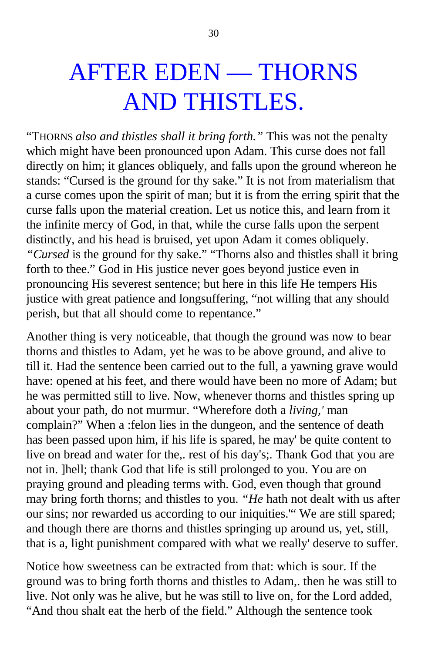## AFTER EDEN — THORNS AND THISTLES.

"THORNS *also and thistles shall it bring forth."* This was not the penalty which might have been pronounced upon Adam. This curse does not fall directly on him; it glances obliquely, and falls upon the ground whereon he stands: "Cursed is the ground for thy sake." It is not from materialism that a curse comes upon the spirit of man; but it is from the erring spirit that the curse falls upon the material creation. Let us notice this, and learn from it the infinite mercy of God, in that, while the curse falls upon the serpent distinctly, and his head is bruised, yet upon Adam it comes obliquely. *"Cursed* is the ground for thy sake." "Thorns also and thistles shall it bring forth to thee." God in His justice never goes beyond justice even in pronouncing His severest sentence; but here in this life He tempers His justice with great patience and longsuffering, "not willing that any should perish, but that all should come to repentance."

Another thing is very noticeable, that though the ground was now to bear thorns and thistles to Adam, yet he was to be above ground, and alive to till it. Had the sentence been carried out to the full, a yawning grave would have: opened at his feet, and there would have been no more of Adam; but he was permitted still to live. Now, whenever thorns and thistles spring up about your path, do not murmur. "Wherefore doth a *living,'* man complain?" When a :felon lies in the dungeon, and the sentence of death has been passed upon him, if his life is spared, he may' be quite content to live on bread and water for the,. rest of his day's;. Thank God that you are not in. ]hell; thank God that life is still prolonged to you. You are on praying ground and pleading terms with. God, even though that ground may bring forth thorns; and thistles to you. *"He* hath not dealt with us after our sins; nor rewarded us according to our iniquities.'" We are still spared; and though there are thorns and thistles springing up around us, yet, still, that is a, light punishment compared with what we really' deserve to suffer.

Notice how sweetness can be extracted from that: which is sour. If the ground was to bring forth thorns and thistles to Adam,. then he was still to live. Not only was he alive, but he was still to live on, for the Lord added, "And thou shalt eat the herb of the field." Although the sentence took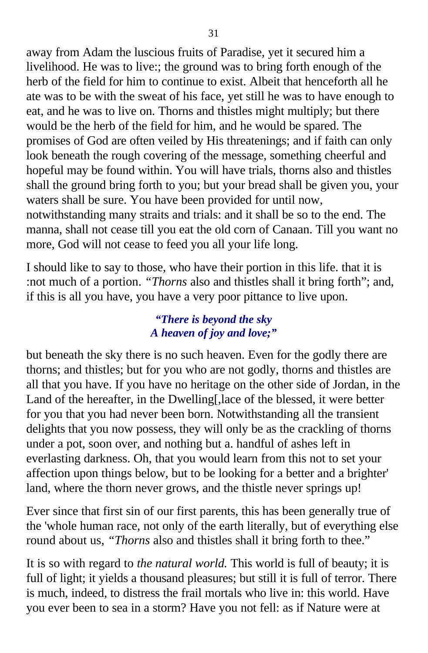away from Adam the luscious fruits of Paradise, yet it secured him a livelihood. He was to live:; the ground was to bring forth enough of the herb of the field for him to continue to exist. Albeit that henceforth all he ate was to be with the sweat of his face, yet still he was to have enough to eat, and he was to live on. Thorns and thistles might multiply; but there would be the herb of the field for him, and he would be spared. The promises of God are often veiled by His threatenings; and if faith can only look beneath the rough covering of the message, something cheerful and hopeful may be found within. You will have trials, thorns also and thistles shall the ground bring forth to you; but your bread shall be given you, your waters shall be sure. You have been provided for until now, notwithstanding many straits and trials: and it shall be so to the end. The manna, shall not cease till you eat the old corn of Canaan. Till you want no more, God will not cease to feed you all your life long.

I should like to say to those, who have their portion in this life. that it is :not much of a portion. *"Thorns* also and thistles shall it bring forth"; and, if this is all you have, you have a very poor pittance to live upon.

#### *"There is beyond the sky A heaven of joy and love;"*

but beneath the sky there is no such heaven. Even for the godly there are thorns; and thistles; but for you who are not godly, thorns and thistles are all that you have. If you have no heritage on the other side of Jordan, in the Land of the hereafter, in the Dwelling[,lace of the blessed, it were better for you that you had never been born. Notwithstanding all the transient delights that you now possess, they will only be as the crackling of thorns under a pot, soon over, and nothing but a. handful of ashes left in everlasting darkness. Oh, that you would learn from this not to set your affection upon things below, but to be looking for a better and a brighter' land, where the thorn never grows, and the thistle never springs up!

Ever since that first sin of our first parents, this has been generally true of the 'whole human race, not only of the earth literally, but of everything else round about us, *"Thorns* also and thistles shall it bring forth to thee."

It is so with regard to *the natural world.* This world is full of beauty; it is full of light; it yields a thousand pleasures; but still it is full of terror. There is much, indeed, to distress the frail mortals who live in: this world. Have you ever been to sea in a storm? Have you not fell: as if Nature were at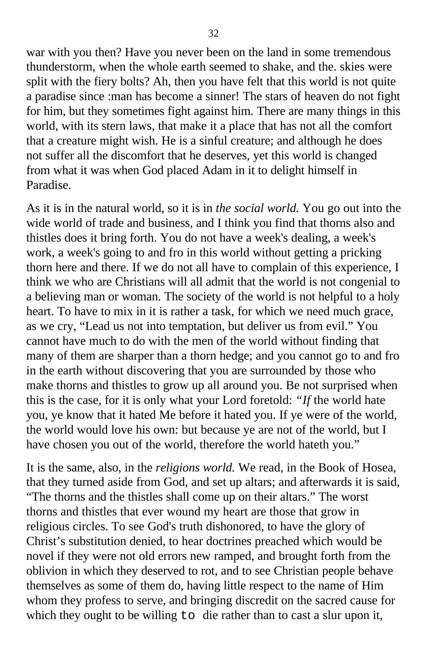war with you then? Have you never been on the land in some tremendous thunderstorm, when the whole earth seemed to shake, and the. skies were split with the fiery bolts? Ah, then you have felt that this world is not quite a paradise since :man has become a sinner! The stars of heaven do not fight for him, but they sometimes fight against him. There are many things in this world, with its stern laws, that make it a place that has not all the comfort that a creature might wish. He is a sinful creature; and although he does not suffer all the discomfort that he deserves, yet this world is changed from what it was when God placed Adam in it to delight himself in Paradise.

As it is in the natural world, so it is in *the social world.* You go out into the wide world of trade and business, and I think you find that thorns also and thistles does it bring forth. You do not have a week's dealing, a week's work, a week's going to and fro in this world without getting a pricking thorn here and there. If we do not all have to complain of this experience, I think we who are Christians will all admit that the world is not congenial to a believing man or woman. The society of the world is not helpful to a holy heart. To have to mix in it is rather a task, for which we need much grace, as we cry, "Lead us not into temptation, but deliver us from evil." You cannot have much to do with the men of the world without finding that many of them are sharper than a thorn hedge; and you cannot go to and fro in the earth without discovering that you are surrounded by those who make thorns and thistles to grow up all around you. Be not surprised when this is the case, for it is only what your Lord foretold: *"If* the world hate you, ye know that it hated Me before it hated you. If ye were of the world, the world would love his own: but because ye are not of the world, but I have chosen you out of the world, therefore the world hateth you."

It is the same, also, in the *religions world.* We read, in the Book of Hosea, that they turned aside from God, and set up altars; and afterwards it is said, "The thorns and the thistles shall come up on their altars." The worst thorns and thistles that ever wound my heart are those that grow in religious circles. To see God's truth dishonored, to have the glory of Christ's substitution denied, to hear doctrines preached which would be novel if they were not old errors new ramped, and brought forth from the oblivion in which they deserved to rot, and to see Christian people behave themselves as some of them do, having little respect to the name of Him whom they profess to serve, and bringing discredit on the sacred cause for which they ought to be willing to die rather than to cast a slur upon it,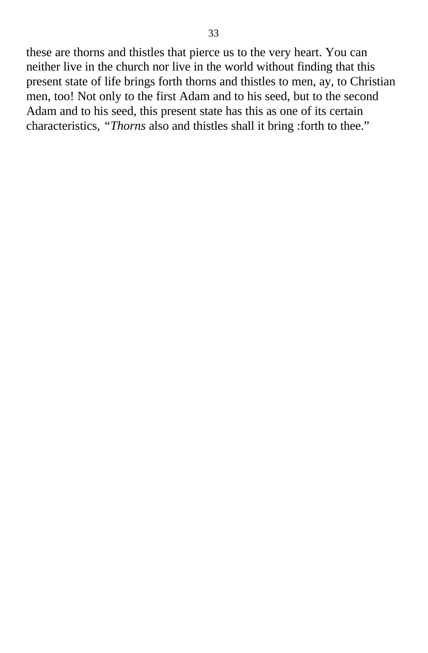these are thorns and thistles that pierce us to the very heart. You can neither live in the church nor live in the world without finding that this present state of life brings forth thorns and thistles to men, ay, to Christian men, too! Not only to the first Adam and to his seed, but to the second Adam and to his seed, this present state has this as one of its certain characteristics, *"Thorns* also and thistles shall it bring :forth to thee."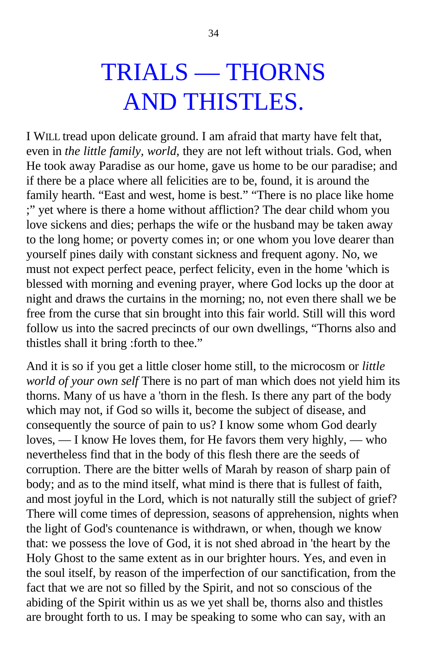# TRIALS — THORNS AND THISTLES.

I WILL tread upon delicate ground. I am afraid that marty have felt that, even in *the little family, world,* they are not left without trials. God, when He took away Paradise as our home, gave us home to be our paradise; and if there be a place where all felicities are to be, found, it is around the family hearth. "East and west, home is best." "There is no place like home ;" yet where is there a home without affliction? The dear child whom you love sickens and dies; perhaps the wife or the husband may be taken away to the long home; or poverty comes in; or one whom you love dearer than yourself pines daily with constant sickness and frequent agony. No, we must not expect perfect peace, perfect felicity, even in the home 'which is blessed with morning and evening prayer, where God locks up the door at night and draws the curtains in the morning; no, not even there shall we be free from the curse that sin brought into this fair world. Still will this word follow us into the sacred precincts of our own dwellings, "Thorns also and thistles shall it bring :forth to thee."

And it is so if you get a little closer home still, to the microcosm or *little world of your own self* There is no part of man which does not yield him its thorns. Many of us have a 'thorn in the flesh. Is there any part of the body which may not, if God so wills it, become the subject of disease, and consequently the source of pain to us? I know some whom God dearly loves, — I know He loves them, for He favors them very highly, — who nevertheless find that in the body of this flesh there are the seeds of corruption. There are the bitter wells of Marah by reason of sharp pain of body; and as to the mind itself, what mind is there that is fullest of faith, and most joyful in the Lord, which is not naturally still the subject of grief? There will come times of depression, seasons of apprehension, nights when the light of God's countenance is withdrawn, or when, though we know that: we possess the love of God, it is not shed abroad in 'the heart by the Holy Ghost to the same extent as in our brighter hours. Yes, and even in the soul itself, by reason of the imperfection of our sanctification, from the fact that we are not so filled by the Spirit, and not so conscious of the abiding of the Spirit within us as we yet shall be, thorns also and thistles are brought forth to us. I may be speaking to some who can say, with an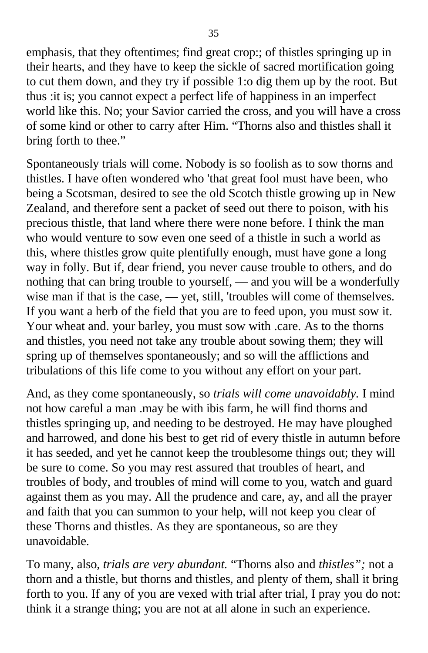emphasis, that they oftentimes; find great crop:; of thistles springing up in their hearts, and they have to keep the sickle of sacred mortification going to cut them down, and they try if possible 1:o dig them up by the root. But thus :it is; you cannot expect a perfect life of happiness in an imperfect world like this. No; your Savior carried the cross, and you will have a cross of some kind or other to carry after Him. "Thorns also and thistles shall it bring forth to thee."

Spontaneously trials will come. Nobody is so foolish as to sow thorns and thistles. I have often wondered who 'that great fool must have been, who being a Scotsman, desired to see the old Scotch thistle growing up in New Zealand, and therefore sent a packet of seed out there to poison, with his precious thistle, that land where there were none before. I think the man who would venture to sow even one seed of a thistle in such a world as this, where thistles grow quite plentifully enough, must have gone a long way in folly. But if, dear friend, you never cause trouble to others, and do nothing that can bring trouble to yourself, — and you will be a wonderfully wise man if that is the case, — yet, still, 'troubles will come of themselves. If you want a herb of the field that you are to feed upon, you must sow it. Your wheat and. your barley, you must sow with .care. As to the thorns and thistles, you need not take any trouble about sowing them; they will spring up of themselves spontaneously; and so will the afflictions and tribulations of this life come to you without any effort on your part.

And, as they come spontaneously, so *trials will come unavoidably.* I mind not how careful a man .may be with ibis farm, he will find thorns and thistles springing up, and needing to be destroyed. He may have ploughed and harrowed, and done his best to get rid of every thistle in autumn before it has seeded, and yet he cannot keep the troublesome things out; they will be sure to come. So you may rest assured that troubles of heart, and troubles of body, and troubles of mind will come to you, watch and guard against them as you may. All the prudence and care, ay, and all the prayer and faith that you can summon to your help, will not keep you clear of these Thorns and thistles. As they are spontaneous, so are they unavoidable.

To many, also, *trials are very abundant.* "Thorns also and *thistles";* not a thorn and a thistle, but thorns and thistles, and plenty of them, shall it bring forth to you. If any of you are vexed with trial after trial, I pray you do not: think it a strange thing; you are not at all alone in such an experience.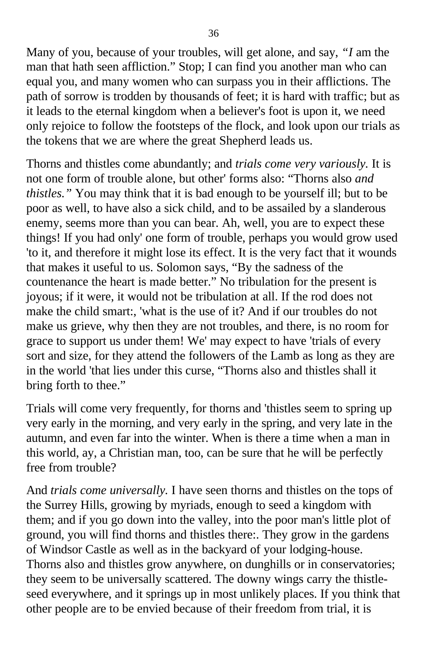Many of you, because of your troubles, will get alone, and say, *"I* am the man that hath seen affliction." Stop; I can find you another man who can equal you, and many women who can surpass you in their afflictions. The path of sorrow is trodden by thousands of feet; it is hard with traffic; but as it leads to the eternal kingdom when a believer's foot is upon it, we need only rejoice to follow the footsteps of the flock, and look upon our trials as the tokens that we are where the great Shepherd leads us.

Thorns and thistles come abundantly; and *trials come very variously.* It is not one form of trouble alone, but other' forms also: "Thorns also *and thistles."* You may think that it is bad enough to be yourself ill; but to be poor as well, to have also a sick child, and to be assailed by a slanderous enemy, seems more than you can bear. Ah, well, you are to expect these things! If you had only' one form of trouble, perhaps you would grow used 'to it, and therefore it might lose its effect. It is the very fact that it wounds that makes it useful to us. Solomon says, "By the sadness of the countenance the heart is made better." No tribulation for the present is joyous; if it were, it would not be tribulation at all. If the rod does not make the child smart:, 'what is the use of it? And if our troubles do not make us grieve, why then they are not troubles, and there, is no room for grace to support us under them! We' may expect to have 'trials of every sort and size, for they attend the followers of the Lamb as long as they are in the world 'that lies under this curse, "Thorns also and thistles shall it bring forth to thee."

Trials will come very frequently, for thorns and 'thistles seem to spring up very early in the morning, and very early in the spring, and very late in the autumn, and even far into the winter. When is there a time when a man in this world, ay, a Christian man, too, can be sure that he will be perfectly free from trouble?

And *trials come universally.* I have seen thorns and thistles on the tops of the Surrey Hills, growing by myriads, enough to seed a kingdom with them; and if you go down into the valley, into the poor man's little plot of ground, you will find thorns and thistles there:. They grow in the gardens of Windsor Castle as well as in the backyard of your lodging-house. Thorns also and thistles grow anywhere, on dunghills or in conservatories; they seem to be universally scattered. The downy wings carry the thistleseed everywhere, and it springs up in most unlikely places. If you think that other people are to be envied because of their freedom from trial, it is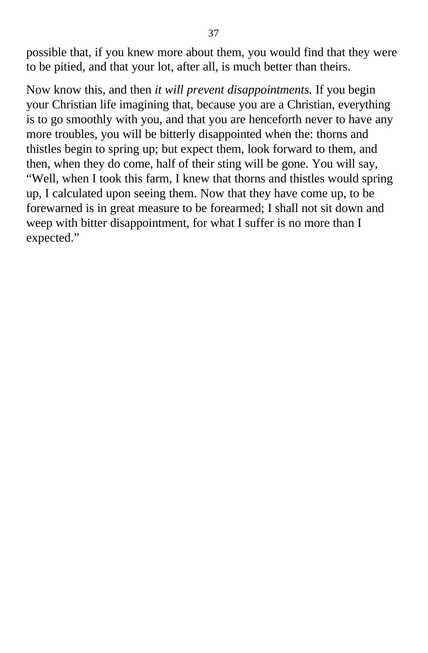possible that, if you knew more about them, you would find that they were to be pitied, and that your lot, after all, is much better than theirs.

Now know this, and then *it will prevent disappointments.* If you begin your Christian life imagining that, because you are a Christian, everything is to go smoothly with you, and that you are henceforth never to have any more troubles, you will be bitterly disappointed when the: thorns and thistles begin to spring up; but expect them, look forward to them, and then, when they do come, half of their sting will be gone. You will say, "Well, when I took this farm, I knew that thorns and thistles would spring up, I calculated upon seeing them. Now that they have come up, to be forewarned is in great measure to be forearmed; I shall not sit down and weep with bitter disappointment, for what I suffer is no more than I expected."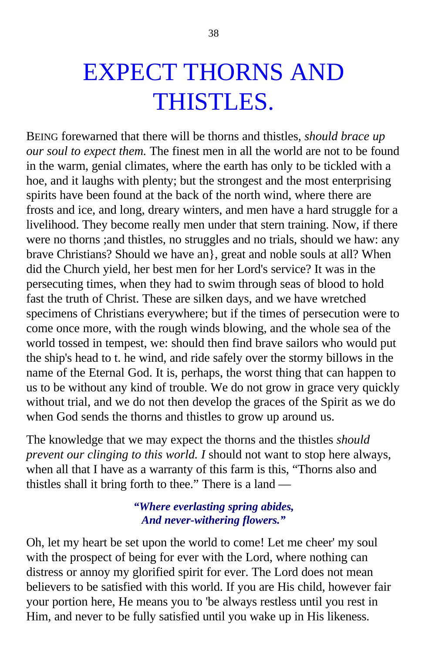# EXPECT THORNS AND THISTLES.

BEING forewarned that there will be thorns and thistles, *should brace up our soul to expect them.* The finest men in all the world are not to be found in the warm, genial climates, where the earth has only to be tickled with a hoe, and it laughs with plenty; but the strongest and the most enterprising spirits have been found at the back of the north wind, where there are frosts and ice, and long, dreary winters, and men have a hard struggle for a livelihood. They become really men under that stern training. Now, if there were no thorns ;and thistles, no struggles and no trials, should we haw: any brave Christians? Should we have an}, great and noble souls at all? When did the Church yield, her best men for her Lord's service? It was in the persecuting times, when they had to swim through seas of blood to hold fast the truth of Christ. These are silken days, and we have wretched specimens of Christians everywhere; but if the times of persecution were to come once more, with the rough winds blowing, and the whole sea of the world tossed in tempest, we: should then find brave sailors who would put the ship's head to t. he wind, and ride safely over the stormy billows in the name of the Eternal God. It is, perhaps, the worst thing that can happen to us to be without any kind of trouble. We do not grow in grace very quickly without trial, and we do not then develop the graces of the Spirit as we do when God sends the thorns and thistles to grow up around us.

The knowledge that we may expect the thorns and the thistles *should prevent our clinging to this world. I* should not want to stop here always, when all that I have as a warranty of this farm is this, "Thorns also and thistles shall it bring forth to thee." There is a land —

#### *"Where everlasting spring abides, And never-withering flowers."*

Oh, let my heart be set upon the world to come! Let me cheer' my soul with the prospect of being for ever with the Lord, where nothing can distress or annoy my glorified spirit for ever. The Lord does not mean believers to be satisfied with this world. If you are His child, however fair your portion here, He means you to 'be always restless until you rest in Him, and never to be fully satisfied until you wake up in His likeness.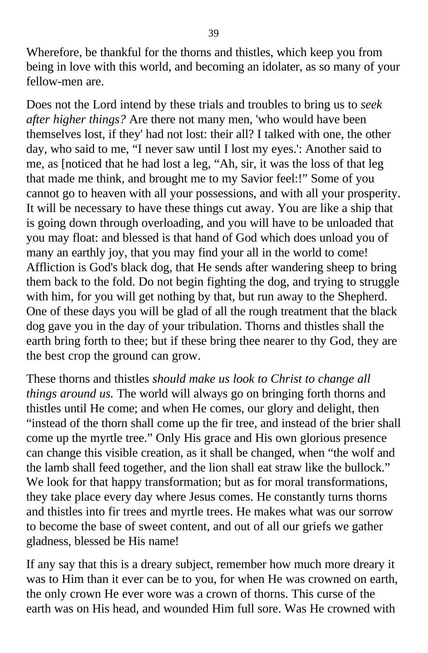Wherefore, be thankful for the thorns and thistles, which keep you from being in love with this world, and becoming an idolater, as so many of your fellow-men are.

Does not the Lord intend by these trials and troubles to bring us to *seek after higher things?* Are there not many men, 'who would have been themselves lost, if they' had not lost: their all? I talked with one, the other day, who said to me, "I never saw until I lost my eyes.': Another said to me, as [noticed that he had lost a leg, "Ah, sir, it was the loss of that leg that made me think, and brought me to my Savior feel:!" Some of you cannot go to heaven with all your possessions, and with all your prosperity. It will be necessary to have these things cut away. You are like a ship that is going down through overloading, and you will have to be unloaded that you may float: and blessed is that hand of God which does unload you of many an earthly joy, that you may find your all in the world to come! Affliction is God's black dog, that He sends after wandering sheep to bring them back to the fold. Do not begin fighting the dog, and trying to struggle with him, for you will get nothing by that, but run away to the Shepherd. One of these days you will be glad of all the rough treatment that the black dog gave you in the day of your tribulation. Thorns and thistles shall the earth bring forth to thee; but if these bring thee nearer to thy God, they are the best crop the ground can grow.

These thorns and thistles *should make us look to Christ to change all things around us.* The world will always go on bringing forth thorns and thistles until He come; and when He comes, our glory and delight, then "instead of the thorn shall come up the fir tree, and instead of the brier shall come up the myrtle tree." Only His grace and His own glorious presence can change this visible creation, as it shall be changed, when "the wolf and the lamb shall feed together, and the lion shall eat straw like the bullock." We look for that happy transformation; but as for moral transformations, they take place every day where Jesus comes. He constantly turns thorns and thistles into fir trees and myrtle trees. He makes what was our sorrow to become the base of sweet content, and out of all our griefs we gather gladness, blessed be His name!

If any say that this is a dreary subject, remember how much more dreary it was to Him than it ever can be to you, for when He was crowned on earth, the only crown He ever wore was a crown of thorns. This curse of the earth was on His head, and wounded Him full sore. Was He crowned with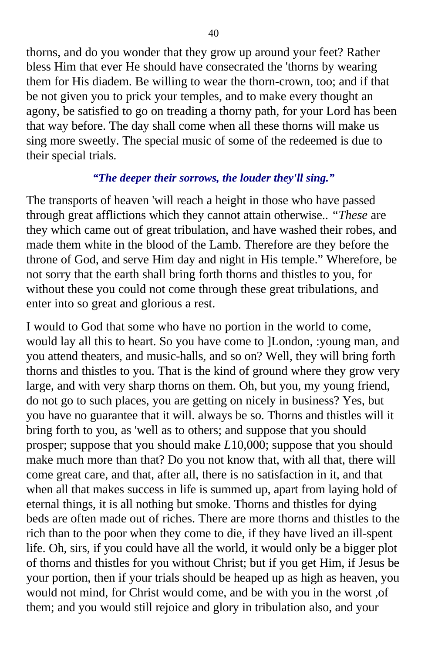thorns, and do you wonder that they grow up around your feet? Rather bless Him that ever He should have consecrated the 'thorns by wearing them for His diadem. Be willing to wear the thorn-crown, too; and if that be not given you to prick your temples, and to make every thought an agony, be satisfied to go on treading a thorny path, for your Lord has been that way before. The day shall come when all these thorns will make us sing more sweetly. The special music of some of the redeemed is due to their special trials.

#### *"The deeper their sorrows, the louder they'll sing."*

The transports of heaven 'will reach a height in those who have passed through great afflictions which they cannot attain otherwise.. *"These* are they which came out of great tribulation, and have washed their robes, and made them white in the blood of the Lamb. Therefore are they before the throne of God, and serve Him day and night in His temple." Wherefore, be not sorry that the earth shall bring forth thorns and thistles to you, for without these you could not come through these great tribulations, and enter into so great and glorious a rest.

I would to God that some who have no portion in the world to come, would lay all this to heart. So you have come to ]London, :young man, and you attend theaters, and music-halls, and so on? Well, they will bring forth thorns and thistles to you. That is the kind of ground where they grow very large, and with very sharp thorns on them. Oh, but you, my young friend, do not go to such places, you are getting on nicely in business? Yes, but you have no guarantee that it will. always be so. Thorns and thistles will it bring forth to you, as 'well as to others; and suppose that you should prosper; suppose that you should make *L*10,000; suppose that you should make much more than that? Do you not know that, with all that, there will come great care, and that, after all, there is no satisfaction in it, and that when all that makes success in life is summed up, apart from laying hold of eternal things, it is all nothing but smoke. Thorns and thistles for dying beds are often made out of riches. There are more thorns and thistles to the rich than to the poor when they come to die, if they have lived an ill-spent life. Oh, sirs, if you could have all the world, it would only be a bigger plot of thorns and thistles for you without Christ; but if you get Him, if Jesus be your portion, then if your trials should be heaped up as high as heaven, you would not mind, for Christ would come, and be with you in the worst ,of them; and you would still rejoice and glory in tribulation also, and your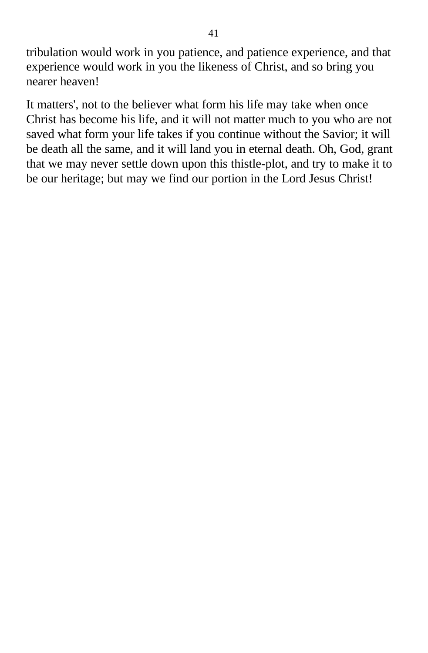tribulation would work in you patience, and patience experience, and that experience would work in you the likeness of Christ, and so bring you nearer heaven!

It matters', not to the believer what form his life may take when once Christ has become his life, and it will not matter much to you who are not saved what form your life takes if you continue without the Savior; it will be death all the same, and it will land you in eternal death. Oh, God, grant that we may never settle down upon this thistle-plot, and try to make it to be our heritage; but may we find our portion in the Lord Jesus Christ!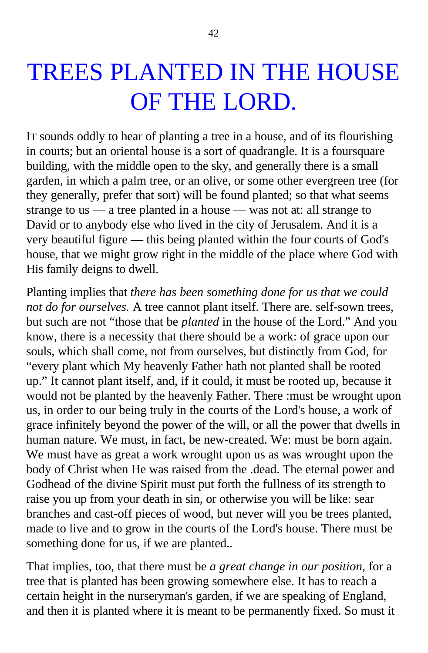# TREES PLANTED IN THE HOUSE OF THE LORD.

IT sounds oddly to hear of planting a tree in a house, and of its flourishing in courts; but an oriental house is a sort of quadrangle. It is a foursquare building, with the middle open to the sky, and generally there is a small garden, in which a palm tree, or an olive, or some other evergreen tree (for they generally, prefer that sort) will be found planted; so that what seems strange to us — a tree planted in a house — was not at: all strange to David or to anybody else who lived in the city of Jerusalem. And it is a very beautiful figure — this being planted within the four courts of God's house, that we might grow right in the middle of the place where God with His family deigns to dwell.

Planting implies that *there has been something done for us that we could not do for ourselves.* A tree cannot plant itself. There are. self-sown trees, but such are not "those that be *planted* in the house of the Lord." And you know, there is a necessity that there should be a work: of grace upon our souls, which shall come, not from ourselves, but distinctly from God, for "every plant which My heavenly Father hath not planted shall be rooted up." It cannot plant itself, and, if it could, it must be rooted up, because it would not be planted by the heavenly Father. There :must be wrought upon us, in order to our being truly in the courts of the Lord's house, a work of grace infinitely beyond the power of the will, or all the power that dwells in human nature. We must, in fact, be new-created. We: must be born again. We must have as great a work wrought upon us as was wrought upon the body of Christ when He was raised from the .dead. The eternal power and Godhead of the divine Spirit must put forth the fullness of its strength to raise you up from your death in sin, or otherwise you will be like: sear branches and cast-off pieces of wood, but never will you be trees planted, made to live and to grow in the courts of the Lord's house. There must be something done for us, if we are planted..

That implies, too, that there must be *a great change in our position,* for a tree that is planted has been growing somewhere else. It has to reach a certain height in the nurseryman's garden, if we are speaking of England, and then it is planted where it is meant to be permanently fixed. So must it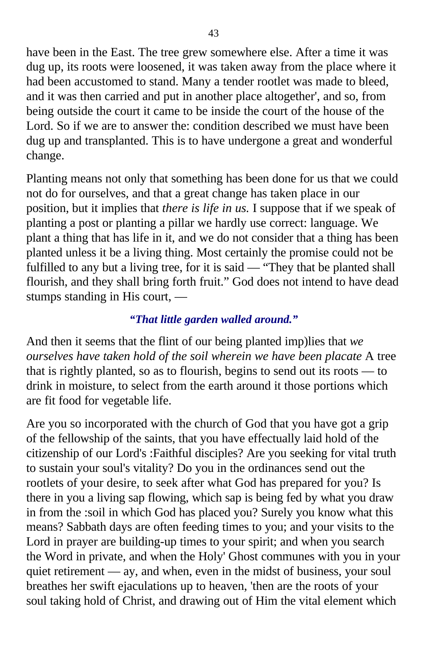have been in the East. The tree grew somewhere else. After a time it was dug up, its roots were loosened, it was taken away from the place where it had been accustomed to stand. Many a tender rootlet was made to bleed, and it was then carried and put in another place altogether', and so, from being outside the court it came to be inside the court of the house of the Lord. So if we are to answer the: condition described we must have been dug up and transplanted. This is to have undergone a great and wonderful change.

Planting means not only that something has been done for us that we could not do for ourselves, and that a great change has taken place in our position, but it implies that *there is life in us.* I suppose that if we speak of planting a post or planting a pillar we hardly use correct: language. We plant a thing that has life in it, and we do not consider that a thing has been planted unless it be a living thing. Most certainly the promise could not be fulfilled to any but a living tree, for it is said — "They that be planted shall flourish, and they shall bring forth fruit." God does not intend to have dead stumps standing in His court, —

#### *"That little garden walled around."*

And then it seems that the flint of our being planted imp)lies that *we ourselves have taken hold of the soil wherein we have been placate* A tree that is rightly planted, so as to flourish, begins to send out its roots — to drink in moisture, to select from the earth around it those portions which are fit food for vegetable life.

Are you so incorporated with the church of God that you have got a grip of the fellowship of the saints, that you have effectually laid hold of the citizenship of our Lord's :Faithful disciples? Are you seeking for vital truth to sustain your soul's vitality? Do you in the ordinances send out the rootlets of your desire, to seek after what God has prepared for you? Is there in you a living sap flowing, which sap is being fed by what you draw in from the :soil in which God has placed you? Surely you know what this means? Sabbath days are often feeding times to you; and your visits to the Lord in prayer are building-up times to your spirit; and when you search the Word in private, and when the Holy' Ghost communes with you in your quiet retirement — ay, and when, even in the midst of business, your soul breathes her swift ejaculations up to heaven, 'then are the roots of your soul taking hold of Christ, and drawing out of Him the vital element which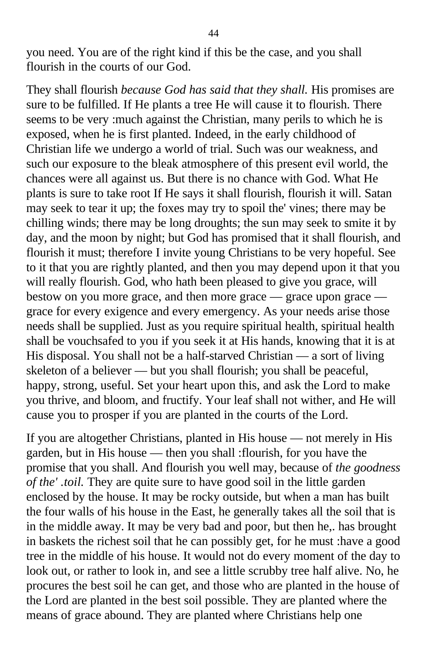you need. You are of the right kind if this be the case, and you shall flourish in the courts of our God.

They shall flourish *because God has said that they shall.* His promises are sure to be fulfilled. If He plants a tree He will cause it to flourish. There seems to be very :much against the Christian, many perils to which he is exposed, when he is first planted. Indeed, in the early childhood of Christian life we undergo a world of trial. Such was our weakness, and such our exposure to the bleak atmosphere of this present evil world, the chances were all against us. But there is no chance with God. What He plants is sure to take root If He says it shall flourish, flourish it will. Satan may seek to tear it up; the foxes may try to spoil the' vines; there may be chilling winds; there may be long droughts; the sun may seek to smite it by day, and the moon by night; but God has promised that it shall flourish, and flourish it must; therefore I invite young Christians to be very hopeful. See to it that you are rightly planted, and then you may depend upon it that you will really flourish. God, who hath been pleased to give you grace, will bestow on you more grace, and then more grace — grace upon grace grace for every exigence and every emergency. As your needs arise those needs shall be supplied. Just as you require spiritual health, spiritual health shall be vouchsafed to you if you seek it at His hands, knowing that it is at His disposal. You shall not be a half-starved Christian — a sort of living skeleton of a believer — but you shall flourish; you shall be peaceful, happy, strong, useful. Set your heart upon this, and ask the Lord to make you thrive, and bloom, and fructify. Your leaf shall not wither, and He will cause you to prosper if you are planted in the courts of the Lord.

If you are altogether Christians, planted in His house — not merely in His garden, but in His house — then you shall :flourish, for you have the promise that you shall. And flourish you well may, because of *the goodness of the' .toil.* They are quite sure to have good soil in the little garden enclosed by the house. It may be rocky outside, but when a man has built the four walls of his house in the East, he generally takes all the soil that is in the middle away. It may be very bad and poor, but then he,. has brought in baskets the richest soil that he can possibly get, for he must :have a good tree in the middle of his house. It would not do every moment of the day to look out, or rather to look in, and see a little scrubby tree half alive. No, he procures the best soil he can get, and those who are planted in the house of the Lord are planted in the best soil possible. They are planted where the means of grace abound. They are planted where Christians help one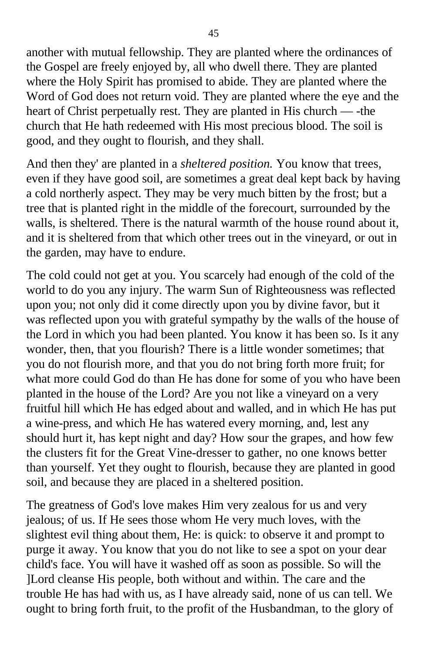another with mutual fellowship. They are planted where the ordinances of the Gospel are freely enjoyed by, all who dwell there. They are planted where the Holy Spirit has promised to abide. They are planted where the Word of God does not return void. They are planted where the eye and the heart of Christ perpetually rest. They are planted in His church — -the church that He hath redeemed with His most precious blood. The soil is good, and they ought to flourish, and they shall.

And then they' are planted in a *sheltered position.* You know that trees, even if they have good soil, are sometimes a great deal kept back by having a cold northerly aspect. They may be very much bitten by the frost; but a tree that is planted right in the middle of the forecourt, surrounded by the walls, is sheltered. There is the natural warmth of the house round about it, and it is sheltered from that which other trees out in the vineyard, or out in the garden, may have to endure.

The cold could not get at you. You scarcely had enough of the cold of the world to do you any injury. The warm Sun of Righteousness was reflected upon you; not only did it come directly upon you by divine favor, but it was reflected upon you with grateful sympathy by the walls of the house of the Lord in which you had been planted. You know it has been so. Is it any wonder, then, that you flourish? There is a little wonder sometimes; that you do not flourish more, and that you do not bring forth more fruit; for what more could God do than He has done for some of you who have been planted in the house of the Lord? Are you not like a vineyard on a very fruitful hill which He has edged about and walled, and in which He has put a wine-press, and which He has watered every morning, and, lest any should hurt it, has kept night and day? How sour the grapes, and how few the clusters fit for the Great Vine-dresser to gather, no one knows better than yourself. Yet they ought to flourish, because they are planted in good soil, and because they are placed in a sheltered position.

The greatness of God's love makes Him very zealous for us and very jealous; of us. If He sees those whom He very much loves, with the slightest evil thing about them, He: is quick: to observe it and prompt to purge it away. You know that you do not like to see a spot on your dear child's face. You will have it washed off as soon as possible. So will the ]Lord cleanse His people, both without and within. The care and the trouble He has had with us, as I have already said, none of us can tell. We ought to bring forth fruit, to the profit of the Husbandman, to the glory of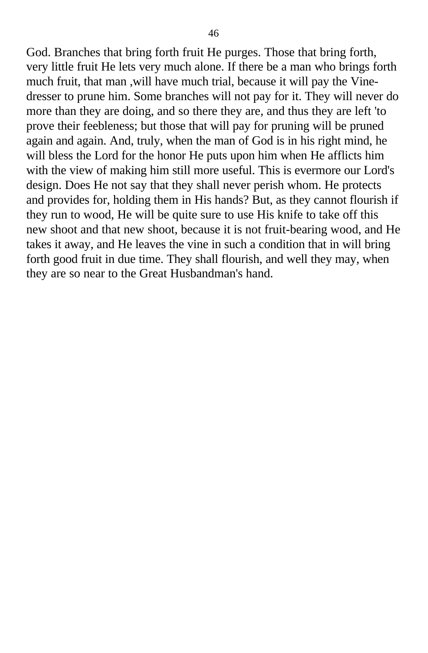God. Branches that bring forth fruit He purges. Those that bring forth, very little fruit He lets very much alone. If there be a man who brings forth much fruit, that man ,will have much trial, because it will pay the Vinedresser to prune him. Some branches will not pay for it. They will never do more than they are doing, and so there they are, and thus they are left 'to prove their feebleness; but those that will pay for pruning will be pruned again and again. And, truly, when the man of God is in his right mind, he will bless the Lord for the honor He puts upon him when He afflicts him with the view of making him still more useful. This is evermore our Lord's design. Does He not say that they shall never perish whom. He protects and provides for, holding them in His hands? But, as they cannot flourish if they run to wood, He will be quite sure to use His knife to take off this new shoot and that new shoot, because it is not fruit-bearing wood, and He takes it away, and He leaves the vine in such a condition that in will bring forth good fruit in due time. They shall flourish, and well they may, when they are so near to the Great Husbandman's hand.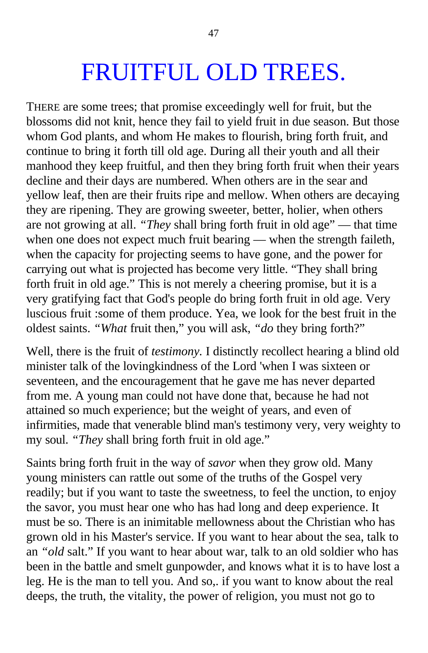## FRUITFUL OLD TREES.

THERE are some trees; that promise exceedingly well for fruit, but the blossoms did not knit, hence they fail to yield fruit in due season. But those whom God plants, and whom He makes to flourish, bring forth fruit, and continue to bring it forth till old age. During all their youth and all their manhood they keep fruitful, and then they bring forth fruit when their years decline and their days are numbered. When others are in the sear and yellow leaf, then are their fruits ripe and mellow. When others are decaying they are ripening. They are growing sweeter, better, holier, when others are not growing at all. *"They* shall bring forth fruit in old age" — that time when one does not expect much fruit bearing — when the strength faileth, when the capacity for projecting seems to have gone, and the power for carrying out what is projected has become very little. "They shall bring forth fruit in old age." This is not merely a cheering promise, but it is a very gratifying fact that God's people do bring forth fruit in old age. Very luscious fruit :some of them produce. Yea, we look for the best fruit in the oldest saints. *"What* fruit then," you will ask, *"do* they bring forth?"

Well, there is the fruit of *testimony.* I distinctly recollect hearing a blind old minister talk of the lovingkindness of the Lord 'when I was sixteen or seventeen, and the encouragement that he gave me has never departed from me. A young man could not have done that, because he had not attained so much experience; but the weight of years, and even of infirmities, made that venerable blind man's testimony very, very weighty to my soul. *"They* shall bring forth fruit in old age."

Saints bring forth fruit in the way of *savor* when they grow old. Many young ministers can rattle out some of the truths of the Gospel very readily; but if you want to taste the sweetness, to feel the unction, to enjoy the savor, you must hear one who has had long and deep experience. It must be so. There is an inimitable mellowness about the Christian who has grown old in his Master's service. If you want to hear about the sea, talk to an *"old* salt." If you want to hear about war, talk to an old soldier who has been in the battle and smelt gunpowder, and knows what it is to have lost a leg. He is the man to tell you. And so,. if you want to know about the real deeps, the truth, the vitality, the power of religion, you must not go to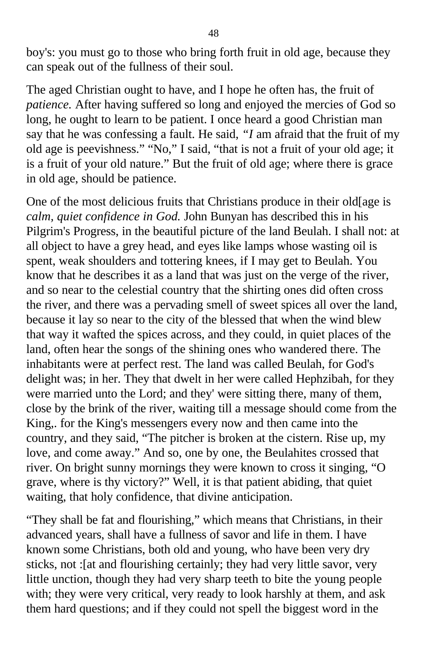boy's: you must go to those who bring forth fruit in old age, because they can speak out of the fullness of their soul.

The aged Christian ought to have, and I hope he often has, the fruit of *patience.* After having suffered so long and enjoyed the mercies of God so long, he ought to learn to be patient. I once heard a good Christian man say that he was confessing a fault. He said, *"I* am afraid that the fruit of my old age is peevishness." "No," I said, "that is not a fruit of your old age; it is a fruit of your old nature." But the fruit of old age; where there is grace in old age, should be patience.

One of the most delicious fruits that Christians produce in their old[age is *calm, quiet confidence in God.* John Bunyan has described this in his Pilgrim's Progress, in the beautiful picture of the land Beulah. I shall not: at all object to have a grey head, and eyes like lamps whose wasting oil is spent, weak shoulders and tottering knees, if I may get to Beulah. You know that he describes it as a land that was just on the verge of the river, and so near to the celestial country that the shirting ones did often cross the river, and there was a pervading smell of sweet spices all over the land, because it lay so near to the city of the blessed that when the wind blew that way it wafted the spices across, and they could, in quiet places of the land, often hear the songs of the shining ones who wandered there. The inhabitants were at perfect rest. The land was called Beulah, for God's delight was; in her. They that dwelt in her were called Hephzibah, for they were married unto the Lord; and they' were sitting there, many of them, close by the brink of the river, waiting till a message should come from the King,. for the King's messengers every now and then came into the country, and they said, "The pitcher is broken at the cistern. Rise up, my love, and come away." And so, one by one, the Beulahites crossed that river. On bright sunny mornings they were known to cross it singing, "O grave, where is thy victory?" Well, it is that patient abiding, that quiet waiting, that holy confidence, that divine anticipation.

"They shall be fat and flourishing," which means that Christians, in their advanced years, shall have a fullness of savor and life in them. I have known some Christians, both old and young, who have been very dry sticks, not :[at and flourishing certainly; they had very little savor, very little unction, though they had very sharp teeth to bite the young people with; they were very critical, very ready to look harshly at them, and ask them hard questions; and if they could not spell the biggest word in the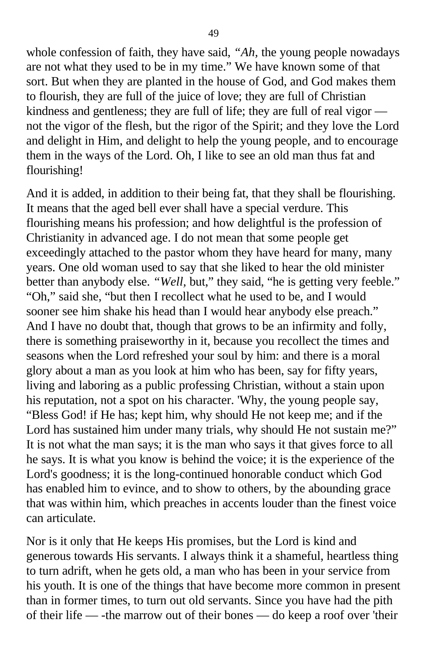whole confession of faith, they have said, "Ah, the young people nowadays" are not what they used to be in my time." We have known some of that sort. But when they are planted in the house of God, and God makes them to flourish, they are full of the juice of love; they are full of Christian kindness and gentleness; they are full of life; they are full of real vigor not the vigor of the flesh, but the rigor of the Spirit; and they love the Lord and delight in Him, and delight to help the young people, and to encourage them in the ways of the Lord. Oh, I like to see an old man thus fat and flourishing!

And it is added, in addition to their being fat, that they shall be flourishing. It means that the aged bell ever shall have a special verdure. This flourishing means his profession; and how delightful is the profession of Christianity in advanced age. I do not mean that some people get exceedingly attached to the pastor whom they have heard for many, many years. One old woman used to say that she liked to hear the old minister better than anybody else. "Well, but," they said, "he is getting very feeble." "Oh," said she, "but then I recollect what he used to be, and I would sooner see him shake his head than I would hear anybody else preach." And I have no doubt that, though that grows to be an infirmity and folly, there is something praiseworthy in it, because you recollect the times and seasons when the Lord refreshed your soul by him: and there is a moral glory about a man as you look at him who has been, say for fifty years, living and laboring as a public professing Christian, without a stain upon his reputation, not a spot on his character. 'Why, the young people say, "Bless God! if He has; kept him, why should He not keep me; and if the Lord has sustained him under many trials, why should He not sustain me?" It is not what the man says; it is the man who says it that gives force to all he says. It is what you know is behind the voice; it is the experience of the Lord's goodness; it is the long-continued honorable conduct which God has enabled him to evince, and to show to others, by the abounding grace that was within him, which preaches in accents louder than the finest voice can articulate.

Nor is it only that He keeps His promises, but the Lord is kind and generous towards His servants. I always think it a shameful, heartless thing to turn adrift, when he gets old, a man who has been in your service from his youth. It is one of the things that have become more common in present than in former times, to turn out old servants. Since you have had the pith of their life — -the marrow out of their bones — do keep a roof over 'their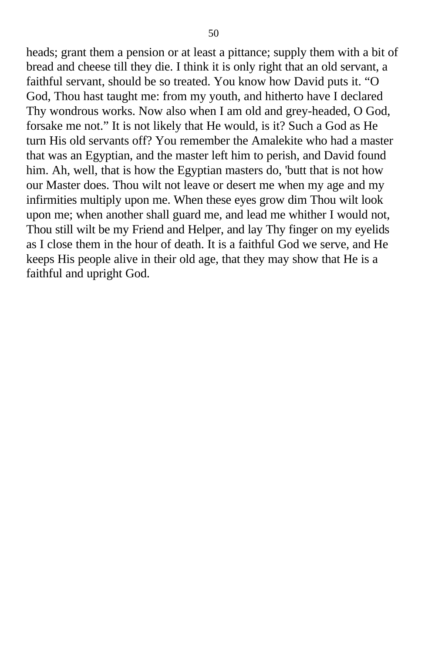heads; grant them a pension or at least a pittance; supply them with a bit of bread and cheese till they die. I think it is only right that an old servant, a faithful servant, should be so treated. You know how David puts it. "O God, Thou hast taught me: from my youth, and hitherto have I declared Thy wondrous works. Now also when I am old and grey-headed, O God, forsake me not." It is not likely that He would, is it? Such a God as He turn His old servants off? You remember the Amalekite who had a master that was an Egyptian, and the master left him to perish, and David found him. Ah, well, that is how the Egyptian masters do, 'butt that is not how our Master does. Thou wilt not leave or desert me when my age and my infirmities multiply upon me. When these eyes grow dim Thou wilt look upon me; when another shall guard me, and lead me whither I would not, Thou still wilt be my Friend and Helper, and lay Thy finger on my eyelids as I close them in the hour of death. It is a faithful God we serve, and He keeps His people alive in their old age, that they may show that He is a faithful and upright God.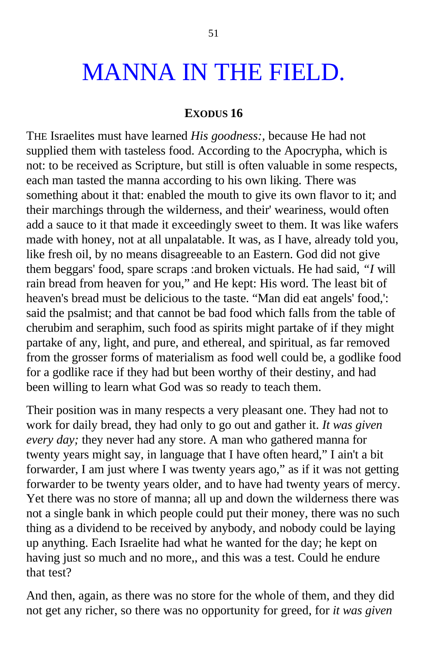### MANNA IN THE FIELD.

#### **EXODUS 16**

THE Israelites must have learned *His goodness:,* because He had not supplied them with tasteless food. According to the Apocrypha, which is not: to be received as Scripture, but still is often valuable in some respects, each man tasted the manna according to his own liking. There was something about it that: enabled the mouth to give its own flavor to it; and their marchings through the wilderness, and their' weariness, would often add a sauce to it that made it exceedingly sweet to them. It was like wafers made with honey, not at all unpalatable. It was, as I have, already told you, like fresh oil, by no means disagreeable to an Eastern. God did not give them beggars' food, spare scraps :and broken victuals. He had said, *"I* will rain bread from heaven for you," and He kept: His word. The least bit of heaven's bread must be delicious to the taste. "Man did eat angels' food,': said the psalmist; and that cannot be bad food which falls from the table of cherubim and seraphim, such food as spirits might partake of if they might partake of any, light, and pure, and ethereal, and spiritual, as far removed from the grosser forms of materialism as food well could be, a godlike food for a godlike race if they had but been worthy of their destiny, and had been willing to learn what God was so ready to teach them.

Their position was in many respects a very pleasant one. They had not to work for daily bread, they had only to go out and gather it. *It was given every day;* they never had any store. A man who gathered manna for twenty years might say, in language that I have often heard," I ain't a bit forwarder, I am just where I was twenty years ago," as if it was not getting forwarder to be twenty years older, and to have had twenty years of mercy. Yet there was no store of manna; all up and down the wilderness there was not a single bank in which people could put their money, there was no such thing as a dividend to be received by anybody, and nobody could be laying up anything. Each Israelite had what he wanted for the day; he kept on having just so much and no more,, and this was a test. Could he endure that test?

And then, again, as there was no store for the whole of them, and they did not get any richer, so there was no opportunity for greed, for *it was given*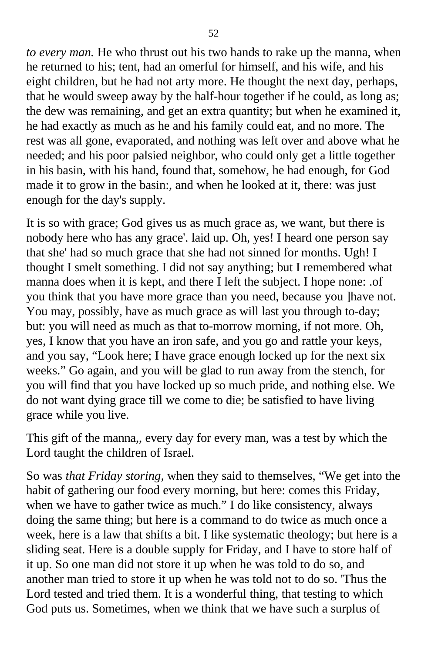*to every man.* He who thrust out his two hands to rake up the manna, when he returned to his; tent, had an omerful for himself, and his wife, and his eight children, but he had not arty more. He thought the next day, perhaps, that he would sweep away by the half-hour together if he could, as long as; the dew was remaining, and get an extra quantity; but when he examined it, he had exactly as much as he and his family could eat, and no more. The rest was all gone, evaporated, and nothing was left over and above what he needed; and his poor palsied neighbor, who could only get a little together in his basin, with his hand, found that, somehow, he had enough, for God made it to grow in the basin:, and when he looked at it, there: was just enough for the day's supply.

It is so with grace; God gives us as much grace as, we want, but there is nobody here who has any grace'. laid up. Oh, yes! I heard one person say that she' had so much grace that she had not sinned for months. Ugh! I thought I smelt something. I did not say anything; but I remembered what manna does when it is kept, and there I left the subject. I hope none: .of you think that you have more grace than you need, because you ]have not. You may, possibly, have as much grace as will last you through to-day; but: you will need as much as that to-morrow morning, if not more. Oh, yes, I know that you have an iron safe, and you go and rattle your keys, and you say, "Look here; I have grace enough locked up for the next six weeks." Go again, and you will be glad to run away from the stench, for you will find that you have locked up so much pride, and nothing else. We do not want dying grace till we come to die; be satisfied to have living grace while you live.

This gift of the manna,, every day for every man, was a test by which the Lord taught the children of Israel.

So was *that Friday storing,* when they said to themselves, "We get into the habit of gathering our food every morning, but here: comes this Friday, when we have to gather twice as much." I do like consistency, always doing the same thing; but here is a command to do twice as much once a week, here is a law that shifts a bit. I like systematic theology; but here is a sliding seat. Here is a double supply for Friday, and I have to store half of it up. So one man did not store it up when he was told to do so, and another man tried to store it up when he was told not to do so. 'Thus the Lord tested and tried them. It is a wonderful thing, that testing to which God puts us. Sometimes, when we think that we have such a surplus of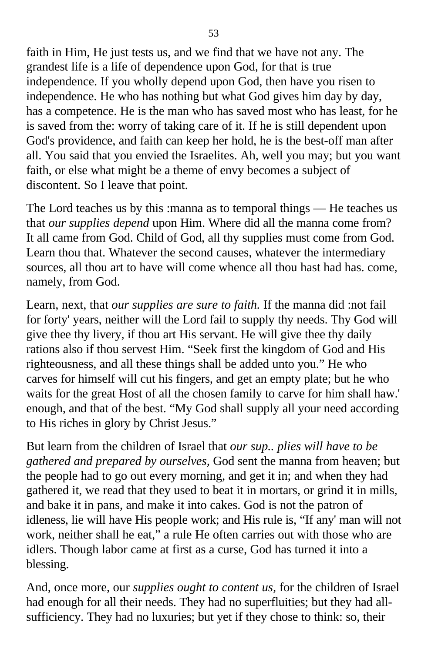faith in Him, He just tests us, and we find that we have not any. The grandest life is a life of dependence upon God, for that is true independence. If you wholly depend upon God, then have you risen to independence. He who has nothing but what God gives him day by day, has a competence. He is the man who has saved most who has least, for he is saved from the: worry of taking care of it. If he is still dependent upon God's providence, and faith can keep her hold, he is the best-off man after all. You said that you envied the Israelites. Ah, well you may; but you want faith, or else what might be a theme of envy becomes a subject of discontent. So I leave that point.

The Lord teaches us by this :manna as to temporal things — He teaches us that *our supplies depend* upon Him. Where did all the manna come from? It all came from God. Child of God, all thy supplies must come from God. Learn thou that. Whatever the second causes, whatever the intermediary sources, all thou art to have will come whence all thou hast had has. come, namely, from God.

Learn, next, that *our supplies are sure to faith.* If the manna did :not fail for forty' years, neither will the Lord fail to supply thy needs. Thy God will give thee thy livery, if thou art His servant. He will give thee thy daily rations also if thou servest Him. "Seek first the kingdom of God and His righteousness, and all these things shall be added unto you." He who carves for himself will cut his fingers, and get an empty plate; but he who waits for the great Host of all the chosen family to carve for him shall haw.' enough, and that of the best. "My God shall supply all your need according to His riches in glory by Christ Jesus."

But learn from the children of Israel that *our sup.. plies will have to be gathered and prepared by ourselves,* God sent the manna from heaven; but the people had to go out every morning, and get it in; and when they had gathered it, we read that they used to beat it in mortars, or grind it in mills, and bake it in pans, and make it into cakes. God is not the patron of idleness, lie will have His people work; and His rule is, "If any' man will not work, neither shall he eat," a rule He often carries out with those who are idlers. Though labor came at first as a curse, God has turned it into a blessing.

And, once more, our *supplies ought to content us,* for the children of Israel had enough for all their needs. They had no superfluities; but they had allsufficiency. They had no luxuries; but yet if they chose to think: so, their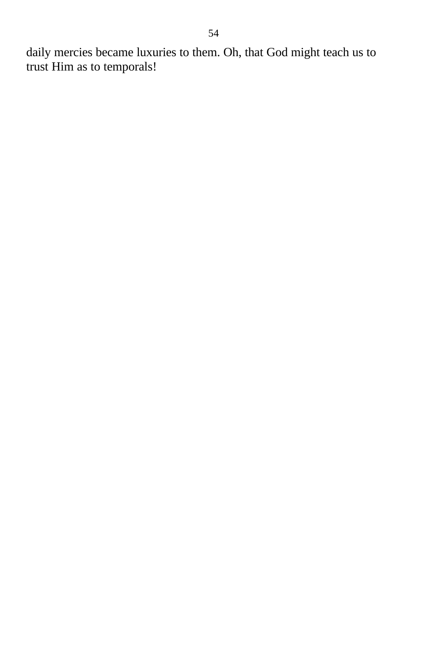daily mercies became luxuries to them. Oh, that God might teach us to trust Him as to temporals!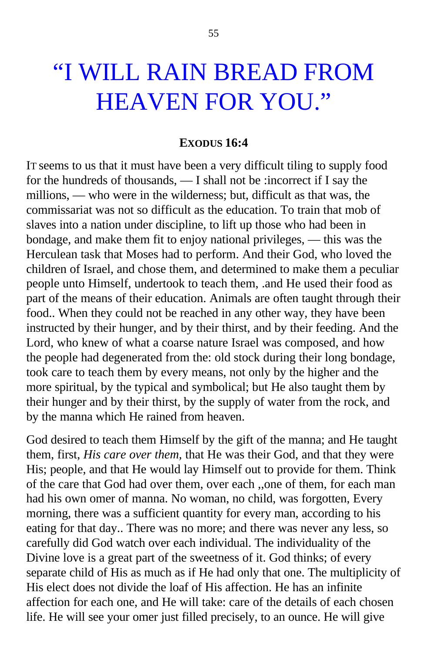## "I WILL RAIN BREAD FROM HEAVEN FOR YOU."

#### **EXODUS 16:4**

IT seems to us that it must have been a very difficult tiling to supply food for the hundreds of thousands, — I shall not be :incorrect if I say the millions, — who were in the wilderness; but, difficult as that was, the commissariat was not so difficult as the education. To train that mob of slaves into a nation under discipline, to lift up those who had been in bondage, and make them fit to enjoy national privileges, — this was the Herculean task that Moses had to perform. And their God, who loved the children of Israel, and chose them, and determined to make them a peculiar people unto Himself, undertook to teach them, .and He used their food as part of the means of their education. Animals are often taught through their food.. When they could not be reached in any other way, they have been instructed by their hunger, and by their thirst, and by their feeding. And the Lord, who knew of what a coarse nature Israel was composed, and how the people had degenerated from the: old stock during their long bondage, took care to teach them by every means, not only by the higher and the more spiritual, by the typical and symbolical; but He also taught them by their hunger and by their thirst, by the supply of water from the rock, and by the manna which He rained from heaven.

God desired to teach them Himself by the gift of the manna; and He taught them, first, *His care over them,* that He was their God, and that they were His; people, and that He would lay Himself out to provide for them. Think of the care that God had over them, over each ,,one of them, for each man had his own omer of manna. No woman, no child, was forgotten, Every morning, there was a sufficient quantity for every man, according to his eating for that day.. There was no more; and there was never any less, so carefully did God watch over each individual. The individuality of the Divine love is a great part of the sweetness of it. God thinks; of every separate child of His as much as if He had only that one. The multiplicity of His elect does not divide the loaf of His affection. He has an infinite affection for each one, and He will take: care of the details of each chosen life. He will see your omer just filled precisely, to an ounce. He will give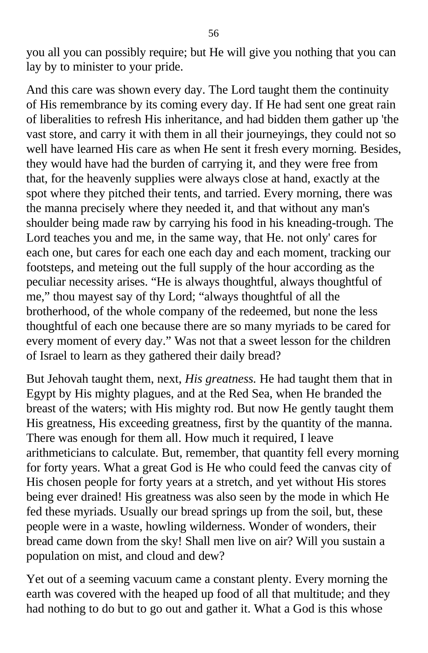you all you can possibly require; but He will give you nothing that you can lay by to minister to your pride.

And this care was shown every day. The Lord taught them the continuity of His remembrance by its coming every day. If He had sent one great rain of liberalities to refresh His inheritance, and had bidden them gather up 'the vast store, and carry it with them in all their journeyings, they could not so well have learned His care as when He sent it fresh every morning. Besides, they would have had the burden of carrying it, and they were free from that, for the heavenly supplies were always close at hand, exactly at the spot where they pitched their tents, and tarried. Every morning, there was the manna precisely where they needed it, and that without any man's shoulder being made raw by carrying his food in his kneading-trough. The Lord teaches you and me, in the same way, that He. not only' cares for each one, but cares for each one each day and each moment, tracking our footsteps, and meteing out the full supply of the hour according as the peculiar necessity arises. "He is always thoughtful, always thoughtful of me," thou mayest say of thy Lord; "always thoughtful of all the brotherhood, of the whole company of the redeemed, but none the less thoughtful of each one because there are so many myriads to be cared for every moment of every day." Was not that a sweet lesson for the children of Israel to learn as they gathered their daily bread?

But Jehovah taught them, next, *His greatness.* He had taught them that in Egypt by His mighty plagues, and at the Red Sea, when He branded the breast of the waters; with His mighty rod. But now He gently taught them His greatness, His exceeding greatness, first by the quantity of the manna. There was enough for them all. How much it required, I leave arithmeticians to calculate. But, remember, that quantity fell every morning for forty years. What a great God is He who could feed the canvas city of His chosen people for forty years at a stretch, and yet without His stores being ever drained! His greatness was also seen by the mode in which He fed these myriads. Usually our bread springs up from the soil, but, these people were in a waste, howling wilderness. Wonder of wonders, their bread came down from the sky! Shall men live on air? Will you sustain a population on mist, and cloud and dew?

Yet out of a seeming vacuum came a constant plenty. Every morning the earth was covered with the heaped up food of all that multitude; and they had nothing to do but to go out and gather it. What a God is this whose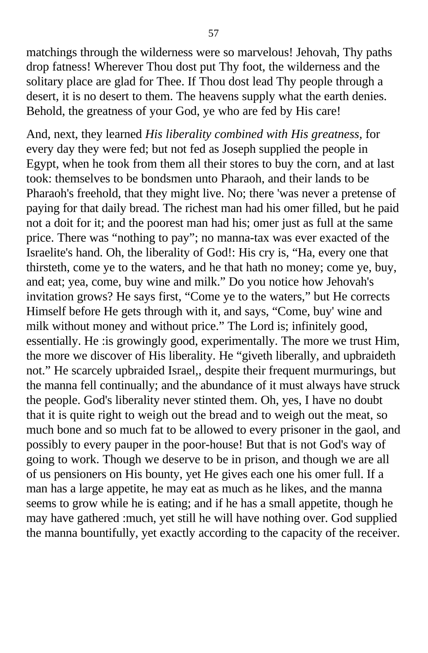matchings through the wilderness were so marvelous! Jehovah, Thy paths drop fatness! Wherever Thou dost put Thy foot, the wilderness and the solitary place are glad for Thee. If Thou dost lead Thy people through a desert, it is no desert to them. The heavens supply what the earth denies. Behold, the greatness of your God, ye who are fed by His care!

And, next, they learned *His liberality combined with His greatness,* for every day they were fed; but not fed as Joseph supplied the people in Egypt, when he took from them all their stores to buy the corn, and at last took: themselves to be bondsmen unto Pharaoh, and their lands to be Pharaoh's freehold, that they might live. No; there 'was never a pretense of paying for that daily bread. The richest man had his omer filled, but he paid not a doit for it; and the poorest man had his; omer just as full at the same price. There was "nothing to pay"; no manna-tax was ever exacted of the Israelite's hand. Oh, the liberality of God!: His cry is, "Ha, every one that thirsteth, come ye to the waters, and he that hath no money; come ye, buy, and eat; yea, come, buy wine and milk." Do you notice how Jehovah's invitation grows? He says first, "Come ye to the waters," but He corrects Himself before He gets through with it, and says, "Come, buy' wine and milk without money and without price." The Lord is; infinitely good, essentially. He :is growingly good, experimentally. The more we trust Him, the more we discover of His liberality. He "giveth liberally, and upbraideth not." He scarcely upbraided Israel,, despite their frequent murmurings, but the manna fell continually; and the abundance of it must always have struck the people. God's liberality never stinted them. Oh, yes, I have no doubt that it is quite right to weigh out the bread and to weigh out the meat, so much bone and so much fat to be allowed to every prisoner in the gaol, and possibly to every pauper in the poor-house! But that is not God's way of going to work. Though we deserve to be in prison, and though we are all of us pensioners on His bounty, yet He gives each one his omer full. If a man has a large appetite, he may eat as much as he likes, and the manna seems to grow while he is eating; and if he has a small appetite, though he may have gathered :much, yet still he will have nothing over. God supplied the manna bountifully, yet exactly according to the capacity of the receiver.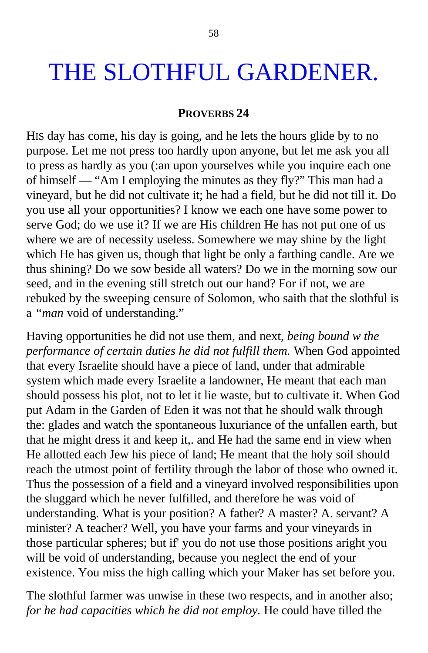### THE SLOTHFUL GARDENER.

#### **PROVERBS 24**

HIS day has come, his day is going, and he lets the hours glide by to no purpose. Let me not press too hardly upon anyone, but let me ask you all to press as hardly as you (:an upon yourselves while you inquire each one of himself — "Am I employing the minutes as they fly?" This man had a vineyard, but he did not cultivate it; he had a field, but he did not till it. Do you use all your opportunities? I know we each one have some power to serve God; do we use it? If we are His children He has not put one of us where we are of necessity useless. Somewhere we may shine by the light which He has given us, though that light be only a farthing candle. Are we thus shining? Do we sow beside all waters? Do we in the morning sow our seed, and in the evening still stretch out our hand? For if not, we are rebuked by the sweeping censure of Solomon, who saith that the slothful is a *"man* void of understanding."

Having opportunities he did not use them, and next, *being bound w the performance of certain duties he did not fulfill them.* When God appointed that every Israelite should have a piece of land, under that admirable system which made every Israelite a landowner, He meant that each man should possess his plot, not to let it lie waste, but to cultivate it. When God put Adam in the Garden of Eden it was not that he should walk through the: glades and watch the spontaneous luxuriance of the unfallen earth, but that he might dress it and keep it,. and He had the same end in view when He allotted each Jew his piece of land; He meant that the holy soil should reach the utmost point of fertility through the labor of those who owned it. Thus the possession of a field and a vineyard involved responsibilities upon the sluggard which he never fulfilled, and therefore he was void of understanding. What is your position? A father? A master? A. servant? A minister? A teacher? Well, you have your farms and your vineyards in those particular spheres; but if' you do not use those positions aright you will be void of understanding, because you neglect the end of your existence. You miss the high calling which your Maker has set before you.

The slothful farmer was unwise in these two respects, and in another also; *for he had capacities which he did not employ.* He could have tilled the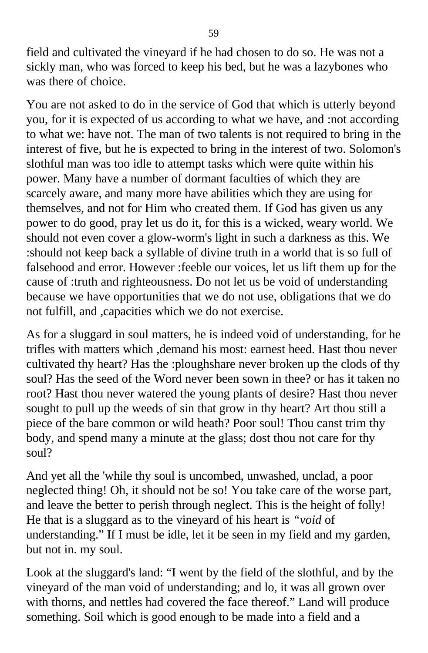field and cultivated the vineyard if he had chosen to do so. He was not a sickly man, who was forced to keep his bed, but he was a lazybones who was there of choice.

You are not asked to do in the service of God that which is utterly beyond you, for it is expected of us according to what we have, and :not according to what we: have not. The man of two talents is not required to bring in the interest of five, but he is expected to bring in the interest of two. Solomon's slothful man was too idle to attempt tasks which were quite within his power. Many have a number of dormant faculties of which they are scarcely aware, and many more have abilities which they are using for themselves, and not for Him who created them. If God has given us any power to do good, pray let us do it, for this is a wicked, weary world. We should not even cover a glow-worm's light in such a darkness as this. We :should not keep back a syllable of divine truth in a world that is so full of falsehood and error. However :feeble our voices, let us lift them up for the cause of :truth and righteousness. Do not let us be void of understanding because we have opportunities that we do not use, obligations that we do not fulfill, and ,capacities which we do not exercise.

As for a sluggard in soul matters, he is indeed void of understanding, for he trifles with matters which ,demand his most: earnest heed. Hast thou never cultivated thy heart? Has the :ploughshare never broken up the clods of thy soul? Has the seed of the Word never been sown in thee? or has it taken no root? Hast thou never watered the young plants of desire? Hast thou never sought to pull up the weeds of sin that grow in thy heart? Art thou still a piece of the bare common or wild heath? Poor soul! Thou canst trim thy body, and spend many a minute at the glass; dost thou not care for thy soul?

And yet all the 'while thy soul is uncombed, unwashed, unclad, a poor neglected thing! Oh, it should not be so! You take care of the worse part, and leave the better to perish through neglect. This is the height of folly! He that is a sluggard as to the vineyard of his heart is *"void* of understanding." If I must be idle, let it be seen in my field and my garden, but not in. my soul.

Look at the sluggard's land: "I went by the field of the slothful, and by the vineyard of the man void of understanding; and lo, it was all grown over with thorns, and nettles had covered the face thereof." Land will produce something. Soil which is good enough to be made into a field and a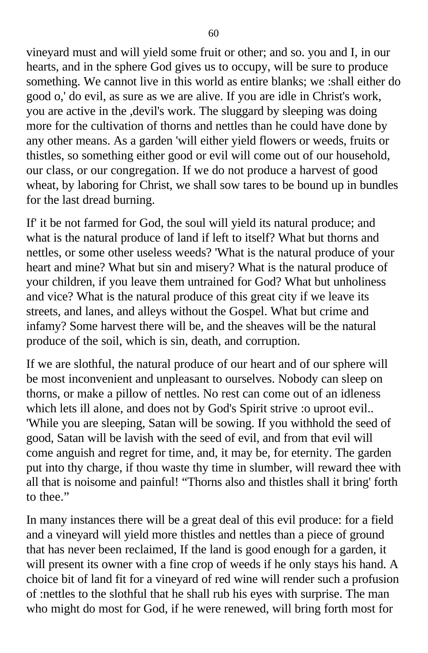vineyard must and will yield some fruit or other; and so. you and I, in our hearts, and in the sphere God gives us to occupy, will be sure to produce something. We cannot live in this world as entire blanks; we :shall either do good o,' do evil, as sure as we are alive. If you are idle in Christ's work, you are active in the ,devil's work. The sluggard by sleeping was doing more for the cultivation of thorns and nettles than he could have done by any other means. As a garden 'will either yield flowers or weeds, fruits or thistles, so something either good or evil will come out of our household, our class, or our congregation. If we do not produce a harvest of good wheat, by laboring for Christ, we shall sow tares to be bound up in bundles for the last dread burning.

If' it be not farmed for God, the soul will yield its natural produce; and what is the natural produce of land if left to itself? What but thorns and nettles, or some other useless weeds? 'What is the natural produce of your heart and mine? What but sin and misery? What is the natural produce of your children, if you leave them untrained for God? What but unholiness and vice? What is the natural produce of this great city if we leave its streets, and lanes, and alleys without the Gospel. What but crime and infamy? Some harvest there will be, and the sheaves will be the natural produce of the soil, which is sin, death, and corruption.

If we are slothful, the natural produce of our heart and of our sphere will be most inconvenient and unpleasant to ourselves. Nobody can sleep on thorns, or make a pillow of nettles. No rest can come out of an idleness which lets ill alone, and does not by God's Spirit strive :o uproot evil.. 'While you are sleeping, Satan will be sowing. If you withhold the seed of good, Satan will be lavish with the seed of evil, and from that evil will come anguish and regret for time, and, it may be, for eternity. The garden put into thy charge, if thou waste thy time in slumber, will reward thee with all that is noisome and painful! "Thorns also and thistles shall it bring' forth to thee."

In many instances there will be a great deal of this evil produce: for a field and a vineyard will yield more thistles and nettles than a piece of ground that has never been reclaimed, If the land is good enough for a garden, it will present its owner with a fine crop of weeds if he only stays his hand. A choice bit of land fit for a vineyard of red wine will render such a profusion of :nettles to the slothful that he shall rub his eyes with surprise. The man who might do most for God, if he were renewed, will bring forth most for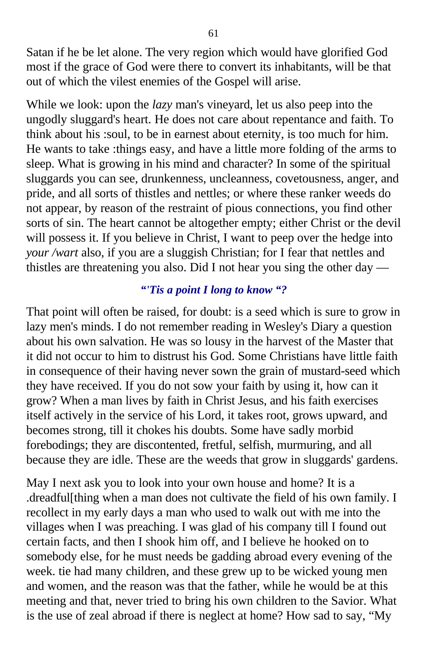Satan if he be let alone. The very region which would have glorified God most if the grace of God were there to convert its inhabitants, will be that out of which the vilest enemies of the Gospel will arise.

While we look: upon the *lazy* man's vineyard, let us also peep into the ungodly sluggard's heart. He does not care about repentance and faith. To think about his :soul, to be in earnest about eternity, is too much for him. He wants to take :things easy, and have a little more folding of the arms to sleep. What is growing in his mind and character? In some of the spiritual sluggards you can see, drunkenness, uncleanness, covetousness, anger, and pride, and all sorts of thistles and nettles; or where these ranker weeds do not appear, by reason of the restraint of pious connections, you find other sorts of sin. The heart cannot be altogether empty; either Christ or the devil will possess it. If you believe in Christ, I want to peep over the hedge into *your /wart* also, if you are a sluggish Christian; for I fear that nettles and thistles are threatening you also. Did I not hear you sing the other day —

#### *"'Tis a point I long to know "?*

That point will often be raised, for doubt: is a seed which is sure to grow in lazy men's minds. I do not remember reading in Wesley's Diary a question about his own salvation. He was so lousy in the harvest of the Master that it did not occur to him to distrust his God. Some Christians have little faith in consequence of their having never sown the grain of mustard-seed which they have received. If you do not sow your faith by using it, how can it grow? When a man lives by faith in Christ Jesus, and his faith exercises itself actively in the service of his Lord, it takes root, grows upward, and becomes strong, till it chokes his doubts. Some have sadly morbid forebodings; they are discontented, fretful, selfish, murmuring, and all because they are idle. These are the weeds that grow in sluggards' gardens.

May I next ask you to look into your own house and home? It is a .dreadful[thing when a man does not cultivate the field of his own family. I recollect in my early days a man who used to walk out with me into the villages when I was preaching. I was glad of his company till I found out certain facts, and then I shook him off, and I believe he hooked on to somebody else, for he must needs be gadding abroad every evening of the week. tie had many children, and these grew up to be wicked young men and women, and the reason was that the father, while he would be at this meeting and that, never tried to bring his own children to the Savior. What is the use of zeal abroad if there is neglect at home? How sad to say, "My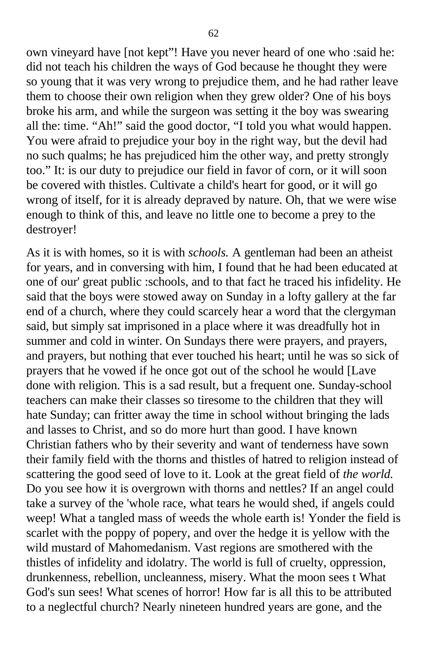own vineyard have [not kept"! Have you never heard of one who :said he: did not teach his children the ways of God because he thought they were so young that it was very wrong to prejudice them, and he had rather leave them to choose their own religion when they grew older? One of his boys broke his arm, and while the surgeon was setting it the boy was swearing all the: time. "Ah!" said the good doctor, "I told you what would happen. You were afraid to prejudice your boy in the right way, but the devil had no such qualms; he has prejudiced him the other way, and pretty strongly too." It: is our duty to prejudice our field in favor of corn, or it will soon be covered with thistles. Cultivate a child's heart for good, or it will go wrong of itself, for it is already depraved by nature. Oh, that we were wise enough to think of this, and leave no little one to become a prey to the destroyer!

As it is with homes, so it is with *schools.* A gentleman had been an atheist for years, and in conversing with him, I found that he had been educated at one of our' great public :schools, and to that fact he traced his infidelity. He said that the boys were stowed away on Sunday in a lofty gallery at the far end of a church, where they could scarcely hear a word that the clergyman said, but simply sat imprisoned in a place where it was dreadfully hot in summer and cold in winter. On Sundays there were prayers, and prayers, and prayers, but nothing that ever touched his heart; until he was so sick of prayers that he vowed if he once got out of the school he would [Lave done with religion. This is a sad result, but a frequent one. Sunday-school teachers can make their classes so tiresome to the children that they will hate Sunday; can fritter away the time in school without bringing the lads and lasses to Christ, and so do more hurt than good. I have known Christian fathers who by their severity and want of tenderness have sown their family field with the thorns and thistles of hatred to religion instead of scattering the good seed of love to it. Look at the great field of *the world.* Do you see how it is overgrown with thorns and nettles? If an angel could take a survey of the 'whole race, what tears he would shed, if angels could weep! What a tangled mass of weeds the whole earth is! Yonder the field is scarlet with the poppy of popery, and over the hedge it is yellow with the wild mustard of Mahomedanism. Vast regions are smothered with the thistles of infidelity and idolatry. The world is full of cruelty, oppression, drunkenness, rebellion, uncleanness, misery. What the moon sees t What God's sun sees! What scenes of horror! How far is all this to be attributed to a neglectful church? Nearly nineteen hundred years are gone, and the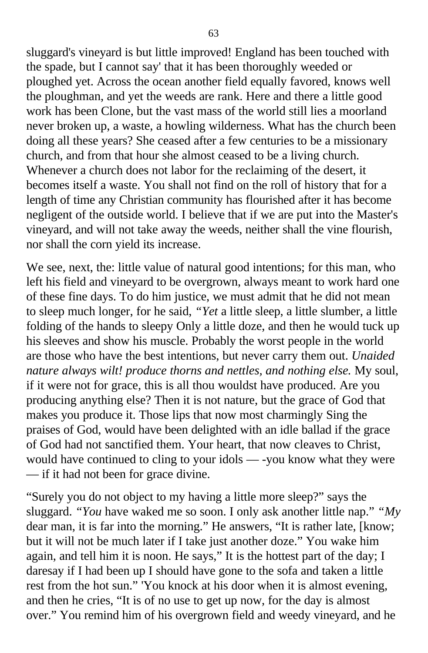sluggard's vineyard is but little improved! England has been touched with the spade, but I cannot say' that it has been thoroughly weeded or ploughed yet. Across the ocean another field equally favored, knows well the ploughman, and yet the weeds are rank. Here and there a little good work has been Clone, but the vast mass of the world still lies a moorland never broken up, a waste, a howling wilderness. What has the church been doing all these years? She ceased after a few centuries to be a missionary church, and from that hour she almost ceased to be a living church. Whenever a church does not labor for the reclaiming of the desert, it becomes itself a waste. You shall not find on the roll of history that for a length of time any Christian community has flourished after it has become negligent of the outside world. I believe that if we are put into the Master's vineyard, and will not take away the weeds, neither shall the vine flourish, nor shall the corn yield its increase.

We see, next, the: little value of natural good intentions; for this man, who left his field and vineyard to be overgrown, always meant to work hard one of these fine days. To do him justice, we must admit that he did not mean to sleep much longer, for he said, *"Yet* a little sleep, a little slumber, a little folding of the hands to sleepy Only a little doze, and then he would tuck up his sleeves and show his muscle. Probably the worst people in the world are those who have the best intentions, but never carry them out. *Unaided nature always wilt! produce thorns and nettles, and nothing else.* My soul, if it were not for grace, this is all thou wouldst have produced. Are you producing anything else? Then it is not nature, but the grace of God that makes you produce it. Those lips that now most charmingly Sing the praises of God, would have been delighted with an idle ballad if the grace of God had not sanctified them. Your heart, that now cleaves to Christ, would have continued to cling to your idols — -you know what they were — if it had not been for grace divine.

"Surely you do not object to my having a little more sleep?" says the sluggard. *"You* have waked me so soon. I only ask another little nap." *"My* dear man, it is far into the morning." He answers, "It is rather late, [know; but it will not be much later if I take just another doze." You wake him again, and tell him it is noon. He says," It is the hottest part of the day; I daresay if I had been up I should have gone to the sofa and taken a little rest from the hot sun." 'You knock at his door when it is almost evening, and then he cries, "It is of no use to get up now, for the day is almost over." You remind him of his overgrown field and weedy vineyard, and he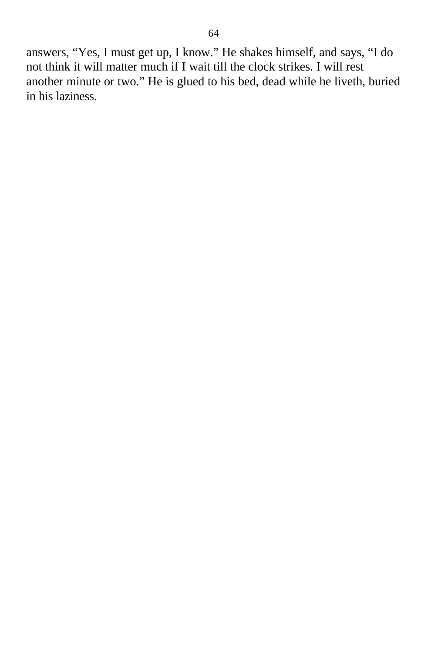answers, "Yes, I must get up, I know." He shakes himself, and says, "I do not think it will matter much if I wait till the clock strikes. I will rest another minute or two." He is glued to his bed, dead while he liveth, buried in his laziness.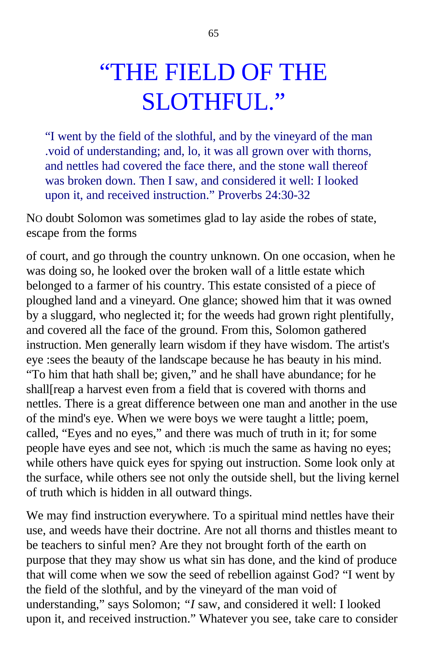# "THE FIELD OF THE SLOTHFUL."

"I went by the field of the slothful, and by the vineyard of the man .void of understanding; and, lo, it was all grown over with thorns, and nettles had covered the face there, and the stone wall thereof was broken down. Then I saw, and considered it well: I looked upon it, and received instruction." Proverbs 24:30-32

NO doubt Solomon was sometimes glad to lay aside the robes of state, escape from the forms

of court, and go through the country unknown. On one occasion, when he was doing so, he looked over the broken wall of a little estate which belonged to a farmer of his country. This estate consisted of a piece of ploughed land and a vineyard. One glance; showed him that it was owned by a sluggard, who neglected it; for the weeds had grown right plentifully, and covered all the face of the ground. From this, Solomon gathered instruction. Men generally learn wisdom if they have wisdom. The artist's eye :sees the beauty of the landscape because he has beauty in his mind. "To him that hath shall be; given," and he shall have abundance; for he shall[reap a harvest even from a field that is covered with thorns and nettles. There is a great difference between one man and another in the use of the mind's eye. When we were boys we were taught a little; poem, called, "Eyes and no eyes," and there was much of truth in it; for some people have eyes and see not, which :is much the same as having no eyes; while others have quick eyes for spying out instruction. Some look only at the surface, while others see not only the outside shell, but the living kernel of truth which is hidden in all outward things.

We may find instruction everywhere. To a spiritual mind nettles have their use, and weeds have their doctrine. Are not all thorns and thistles meant to be teachers to sinful men? Are they not brought forth of the earth on purpose that they may show us what sin has done, and the kind of produce that will come when we sow the seed of rebellion against God? "I went by the field of the slothful, and by the vineyard of the man void of understanding," says Solomon; *"I* saw, and considered it well: I looked upon it, and received instruction." Whatever you see, take care to consider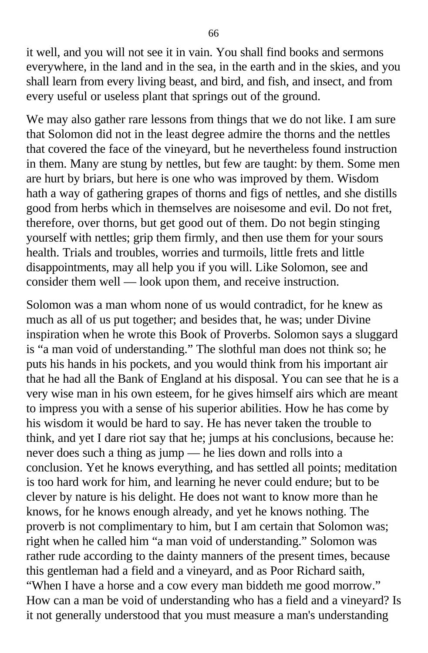it well, and you will not see it in vain. You shall find books and sermons everywhere, in the land and in the sea, in the earth and in the skies, and you shall learn from every living beast, and bird, and fish, and insect, and from every useful or useless plant that springs out of the ground.

We may also gather rare lessons from things that we do not like. I am sure that Solomon did not in the least degree admire the thorns and the nettles that covered the face of the vineyard, but he nevertheless found instruction in them. Many are stung by nettles, but few are taught: by them. Some men are hurt by briars, but here is one who was improved by them. Wisdom hath a way of gathering grapes of thorns and figs of nettles, and she distills good from herbs which in themselves are noisesome and evil. Do not fret, therefore, over thorns, but get good out of them. Do not begin stinging yourself with nettles; grip them firmly, and then use them for your sours health. Trials and troubles, worries and turmoils, little frets and little disappointments, may all help you if you will. Like Solomon, see and consider them well — look upon them, and receive instruction.

Solomon was a man whom none of us would contradict, for he knew as much as all of us put together; and besides that, he was; under Divine inspiration when he wrote this Book of Proverbs. Solomon says a sluggard is "a man void of understanding." The slothful man does not think so; he puts his hands in his pockets, and you would think from his important air that he had all the Bank of England at his disposal. You can see that he is a very wise man in his own esteem, for he gives himself airs which are meant to impress you with a sense of his superior abilities. How he has come by his wisdom it would be hard to say. He has never taken the trouble to think, and yet I dare riot say that he; jumps at his conclusions, because he: never does such a thing as jump — he lies down and rolls into a conclusion. Yet he knows everything, and has settled all points; meditation is too hard work for him, and learning he never could endure; but to be clever by nature is his delight. He does not want to know more than he knows, for he knows enough already, and yet he knows nothing. The proverb is not complimentary to him, but I am certain that Solomon was; right when he called him "a man void of understanding." Solomon was rather rude according to the dainty manners of the present times, because this gentleman had a field and a vineyard, and as Poor Richard saith, "When I have a horse and a cow every man biddeth me good morrow." How can a man be void of understanding who has a field and a vineyard? Is it not generally understood that you must measure a man's understanding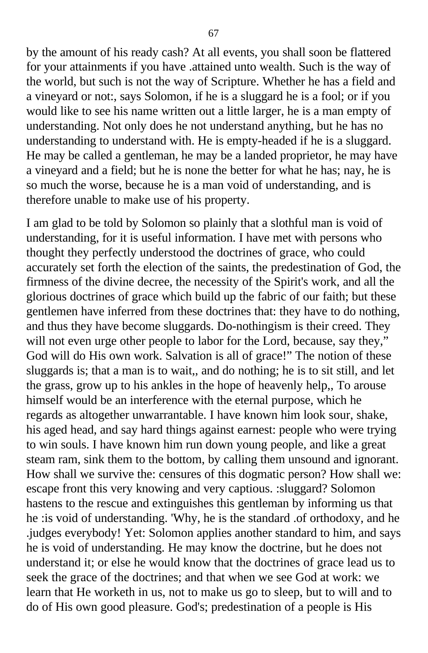by the amount of his ready cash? At all events, you shall soon be flattered for your attainments if you have .attained unto wealth. Such is the way of the world, but such is not the way of Scripture. Whether he has a field and a vineyard or not:, says Solomon, if he is a sluggard he is a fool; or if you would like to see his name written out a little larger, he is a man empty of understanding. Not only does he not understand anything, but he has no understanding to understand with. He is empty-headed if he is a sluggard. He may be called a gentleman, he may be a landed proprietor, he may have a vineyard and a field; but he is none the better for what he has; nay, he is so much the worse, because he is a man void of understanding, and is therefore unable to make use of his property.

I am glad to be told by Solomon so plainly that a slothful man is void of understanding, for it is useful information. I have met with persons who thought they perfectly understood the doctrines of grace, who could accurately set forth the election of the saints, the predestination of God, the firmness of the divine decree, the necessity of the Spirit's work, and all the glorious doctrines of grace which build up the fabric of our faith; but these gentlemen have inferred from these doctrines that: they have to do nothing, and thus they have become sluggards. Do-nothingism is their creed. They will not even urge other people to labor for the Lord, because, say they," God will do His own work. Salvation is all of grace!" The notion of these sluggards is; that a man is to wait,, and do nothing; he is to sit still, and let the grass, grow up to his ankles in the hope of heavenly help,, To arouse himself would be an interference with the eternal purpose, which he regards as altogether unwarrantable. I have known him look sour, shake, his aged head, and say hard things against earnest: people who were trying to win souls. I have known him run down young people, and like a great steam ram, sink them to the bottom, by calling them unsound and ignorant. How shall we survive the: censures of this dogmatic person? How shall we: escape front this very knowing and very captious. :sluggard? Solomon hastens to the rescue and extinguishes this gentleman by informing us that he :is void of understanding. 'Why, he is the standard .of orthodoxy, and he .judges everybody! Yet: Solomon applies another standard to him, and says he is void of understanding. He may know the doctrine, but he does not understand it; or else he would know that the doctrines of grace lead us to seek the grace of the doctrines; and that when we see God at work: we learn that He worketh in us, not to make us go to sleep, but to will and to do of His own good pleasure. God's; predestination of a people is His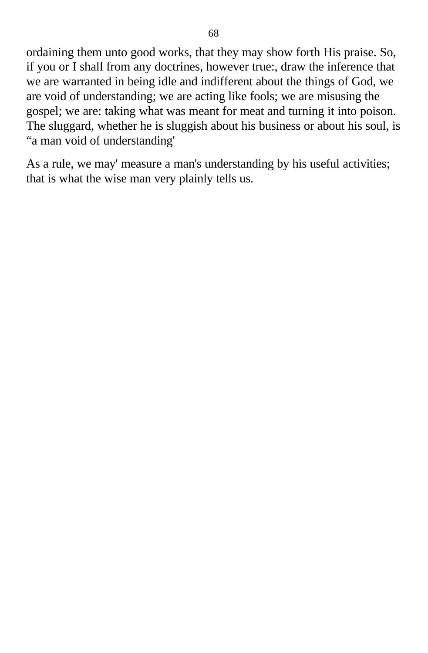ordaining them unto good works, that they may show forth His praise. So, if you or I shall from any doctrines, however true:, draw the inference that we are warranted in being idle and indifferent about the things of God, we are void of understanding; we are acting like fools; we are misusing the gospel; we are: taking what was meant for meat and turning it into poison. The sluggard, whether he is sluggish about his business or about his soul, is "a man void of understanding'

As a rule, we may' measure a man's understanding by his useful activities; that is what the wise man very plainly tells us.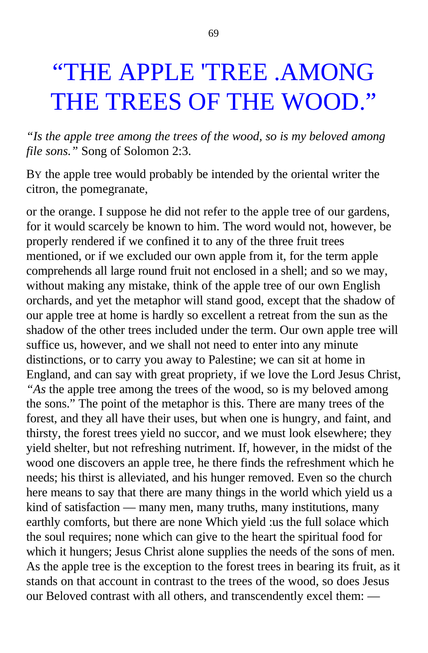# "THE APPLE 'TREE .AMONG THE TREES OF THE WOOD."

*"Is the apple tree among the trees of the wood, so is my beloved among file sons."* Song of Solomon 2:3.

BY the apple tree would probably be intended by the oriental writer the citron, the pomegranate,

or the orange. I suppose he did not refer to the apple tree of our gardens, for it would scarcely be known to him. The word would not, however, be properly rendered if we confined it to any of the three fruit trees mentioned, or if we excluded our own apple from it, for the term apple comprehends all large round fruit not enclosed in a shell; and so we may, without making any mistake, think of the apple tree of our own English orchards, and yet the metaphor will stand good, except that the shadow of our apple tree at home is hardly so excellent a retreat from the sun as the shadow of the other trees included under the term. Our own apple tree will suffice us, however, and we shall not need to enter into any minute distinctions, or to carry you away to Palestine; we can sit at home in England, and can say with great propriety, if we love the Lord Jesus Christ, *"As* the apple tree among the trees of the wood, so is my beloved among the sons." The point of the metaphor is this. There are many trees of the forest, and they all have their uses, but when one is hungry, and faint, and thirsty, the forest trees yield no succor, and we must look elsewhere; they yield shelter, but not refreshing nutriment. If, however, in the midst of the wood one discovers an apple tree, he there finds the refreshment which he needs; his thirst is alleviated, and his hunger removed. Even so the church here means to say that there are many things in the world which yield us a kind of satisfaction — many men, many truths, many institutions, many earthly comforts, but there are none Which yield :us the full solace which the soul requires; none which can give to the heart the spiritual food for which it hungers; Jesus Christ alone supplies the needs of the sons of men. As the apple tree is the exception to the forest trees in bearing its fruit, as it stands on that account in contrast to the trees of the wood, so does Jesus our Beloved contrast with all others, and transcendently excel them: —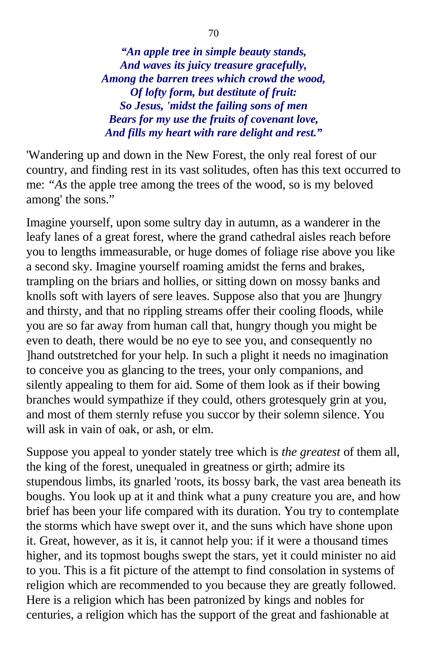*"An apple tree in simple beauty stands, And waves its juicy treasure gracefully, Among the barren trees which crowd the wood, Of lofty form, but destitute of fruit: So Jesus, 'midst the failing sons of men Bears for my use the fruits of covenant love, And fills my heart with rare delight and rest."*

'Wandering up and down in the New Forest, the only real forest of our country, and finding rest in its vast solitudes, often has this text occurred to me: *"As* the apple tree among the trees of the wood, so is my beloved among' the sons."

Imagine yourself, upon some sultry day in autumn, as a wanderer in the leafy lanes of a great forest, where the grand cathedral aisles reach before you to lengths immeasurable, or huge domes of foliage rise above you like a second sky. Imagine yourself roaming amidst the ferns and brakes, trampling on the briars and hollies, or sitting down on mossy banks and knolls soft with layers of sere leaves. Suppose also that you are ]hungry and thirsty, and that no rippling streams offer their cooling floods, while you are so far away from human call that, hungry though you might be even to death, there would be no eye to see you, and consequently no ]hand outstretched for your help. In such a plight it needs no imagination to conceive you as glancing to the trees, your only companions, and silently appealing to them for aid. Some of them look as if their bowing branches would sympathize if they could, others grotesquely grin at you, and most of them sternly refuse you succor by their solemn silence. You will ask in vain of oak, or ash, or elm.

Suppose you appeal to yonder stately tree which is *the greatest* of them all, the king of the forest, unequaled in greatness or girth; admire its stupendous limbs, its gnarled 'roots, its bossy bark, the vast area beneath its boughs. You look up at it and think what a puny creature you are, and how brief has been your life compared with its duration. You try to contemplate the storms which have swept over it, and the suns which have shone upon it. Great, however, as it is, it cannot help you: if it were a thousand times higher, and its topmost boughs swept the stars, yet it could minister no aid to you. This is a fit picture of the attempt to find consolation in systems of religion which are recommended to you because they are greatly followed. Here is a religion which has been patronized by kings and nobles for centuries, a religion which has the support of the great and fashionable at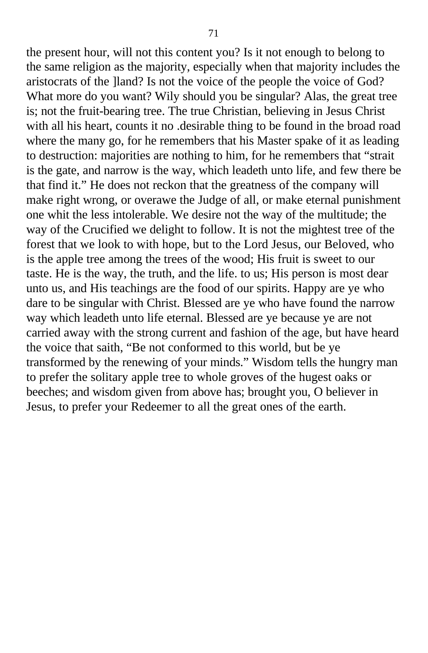the present hour, will not this content you? Is it not enough to belong to the same religion as the majority, especially when that majority includes the aristocrats of the ]land? Is not the voice of the people the voice of God? What more do you want? Wily should you be singular? Alas, the great tree is; not the fruit-bearing tree. The true Christian, believing in Jesus Christ with all his heart, counts it no .desirable thing to be found in the broad road where the many go, for he remembers that his Master spake of it as leading to destruction: majorities are nothing to him, for he remembers that "strait is the gate, and narrow is the way, which leadeth unto life, and few there be that find it." He does not reckon that the greatness of the company will make right wrong, or overawe the Judge of all, or make eternal punishment one whit the less intolerable. We desire not the way of the multitude; the way of the Crucified we delight to follow. It is not the mightest tree of the forest that we look to with hope, but to the Lord Jesus, our Beloved, who is the apple tree among the trees of the wood; His fruit is sweet to our taste. He is the way, the truth, and the life. to us; His person is most dear unto us, and His teachings are the food of our spirits. Happy are ye who dare to be singular with Christ. Blessed are ye who have found the narrow way which leadeth unto life eternal. Blessed are ye because ye are not carried away with the strong current and fashion of the age, but have heard the voice that saith, "Be not conformed to this world, but be ye transformed by the renewing of your minds." Wisdom tells the hungry man to prefer the solitary apple tree to whole groves of the hugest oaks or beeches; and wisdom given from above has; brought you, O believer in Jesus, to prefer your Redeemer to all the great ones of the earth.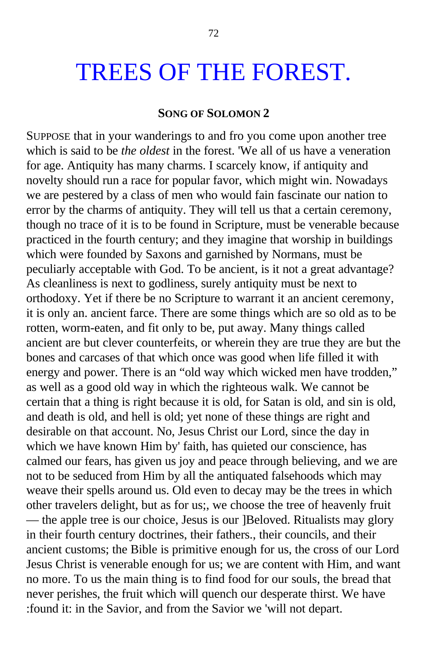### TREES OF THE FOREST.

#### **SONG OF SOLOMON 2**

SUPPOSE that in your wanderings to and fro you come upon another tree which is said to be *the oldest* in the forest. 'We all of us have a veneration for age. Antiquity has many charms. I scarcely know, if antiquity and novelty should run a race for popular favor, which might win. Nowadays we are pestered by a class of men who would fain fascinate our nation to error by the charms of antiquity. They will tell us that a certain ceremony, though no trace of it is to be found in Scripture, must be venerable because practiced in the fourth century; and they imagine that worship in buildings which were founded by Saxons and garnished by Normans, must be peculiarly acceptable with God. To be ancient, is it not a great advantage? As cleanliness is next to godliness, surely antiquity must be next to orthodoxy. Yet if there be no Scripture to warrant it an ancient ceremony, it is only an. ancient farce. There are some things which are so old as to be rotten, worm-eaten, and fit only to be, put away. Many things called ancient are but clever counterfeits, or wherein they are true they are but the bones and carcases of that which once was good when life filled it with energy and power. There is an "old way which wicked men have trodden," as well as a good old way in which the righteous walk. We cannot be certain that a thing is right because it is old, for Satan is old, and sin is old, and death is old, and hell is old; yet none of these things are right and desirable on that account. No, Jesus Christ our Lord, since the day in which we have known Him by' faith, has quieted our conscience, has calmed our fears, has given us joy and peace through believing, and we are not to be seduced from Him by all the antiquated falsehoods which may weave their spells around us. Old even to decay may be the trees in which other travelers delight, but as for us;, we choose the tree of heavenly fruit — the apple tree is our choice, Jesus is our [Beloved. Ritualists may glory in their fourth century doctrines, their fathers., their councils, and their ancient customs; the Bible is primitive enough for us, the cross of our Lord Jesus Christ is venerable enough for us; we are content with Him, and want no more. To us the main thing is to find food for our souls, the bread that never perishes, the fruit which will quench our desperate thirst. We have :found it: in the Savior, and from the Savior we 'will not depart.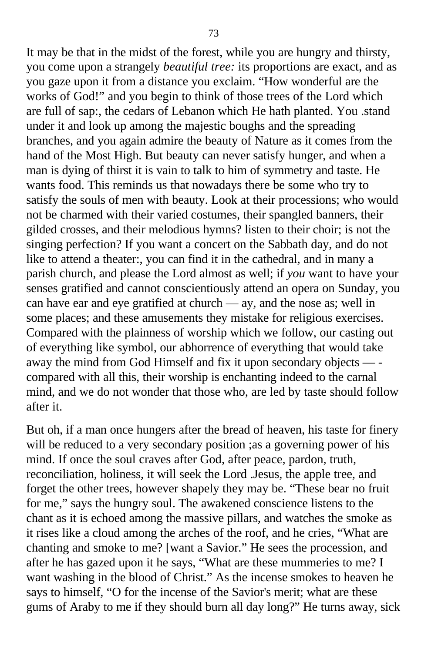It may be that in the midst of the forest, while you are hungry and thirsty, you come upon a strangely *beautiful tree:* its proportions are exact, and as you gaze upon it from a distance you exclaim. "How wonderful are the works of God!" and you begin to think of those trees of the Lord which are full of sap:, the cedars of Lebanon which He hath planted. You .stand under it and look up among the majestic boughs and the spreading branches, and you again admire the beauty of Nature as it comes from the hand of the Most High. But beauty can never satisfy hunger, and when a man is dying of thirst it is vain to talk to him of symmetry and taste. He wants food. This reminds us that nowadays there be some who try to satisfy the souls of men with beauty. Look at their processions; who would not be charmed with their varied costumes, their spangled banners, their gilded crosses, and their melodious hymns? listen to their choir; is not the singing perfection? If you want a concert on the Sabbath day, and do not like to attend a theater:, you can find it in the cathedral, and in many a parish church, and please the Lord almost as well; if *you* want to have your senses gratified and cannot conscientiously attend an opera on Sunday, you can have ear and eye gratified at church — ay, and the nose as; well in some places; and these amusements they mistake for religious exercises. Compared with the plainness of worship which we follow, our casting out of everything like symbol, our abhorrence of everything that would take away the mind from God Himself and fix it upon secondary objects — compared with all this, their worship is enchanting indeed to the carnal mind, and we do not wonder that those who, are led by taste should follow after it.

But oh, if a man once hungers after the bread of heaven, his taste for finery will be reduced to a very secondary position ; as a governing power of his mind. If once the soul craves after God, after peace, pardon, truth, reconciliation, holiness, it will seek the Lord .Jesus, the apple tree, and forget the other trees, however shapely they may be. "These bear no fruit for me," says the hungry soul. The awakened conscience listens to the chant as it is echoed among the massive pillars, and watches the smoke as it rises like a cloud among the arches of the roof, and he cries, "What are chanting and smoke to me? [want a Savior." He sees the procession, and after he has gazed upon it he says, "What are these mummeries to me? I want washing in the blood of Christ." As the incense smokes to heaven he says to himself, "O for the incense of the Savior's merit; what are these gums of Araby to me if they should burn all day long?" He turns away, sick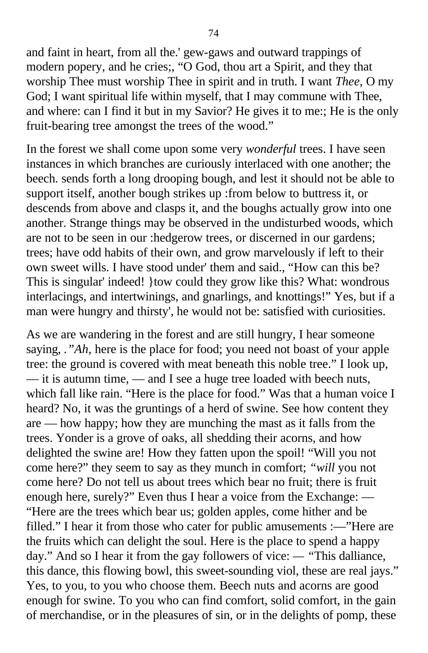and faint in heart, from all the.' gew-gaws and outward trappings of modern popery, and he cries;, "O God, thou art a Spirit, and they that worship Thee must worship Thee in spirit and in truth. I want *Thee,* O my God; I want spiritual life within myself, that I may commune with Thee, and where: can I find it but in my Savior? He gives it to me:; He is the only fruit-bearing tree amongst the trees of the wood."

In the forest we shall come upon some very *wonderful* trees. I have seen instances in which branches are curiously interlaced with one another; the beech. sends forth a long drooping bough, and lest it should not be able to support itself, another bough strikes up :from below to buttress it, or descends from above and clasps it, and the boughs actually grow into one another. Strange things may be observed in the undisturbed woods, which are not to be seen in our :hedgerow trees, or discerned in our gardens; trees; have odd habits of their own, and grow marvelously if left to their own sweet wills. I have stood under' them and said., "How can this be? This is singular' indeed! }tow could they grow like this? What: wondrous interlacings, and intertwinings, and gnarlings, and knottings!" Yes, but if a man were hungry and thirsty', he would not be: satisfied with curiosities.

As we are wandering in the forest and are still hungry, I hear someone saying, *."Ah,* here is the place for food; you need not boast of your apple tree: the ground is covered with meat beneath this noble tree." I look up, — it is autumn time, — and I see a huge tree loaded with beech nuts, which fall like rain. "Here is the place for food." Was that a human voice I heard? No, it was the gruntings of a herd of swine. See how content they are — how happy; how they are munching the mast as it falls from the trees. Yonder is a grove of oaks, all shedding their acorns, and how delighted the swine are! How they fatten upon the spoil! "Will you not come here?" they seem to say as they munch in comfort; *"will* you not come here? Do not tell us about trees which bear no fruit; there is fruit enough here, surely?" Even thus I hear a voice from the Exchange: — "Here are the trees which bear us; golden apples, come hither and be filled." I hear it from those who cater for public amusements :—"Here are the fruits which can delight the soul. Here is the place to spend a happy day." And so I hear it from the gay followers of vice: *— "*This dalliance, this dance, this flowing bowl, this sweet-sounding viol, these are real jays." Yes, to you, to you who choose them. Beech nuts and acorns are good enough for swine. To you who can find comfort, solid comfort, in the gain of merchandise, or in the pleasures of sin, or in the delights of pomp, these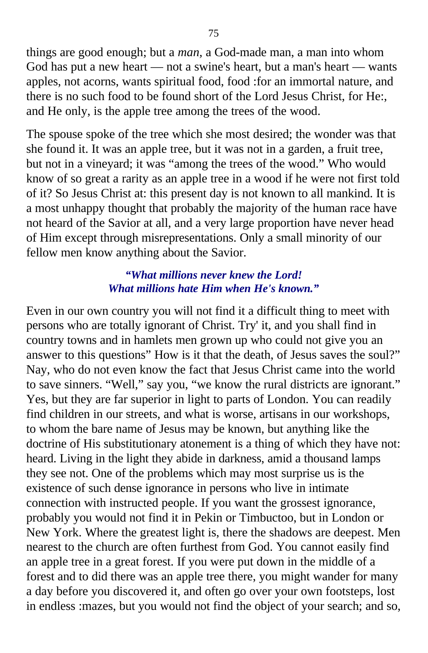things are good enough; but a *man,* a God-made man, a man into whom God has put a new heart — not a swine's heart, but a man's heart — wants apples, not acorns, wants spiritual food, food :for an immortal nature, and there is no such food to be found short of the Lord Jesus Christ, for He:, and He only, is the apple tree among the trees of the wood.

The spouse spoke of the tree which she most desired; the wonder was that she found it. It was an apple tree, but it was not in a garden, a fruit tree, but not in a vineyard; it was "among the trees of the wood." Who would know of so great a rarity as an apple tree in a wood if he were not first told of it? So Jesus Christ at: this present day is not known to all mankind. It is a most unhappy thought that probably the majority of the human race have not heard of the Savior at all, and a very large proportion have never head of Him except through misrepresentations. Only a small minority of our fellow men know anything about the Savior.

#### *"What millions never knew the Lord! What millions hate Him when He's known."*

Even in our own country you will not find it a difficult thing to meet with persons who are totally ignorant of Christ. Try' it, and you shall find in country towns and in hamlets men grown up who could not give you an answer to this questions" How is it that the death, of Jesus saves the soul?" Nay, who do not even know the fact that Jesus Christ came into the world to save sinners. "Well," say you, "we know the rural districts are ignorant." Yes, but they are far superior in light to parts of London. You can readily find children in our streets, and what is worse, artisans in our workshops, to whom the bare name of Jesus may be known, but anything like the doctrine of His substitutionary atonement is a thing of which they have not: heard. Living in the light they abide in darkness, amid a thousand lamps they see not. One of the problems which may most surprise us is the existence of such dense ignorance in persons who live in intimate connection with instructed people. If you want the grossest ignorance, probably you would not find it in Pekin or Timbuctoo, but in London or New York. Where the greatest light is, there the shadows are deepest. Men nearest to the church are often furthest from God. You cannot easily find an apple tree in a great forest. If you were put down in the middle of a forest and to did there was an apple tree there, you might wander for many a day before you discovered it, and often go over your own footsteps, lost in endless :mazes, but you would not find the object of your search; and so,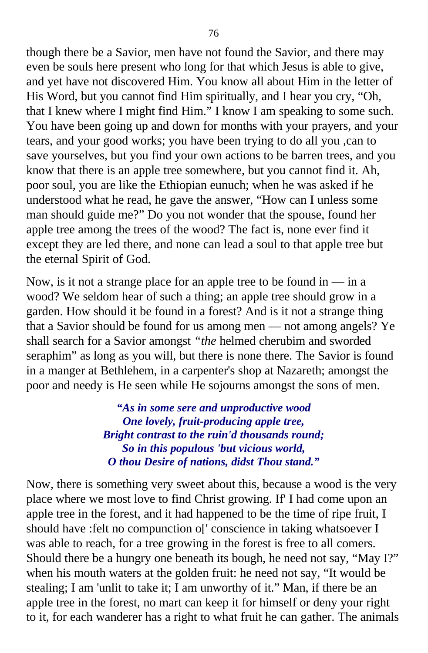though there be a Savior, men have not found the Savior, and there may even be souls here present who long for that which Jesus is able to give, and yet have not discovered Him. You know all about Him in the letter of His Word, but you cannot find Him spiritually, and I hear you cry, "Oh, that I knew where I might find Him." I know I am speaking to some such. You have been going up and down for months with your prayers, and your tears, and your good works; you have been trying to do all you ,can to save yourselves, but you find your own actions to be barren trees, and you know that there is an apple tree somewhere, but you cannot find it. Ah, poor soul, you are like the Ethiopian eunuch; when he was asked if he understood what he read, he gave the answer, "How can I unless some man should guide me?" Do you not wonder that the spouse, found her apple tree among the trees of the wood? The fact is, none ever find it except they are led there, and none can lead a soul to that apple tree but the eternal Spirit of God.

Now, is it not a strange place for an apple tree to be found in — in a wood? We seldom hear of such a thing; an apple tree should grow in a garden. How should it be found in a forest? And is it not a strange thing that a Savior should be found for us among men — not among angels? Ye shall search for a Savior amongst *"the* helmed cherubim and sworded seraphim" as long as you will, but there is none there. The Savior is found in a manger at Bethlehem, in a carpenter's shop at Nazareth; amongst the poor and needy is He seen while He sojourns amongst the sons of men.

> *"As in some sere and unproductive wood One lovely, fruit-producing apple tree, Bright contrast to the ruin'd thousands round; So in this populous 'but vicious world, O thou Desire of nations, didst Thou stand."*

Now, there is something very sweet about this, because a wood is the very place where we most love to find Christ growing. If' I had come upon an apple tree in the forest, and it had happened to be the time of ripe fruit, I should have :felt no compunction of' conscience in taking whatsoever I was able to reach, for a tree growing in the forest is free to all comers. Should there be a hungry one beneath its bough, he need not say, "May I?" when his mouth waters at the golden fruit: he need not say, "It would be stealing; I am 'unlit to take it; I am unworthy of it." Man, if there be an apple tree in the forest, no mart can keep it for himself or deny your right to it, for each wanderer has a right to what fruit he can gather. The animals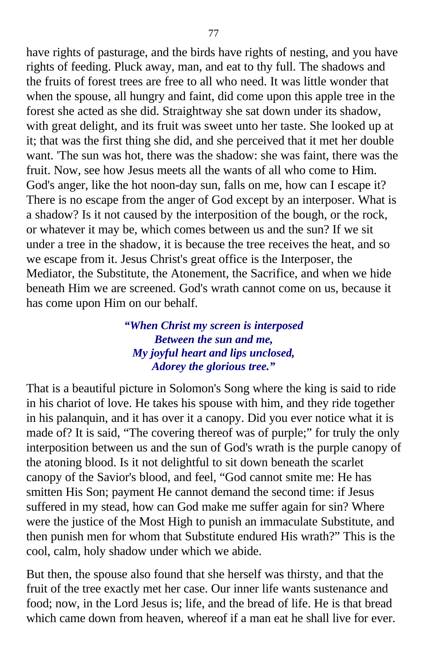have rights of pasturage, and the birds have rights of nesting, and you have rights of feeding. Pluck away, man, and eat to thy full. The shadows and the fruits of forest trees are free to all who need. It was little wonder that when the spouse, all hungry and faint, did come upon this apple tree in the forest she acted as she did. Straightway she sat down under its shadow, with great delight, and its fruit was sweet unto her taste. She looked up at it; that was the first thing she did, and she perceived that it met her double want. 'The sun was hot, there was the shadow: she was faint, there was the fruit. Now, see how Jesus meets all the wants of all who come to Him. God's anger, like the hot noon-day sun, falls on me, how can I escape it? There is no escape from the anger of God except by an interposer. What is a shadow? Is it not caused by the interposition of the bough, or the rock, or whatever it may be, which comes between us and the sun? If we sit under a tree in the shadow, it is because the tree receives the heat, and so we escape from it. Jesus Christ's great office is the Interposer, the Mediator, the Substitute, the Atonement, the Sacrifice, and when we hide beneath Him we are screened. God's wrath cannot come on us, because it has come upon Him on our behalf.

#### *"When Christ my screen is interposed Between the sun and me, My joyful heart and lips unclosed, Adorey the glorious tree."*

That is a beautiful picture in Solomon's Song where the king is said to ride in his chariot of love. He takes his spouse with him, and they ride together in his palanquin, and it has over it a canopy. Did you ever notice what it is made of? It is said, "The covering thereof was of purple;" for truly the only interposition between us and the sun of God's wrath is the purple canopy of the atoning blood. Is it not delightful to sit down beneath the scarlet canopy of the Savior's blood, and feel, "God cannot smite me: He has smitten His Son; payment He cannot demand the second time: if Jesus suffered in my stead, how can God make me suffer again for sin? Where were the justice of the Most High to punish an immaculate Substitute, and then punish men for whom that Substitute endured His wrath?" This is the cool, calm, holy shadow under which we abide.

But then, the spouse also found that she herself was thirsty, and that the fruit of the tree exactly met her case. Our inner life wants sustenance and food; now, in the Lord Jesus is; life, and the bread of life. He is that bread which came down from heaven, whereof if a man eat he shall live for ever.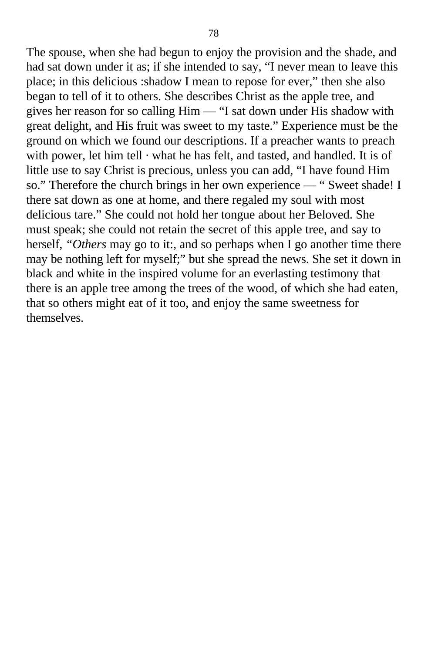The spouse, when she had begun to enjoy the provision and the shade, and had sat down under it as; if she intended to say, "I never mean to leave this place; in this delicious :shadow I mean to repose for ever," then she also began to tell of it to others. She describes Christ as the apple tree, and gives her reason for so calling Him — "I sat down under His shadow with great delight, and His fruit was sweet to my taste." Experience must be the ground on which we found our descriptions. If a preacher wants to preach with power, let him tell  $\cdot$  what he has felt, and tasted, and handled. It is of little use to say Christ is precious, unless you can add, "I have found Him so." Therefore the church brings in her own experience — " Sweet shade! I there sat down as one at home, and there regaled my soul with most delicious tare." She could not hold her tongue about her Beloved. She must speak; she could not retain the secret of this apple tree, and say to herself, *"Others* may go to it:, and so perhaps when I go another time there may be nothing left for myself;" but she spread the news. She set it down in black and white in the inspired volume for an everlasting testimony that there is an apple tree among the trees of the wood, of which she had eaten, that so others might eat of it too, and enjoy the same sweetness for themselves.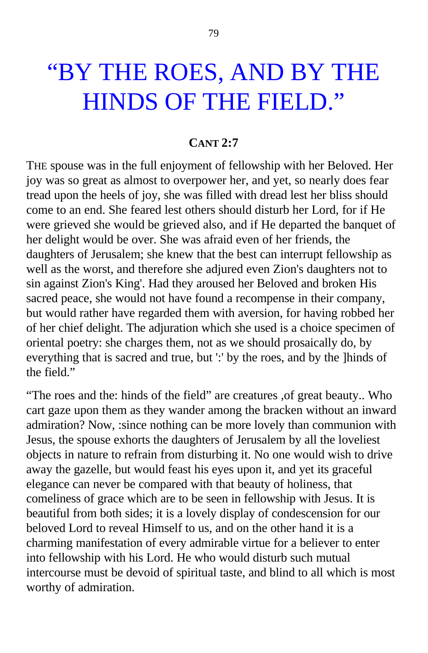### "BY THE ROES, AND BY THE HINDS OF THE FIELD."

#### **CANT 2:7**

THE spouse was in the full enjoyment of fellowship with her Beloved. Her joy was so great as almost to overpower her, and yet, so nearly does fear tread upon the heels of joy, she was filled with dread lest her bliss should come to an end. She feared lest others should disturb her Lord, for if He were grieved she would be grieved also, and if He departed the banquet of her delight would be over. She was afraid even of her friends, the daughters of Jerusalem; she knew that the best can interrupt fellowship as well as the worst, and therefore she adjured even Zion's daughters not to sin against Zion's King'. Had they aroused her Beloved and broken His sacred peace, she would not have found a recompense in their company, but would rather have regarded them with aversion, for having robbed her of her chief delight. The adjuration which she used is a choice specimen of oriental poetry: she charges them, not as we should prosaically do, by everything that is sacred and true, but ':' by the roes, and by the ]hinds of the field."

"The roes and the: hinds of the field" are creatures ,of great beauty.. Who cart gaze upon them as they wander among the bracken without an inward admiration? Now, :since nothing can be more lovely than communion with Jesus, the spouse exhorts the daughters of Jerusalem by all the loveliest objects in nature to refrain from disturbing it. No one would wish to drive away the gazelle, but would feast his eyes upon it, and yet its graceful elegance can never be compared with that beauty of holiness, that comeliness of grace which are to be seen in fellowship with Jesus. It is beautiful from both sides; it is a lovely display of condescension for our beloved Lord to reveal Himself to us, and on the other hand it is a charming manifestation of every admirable virtue for a believer to enter into fellowship with his Lord. He who would disturb such mutual intercourse must be devoid of spiritual taste, and blind to all which is most worthy of admiration.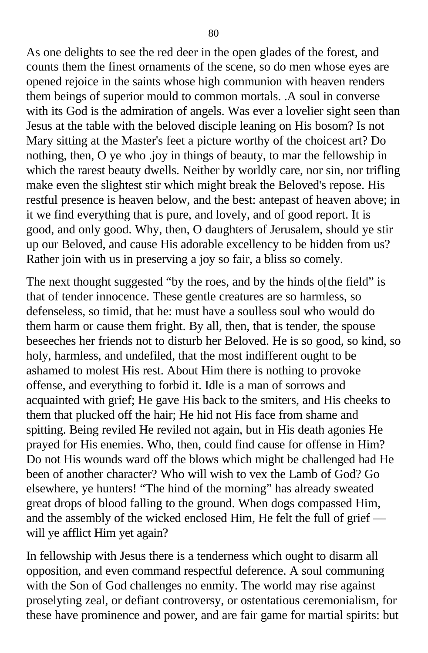As one delights to see the red deer in the open glades of the forest, and counts them the finest ornaments of the scene, so do men whose eyes are opened rejoice in the saints whose high communion with heaven renders them beings of superior mould to common mortals. .A soul in converse with its God is the admiration of angels. Was ever a lovelier sight seen than Jesus at the table with the beloved disciple leaning on His bosom? Is not Mary sitting at the Master's feet a picture worthy of the choicest art? Do nothing, then, O ye who .joy in things of beauty, to mar the fellowship in which the rarest beauty dwells. Neither by worldly care, nor sin, nor trifling make even the slightest stir which might break the Beloved's repose. His restful presence is heaven below, and the best: antepast of heaven above; in it we find everything that is pure, and lovely, and of good report. It is good, and only good. Why, then, O daughters of Jerusalem, should ye stir up our Beloved, and cause His adorable excellency to be hidden from us? Rather join with us in preserving a joy so fair, a bliss so comely.

The next thought suggested "by the roes, and by the hinds o[the field" is that of tender innocence. These gentle creatures are so harmless, so defenseless, so timid, that he: must have a soulless soul who would do them harm or cause them fright. By all, then, that is tender, the spouse beseeches her friends not to disturb her Beloved. He is so good, so kind, so holy, harmless, and undefiled, that the most indifferent ought to be ashamed to molest His rest. About Him there is nothing to provoke offense, and everything to forbid it. Idle is a man of sorrows and acquainted with grief; He gave His back to the smiters, and His cheeks to them that plucked off the hair; He hid not His face from shame and spitting. Being reviled He reviled not again, but in His death agonies He prayed for His enemies. Who, then, could find cause for offense in Him? Do not His wounds ward off the blows which might be challenged had He been of another character? Who will wish to vex the Lamb of God? Go elsewhere, ye hunters! "The hind of the morning" has already sweated great drops of blood falling to the ground. When dogs compassed Him, and the assembly of the wicked enclosed Him, He felt the full of grief will ye afflict Him yet again?

In fellowship with Jesus there is a tenderness which ought to disarm all opposition, and even command respectful deference. A soul communing with the Son of God challenges no enmity. The world may rise against proselyting zeal, or defiant controversy, or ostentatious ceremonialism, for these have prominence and power, and are fair game for martial spirits: but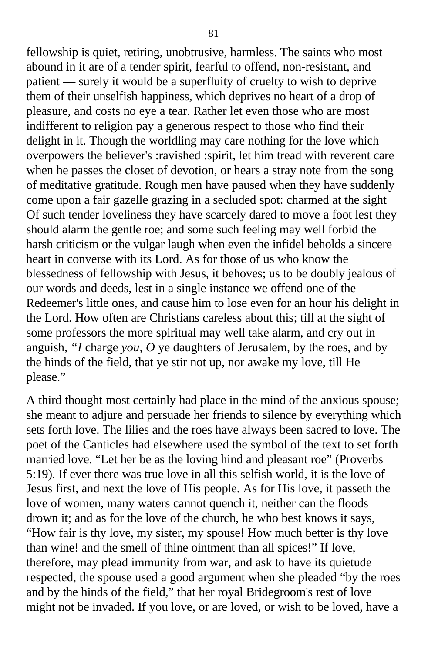fellowship is quiet, retiring, unobtrusive, harmless. The saints who most abound in it are of a tender spirit, fearful to offend, non-resistant, and patient — surely it would be a superfluity of cruelty to wish to deprive them of their unselfish happiness, which deprives no heart of a drop of pleasure, and costs no eye a tear. Rather let even those who are most indifferent to religion pay a generous respect to those who find their delight in it. Though the worldling may care nothing for the love which overpowers the believer's :ravished :spirit, let him tread with reverent care when he passes the closet of devotion, or hears a stray note from the song of meditative gratitude. Rough men have paused when they have suddenly come upon a fair gazelle grazing in a secluded spot: charmed at the sight Of such tender loveliness they have scarcely dared to move a foot lest they should alarm the gentle roe; and some such feeling may well forbid the harsh criticism or the vulgar laugh when even the infidel beholds a sincere heart in converse with its Lord. As for those of us who know the blessedness of fellowship with Jesus, it behoves; us to be doubly jealous of our words and deeds, lest in a single instance we offend one of the Redeemer's little ones, and cause him to lose even for an hour his delight in the Lord. How often are Christians careless about this; till at the sight of some professors the more spiritual may well take alarm, and cry out in anguish, *"I* charge *you, O* ye daughters of Jerusalem, by the roes, and by the hinds of the field, that ye stir not up, nor awake my love, till He please."

A third thought most certainly had place in the mind of the anxious spouse; she meant to adjure and persuade her friends to silence by everything which sets forth love. The lilies and the roes have always been sacred to love. The poet of the Canticles had elsewhere used the symbol of the text to set forth married love. "Let her be as the loving hind and pleasant roe" (Proverbs 5:19). If ever there was true love in all this selfish world, it is the love of Jesus first, and next the love of His people. As for His love, it passeth the love of women, many waters cannot quench it, neither can the floods drown it; and as for the love of the church, he who best knows it says, "How fair is thy love, my sister, my spouse! How much better is thy love than wine! and the smell of thine ointment than all spices!" If love, therefore, may plead immunity from war, and ask to have its quietude respected, the spouse used a good argument when she pleaded "by the roes and by the hinds of the field," that her royal Bridegroom's rest of love might not be invaded. If you love, or are loved, or wish to be loved, have a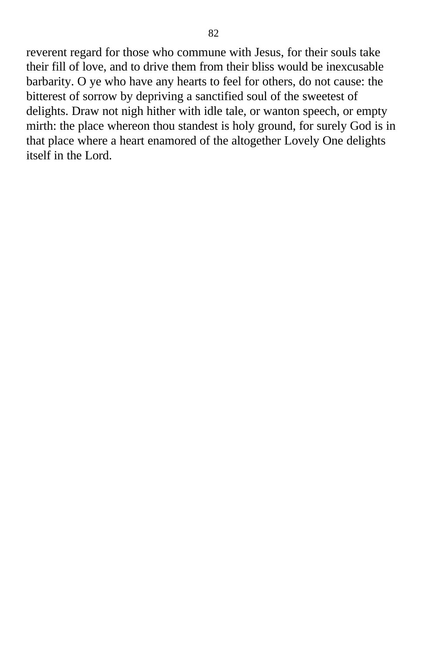reverent regard for those who commune with Jesus, for their souls take their fill of love, and to drive them from their bliss would be inexcusable barbarity. O ye who have any hearts to feel for others, do not cause: the bitterest of sorrow by depriving a sanctified soul of the sweetest of delights. Draw not nigh hither with idle tale, or wanton speech, or empty mirth: the place whereon thou standest is holy ground, for surely God is in that place where a heart enamored of the altogether Lovely One delights itself in the Lord.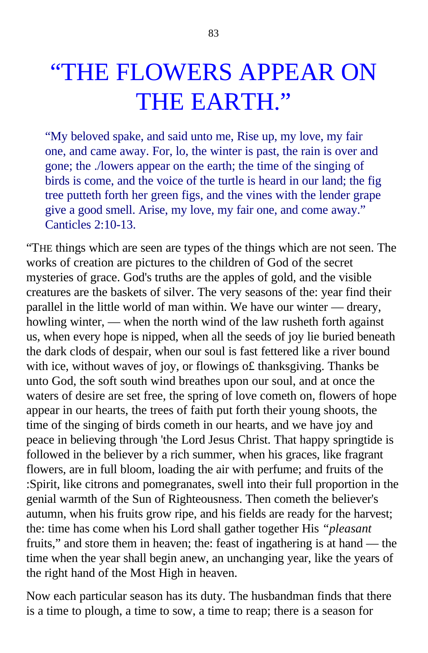## "THE FLOWERS APPEAR ON THE EARTH."

"My beloved spake, and said unto me, Rise up, my love, my fair one, and came away. For, lo, the winter is past, the rain is over and gone; the ./lowers appear on the earth; the time of the singing of birds is come, and the voice of the turtle is heard in our land; the fig tree putteth forth her green figs, and the vines with the lender grape give a good smell. Arise, my love, my fair one, and come away." Canticles 2:10-13.

"THE things which are seen are types of the things which are not seen. The works of creation are pictures to the children of God of the secret mysteries of grace. God's truths are the apples of gold, and the visible creatures are the baskets of silver. The very seasons of the: year find their parallel in the little world of man within. We have our winter — dreary, howling winter, — when the north wind of the law rusheth forth against us, when every hope is nipped, when all the seeds of joy lie buried beneath the dark clods of despair, when our soul is fast fettered like a river bound with ice, without waves of joy, or flowings of thanksgiving. Thanks be unto God, the soft south wind breathes upon our soul, and at once the waters of desire are set free, the spring of love cometh on, flowers of hope appear in our hearts, the trees of faith put forth their young shoots, the time of the singing of birds cometh in our hearts, and we have joy and peace in believing through 'the Lord Jesus Christ. That happy springtide is followed in the believer by a rich summer, when his graces, like fragrant flowers, are in full bloom, loading the air with perfume; and fruits of the :Spirit, like citrons and pomegranates, swell into their full proportion in the genial warmth of the Sun of Righteousness. Then cometh the believer's autumn, when his fruits grow ripe, and his fields are ready for the harvest; the: time has come when his Lord shall gather together His *"pleasant* fruits," and store them in heaven; the: feast of ingathering is at hand — the time when the year shall begin anew, an unchanging year, like the years of the right hand of the Most High in heaven.

Now each particular season has its duty. The husbandman finds that there is a time to plough, a time to sow, a time to reap; there is a season for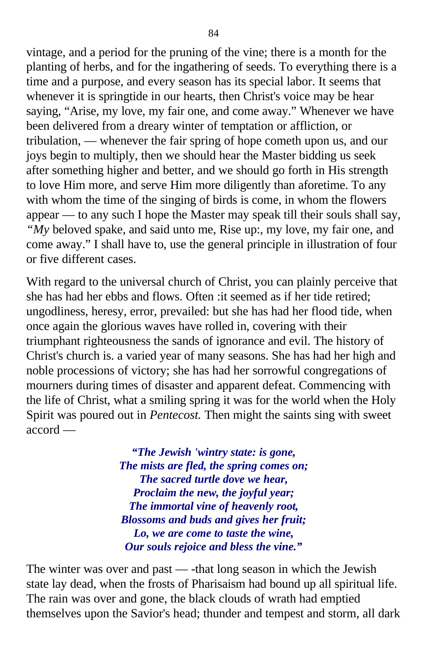vintage, and a period for the pruning of the vine; there is a month for the planting of herbs, and for the ingathering of seeds. To everything there is a time and a purpose, and every season has its special labor. It seems that whenever it is springtide in our hearts, then Christ's voice may be hear saying, "Arise, my love, my fair one, and come away." Whenever we have been delivered from a dreary winter of temptation or affliction, or tribulation, — whenever the fair spring of hope cometh upon us, and our joys begin to multiply, then we should hear the Master bidding us seek after something higher and better, and we should go forth in His strength to love Him more, and serve Him more diligently than aforetime. To any with whom the time of the singing of birds is come, in whom the flowers appear — to any such I hope the Master may speak till their souls shall say, *"My* beloved spake, and said unto me, Rise up:, my love, my fair one, and come away." I shall have to, use the general principle in illustration of four or five different cases.

With regard to the universal church of Christ, you can plainly perceive that she has had her ebbs and flows. Often :it seemed as if her tide retired; ungodliness, heresy, error, prevailed: but she has had her flood tide, when once again the glorious waves have rolled in, covering with their triumphant righteousness the sands of ignorance and evil. The history of Christ's church is. a varied year of many seasons. She has had her high and noble processions of victory; she has had her sorrowful congregations of mourners during times of disaster and apparent defeat. Commencing with the life of Christ, what a smiling spring it was for the world when the Holy Spirit was poured out in *Pentecost.* Then might the saints sing with sweet accord —

> *"The Jewish 'wintry state: is gone, The mists are fled, the spring comes on; The sacred turtle dove we hear, Proclaim the new, the joyful year; The immortal vine of heavenly root, Blossoms and buds and gives her fruit; Lo, we are come to taste the wine, Our souls rejoice and bless the vine."*

The winter was over and past — -that long season in which the Jewish state lay dead, when the frosts of Pharisaism had bound up all spiritual life. The rain was over and gone, the black clouds of wrath had emptied themselves upon the Savior's head; thunder and tempest and storm, all dark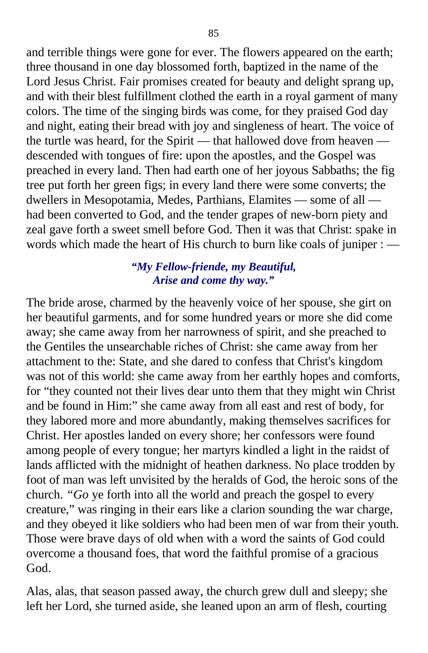and terrible things were gone for ever. The flowers appeared on the earth; three thousand in one day blossomed forth, baptized in the name of the Lord Jesus Christ. Fair promises created for beauty and delight sprang up, and with their blest fulfillment clothed the earth in a royal garment of many colors. The time of the singing birds was come, for they praised God day and night, eating their bread with joy and singleness of heart. The voice of the turtle was heard, for the Spirit — that hallowed dove from heaven descended with tongues of fire: upon the apostles, and the Gospel was preached in every land. Then had earth one of her joyous Sabbaths; the fig tree put forth her green figs; in every land there were some converts; the dwellers in Mesopotamia, Medes, Parthians, Elamites — some of all had been converted to God, and the tender grapes of new-born piety and zeal gave forth a sweet smell before God. Then it was that Christ: spake in words which made the heart of His church to burn like coals of juniper : —

#### *"My Fellow-friende, my Beautiful, Arise and come thy way."*

The bride arose, charmed by the heavenly voice of her spouse, she girt on her beautiful garments, and for some hundred years or more she did come away; she came away from her narrowness of spirit, and she preached to the Gentiles the unsearchable riches of Christ: she came away from her attachment to the: State, and she dared to confess that Christ's kingdom was not of this world: she came away from her earthly hopes and comforts, for "they counted not their lives dear unto them that they might win Christ and be found in Him:" she came away from all east and rest of body, for they labored more and more abundantly, making themselves sacrifices for Christ. Her apostles landed on every shore; her confessors were found among people of every tongue; her martyrs kindled a light in the raidst of lands afflicted with the midnight of heathen darkness. No place trodden by foot of man was left unvisited by the heralds of God, the heroic sons of the church. *"Go* ye forth into all the world and preach the gospel to every creature," was ringing in their ears like a clarion sounding the war charge, and they obeyed it like soldiers who had been men of war from their youth. Those were brave days of old when with a word the saints of God could overcome a thousand foes, that word the faithful promise of a gracious God.

Alas, alas, that season passed away, the church grew dull and sleepy; she left her Lord, she turned aside, she leaned upon an arm of flesh, courting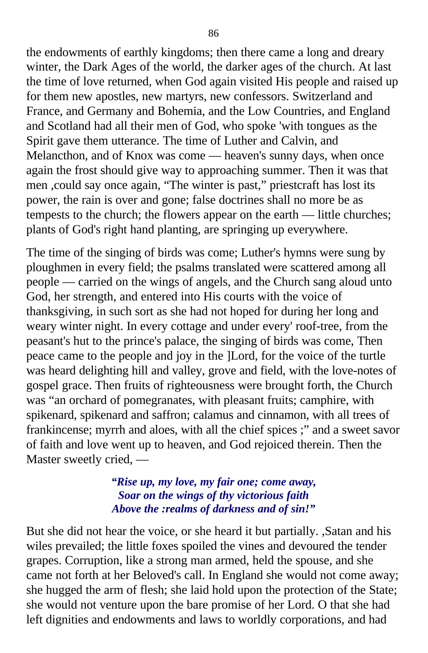the endowments of earthly kingdoms; then there came a long and dreary winter, the Dark Ages of the world, the darker ages of the church. At last the time of love returned, when God again visited His people and raised up for them new apostles, new martyrs, new confessors. Switzerland and France, and Germany and Bohemia, and the Low Countries, and England and Scotland had all their men of God, who spoke 'with tongues as the Spirit gave them utterance. The time of Luther and Calvin, and Melancthon, and of Knox was come — heaven's sunny days, when once again the frost should give way to approaching summer. Then it was that men ,could say once again, "The winter is past," priestcraft has lost its power, the rain is over and gone; false doctrines shall no more be as tempests to the church; the flowers appear on the earth — little churches; plants of God's right hand planting, are springing up everywhere.

The time of the singing of birds was come; Luther's hymns were sung by ploughmen in every field; the psalms translated were scattered among all people — carried on the wings of angels, and the Church sang aloud unto God, her strength, and entered into His courts with the voice of thanksgiving, in such sort as she had not hoped for during her long and weary winter night. In every cottage and under every' roof-tree, from the peasant's hut to the prince's palace, the singing of birds was come, Then peace came to the people and joy in the ]Lord, for the voice of the turtle was heard delighting hill and valley, grove and field, with the love-notes of gospel grace. Then fruits of righteousness were brought forth, the Church was "an orchard of pomegranates, with pleasant fruits; camphire, with spikenard, spikenard and saffron; calamus and cinnamon, with all trees of frankincense; myrrh and aloes, with all the chief spices ;" and a sweet savor of faith and love went up to heaven, and God rejoiced therein. Then the Master sweetly cried, —

> *"Rise up, my love, my fair one; come away, Soar on the wings of thy victorious faith Above the :realms of darkness and of sin!"*

But she did not hear the voice, or she heard it but partially. ,Satan and his wiles prevailed; the little foxes spoiled the vines and devoured the tender grapes. Corruption, like a strong man armed, held the spouse, and she came not forth at her Beloved's call. In England she would not come away; she hugged the arm of flesh; she laid hold upon the protection of the State; she would not venture upon the bare promise of her Lord. O that she had left dignities and endowments and laws to worldly corporations, and had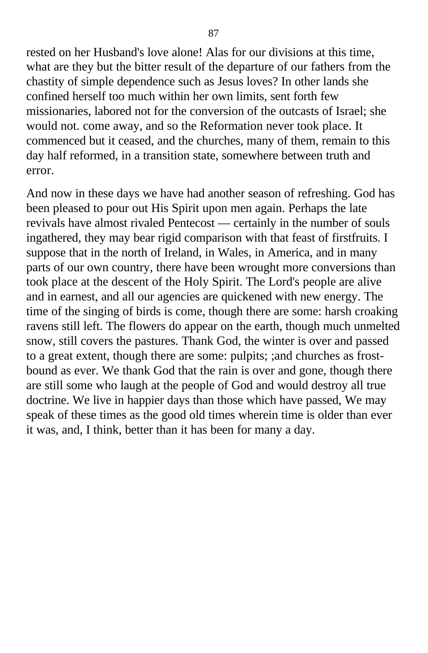rested on her Husband's love alone! Alas for our divisions at this time, what are they but the bitter result of the departure of our fathers from the chastity of simple dependence such as Jesus loves? In other lands she confined herself too much within her own limits, sent forth few missionaries, labored not for the conversion of the outcasts of Israel; she would not. come away, and so the Reformation never took place. It commenced but it ceased, and the churches, many of them, remain to this day half reformed, in a transition state, somewhere between truth and error.

And now in these days we have had another season of refreshing. God has been pleased to pour out His Spirit upon men again. Perhaps the late revivals have almost rivaled Pentecost — certainly in the number of souls ingathered, they may bear rigid comparison with that feast of firstfruits. I suppose that in the north of Ireland, in Wales, in America, and in many parts of our own country, there have been wrought more conversions than took place at the descent of the Holy Spirit. The Lord's people are alive and in earnest, and all our agencies are quickened with new energy. The time of the singing of birds is come, though there are some: harsh croaking ravens still left. The flowers do appear on the earth, though much unmelted snow, still covers the pastures. Thank God, the winter is over and passed to a great extent, though there are some: pulpits; ;and churches as frostbound as ever. We thank God that the rain is over and gone, though there are still some who laugh at the people of God and would destroy all true doctrine. We live in happier days than those which have passed, We may speak of these times as the good old times wherein time is older than ever it was, and, I think, better than it has been for many a day.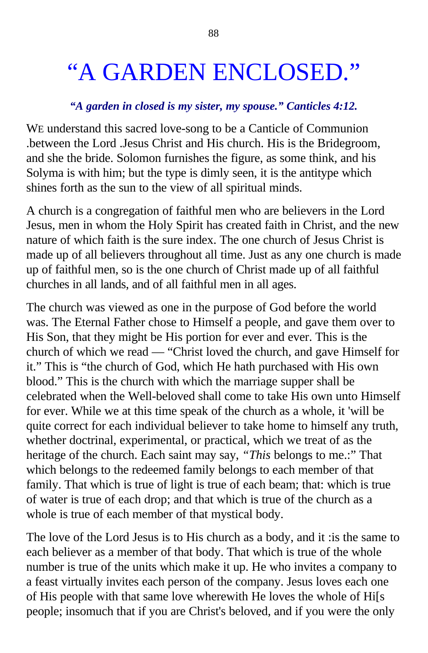# "A GARDEN ENCLOSED."

#### *"A garden in closed is my sister, my spouse." Canticles 4:12.*

WE understand this sacred love-song to be a Canticle of Communion .between the Lord .Jesus Christ and His church. His is the Bridegroom, and she the bride. Solomon furnishes the figure, as some think, and his Solyma is with him; but the type is dimly seen, it is the antitype which shines forth as the sun to the view of all spiritual minds.

A church is a congregation of faithful men who are believers in the Lord Jesus, men in whom the Holy Spirit has created faith in Christ, and the new nature of which faith is the sure index. The one church of Jesus Christ is made up of all believers throughout all time. Just as any one church is made up of faithful men, so is the one church of Christ made up of all faithful churches in all lands, and of all faithful men in all ages.

The church was viewed as one in the purpose of God before the world was. The Eternal Father chose to Himself a people, and gave them over to His Son, that they might be His portion for ever and ever. This is the church of which we read — "Christ loved the church, and gave Himself for it." This is "the church of God, which He hath purchased with His own blood." This is the church with which the marriage supper shall be celebrated when the Well-beloved shall come to take His own unto Himself for ever. While we at this time speak of the church as a whole, it 'will be quite correct for each individual believer to take home to himself any truth, whether doctrinal, experimental, or practical, which we treat of as the heritage of the church. Each saint may say, *"This* belongs to me.:" That which belongs to the redeemed family belongs to each member of that family. That which is true of light is true of each beam; that: which is true of water is true of each drop; and that which is true of the church as a whole is true of each member of that mystical body.

The love of the Lord Jesus is to His church as a body, and it :is the same to each believer as a member of that body. That which is true of the whole number is true of the units which make it up. He who invites a company to a feast virtually invites each person of the company. Jesus loves each one of His people with that same love wherewith He loves the whole of Hi[s people; insomuch that if you are Christ's beloved, and if you were the only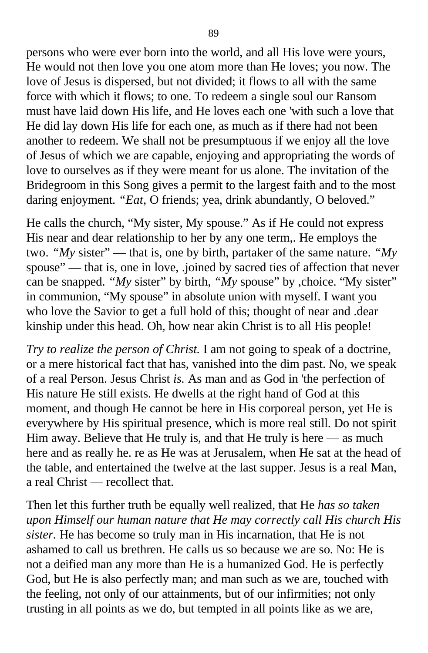persons who were ever born into the world, and all His love were yours, He would not then love you one atom more than He loves; you now. The love of Jesus is dispersed, but not divided; it flows to all with the same force with which it flows; to one. To redeem a single soul our Ransom must have laid down His life, and He loves each one 'with such a love that He did lay down His life for each one, as much as if there had not been another to redeem. We shall not be presumptuous if we enjoy all the love of Jesus of which we are capable, enjoying and appropriating the words of love to ourselves as if they were meant for us alone. The invitation of the Bridegroom in this Song gives a permit to the largest faith and to the most daring enjoyment. "Eat, O friends; yea, drink abundantly, O beloved."

He calls the church, "My sister, My spouse." As if He could not express His near and dear relationship to her by any one term,. He employs the two. *"My* sister" — that is, one by birth, partaker of the same nature. *"My* spouse" — that is, one in love, .joined by sacred ties of affection that never can be snapped. *"My sister"* by birth, *"My spouse"* by ,choice. "My sister" in communion, "My spouse" in absolute union with myself. I want you who love the Savior to get a full hold of this; thought of near and .dear kinship under this head. Oh, how near akin Christ is to all His people!

*Try to realize the person of Christ.* I am not going to speak of a doctrine, or a mere historical fact that has, vanished into the dim past. No, we speak of a real Person. Jesus Christ *is.* As man and as God in 'the perfection of His nature He still exists. He dwells at the right hand of God at this moment, and though He cannot be here in His corporeal person, yet He is everywhere by His spiritual presence, which is more real still. Do not spirit Him away. Believe that He truly is, and that He truly is here — as much here and as really he. re as He was at Jerusalem, when He sat at the head of the table, and entertained the twelve at the last supper. Jesus is a real Man, a real Christ — recollect that.

Then let this further truth be equally well realized, that He *has so taken upon Himself our human nature that He may correctly call His church His sister.* He has become so truly man in His incarnation, that He is not ashamed to call us brethren. He calls us so because we are so. No: He is not a deified man any more than He is a humanized God. He is perfectly God, but He is also perfectly man; and man such as we are, touched with the feeling, not only of our attainments, but of our infirmities; not only trusting in all points as we do, but tempted in all points like as we are,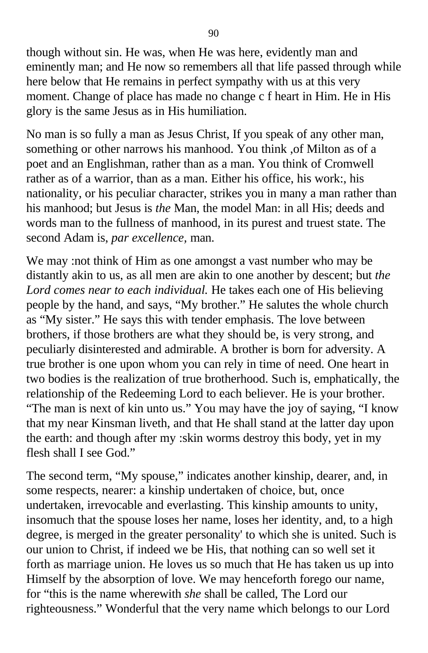though without sin. He was, when He was here, evidently man and eminently man; and He now so remembers all that life passed through while here below that He remains in perfect sympathy with us at this very moment. Change of place has made no change c f heart in Him. He in His glory is the same Jesus as in His humiliation.

No man is so fully a man as Jesus Christ, If you speak of any other man, something or other narrows his manhood. You think ,of Milton as of a poet and an Englishman, rather than as a man. You think of Cromwell rather as of a warrior, than as a man. Either his office, his work:, his nationality, or his peculiar character, strikes you in many a man rather than his manhood; but Jesus is *the* Man, the model Man: in all His; deeds and words man to the fullness of manhood, in its purest and truest state. The second Adam is, *par excellence,* man.

We may :not think of Him as one amongst a vast number who may be distantly akin to us, as all men are akin to one another by descent; but *the Lord comes near to each individual.* He takes each one of His believing people by the hand, and says, "My brother." He salutes the whole church as "My sister." He says this with tender emphasis. The love between brothers, if those brothers are what they should be, is very strong, and peculiarly disinterested and admirable. A brother is born for adversity. A true brother is one upon whom you can rely in time of need. One heart in two bodies is the realization of true brotherhood. Such is, emphatically, the relationship of the Redeeming Lord to each believer. He is your brother. "The man is next of kin unto us." You may have the joy of saying, "I know that my near Kinsman liveth, and that He shall stand at the latter day upon the earth: and though after my :skin worms destroy this body, yet in my flesh shall I see God."

The second term, "My spouse," indicates another kinship, dearer, and, in some respects, nearer: a kinship undertaken of choice, but, once undertaken, irrevocable and everlasting. This kinship amounts to unity, insomuch that the spouse loses her name, loses her identity, and, to a high degree, is merged in the greater personality' to which she is united. Such is our union to Christ, if indeed we be His, that nothing can so well set it forth as marriage union. He loves us so much that He has taken us up into Himself by the absorption of love. We may henceforth forego our name, for "this is the name wherewith *she* shall be called, The Lord our righteousness." Wonderful that the very name which belongs to our Lord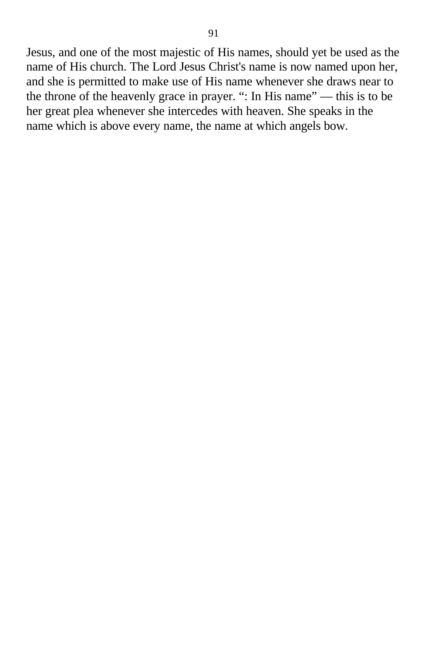Jesus, and one of the most majestic of His names, should yet be used as the name of His church. The Lord Jesus Christ's name is now named upon her, and she is permitted to make use of His name whenever she draws near to the throne of the heavenly grace in prayer. ": In His name" — this is to be her great plea whenever she intercedes with heaven. She speaks in the name which is above every name, the name at which angels bow.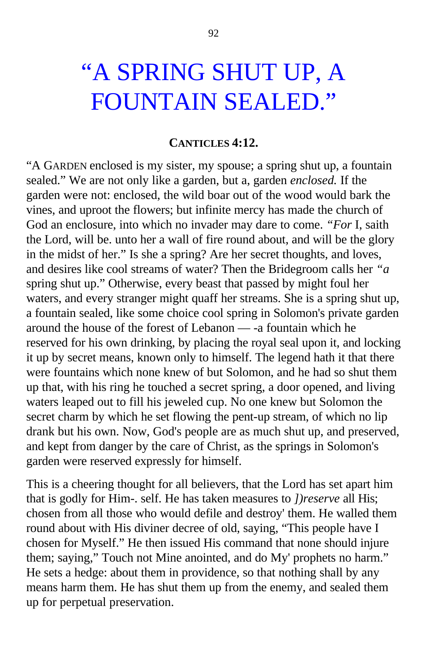## "A SPRING SHUT UP, A FOUNTAIN SEALED."

#### **CANTICLES 4:12.**

"A GARDEN enclosed is my sister, my spouse; a spring shut up, a fountain sealed." We are not only like a garden, but a, garden *enclosed.* If the garden were not: enclosed, the wild boar out of the wood would bark the vines, and uproot the flowers; but infinite mercy has made the church of God an enclosure, into which no invader may dare to come. *"For* I, saith the Lord, will be. unto her a wall of fire round about, and will be the glory in the midst of her." Is she a spring? Are her secret thoughts, and loves, and desires like cool streams of water? Then the Bridegroom calls her *"a* spring shut up." Otherwise, every beast that passed by might foul her waters, and every stranger might quaff her streams. She is a spring shut up, a fountain sealed, like some choice cool spring in Solomon's private garden around the house of the forest of Lebanon — -a fountain which he reserved for his own drinking, by placing the royal seal upon it, and locking it up by secret means, known only to himself. The legend hath it that there were fountains which none knew of but Solomon, and he had so shut them up that, with his ring he touched a secret spring, a door opened, and living waters leaped out to fill his jeweled cup. No one knew but Solomon the secret charm by which he set flowing the pent-up stream, of which no lip drank but his own. Now, God's people are as much shut up, and preserved, and kept from danger by the care of Christ, as the springs in Solomon's garden were reserved expressly for himself.

This is a cheering thought for all believers, that the Lord has set apart him that is godly for Him-. self. He has taken measures to *])reserve* all His; chosen from all those who would defile and destroy' them. He walled them round about with His diviner decree of old, saying, "This people have I chosen for Myself." He then issued His command that none should injure them; saying," Touch not Mine anointed, and do My' prophets no harm." He sets a hedge: about them in providence, so that nothing shall by any means harm them. He has shut them up from the enemy, and sealed them up for perpetual preservation.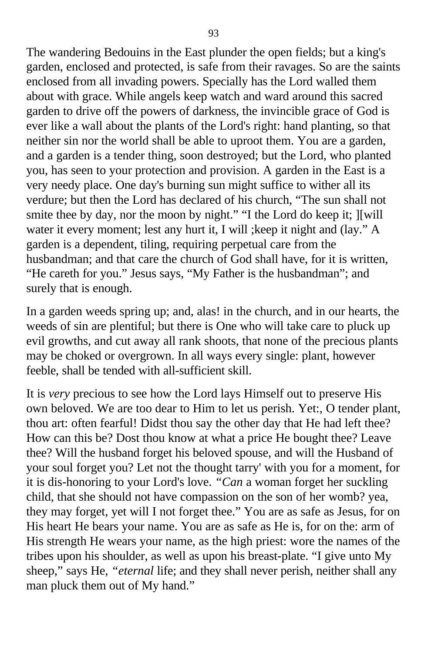The wandering Bedouins in the East plunder the open fields; but a king's garden, enclosed and protected, is safe from their ravages. So are the saints enclosed from all invading powers. Specially has the Lord walled them about with grace. While angels keep watch and ward around this sacred garden to drive off the powers of darkness, the invincible grace of God is ever like a wall about the plants of the Lord's right: hand planting, so that neither sin nor the world shall be able to uproot them. You are a garden, and a garden is a tender thing, soon destroyed; but the Lord, who planted you, has seen to your protection and provision. A garden in the East is a very needy place. One day's burning sun might suffice to wither all its verdure; but then the Lord has declared of his church, "The sun shall not smite thee by day, nor the moon by night." "I the Lord do keep it;  $\parallel$  will water it every moment; lest any hurt it, I will ; keep it night and (lay." A garden is a dependent, tiling, requiring perpetual care from the husbandman; and that care the church of God shall have, for it is written, "He careth for you." Jesus says, "My Father is the husbandman"; and surely that is enough.

In a garden weeds spring up; and, alas! in the church, and in our hearts, the weeds of sin are plentiful; but there is One who will take care to pluck up evil growths, and cut away all rank shoots, that none of the precious plants may be choked or overgrown. In all ways every single: plant, however feeble, shall be tended with all-sufficient skill.

It is *very* precious to see how the Lord lays Himself out to preserve His own beloved. We are too dear to Him to let us perish. Yet:, O tender plant, thou art: often fearful! Didst thou say the other day that He had left thee? How can this be? Dost thou know at what a price He bought thee? Leave thee? Will the husband forget his beloved spouse, and will the Husband of your soul forget you? Let not the thought tarry' with you for a moment, for it is dis-honoring to your Lord's love. *"Can* a woman forget her suckling child, that she should not have compassion on the son of her womb? yea, they may forget, yet will I not forget thee." You are as safe as Jesus, for on His heart He bears your name. You are as safe as He is, for on the: arm of His strength He wears your name, as the high priest: wore the names of the tribes upon his shoulder, as well as upon his breast-plate. "I give unto My sheep," says He, "eternal life; and they shall never perish, neither shall any man pluck them out of My hand."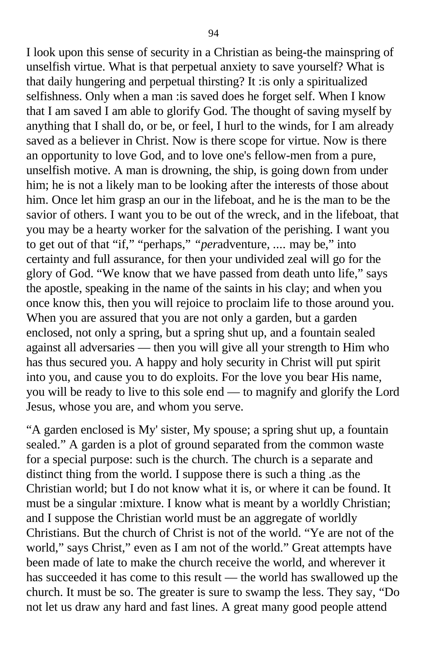I look upon this sense of security in a Christian as being-the mainspring of unselfish virtue. What is that perpetual anxiety to save yourself? What is that daily hungering and perpetual thirsting? It :is only a spiritualized selfishness. Only when a man :is saved does he forget self. When I know that I am saved I am able to glorify God. The thought of saving myself by anything that I shall do, or be, or feel, I hurl to the winds, for I am already saved as a believer in Christ. Now is there scope for virtue. Now is there an opportunity to love God, and to love one's fellow-men from a pure, unselfish motive. A man is drowning, the ship, is going down from under him; he is not a likely man to be looking after the interests of those about him. Once let him grasp an our in the lifeboat, and he is the man to be the savior of others. I want you to be out of the wreck, and in the lifeboat, that you may be a hearty worker for the salvation of the perishing. I want you to get out of that "if," "perhaps," *"per*adventure, *....* may be," into certainty and full assurance, for then your undivided zeal will go for the glory of God. "We know that we have passed from death unto life," says the apostle, speaking in the name of the saints in his clay; and when you once know this, then you will rejoice to proclaim life to those around you. When you are assured that you are not only a garden, but a garden enclosed, not only a spring, but a spring shut up, and a fountain sealed against all adversaries — then you will give all your strength to Him who has thus secured you. A happy and holy security in Christ will put spirit into you, and cause you to do exploits. For the love you bear His name, you will be ready to live to this sole end — to magnify and glorify the Lord Jesus, whose you are, and whom you serve.

"A garden enclosed is My' sister, My spouse; a spring shut up, a fountain sealed." A garden is a plot of ground separated from the common waste for a special purpose: such is the church. The church is a separate and distinct thing from the world. I suppose there is such a thing .as the Christian world; but I do not know what it is, or where it can be found. It must be a singular :mixture. I know what is meant by a worldly Christian; and I suppose the Christian world must be an aggregate of worldly Christians. But the church of Christ is not of the world. "Ye are not of the world," says Christ," even as I am not of the world." Great attempts have been made of late to make the church receive the world, and wherever it has succeeded it has come to this result — the world has swallowed up the church. It must be so. The greater is sure to swamp the less. They say, "Do not let us draw any hard and fast lines. A great many good people attend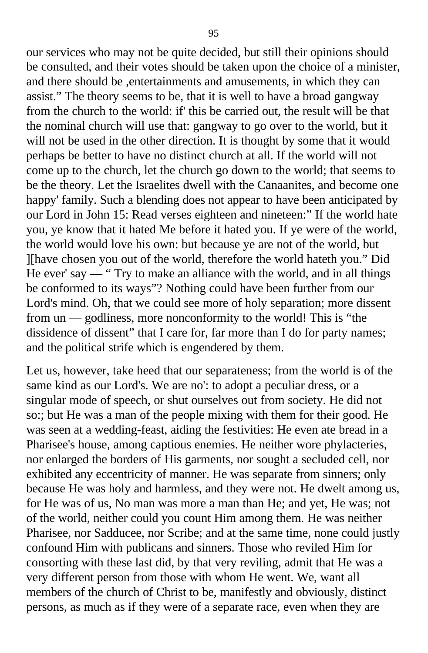our services who may not be quite decided, but still their opinions should be consulted, and their votes should be taken upon the choice of a minister, and there should be ,entertainments and amusements, in which they can assist." The theory seems to be, that it is well to have a broad gangway from the church to the world: if' this be carried out, the result will be that the nominal church will use that: gangway to go over to the world, but it will not be used in the other direction. It is thought by some that it would perhaps be better to have no distinct church at all. If the world will not come up to the church, let the church go down to the world; that seems to be the theory. Let the Israelites dwell with the Canaanites, and become one happy' family. Such a blending does not appear to have been anticipated by our Lord in John 15: Read verses eighteen and nineteen:" If the world hate you, ye know that it hated Me before it hated you. If ye were of the world, the world would love his own: but because ye are not of the world, but ][have chosen you out of the world, therefore the world hateth you." Did He ever' say — " Try to make an alliance with the world, and in all things be conformed to its ways"? Nothing could have been further from our Lord's mind. Oh, that we could see more of holy separation; more dissent from un — godliness, more nonconformity to the world! This is "the dissidence of dissent" that I care for, far more than I do for party names; and the political strife which is engendered by them.

Let us, however, take heed that our separateness; from the world is of the same kind as our Lord's. We are no': to adopt a peculiar dress, or a singular mode of speech, or shut ourselves out from society. He did not so:; but He was a man of the people mixing with them for their good. He was seen at a wedding-feast, aiding the festivities: He even ate bread in a Pharisee's house, among captious enemies. He neither wore phylacteries, nor enlarged the borders of His garments, nor sought a secluded cell, nor exhibited any eccentricity of manner. He was separate from sinners; only because He was holy and harmless, and they were not. He dwelt among us, for He was of us, No man was more a man than He; and yet, He was; not of the world, neither could you count Him among them. He was neither Pharisee, nor Sadducee, nor Scribe; and at the same time, none could justly confound Him with publicans and sinners. Those who reviled Him for consorting with these last did, by that very reviling, admit that He was a very different person from those with whom He went. We, want all members of the church of Christ to be, manifestly and obviously, distinct persons, as much as if they were of a separate race, even when they are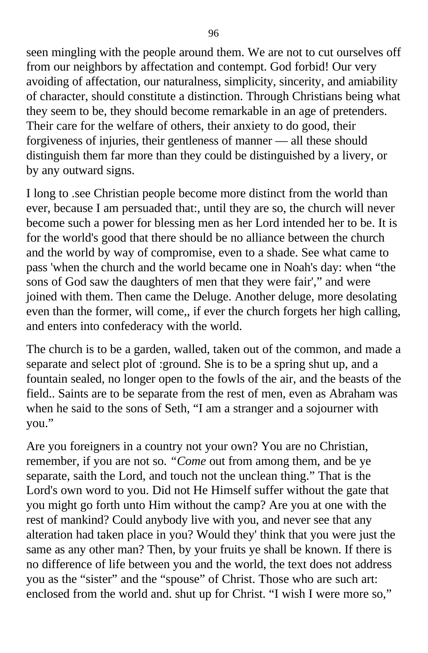seen mingling with the people around them. We are not to cut ourselves off from our neighbors by affectation and contempt. God forbid! Our very avoiding of affectation, our naturalness, simplicity, sincerity, and amiability of character, should constitute a distinction. Through Christians being what they seem to be, they should become remarkable in an age of pretenders. Their care for the welfare of others, their anxiety to do good, their forgiveness of injuries, their gentleness of manner — all these should distinguish them far more than they could be distinguished by a livery, or by any outward signs.

I long to .see Christian people become more distinct from the world than ever, because I am persuaded that:, until they are so, the church will never become such a power for blessing men as her Lord intended her to be. It is for the world's good that there should be no alliance between the church and the world by way of compromise, even to a shade. See what came to pass 'when the church and the world became one in Noah's day: when "the sons of God saw the daughters of men that they were fair'," and were joined with them. Then came the Deluge. Another deluge, more desolating even than the former, will come,, if ever the church forgets her high calling, and enters into confederacy with the world.

The church is to be a garden, walled, taken out of the common, and made a separate and select plot of :ground. She is to be a spring shut up, and a fountain sealed, no longer open to the fowls of the air, and the beasts of the field.. Saints are to be separate from the rest of men, even as Abraham was when he said to the sons of Seth, "I am a stranger and a sojourner with you."

Are you foreigners in a country not your own? You are no Christian, remember, if you are not so. *"Come* out from among them, and be ye separate, saith the Lord, and touch not the unclean thing." That is the Lord's own word to you. Did not He Himself suffer without the gate that you might go forth unto Him without the camp? Are you at one with the rest of mankind? Could anybody live with you, and never see that any alteration had taken place in you? Would they' think that you were just the same as any other man? Then, by your fruits ye shall be known. If there is no difference of life between you and the world, the text does not address you as the "sister" and the "spouse" of Christ. Those who are such art: enclosed from the world and. shut up for Christ. "I wish I were more so,"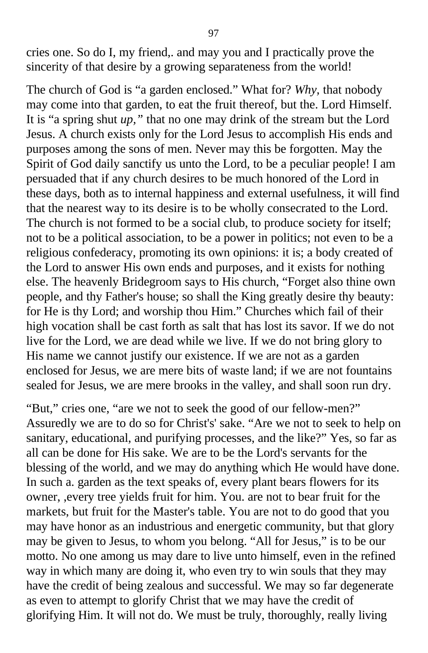cries one. So do I, my friend,. and may you and I practically prove the sincerity of that desire by a growing separateness from the world!

The church of God is "a garden enclosed." What for? *Why,* that nobody may come into that garden, to eat the fruit thereof, but the. Lord Himself. It is "a spring shut *up,"* that no one may drink of the stream but the Lord Jesus. A church exists only for the Lord Jesus to accomplish His ends and purposes among the sons of men. Never may this be forgotten. May the Spirit of God daily sanctify us unto the Lord, to be a peculiar people! I am persuaded that if any church desires to be much honored of the Lord in these days, both as to internal happiness and external usefulness, it will find that the nearest way to its desire is to be wholly consecrated to the Lord. The church is not formed to be a social club, to produce society for itself; not to be a political association, to be a power in politics; not even to be a religious confederacy, promoting its own opinions: it is; a body created of the Lord to answer His own ends and purposes, and it exists for nothing else. The heavenly Bridegroom says to His church, "Forget also thine own people, and thy Father's house; so shall the King greatly desire thy beauty: for He is thy Lord; and worship thou Him." Churches which fail of their high vocation shall be cast forth as salt that has lost its savor. If we do not live for the Lord, we are dead while we live. If we do not bring glory to His name we cannot justify our existence. If we are not as a garden enclosed for Jesus, we are mere bits of waste land; if we are not fountains sealed for Jesus, we are mere brooks in the valley, and shall soon run dry.

"But," cries one, "are we not to seek the good of our fellow-men?" Assuredly we are to do so for Christ's' sake. "Are we not to seek to help on sanitary, educational, and purifying processes, and the like?" Yes, so far as all can be done for His sake. We are to be the Lord's servants for the blessing of the world, and we may do anything which He would have done. In such a. garden as the text speaks of, every plant bears flowers for its owner, ,every tree yields fruit for him. You. are not to bear fruit for the markets, but fruit for the Master's table. You are not to do good that you may have honor as an industrious and energetic community, but that glory may be given to Jesus, to whom you belong. "All for Jesus," is to be our motto. No one among us may dare to live unto himself, even in the refined way in which many are doing it, who even try to win souls that they may have the credit of being zealous and successful. We may so far degenerate as even to attempt to glorify Christ that we may have the credit of glorifying Him. It will not do. We must be truly, thoroughly, really living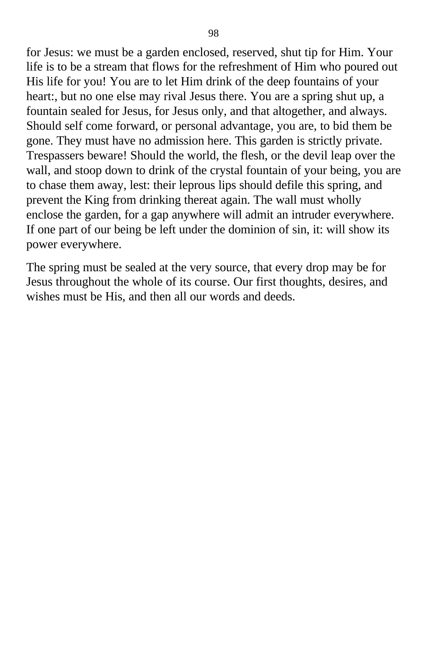for Jesus: we must be a garden enclosed, reserved, shut tip for Him. Your life is to be a stream that flows for the refreshment of Him who poured out His life for you! You are to let Him drink of the deep fountains of your heart:, but no one else may rival Jesus there. You are a spring shut up, a fountain sealed for Jesus, for Jesus only, and that altogether, and always. Should self come forward, or personal advantage, you are, to bid them be gone. They must have no admission here. This garden is strictly private. Trespassers beware! Should the world, the flesh, or the devil leap over the wall, and stoop down to drink of the crystal fountain of your being, you are to chase them away, lest: their leprous lips should defile this spring, and prevent the King from drinking thereat again. The wall must wholly enclose the garden, for a gap anywhere will admit an intruder everywhere. If one part of our being be left under the dominion of sin, it: will show its power everywhere.

The spring must be sealed at the very source, that every drop may be for Jesus throughout the whole of its course. Our first thoughts, desires, and wishes must be His, and then all our words and deeds.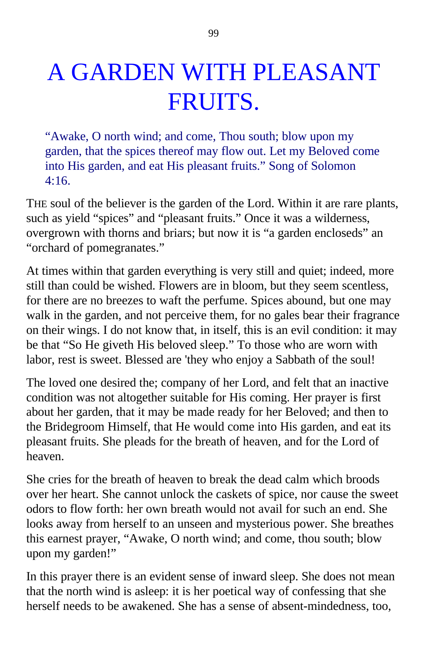# A GARDEN WITH PLEASANT FRUITS.

"Awake, O north wind; and come, Thou south; blow upon my garden, that the spices thereof may flow out. Let my Beloved come into His garden, and eat His pleasant fruits." Song of Solomon 4:16.

THE soul of the believer is the garden of the Lord. Within it are rare plants, such as yield "spices" and "pleasant fruits." Once it was a wilderness, overgrown with thorns and briars; but now it is "a garden encloseds" an "orchard of pomegranates."

At times within that garden everything is very still and quiet; indeed, more still than could be wished. Flowers are in bloom, but they seem scentless, for there are no breezes to waft the perfume. Spices abound, but one may walk in the garden, and not perceive them, for no gales bear their fragrance on their wings. I do not know that, in itself, this is an evil condition: it may be that "So He giveth His beloved sleep." To those who are worn with labor, rest is sweet. Blessed are 'they who enjoy a Sabbath of the soul!

The loved one desired the; company of her Lord, and felt that an inactive condition was not altogether suitable for His coming. Her prayer is first about her garden, that it may be made ready for her Beloved; and then to the Bridegroom Himself, that He would come into His garden, and eat its pleasant fruits. She pleads for the breath of heaven, and for the Lord of heaven.

She cries for the breath of heaven to break the dead calm which broods over her heart. She cannot unlock the caskets of spice, nor cause the sweet odors to flow forth: her own breath would not avail for such an end. She looks away from herself to an unseen and mysterious power. She breathes this earnest prayer, "Awake, O north wind; and come, thou south; blow upon my garden!"

In this prayer there is an evident sense of inward sleep. She does not mean that the north wind is asleep: it is her poetical way of confessing that she herself needs to be awakened. She has a sense of absent-mindedness, too,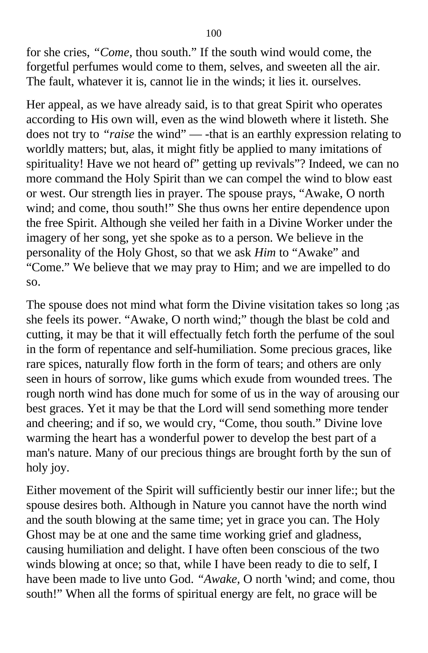for she cries, *"Come,* thou south." If the south wind would come, the forgetful perfumes would come to them, selves, and sweeten all the air. The fault, whatever it is, cannot lie in the winds; it lies it. ourselves.

Her appeal, as we have already said, is to that great Spirit who operates according to His own will, even as the wind bloweth where it listeth. She does not try to *"raise* the wind" — -that is an earthly expression relating to worldly matters; but, alas, it might fitly be applied to many imitations of spirituality! Have we not heard of" getting up revivals"? Indeed, we can no more command the Holy Spirit than we can compel the wind to blow east or west. Our strength lies in prayer. The spouse prays, "Awake, O north wind; and come, thou south!" She thus owns her entire dependence upon the free Spirit. Although she veiled her faith in a Divine Worker under the imagery of her song, yet she spoke as to a person. We believe in the personality of the Holy Ghost, so that we ask *Him* to "Awake" and "Come." We believe that we may pray to Him; and we are impelled to do so.

The spouse does not mind what form the Divine visitation takes so long ;as she feels its power. "Awake, O north wind;" though the blast be cold and cutting, it may be that it will effectually fetch forth the perfume of the soul in the form of repentance and self-humiliation. Some precious graces, like rare spices, naturally flow forth in the form of tears; and others are only seen in hours of sorrow, like gums which exude from wounded trees. The rough north wind has done much for some of us in the way of arousing our best graces. Yet it may be that the Lord will send something more tender and cheering; and if so, we would cry, "Come, thou south." Divine love warming the heart has a wonderful power to develop the best part of a man's nature. Many of our precious things are brought forth by the sun of holy joy.

Either movement of the Spirit will sufficiently bestir our inner life:; but the spouse desires both. Although in Nature you cannot have the north wind and the south blowing at the same time; yet in grace you can. The Holy Ghost may be at one and the same time working grief and gladness, causing humiliation and delight. I have often been conscious of the two winds blowing at once; so that, while I have been ready to die to self, I have been made to live unto God. *"Awake,* O north 'wind; and come, thou south!" When all the forms of spiritual energy are felt, no grace will be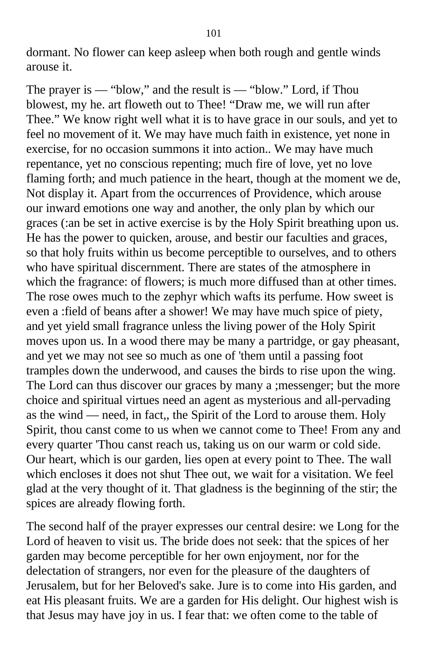dormant. No flower can keep asleep when both rough and gentle winds arouse it.

The prayer is — "blow," and the result is — "blow." Lord, if Thou blowest, my he. art floweth out to Thee! "Draw me, we will run after Thee." We know right well what it is to have grace in our souls, and yet to feel no movement of it. We may have much faith in existence, yet none in exercise, for no occasion summons it into action.. We may have much repentance, yet no conscious repenting; much fire of love, yet no love flaming forth; and much patience in the heart, though at the moment we de, Not display it. Apart from the occurrences of Providence, which arouse our inward emotions one way and another, the only plan by which our graces (:an be set in active exercise is by the Holy Spirit breathing upon us. He has the power to quicken, arouse, and bestir our faculties and graces, so that holy fruits within us become perceptible to ourselves, and to others who have spiritual discernment. There are states of the atmosphere in which the fragrance: of flowers; is much more diffused than at other times. The rose owes much to the zephyr which wafts its perfume. How sweet is even a :field of beans after a shower! We may have much spice of piety, and yet yield small fragrance unless the living power of the Holy Spirit moves upon us. In a wood there may be many a partridge, or gay pheasant, and yet we may not see so much as one of 'them until a passing foot tramples down the underwood, and causes the birds to rise upon the wing. The Lord can thus discover our graces by many a ;messenger; but the more choice and spiritual virtues need an agent as mysterious and all-pervading as the wind — need, in fact,, the Spirit of the Lord to arouse them. Holy Spirit, thou canst come to us when we cannot come to Thee! From any and every quarter 'Thou canst reach us, taking us on our warm or cold side. Our heart, which is our garden, lies open at every point to Thee. The wall which encloses it does not shut Thee out, we wait for a visitation. We feel glad at the very thought of it. That gladness is the beginning of the stir; the spices are already flowing forth.

The second half of the prayer expresses our central desire: we Long for the Lord of heaven to visit us. The bride does not seek: that the spices of her garden may become perceptible for her own enjoyment, nor for the delectation of strangers, nor even for the pleasure of the daughters of Jerusalem, but for her Beloved's sake. Jure is to come into His garden, and eat His pleasant fruits. We are a garden for His delight. Our highest wish is that Jesus may have joy in us. I fear that: we often come to the table of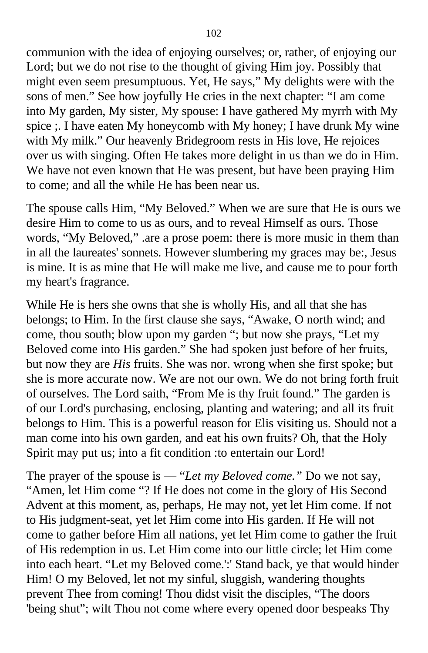communion with the idea of enjoying ourselves; or, rather, of enjoying our Lord; but we do not rise to the thought of giving Him joy. Possibly that might even seem presumptuous. Yet, He says," My delights were with the sons of men." See how joyfully He cries in the next chapter: "I am come into My garden, My sister, My spouse: I have gathered My myrrh with My spice ;. I have eaten My honeycomb with My honey; I have drunk My wine with My milk." Our heavenly Bridegroom rests in His love, He rejoices over us with singing. Often He takes more delight in us than we do in Him. We have not even known that He was present, but have been praying Him to come; and all the while He has been near us.

The spouse calls Him, "My Beloved." When we are sure that He is ours we desire Him to come to us as ours, and to reveal Himself as ours. Those words, "My Beloved," .are a prose poem: there is more music in them than in all the laureates' sonnets. However slumbering my graces may be:, Jesus is mine. It is as mine that He will make me live, and cause me to pour forth my heart's fragrance.

While He is hers she owns that she is wholly His, and all that she has belongs; to Him. In the first clause she says, "Awake, O north wind; and come, thou south; blow upon my garden "; but now she prays, "Let my Beloved come into His garden." She had spoken just before of her fruits, but now they are *His* fruits. She was nor. wrong when she first spoke; but she is more accurate now. We are not our own. We do not bring forth fruit of ourselves. The Lord saith, "From Me is thy fruit found." The garden is of our Lord's purchasing, enclosing, planting and watering; and all its fruit belongs to Him. This is a powerful reason for Elis visiting us. Should not a man come into his own garden, and eat his own fruits? Oh, that the Holy Spirit may put us; into a fit condition :to entertain our Lord!

The prayer of the spouse is — "*Let my Beloved come."* Do we not say, "Amen, let Him come "? If He does not come in the glory of His Second Advent at this moment, as, perhaps, He may not, yet let Him come. If not to His judgment-seat, yet let Him come into His garden. If He will not come to gather before Him all nations, yet let Him come to gather the fruit of His redemption in us. Let Him come into our little circle; let Him come into each heart. "Let my Beloved come.':' Stand back, ye that would hinder Him! O my Beloved, let not my sinful, sluggish, wandering thoughts prevent Thee from coming! Thou didst visit the disciples, "The doors 'being shut"; wilt Thou not come where every opened door bespeaks Thy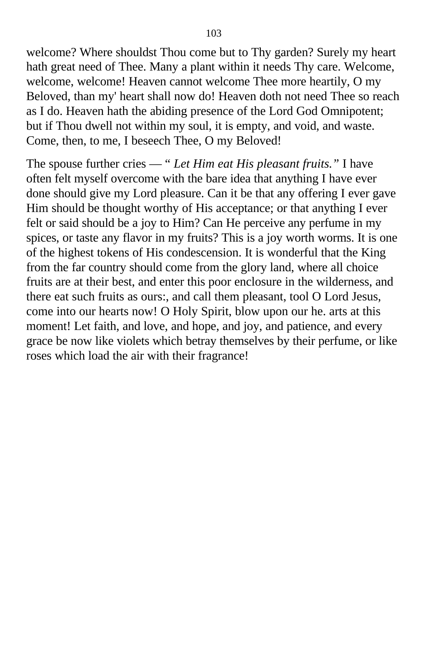welcome? Where shouldst Thou come but to Thy garden? Surely my heart hath great need of Thee. Many a plant within it needs Thy care. Welcome, welcome, welcome! Heaven cannot welcome Thee more heartily, O my Beloved, than my' heart shall now do! Heaven doth not need Thee so reach as I do. Heaven hath the abiding presence of the Lord God Omnipotent; but if Thou dwell not within my soul, it is empty, and void, and waste. Come, then, to me, I beseech Thee, O my Beloved!

The spouse further cries — " *Let Him eat His pleasant fruits."* I have often felt myself overcome with the bare idea that anything I have ever done should give my Lord pleasure. Can it be that any offering I ever gave Him should be thought worthy of His acceptance; or that anything I ever felt or said should be a joy to Him? Can He perceive any perfume in my spices, or taste any flavor in my fruits? This is a joy worth worms. It is one of the highest tokens of His condescension. It is wonderful that the King from the far country should come from the glory land, where all choice fruits are at their best, and enter this poor enclosure in the wilderness, and there eat such fruits as ours:, and call them pleasant, tool O Lord Jesus, come into our hearts now! O Holy Spirit, blow upon our he. arts at this moment! Let faith, and love, and hope, and joy, and patience, and every grace be now like violets which betray themselves by their perfume, or like roses which load the air with their fragrance!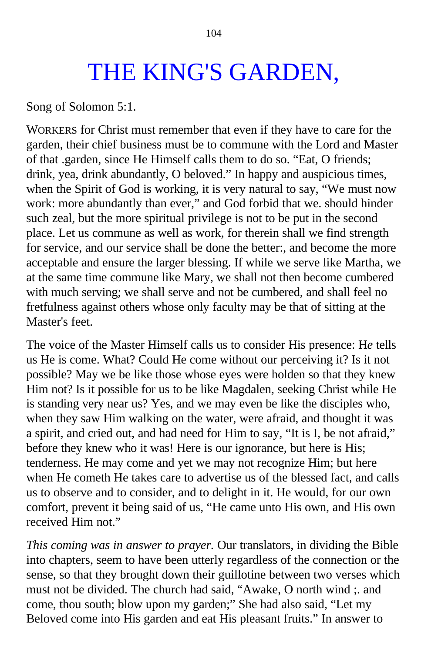# THE KING'S GARDEN,

Song of Solomon 5:1.

WORKERS for Christ must remember that even if they have to care for the garden, their chief business must be to commune with the Lord and Master of that .garden, since He Himself calls them to do so. "Eat, O friends; drink, yea, drink abundantly, O beloved." In happy and auspicious times, when the Spirit of God is working, it is very natural to say, "We must now work: more abundantly than ever," and God forbid that we. should hinder such zeal, but the more spiritual privilege is not to be put in the second place. Let us commune as well as work, for therein shall we find strength for service, and our service shall be done the better:, and become the more acceptable and ensure the larger blessing. If while we serve like Martha, we at the same time commune like Mary, we shall not then become cumbered with much serving; we shall serve and not be cumbered, and shall feel no fretfulness against others whose only faculty may be that of sitting at the Master's feet.

The voice of the Master Himself calls us to consider His presence: H*e* tells us He is come. What? Could He come without our perceiving it? Is it not possible? May we be like those whose eyes were holden so that they knew Him not? Is it possible for us to be like Magdalen, seeking Christ while He is standing very near us? Yes, and we may even be like the disciples who, when they saw Him walking on the water, were afraid, and thought it was a spirit, and cried out, and had need for Him to say, "It is I, be not afraid," before they knew who it was! Here is our ignorance, but here is His; tenderness. He may come and yet we may not recognize Him; but here when He cometh He takes care to advertise us of the blessed fact, and calls us to observe and to consider, and to delight in it. He would, for our own comfort, prevent it being said of us, "He came unto His own, and His own received Him not."

*This coming was in answer to prayer.* Our translators, in dividing the Bible into chapters, seem to have been utterly regardless of the connection or the sense, so that they brought down their guillotine between two verses which must not be divided. The church had said, "Awake, O north wind ;. and come, thou south; blow upon my garden;" She had also said, "Let my Beloved come into His garden and eat His pleasant fruits." In answer to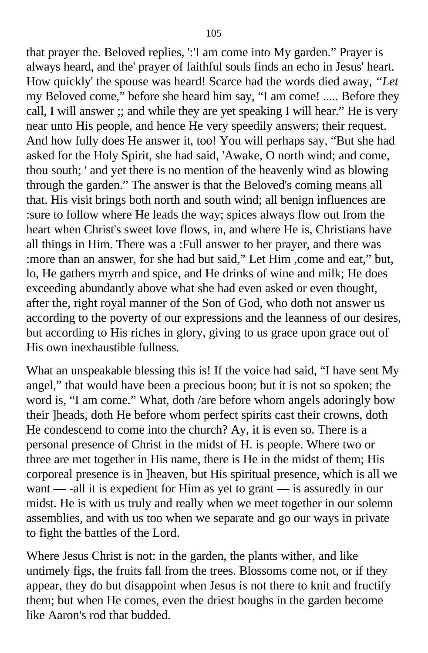that prayer the. Beloved replies, ':'I am come into My garden." Prayer is always heard, and the' prayer of faithful souls finds an echo in Jesus' heart. How quickly' the spouse was heard! Scarce had the words died away, *"Let* my Beloved come," before she heard him say, "I am come! ..... Before they call, I will answer ;; and while they are yet speaking I will hear." He is very near unto His people, and hence He very speedily answers; their request. And how fully does He answer it, too! You will perhaps say, "But she had asked for the Holy Spirit, she had said, 'Awake, O north wind; and come, thou south; ' and yet there is no mention of the heavenly wind as blowing through the garden." The answer is that the Beloved's coming means all that. His visit brings both north and south wind; all benign influences are :sure to follow where He leads the way; spices always flow out from the heart when Christ's sweet love flows, in, and where He is, Christians have all things in Him. There was a :Full answer to her prayer, and there was :more than an answer, for she had but said," Let Him ,come and eat," but, lo, He gathers myrrh and spice, and He drinks of wine and milk; He does exceeding abundantly above what she had even asked or even thought, after the, right royal manner of the Son of God, who doth not answer us according to the poverty of our expressions and the leanness of our desires, but according to His riches in glory, giving to us grace upon grace out of His own inexhaustible fullness.

What an unspeakable blessing this is! If the voice had said, "I have sent My angel," that would have been a precious boon; but it is not so spoken; the word is, "I am come." What, doth /are before whom angels adoringly bow their ]heads, doth He before whom perfect spirits cast their crowns, doth He condescend to come into the church? Ay, it is even so. There is a personal presence of Christ in the midst of H. is people. Where two or three are met together in His name, there is He in the midst of them; His corporeal presence is in ]heaven, but His spiritual presence, which is all we want — -all it is expedient for Him as yet to grant — is assuredly in our midst. He is with us truly and really when we meet together in our solemn assemblies, and with us too when we separate and go our ways in private to fight the battles of the Lord.

Where Jesus Christ is not: in the garden, the plants wither, and like untimely figs, the fruits fall from the trees. Blossoms come not, or if they appear, they do but disappoint when Jesus is not there to knit and fructify them; but when He comes, even the driest boughs in the garden become like Aaron's rod that budded.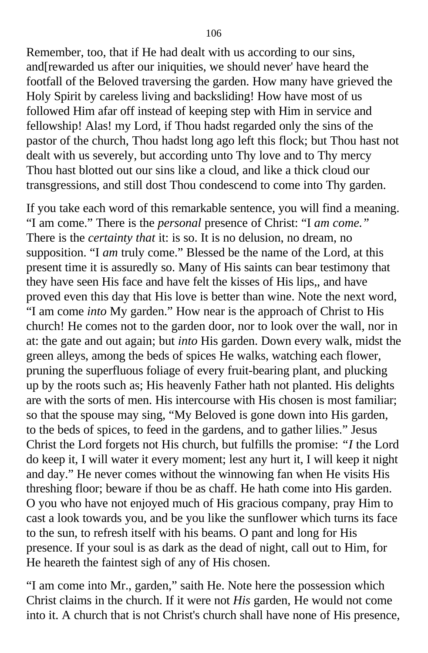Remember, too, that if He had dealt with us according to our sins, and[rewarded us after our iniquities, we should never' have heard the footfall of the Beloved traversing the garden. How many have grieved the Holy Spirit by careless living and backsliding! How have most of us followed Him afar off instead of keeping step with Him in service and fellowship! Alas! my Lord, if Thou hadst regarded only the sins of the pastor of the church, Thou hadst long ago left this flock; but Thou hast not dealt with us severely, but according unto Thy love and to Thy mercy Thou hast blotted out our sins like a cloud, and like a thick cloud our transgressions, and still dost Thou condescend to come into Thy garden.

If you take each word of this remarkable sentence, you will find a meaning. "I am come." There is the *personal* presence of Christ: "I *am come."* There is the *certainty that* it: is so. It is no delusion, no dream, no supposition. "I *am* truly come." Blessed be the name of the Lord, at this present time it is assuredly so. Many of His saints can bear testimony that they have seen His face and have felt the kisses of His lips,, and have proved even this day that His love is better than wine. Note the next word, "I am come *into* My garden." How near is the approach of Christ to His church! He comes not to the garden door, nor to look over the wall, nor in at: the gate and out again; but *into* His garden. Down every walk, midst the green alleys, among the beds of spices He walks, watching each flower, pruning the superfluous foliage of every fruit-bearing plant, and plucking up by the roots such as; His heavenly Father hath not planted. His delights are with the sorts of men. His intercourse with His chosen is most familiar; so that the spouse may sing, "My Beloved is gone down into His garden, to the beds of spices, to feed in the gardens, and to gather lilies." Jesus Christ the Lord forgets not His church, but fulfills the promise: *"I* the Lord do keep it, I will water it every moment; lest any hurt it, I will keep it night and day." He never comes without the winnowing fan when He visits His threshing floor; beware if thou be as chaff. He hath come into His garden. O you who have not enjoyed much of His gracious company, pray Him to cast a look towards you, and be you like the sunflower which turns its face to the sun, to refresh itself with his beams. O pant and long for His presence. If your soul is as dark as the dead of night, call out to Him, for He heareth the faintest sigh of any of His chosen.

"I am come into Mr., garden," saith He. Note here the possession which Christ claims in the church. If it were not *His* garden, He would not come into it. A church that is not Christ's church shall have none of His presence,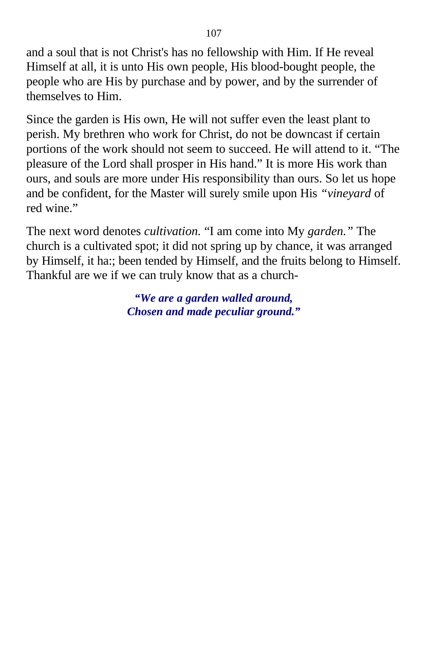and a soul that is not Christ's has no fellowship with Him. If He reveal Himself at all, it is unto His own people, His blood-bought people, the people who are His by purchase and by power, and by the surrender of themselves to Him.

Since the garden is His own, He will not suffer even the least plant to perish. My brethren who work for Christ, do not be downcast if certain portions of the work should not seem to succeed. He will attend to it. "The pleasure of the Lord shall prosper in His hand." It is more His work than ours, and souls are more under His responsibility than ours. So let us hope and be confident, for the Master will surely smile upon His *"vineyard* of red wine"

The next word denotes *cultivation.* "I am come into My *garden."* The church is a cultivated spot; it did not spring up by chance, it was arranged by Himself, it ha:; been tended by Himself, and the fruits belong to Himself. Thankful are we if we can truly know that as a church-

> *"We are a garden walled around, Chosen and made peculiar ground."*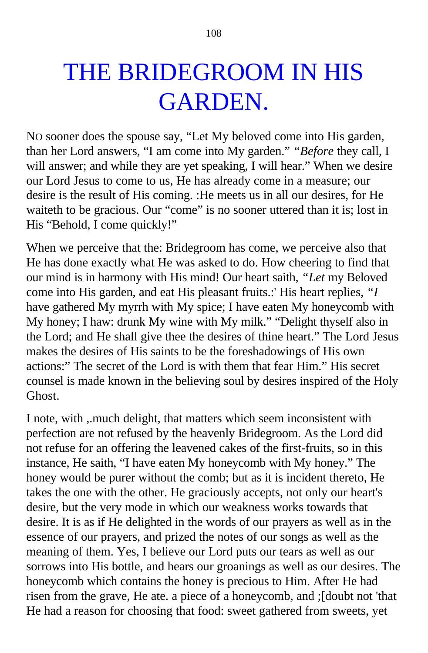# THE BRIDEGROOM IN HIS GARDEN.

NO sooner does the spouse say, "Let My beloved come into His garden, than her Lord answers, "I am come into My garden." *"Before* they call, I will answer; and while they are yet speaking, I will hear." When we desire our Lord Jesus to come to us, He has already come in a measure; our desire is the result of His coming. :He meets us in all our desires, for He waiteth to be gracious. Our "come" is no sooner uttered than it is; lost in His "Behold, I come quickly!"

When we perceive that the: Bridegroom has come, we perceive also that He has done exactly what He was asked to do. How cheering to find that our mind is in harmony with His mind! Our heart saith, *"Let* my Beloved come into His garden, and eat His pleasant fruits.:' His heart replies, *"I* have gathered My myrrh with My spice; I have eaten My honeycomb with My honey; I haw: drunk My wine with My milk." "Delight thyself also in the Lord; and He shall give thee the desires of thine heart." The Lord Jesus makes the desires of His saints to be the foreshadowings of His own actions:" The secret of the Lord is with them that fear Him." His secret counsel is made known in the believing soul by desires inspired of the Holy Ghost.

I note, with ,.much delight, that matters which seem inconsistent with perfection are not refused by the heavenly Bridegroom. As the Lord did not refuse for an offering the leavened cakes of the first-fruits, so in this instance, He saith, "I have eaten My honeycomb with My honey." The honey would be purer without the comb; but as it is incident thereto, He takes the one with the other. He graciously accepts, not only our heart's desire, but the very mode in which our weakness works towards that desire. It is as if He delighted in the words of our prayers as well as in the essence of our prayers, and prized the notes of our songs as well as the meaning of them. Yes, I believe our Lord puts our tears as well as our sorrows into His bottle, and hears our groanings as well as our desires. The honeycomb which contains the honey is precious to Him. After He had risen from the grave, He ate. a piece of a honeycomb, and ;[doubt not 'that He had a reason for choosing that food: sweet gathered from sweets, yet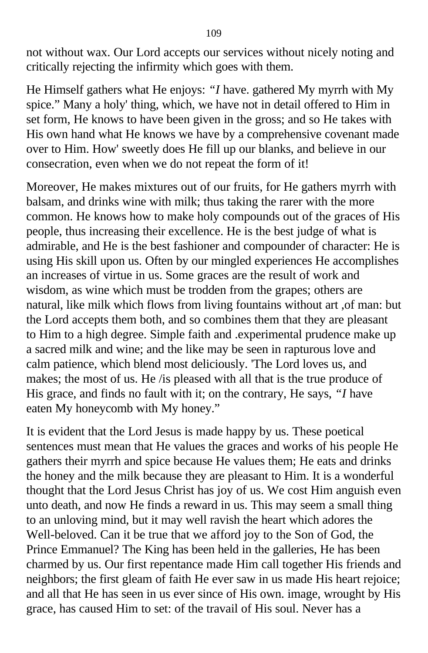not without wax. Our Lord accepts our services without nicely noting and critically rejecting the infirmity which goes with them.

He Himself gathers what He enjoys: *"I* have. gathered My myrrh with My spice." Many a holy' thing, which, we have not in detail offered to Him in set form, He knows to have been given in the gross; and so He takes with His own hand what He knows we have by a comprehensive covenant made over to Him. How' sweetly does He fill up our blanks, and believe in our consecration, even when we do not repeat the form of it!

Moreover, He makes mixtures out of our fruits, for He gathers myrrh with balsam, and drinks wine with milk; thus taking the rarer with the more common. He knows how to make holy compounds out of the graces of His people, thus increasing their excellence. He is the best judge of what is admirable, and He is the best fashioner and compounder of character: He is using His skill upon us. Often by our mingled experiences He accomplishes an increases of virtue in us. Some graces are the result of work and wisdom, as wine which must be trodden from the grapes; others are natural, like milk which flows from living fountains without art ,of man: but the Lord accepts them both, and so combines them that they are pleasant to Him to a high degree. Simple faith and .experimental prudence make up a sacred milk and wine; and the like may be seen in rapturous love and calm patience, which blend most deliciously. 'The Lord loves us, and makes; the most of us. He /is pleased with all that is the true produce of His grace, and finds no fault with it; on the contrary, He says, *"I* have eaten My honeycomb with My honey."

It is evident that the Lord Jesus is made happy by us. These poetical sentences must mean that He values the graces and works of his people He gathers their myrrh and spice because He values them; He eats and drinks the honey and the milk because they are pleasant to Him. It is a wonderful thought that the Lord Jesus Christ has joy of us. We cost Him anguish even unto death, and now He finds a reward in us. This may seem a small thing to an unloving mind, but it may well ravish the heart which adores the Well-beloved. Can it be true that we afford joy to the Son of God, the Prince Emmanuel? The King has been held in the galleries, He has been charmed by us. Our first repentance made Him call together His friends and neighbors; the first gleam of faith He ever saw in us made His heart rejoice; and all that He has seen in us ever since of His own. image, wrought by His grace, has caused Him to set: of the travail of His soul. Never has a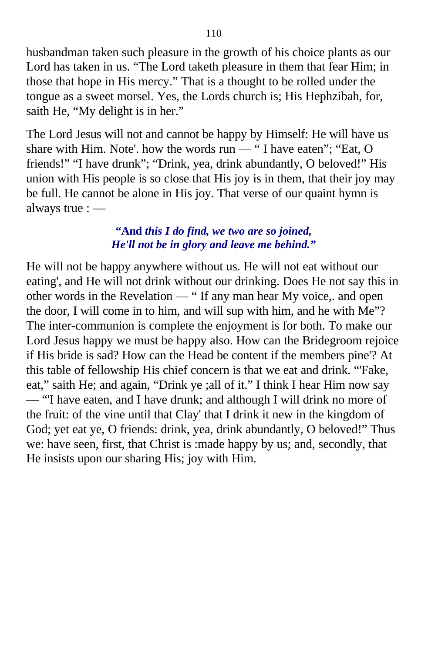husbandman taken such pleasure in the growth of his choice plants as our Lord has taken in us. "The Lord taketh pleasure in them that fear Him; in those that hope in His mercy." That is a thought to be rolled under the tongue as a sweet morsel. Yes, the Lords church is; His Hephzibah, for, saith He, "My delight is in her."

The Lord Jesus will not and cannot be happy by Himself: He will have us share with Him. Note'. how the words run — " I have eaten"; "Eat, O friends!" "I have drunk"; "Drink, yea, drink abundantly, O beloved!" His union with His people is so close that His joy is in them, that their joy may be full. He cannot be alone in His joy. That verse of our quaint hymn is always true : —

#### **"And** *this I do find, we two are so joined, He'll not be in glory and leave me behind."*

He will not be happy anywhere without us. He will not eat without our eating', and He will not drink without our drinking. Does He not say this in other words in the Revelation — " If any man hear My voice,. and open the door, I will come in to him, and will sup with him, and he with Me"? The inter-communion is complete the enjoyment is for both. To make our Lord Jesus happy we must be happy also. How can the Bridegroom rejoice if His bride is sad? How can the Head be content if the members pine'? At this table of fellowship His chief concern is that we eat and drink. "'Fake, eat," saith He; and again, "Drink ye ;all of it." I think I hear Him now say — "'I have eaten, and I have drunk; and although I will drink no more of the fruit: of the vine until that Clay' that I drink it new in the kingdom of God; yet eat ye, O friends: drink, yea, drink abundantly, O beloved!" Thus we: have seen, first, that Christ is :made happy by us; and, secondly, that He insists upon our sharing His; joy with Him.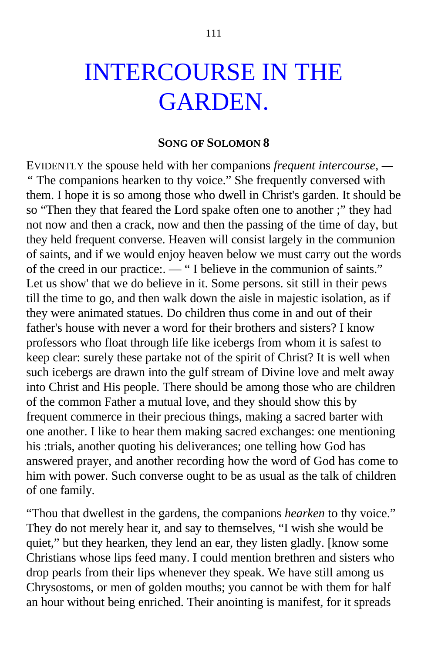### INTERCOURSE IN THE GARDEN.

#### **SONG OF SOLOMON 8**

EVIDENTLY the spouse held with her companions *frequent intercourse, — "* The companions hearken to thy voice." She frequently conversed with them. I hope it is so among those who dwell in Christ's garden. It should be so "Then they that feared the Lord spake often one to another ;" they had not now and then a crack, now and then the passing of the time of day, but they held frequent converse. Heaven will consist largely in the communion of saints, and if we would enjoy heaven below we must carry out the words of the creed in our practice:. — " I believe in the communion of saints." Let us show' that we do believe in it. Some persons. sit still in their pews till the time to go, and then walk down the aisle in majestic isolation, as if they were animated statues. Do children thus come in and out of their father's house with never a word for their brothers and sisters? I know professors who float through life like icebergs from whom it is safest to keep clear: surely these partake not of the spirit of Christ? It is well when such icebergs are drawn into the gulf stream of Divine love and melt away into Christ and His people. There should be among those who are children of the common Father a mutual love, and they should show this by frequent commerce in their precious things, making a sacred barter with one another. I like to hear them making sacred exchanges: one mentioning his :trials, another quoting his deliverances; one telling how God has answered prayer, and another recording how the word of God has come to him with power. Such converse ought to be as usual as the talk of children of one family.

"Thou that dwellest in the gardens, the companions *hearken* to thy voice." They do not merely hear it, and say to themselves, "I wish she would be quiet," but they hearken, they lend an ear, they listen gladly. [know some Christians whose lips feed many. I could mention brethren and sisters who drop pearls from their lips whenever they speak. We have still among us Chrysostoms, or men of golden mouths; you cannot be with them for half an hour without being enriched. Their anointing is manifest, for it spreads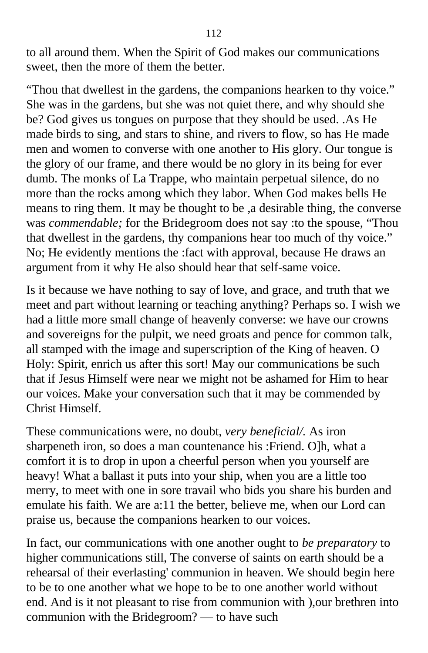to all around them. When the Spirit of God makes our communications sweet, then the more of them the better.

"Thou that dwellest in the gardens, the companions hearken to thy voice." She was in the gardens, but she was not quiet there, and why should she be? God gives us tongues on purpose that they should be used. .As He made birds to sing, and stars to shine, and rivers to flow, so has He made men and women to converse with one another to His glory. Our tongue is the glory of our frame, and there would be no glory in its being for ever dumb. The monks of La Trappe, who maintain perpetual silence, do no more than the rocks among which they labor. When God makes bells He means to ring them. It may be thought to be ,a desirable thing, the converse was *commendable;* for the Bridegroom does not say :to the spouse, "Thou that dwellest in the gardens, thy companions hear too much of thy voice." No; He evidently mentions the :fact with approval, because He draws an argument from it why He also should hear that self-same voice.

Is it because we have nothing to say of love, and grace, and truth that we meet and part without learning or teaching anything? Perhaps so. I wish we had a little more small change of heavenly converse: we have our crowns and sovereigns for the pulpit, we need groats and pence for common talk, all stamped with the image and superscription of the King of heaven. O Holy: Spirit, enrich us after this sort! May our communications be such that if Jesus Himself were near we might not be ashamed for Him to hear our voices. Make your conversation such that it may be commended by Christ Himself.

These communications were, no doubt, *very beneficial/.* As iron sharpeneth iron, so does a man countenance his :Friend. O]h, what a comfort it is to drop in upon a cheerful person when you yourself are heavy! What a ballast it puts into your ship, when you are a little too merry, to meet with one in sore travail who bids you share his burden and emulate his faith. We are a:11 the better, believe me, when our Lord can praise us, because the companions hearken to our voices.

In fact, our communications with one another ought to *be preparatory* to higher communications still, The converse of saints on earth should be a rehearsal of their everlasting' communion in heaven. We should begin here to be to one another what we hope to be to one another world without end. And is it not pleasant to rise from communion with ),our brethren into communion with the Bridegroom? — to have such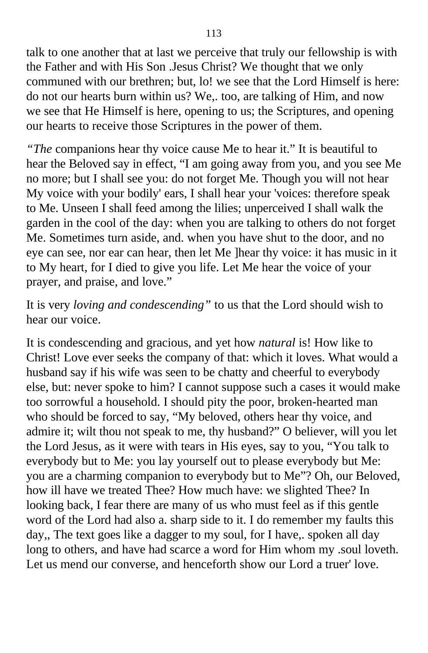talk to one another that at last we perceive that truly our fellowship is with the Father and with His Son .Jesus Christ? We thought that we only communed with our brethren; but, lo! we see that the Lord Himself is here: do not our hearts burn within us? We,. too, are talking of Him, and now we see that He Himself is here, opening to us; the Scriptures, and opening our hearts to receive those Scriptures in the power of them.

*"The* companions hear thy voice cause Me to hear it." It is beautiful to hear the Beloved say in effect, "I am going away from you, and you see Me no more; but I shall see you: do not forget Me. Though you will not hear My voice with your bodily' ears, I shall hear your 'voices: therefore speak to Me. Unseen I shall feed among the lilies; unperceived I shall walk the garden in the cool of the day: when you are talking to others do not forget Me. Sometimes turn aside, and. when you have shut to the door, and no eye can see, nor ear can hear, then let Me ]hear thy voice: it has music in it to My heart, for I died to give you life. Let Me hear the voice of your prayer, and praise, and love."

It is very *loving and condescending"* to us that the Lord should wish to hear our voice.

It is condescending and gracious, and yet how *natural* is! How like to Christ! Love ever seeks the company of that: which it loves. What would a husband say if his wife was seen to be chatty and cheerful to everybody else, but: never spoke to him? I cannot suppose such a cases it would make too sorrowful a household. I should pity the poor, broken-hearted man who should be forced to say, "My beloved, others hear thy voice, and admire it; wilt thou not speak to me, thy husband?" O believer, will you let the Lord Jesus, as it were with tears in His eyes, say to you, "You talk to everybody but to Me: you lay yourself out to please everybody but Me: you are a charming companion to everybody but to Me"? Oh, our Beloved, how ill have we treated Thee? How much have: we slighted Thee? In looking back, I fear there are many of us who must feel as if this gentle word of the Lord had also a. sharp side to it. I do remember my faults this day,, The text goes like a dagger to my soul, for I have,. spoken all day long to others, and have had scarce a word for Him whom my .soul loveth. Let us mend our converse, and henceforth show our Lord a truer' love.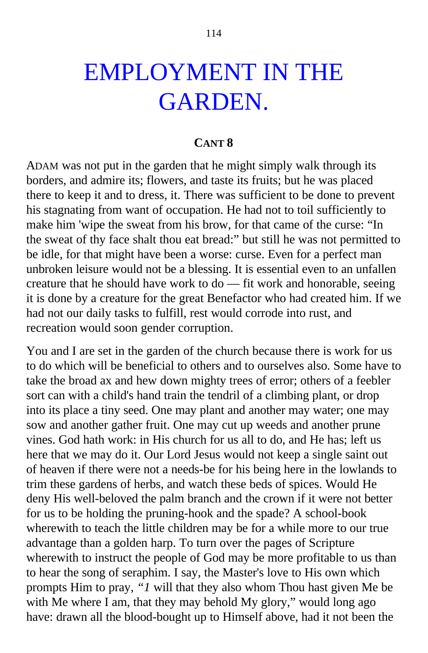### EMPLOYMENT IN THE GARDEN.

#### **CANT 8**

ADAM was not put in the garden that he might simply walk through its borders, and admire its; flowers, and taste its fruits; but he was placed there to keep it and to dress, it. There was sufficient to be done to prevent his stagnating from want of occupation. He had not to toil sufficiently to make him 'wipe the sweat from his brow, for that came of the curse: "In the sweat of thy face shalt thou eat bread:" but still he was not permitted to be idle, for that might have been a worse: curse. Even for a perfect man unbroken leisure would not be a blessing. It is essential even to an unfallen creature that he should have work to do — fit work and honorable, seeing it is done by a creature for the great Benefactor who had created him. If we had not our daily tasks to fulfill, rest would corrode into rust, and recreation would soon gender corruption.

You and I are set in the garden of the church because there is work for us to do which will be beneficial to others and to ourselves also. Some have to take the broad ax and hew down mighty trees of error; others of a feebler sort can with a child's hand train the tendril of a climbing plant, or drop into its place a tiny seed. One may plant and another may water; one may sow and another gather fruit. One may cut up weeds and another prune vines. God hath work: in His church for us all to do, and He has; left us here that we may do it. Our Lord Jesus would not keep a single saint out of heaven if there were not a needs-be for his being here in the lowlands to trim these gardens of herbs, and watch these beds of spices. Would He deny His well-beloved the palm branch and the crown if it were not better for us to be holding the pruning-hook and the spade? A school-book wherewith to teach the little children may be for a while more to our true advantage than a golden harp. To turn over the pages of Scripture wherewith to instruct the people of God may be more profitable to us than to hear the song of seraphim. I say, the Master's love to His own which prompts Him to pray, *"1* will that they also whom Thou hast given Me be with Me where I am, that they may behold My glory," would long ago have: drawn all the blood-bought up to Himself above, had it not been the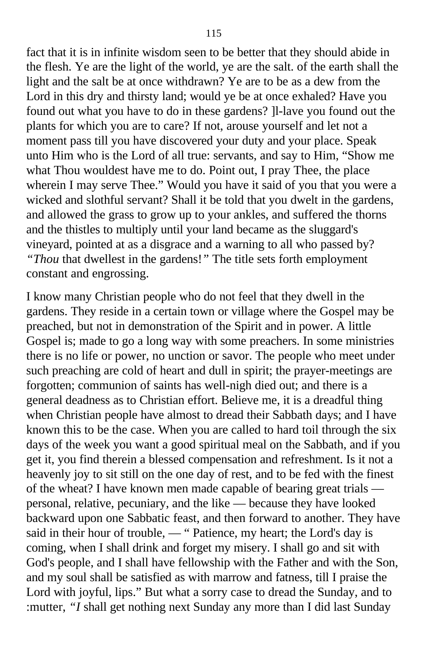fact that it is in infinite wisdom seen to be better that they should abide in the flesh. Ye are the light of the world, ye are the salt. of the earth shall the light and the salt be at once withdrawn? Ye are to be as a dew from the Lord in this dry and thirsty land; would ye be at once exhaled? Have you found out what you have to do in these gardens? ]l-lave you found out the plants for which you are to care? If not, arouse yourself and let not a moment pass till you have discovered your duty and your place. Speak unto Him who is the Lord of all true: servants, and say to Him, "Show me what Thou wouldest have me to do. Point out, I pray Thee, the place wherein I may serve Thee." Would you have it said of you that you were a wicked and slothful servant? Shall it be told that you dwelt in the gardens, and allowed the grass to grow up to your ankles, and suffered the thorns and the thistles to multiply until your land became as the sluggard's vineyard, pointed at as a disgrace and a warning to all who passed by? *"Thou* that dwellest in the gardens!*"* The title sets forth employment constant and engrossing.

I know many Christian people who do not feel that they dwell in the gardens. They reside in a certain town or village where the Gospel may be preached, but not in demonstration of the Spirit and in power. A little Gospel is; made to go a long way with some preachers. In some ministries there is no life or power, no unction or savor. The people who meet under such preaching are cold of heart and dull in spirit; the prayer-meetings are forgotten; communion of saints has well-nigh died out; and there is a general deadness as to Christian effort. Believe me, it is a dreadful thing when Christian people have almost to dread their Sabbath days; and I have known this to be the case. When you are called to hard toil through the six days of the week you want a good spiritual meal on the Sabbath, and if you get it, you find therein a blessed compensation and refreshment. Is it not a heavenly joy to sit still on the one day of rest, and to be fed with the finest of the wheat? I have known men made capable of bearing great trials personal, relative, pecuniary, and the like — because they have looked backward upon one Sabbatic feast, and then forward to another. They have said in their hour of trouble, — " Patience, my heart; the Lord's day is coming, when I shall drink and forget my misery. I shall go and sit with God's people, and I shall have fellowship with the Father and with the Son, and my soul shall be satisfied as with marrow and fatness, till I praise the Lord with joyful, lips." But what a sorry case to dread the Sunday, and to :mutter, *"I* shall get nothing next Sunday any more than I did last Sunday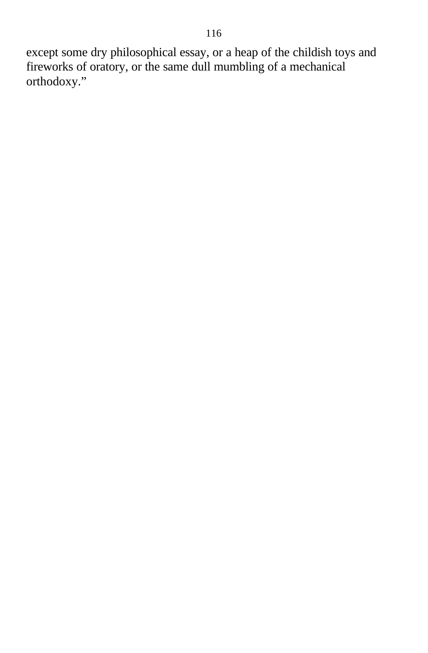except some dry philosophical essay, or a heap of the childish toys and fireworks of oratory, or the same dull mumbling of a mechanical orthodoxy."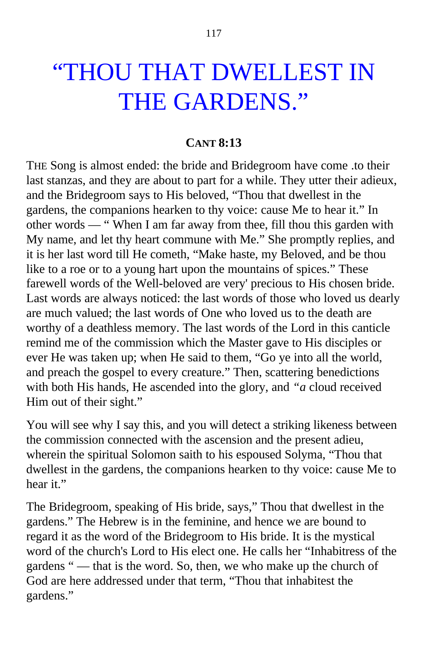### "THOU THAT DWELLEST IN THE GARDENS."

#### **CANT 8:13**

THE Song is almost ended: the bride and Bridegroom have come .to their last stanzas, and they are about to part for a while. They utter their adieux, and the Bridegroom says to His beloved, "Thou that dwellest in the gardens, the companions hearken to thy voice: cause Me to hear it." In other words — " When I am far away from thee, fill thou this garden with My name, and let thy heart commune with Me." She promptly replies, and it is her last word till He cometh, "Make haste, my Beloved, and be thou like to a roe or to a young hart upon the mountains of spices." These farewell words of the Well-beloved are very' precious to His chosen bride. Last words are always noticed: the last words of those who loved us dearly are much valued; the last words of One who loved us to the death are worthy of a deathless memory. The last words of the Lord in this canticle remind me of the commission which the Master gave to His disciples or ever He was taken up; when He said to them, "Go ye into all the world, and preach the gospel to every creature." Then, scattering benedictions with both His hands, He ascended into the glory, and *"a* cloud received Him out of their sight."

You will see why I say this, and you will detect a striking likeness between the commission connected with the ascension and the present adieu, wherein the spiritual Solomon saith to his espoused Solyma, "Thou that dwellest in the gardens, the companions hearken to thy voice: cause Me to hear it."

The Bridegroom, speaking of His bride, says," Thou that dwellest in the gardens." The Hebrew is in the feminine, and hence we are bound to regard it as the word of the Bridegroom to His bride. It is the mystical word of the church's Lord to His elect one. He calls her "Inhabitress of the gardens " — that is the word. So, then, we who make up the church of God are here addressed under that term, "Thou that inhabitest the gardens."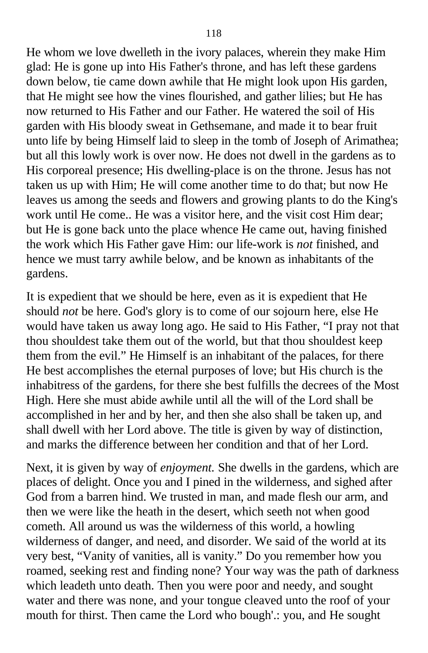He whom we love dwelleth in the ivory palaces, wherein they make Him glad: He is gone up into His Father's throne, and has left these gardens down below, tie came down awhile that He might look upon His garden, that He might see how the vines flourished, and gather lilies; but He has now returned to His Father and our Father. He watered the soil of His garden with His bloody sweat in Gethsemane, and made it to bear fruit unto life by being Himself laid to sleep in the tomb of Joseph of Arimathea; but all this lowly work is over now. He does not dwell in the gardens as to His corporeal presence; His dwelling-place is on the throne. Jesus has not taken us up with Him; He will come another time to do that; but now He leaves us among the seeds and flowers and growing plants to do the King's work until He come.. He was a visitor here, and the visit cost Him dear; but He is gone back unto the place whence He came out, having finished the work which His Father gave Him: our life-work is *not* finished, and hence we must tarry awhile below, and be known as inhabitants of the gardens.

It is expedient that we should be here, even as it is expedient that He should *not* be here. God's glory is to come of our sojourn here, else He would have taken us away long ago. He said to His Father, "I pray not that thou shouldest take them out of the world, but that thou shouldest keep them from the evil." He Himself is an inhabitant of the palaces, for there He best accomplishes the eternal purposes of love; but His church is the inhabitress of the gardens, for there she best fulfills the decrees of the Most High. Here she must abide awhile until all the will of the Lord shall be accomplished in her and by her, and then she also shall be taken up, and shall dwell with her Lord above. The title is given by way of distinction, and marks the difference between her condition and that of her Lord.

Next, it is given by way of *enjoyment.* She dwells in the gardens, which are places of delight. Once you and I pined in the wilderness, and sighed after God from a barren hind. We trusted in man, and made flesh our arm, and then we were like the heath in the desert, which seeth not when good cometh. All around us was the wilderness of this world, a howling wilderness of danger, and need, and disorder. We said of the world at its very best, "Vanity of vanities, all is vanity." Do you remember how you roamed, seeking rest and finding none? Your way was the path of darkness which leadeth unto death. Then you were poor and needy, and sought water and there was none, and your tongue cleaved unto the roof of your mouth for thirst. Then came the Lord who bough'.: you, and He sought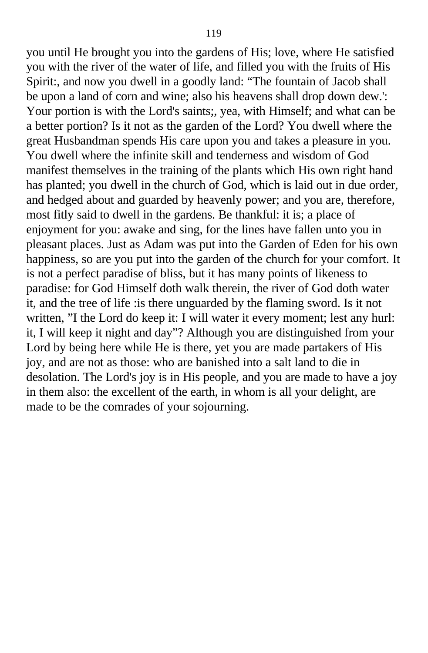you until He brought you into the gardens of His; love, where He satisfied you with the river of the water of life, and filled you with the fruits of His Spirit:, and now you dwell in a goodly land: "The fountain of Jacob shall be upon a land of corn and wine; also his heavens shall drop down dew.': Your portion is with the Lord's saints;, yea, with Himself; and what can be a better portion? Is it not as the garden of the Lord? You dwell where the great Husbandman spends His care upon you and takes a pleasure in you. You dwell where the infinite skill and tenderness and wisdom of God manifest themselves in the training of the plants which His own right hand has planted; you dwell in the church of God, which is laid out in due order, and hedged about and guarded by heavenly power; and you are, therefore, most fitly said to dwell in the gardens. Be thankful: it is; a place of enjoyment for you: awake and sing, for the lines have fallen unto you in pleasant places. Just as Adam was put into the Garden of Eden for his own happiness, so are you put into the garden of the church for your comfort. It is not a perfect paradise of bliss, but it has many points of likeness to paradise: for God Himself doth walk therein, the river of God doth water it, and the tree of life :is there unguarded by the flaming sword. Is it not written, "I the Lord do keep it: I will water it every moment; lest any hurl: it, I will keep it night and day"? Although you are distinguished from your Lord by being here while He is there, yet you are made partakers of His joy, and are not as those: who are banished into a salt land to die in desolation. The Lord's joy is in His people, and you are made to have a joy in them also: the excellent of the earth, in whom is all your delight, are made to be the comrades of your sojourning.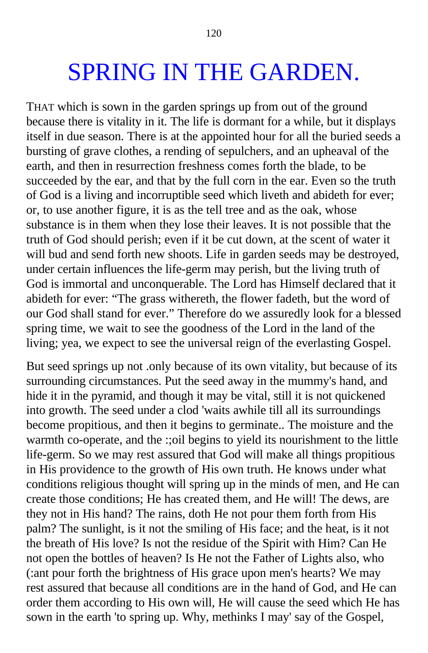### SPRING IN THE GARDEN.

THAT which is sown in the garden springs up from out of the ground because there is vitality in it. The life is dormant for a while, but it displays itself in due season. There is at the appointed hour for all the buried seeds a bursting of grave clothes, a rending of sepulchers, and an upheaval of the earth, and then in resurrection freshness comes forth the blade, to be succeeded by the ear, and that by the full corn in the ear. Even so the truth of God is a living and incorruptible seed which liveth and abideth for ever; or, to use another figure, it is as the tell tree and as the oak, whose substance is in them when they lose their leaves. It is not possible that the truth of God should perish; even if it be cut down, at the scent of water it will bud and send forth new shoots. Life in garden seeds may be destroyed, under certain influences the life-germ may perish, but the living truth of God is immortal and unconquerable. The Lord has Himself declared that it abideth for ever: "The grass withereth, the flower fadeth, but the word of our God shall stand for ever." Therefore do we assuredly look for a blessed spring time, we wait to see the goodness of the Lord in the land of the living; yea, we expect to see the universal reign of the everlasting Gospel.

But seed springs up not .only because of its own vitality, but because of its surrounding circumstances. Put the seed away in the mummy's hand, and hide it in the pyramid, and though it may be vital, still it is not quickened into growth. The seed under a clod 'waits awhile till all its surroundings become propitious, and then it begins to germinate.. The moisture and the warmth co-operate, and the :;oil begins to yield its nourishment to the little life-germ. So we may rest assured that God will make all things propitious in His providence to the growth of His own truth. He knows under what conditions religious thought will spring up in the minds of men, and He can create those conditions; He has created them, and He will! The dews, are they not in His hand? The rains, doth He not pour them forth from His palm? The sunlight, is it not the smiling of His face; and the heat, is it not the breath of His love? Is not the residue of the Spirit with Him? Can He not open the bottles of heaven? Is He not the Father of Lights also, who (:ant pour forth the brightness of His grace upon men's hearts? We may rest assured that because all conditions are in the hand of God, and He can order them according to His own will, He will cause the seed which He has sown in the earth 'to spring up. Why, methinks I may' say of the Gospel,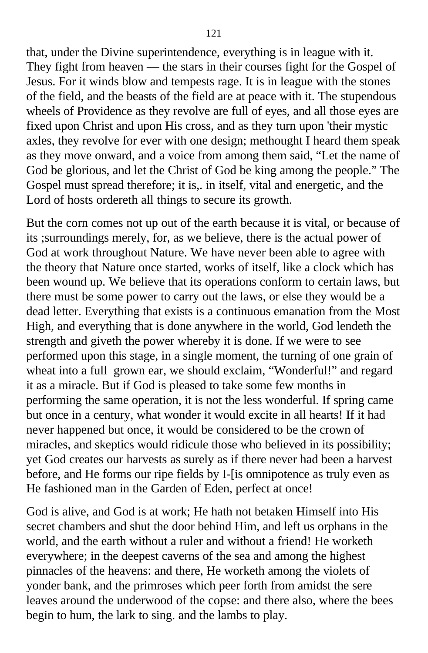that, under the Divine superintendence, everything is in league with it. They fight from heaven — the stars in their courses fight for the Gospel of Jesus. For it winds blow and tempests rage. It is in league with the stones of the field, and the beasts of the field are at peace with it. The stupendous wheels of Providence as they revolve are full of eyes, and all those eyes are fixed upon Christ and upon His cross, and as they turn upon 'their mystic axles, they revolve for ever with one design; methought I heard them speak as they move onward, and a voice from among them said, "Let the name of God be glorious, and let the Christ of God be king among the people." The Gospel must spread therefore; it is,. in itself, vital and energetic, and the Lord of hosts ordereth all things to secure its growth.

But the corn comes not up out of the earth because it is vital, or because of its ;surroundings merely, for, as we believe, there is the actual power of God at work throughout Nature. We have never been able to agree with the theory that Nature once started, works of itself, like a clock which has been wound up. We believe that its operations conform to certain laws, but there must be some power to carry out the laws, or else they would be a dead letter. Everything that exists is a continuous emanation from the Most High, and everything that is done anywhere in the world, God lendeth the strength and giveth the power whereby it is done. If we were to see performed upon this stage, in a single moment, the turning of one grain of wheat into a full grown ear, we should exclaim, "Wonderful!" and regard it as a miracle. But if God is pleased to take some few months in performing the same operation, it is not the less wonderful. If spring came but once in a century, what wonder it would excite in all hearts! If it had never happened but once, it would be considered to be the crown of miracles, and skeptics would ridicule those who believed in its possibility; yet God creates our harvests as surely as if there never had been a harvest before, and He forms our ripe fields by I-[is omnipotence as truly even as He fashioned man in the Garden of Eden, perfect at once!

God is alive, and God is at work; He hath not betaken Himself into His secret chambers and shut the door behind Him, and left us orphans in the world, and the earth without a ruler and without a friend! He worketh everywhere; in the deepest caverns of the sea and among the highest pinnacles of the heavens: and there, He worketh among the violets of yonder bank, and the primroses which peer forth from amidst the sere leaves around the underwood of the copse: and there also, where the bees begin to hum, the lark to sing. and the lambs to play.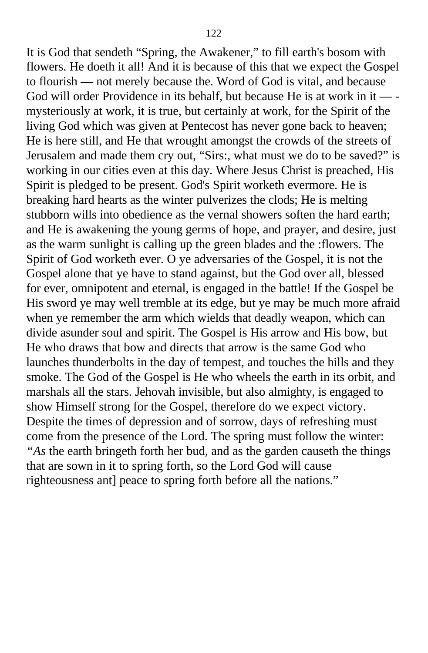It is God that sendeth "Spring, the Awakener," to fill earth's bosom with flowers. He doeth it all! And it is because of this that we expect the Gospel to flourish — not merely because the. Word of God is vital, and because God will order Providence in its behalf, but because He is at work in it — mysteriously at work, it is true, but certainly at work, for the Spirit of the living God which was given at Pentecost has never gone back to heaven; He is here still, and He that wrought amongst the crowds of the streets of Jerusalem and made them cry out, "Sirs:, what must we do to be saved?" is working in our cities even at this day. Where Jesus Christ is preached, His Spirit is pledged to be present. God's Spirit worketh evermore. He is breaking hard hearts as the winter pulverizes the clods; He is melting stubborn wills into obedience as the vernal showers soften the hard earth; and He is awakening the young germs of hope, and prayer, and desire, just as the warm sunlight is calling up the green blades and the :flowers. The Spirit of God worketh ever. O ye adversaries of the Gospel, it is not the Gospel alone that ye have to stand against, but the God over all, blessed for ever, omnipotent and eternal, is engaged in the battle! If the Gospel be His sword ye may well tremble at its edge, but ye may be much more afraid when ye remember the arm which wields that deadly weapon, which can divide asunder soul and spirit. The Gospel is His arrow and His bow, but He who draws that bow and directs that arrow is the same God who launches thunderbolts in the day of tempest, and touches the hills and they smoke. The God of the Gospel is He who wheels the earth in its orbit, and marshals all the stars. Jehovah invisible, but also almighty, is engaged to show Himself strong for the Gospel, therefore do we expect victory. Despite the times of depression and of sorrow, days of refreshing must come from the presence of the Lord. The spring must follow the winter: *"As* the earth bringeth forth her bud, and as the garden causeth the things that are sown in it to spring forth, so the Lord God will cause righteousness ant] peace to spring forth before all the nations."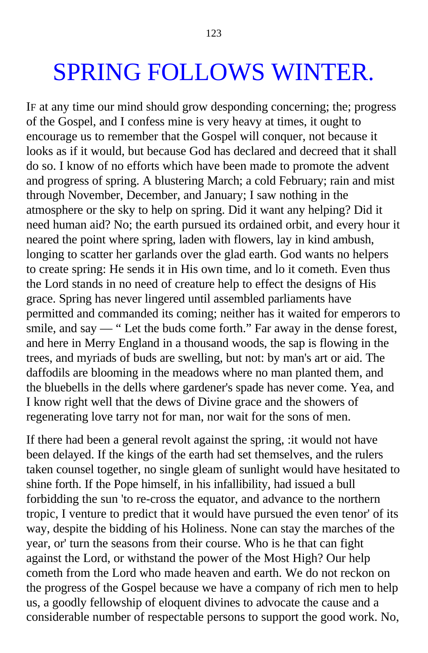### SPRING FOLLOWS WINTER.

IF at any time our mind should grow desponding concerning; the; progress of the Gospel, and I confess mine is very heavy at times, it ought to encourage us to remember that the Gospel will conquer, not because it looks as if it would, but because God has declared and decreed that it shall do so. I know of no efforts which have been made to promote the advent and progress of spring. A blustering March; a cold February; rain and mist through November, December, and January; I saw nothing in the atmosphere or the sky to help on spring. Did it want any helping? Did it need human aid? No; the earth pursued its ordained orbit, and every hour it neared the point where spring, laden with flowers, lay in kind ambush, longing to scatter her garlands over the glad earth. God wants no helpers to create spring: He sends it in His own time, and lo it cometh. Even thus the Lord stands in no need of creature help to effect the designs of His grace. Spring has never lingered until assembled parliaments have permitted and commanded its coming; neither has it waited for emperors to smile, and say — " Let the buds come forth." Far away in the dense forest, and here in Merry England in a thousand woods, the sap is flowing in the trees, and myriads of buds are swelling, but not: by man's art or aid. The daffodils are blooming in the meadows where no man planted them, and the bluebells in the dells where gardener's spade has never come. Yea, and I know right well that the dews of Divine grace and the showers of regenerating love tarry not for man, nor wait for the sons of men.

If there had been a general revolt against the spring, :it would not have been delayed. If the kings of the earth had set themselves, and the rulers taken counsel together, no single gleam of sunlight would have hesitated to shine forth. If the Pope himself, in his infallibility, had issued a bull forbidding the sun 'to re-cross the equator, and advance to the northern tropic, I venture to predict that it would have pursued the even tenor' of its way, despite the bidding of his Holiness. None can stay the marches of the year, or' turn the seasons from their course. Who is he that can fight against the Lord, or withstand the power of the Most High? Our help cometh from the Lord who made heaven and earth. We do not reckon on the progress of the Gospel because we have a company of rich men to help us, a goodly fellowship of eloquent divines to advocate the cause and a considerable number of respectable persons to support the good work. No,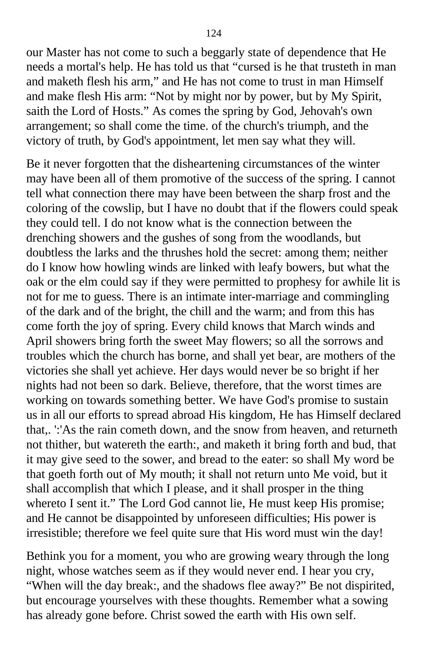our Master has not come to such a beggarly state of dependence that He needs a mortal's help. He has told us that "cursed is he that trusteth in man and maketh flesh his arm," and He has not come to trust in man Himself and make flesh His arm: "Not by might nor by power, but by My Spirit, saith the Lord of Hosts." As comes the spring by God, Jehovah's own arrangement; so shall come the time. of the church's triumph, and the victory of truth, by God's appointment, let men say what they will.

Be it never forgotten that the disheartening circumstances of the winter may have been all of them promotive of the success of the spring. I cannot tell what connection there may have been between the sharp frost and the coloring of the cowslip, but I have no doubt that if the flowers could speak they could tell. I do not know what is the connection between the drenching showers and the gushes of song from the woodlands, but doubtless the larks and the thrushes hold the secret: among them; neither do I know how howling winds are linked with leafy bowers, but what the oak or the elm could say if they were permitted to prophesy for awhile lit is not for me to guess. There is an intimate inter-marriage and commingling of the dark and of the bright, the chill and the warm; and from this has come forth the joy of spring. Every child knows that March winds and April showers bring forth the sweet May flowers; so all the sorrows and troubles which the church has borne, and shall yet bear, are mothers of the victories she shall yet achieve. Her days would never be so bright if her nights had not been so dark. Believe, therefore, that the worst times are working on towards something better. We have God's promise to sustain us in all our efforts to spread abroad His kingdom, He has Himself declared that,. ':'As the rain cometh down, and the snow from heaven, and returneth not thither, but watereth the earth:, and maketh it bring forth and bud, that it may give seed to the sower, and bread to the eater: so shall My word be that goeth forth out of My mouth; it shall not return unto Me void, but it shall accomplish that which I please, and it shall prosper in the thing whereto I sent it." The Lord God cannot lie, He must keep His promise; and He cannot be disappointed by unforeseen difficulties; His power is irresistible; therefore we feel quite sure that His word must win the day!

Bethink you for a moment, you who are growing weary through the long night, whose watches seem as if they would never end. I hear you cry, "When will the day break:, and the shadows flee away?" Be not dispirited, but encourage yourselves with these thoughts. Remember what a sowing has already gone before. Christ sowed the earth with His own self.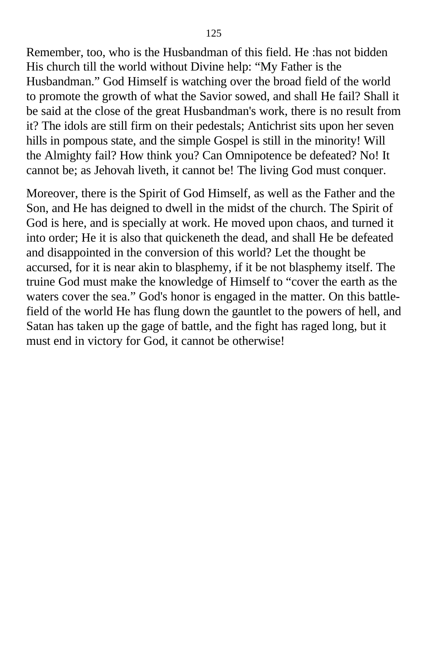Remember, too, who is the Husbandman of this field. He :has not bidden His church till the world without Divine help: "My Father is the Husbandman." God Himself is watching over the broad field of the world to promote the growth of what the Savior sowed, and shall He fail? Shall it be said at the close of the great Husbandman's work, there is no result from it? The idols are still firm on their pedestals; Antichrist sits upon her seven hills in pompous state, and the simple Gospel is still in the minority! Will the Almighty fail? How think you? Can Omnipotence be defeated? No! It cannot be; as Jehovah liveth, it cannot be! The living God must conquer.

Moreover, there is the Spirit of God Himself, as well as the Father and the Son, and He has deigned to dwell in the midst of the church. The Spirit of God is here, and is specially at work. He moved upon chaos, and turned it into order; He it is also that quickeneth the dead, and shall He be defeated and disappointed in the conversion of this world? Let the thought be accursed, for it is near akin to blasphemy, if it be not blasphemy itself. The truine God must make the knowledge of Himself to "cover the earth as the waters cover the sea." God's honor is engaged in the matter. On this battlefield of the world He has flung down the gauntlet to the powers of hell, and Satan has taken up the gage of battle, and the fight has raged long, but it must end in victory for God, it cannot be otherwise!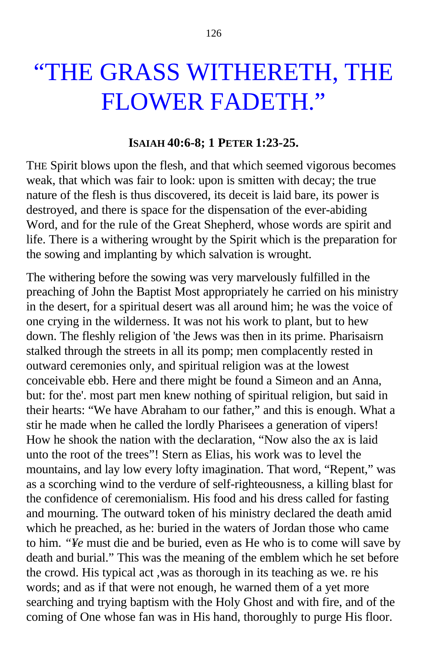### "THE GRASS WITHERETH, THE FLOWER FADETH."

#### **ISAIAH 40:6-8; 1 PETER 1:23-25.**

THE Spirit blows upon the flesh, and that which seemed vigorous becomes weak, that which was fair to look: upon is smitten with decay; the true nature of the flesh is thus discovered, its deceit is laid bare, its power is destroyed, and there is space for the dispensation of the ever-abiding Word, and for the rule of the Great Shepherd, whose words are spirit and life. There is a withering wrought by the Spirit which is the preparation for the sowing and implanting by which salvation is wrought.

The withering before the sowing was very marvelously fulfilled in the preaching of John the Baptist Most appropriately he carried on his ministry in the desert, for a spiritual desert was all around him; he was the voice of one crying in the wilderness. It was not his work to plant, but to hew down. The fleshly religion of 'the Jews was then in its prime. Pharisaisrn stalked through the streets in all its pomp; men complacently rested in outward ceremonies only, and spiritual religion was at the lowest conceivable ebb. Here and there might be found a Simeon and an Anna, but: for the'. most part men knew nothing of spiritual religion, but said in their hearts: "We have Abraham to our father," and this is enough. What a stir he made when he called the lordly Pharisees a generation of vipers! How he shook the nation with the declaration, "Now also the ax is laid unto the root of the trees"! Stern as Elias, his work was to level the mountains, and lay low every lofty imagination. That word, "Repent," was as a scorching wind to the verdure of self-righteousness, a killing blast for the confidence of ceremonialism. His food and his dress called for fasting and mourning. The outward token of his ministry declared the death amid which he preached, as he: buried in the waters of Jordan those who came to him. *"¥e* must die and be buried, even as He who is to come will save by death and burial." This was the meaning of the emblem which he set before the crowd. His typical act ,was as thorough in its teaching as we. re his words; and as if that were not enough, he warned them of a yet more searching and trying baptism with the Holy Ghost and with fire, and of the coming of One whose fan was in His hand, thoroughly to purge His floor.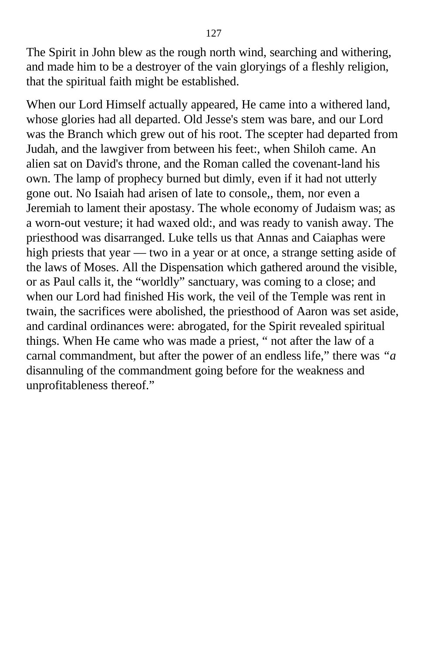The Spirit in John blew as the rough north wind, searching and withering, and made him to be a destroyer of the vain gloryings of a fleshly religion, that the spiritual faith might be established.

When our Lord Himself actually appeared, He came into a withered land, whose glories had all departed. Old Jesse's stem was bare, and our Lord was the Branch which grew out of his root. The scepter had departed from Judah, and the lawgiver from between his feet:, when Shiloh came. An alien sat on David's throne, and the Roman called the covenant-land his own. The lamp of prophecy burned but dimly, even if it had not utterly gone out. No Isaiah had arisen of late to console,, them, nor even a Jeremiah to lament their apostasy. The whole economy of Judaism was; as a worn-out vesture; it had waxed old:, and was ready to vanish away. The priesthood was disarranged. Luke tells us that Annas and Caiaphas were high priests that year — two in a year or at once, a strange setting aside of the laws of Moses. All the Dispensation which gathered around the visible, or as Paul calls it, the "worldly" sanctuary, was coming to a close; and when our Lord had finished His work, the veil of the Temple was rent in twain, the sacrifices were abolished, the priesthood of Aaron was set aside, and cardinal ordinances were: abrogated, for the Spirit revealed spiritual things. When He came who was made a priest, " not after the law of a carnal commandment, but after the power of an endless life," there was *"a* disannuling of the commandment going before for the weakness and unprofitableness thereof."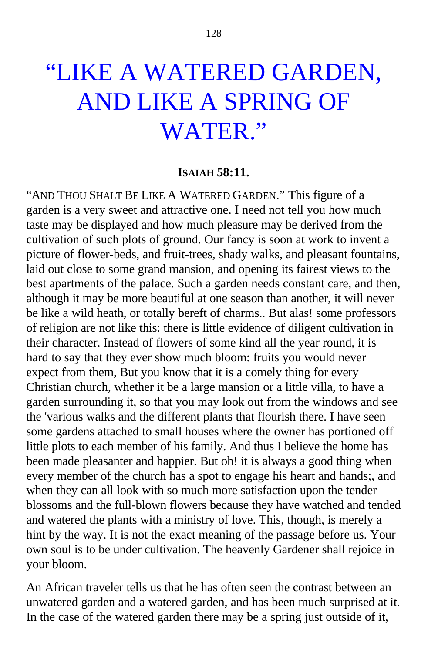# "LIKE A WATERED GARDEN, AND LIKE A SPRING OF WATER."

#### **ISAIAH 58:11.**

"AND THOU SHALT BE LIKE A WATERED GARDEN." This figure of a garden is a very sweet and attractive one. I need not tell you how much taste may be displayed and how much pleasure may be derived from the cultivation of such plots of ground. Our fancy is soon at work to invent a picture of flower-beds, and fruit-trees, shady walks, and pleasant fountains, laid out close to some grand mansion, and opening its fairest views to the best apartments of the palace. Such a garden needs constant care, and then, although it may be more beautiful at one season than another, it will never be like a wild heath, or totally bereft of charms.. But alas! some professors of religion are not like this: there is little evidence of diligent cultivation in their character. Instead of flowers of some kind all the year round, it is hard to say that they ever show much bloom: fruits you would never expect from them, But you know that it is a comely thing for every Christian church, whether it be a large mansion or a little villa, to have a garden surrounding it, so that you may look out from the windows and see the 'various walks and the different plants that flourish there. I have seen some gardens attached to small houses where the owner has portioned off little plots to each member of his family. And thus I believe the home has been made pleasanter and happier. But oh! it is always a good thing when every member of the church has a spot to engage his heart and hands;, and when they can all look with so much more satisfaction upon the tender blossoms and the full-blown flowers because they have watched and tended and watered the plants with a ministry of love. This, though, is merely a hint by the way. It is not the exact meaning of the passage before us. Your own soul is to be under cultivation. The heavenly Gardener shall rejoice in your bloom.

An African traveler tells us that he has often seen the contrast between an unwatered garden and a watered garden, and has been much surprised at it. In the case of the watered garden there may be a spring just outside of it,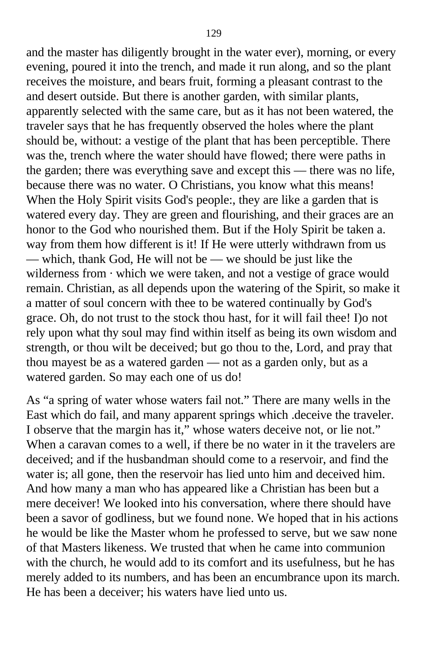and the master has diligently brought in the water ever), morning, or every evening, poured it into the trench, and made it run along, and so the plant receives the moisture, and bears fruit, forming a pleasant contrast to the and desert outside. But there is another garden, with similar plants, apparently selected with the same care, but as it has not been watered, the traveler says that he has frequently observed the holes where the plant should be, without: a vestige of the plant that has been perceptible. There was the, trench where the water should have flowed; there were paths in the garden; there was everything save and except this — there was no life, because there was no water. O Christians, you know what this means! When the Holy Spirit visits God's people:, they are like a garden that is watered every day. They are green and flourishing, and their graces are an honor to the God who nourished them. But if the Holy Spirit be taken a. way from them how different is it! If He were utterly withdrawn from us — which, thank God, He will not be — we should be just like the wilderness from  $\cdot$  which we were taken, and not a vestige of grace would remain. Christian, as all depends upon the watering of the Spirit, so make it a matter of soul concern with thee to be watered continually by God's grace. Oh, do not trust to the stock thou hast, for it will fail thee! I)o not rely upon what thy soul may find within itself as being its own wisdom and strength, or thou wilt be deceived; but go thou to the, Lord, and pray that thou mayest be as a watered garden — not as a garden only, but as a watered garden. So may each one of us do!

As "a spring of water whose waters fail not." There are many wells in the East which do fail, and many apparent springs which .deceive the traveler. I observe that the margin has it," whose waters deceive not, or lie not." When a caravan comes to a well, if there be no water in it the travelers are deceived; and if the husbandman should come to a reservoir, and find the water is; all gone, then the reservoir has lied unto him and deceived him. And how many a man who has appeared like a Christian has been but a mere deceiver! We looked into his conversation, where there should have been a savor of godliness, but we found none. We hoped that in his actions he would be like the Master whom he professed to serve, but we saw none of that Masters likeness. We trusted that when he came into communion with the church, he would add to its comfort and its usefulness, but he has merely added to its numbers, and has been an encumbrance upon its march. He has been a deceiver; his waters have lied unto us.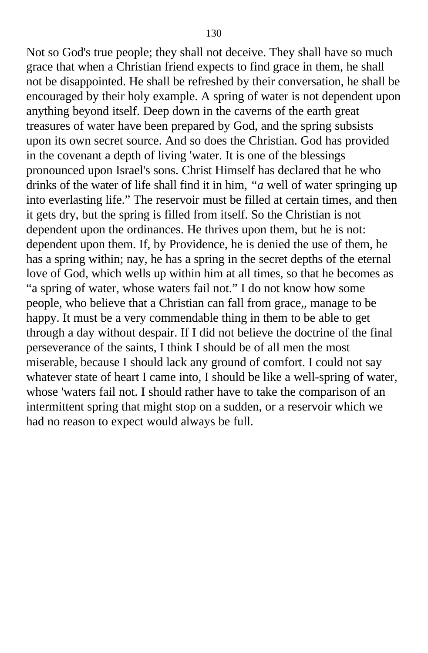Not so God's true people; they shall not deceive. They shall have so much grace that when a Christian friend expects to find grace in them, he shall not be disappointed. He shall be refreshed by their conversation, he shall be encouraged by their holy example. A spring of water is not dependent upon anything beyond itself. Deep down in the caverns of the earth great treasures of water have been prepared by God, and the spring subsists upon its own secret source. And so does the Christian. God has provided in the covenant a depth of living 'water. It is one of the blessings pronounced upon Israel's sons. Christ Himself has declared that he who drinks of the water of life shall find it in him, *"a* well of water springing up into everlasting life." The reservoir must be filled at certain times, and then it gets dry, but the spring is filled from itself. So the Christian is not dependent upon the ordinances. He thrives upon them, but he is not: dependent upon them. If, by Providence, he is denied the use of them, he has a spring within; nay, he has a spring in the secret depths of the eternal love of God, which wells up within him at all times, so that he becomes as "a spring of water, whose waters fail not." I do not know how some people, who believe that a Christian can fall from grace,, manage to be happy. It must be a very commendable thing in them to be able to get through a day without despair. If I did not believe the doctrine of the final perseverance of the saints, I think I should be of all men the most miserable, because I should lack any ground of comfort. I could not say whatever state of heart I came into, I should be like a well-spring of water, whose 'waters fail not. I should rather have to take the comparison of an intermittent spring that might stop on a sudden, or a reservoir which we had no reason to expect would always be full.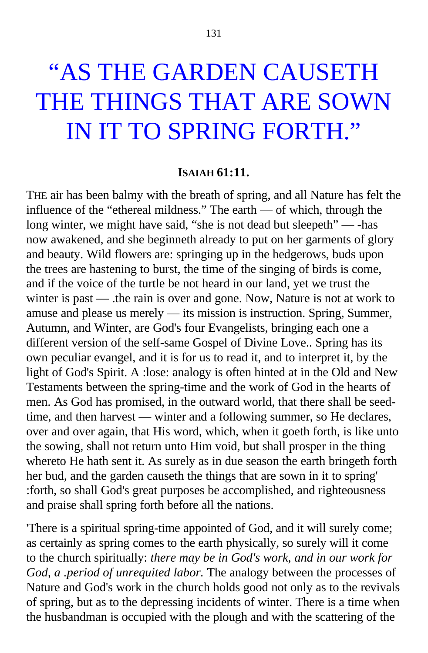# "AS THE GARDEN CAUSETH THE THINGS THAT ARE SOWN IN IT TO SPRING FORTH."

#### **ISAIAH 61:11.**

THE air has been balmy with the breath of spring, and all Nature has felt the influence of the "ethereal mildness." The earth — of which, through the long winter, we might have said, "she is not dead but sleepeth" — -has now awakened, and she beginneth already to put on her garments of glory and beauty. Wild flowers are: springing up in the hedgerows, buds upon the trees are hastening to burst, the time of the singing of birds is come, and if the voice of the turtle be not heard in our land, yet we trust the winter is past — .the rain is over and gone. Now, Nature is not at work to amuse and please us merely — its mission is instruction. Spring, Summer, Autumn, and Winter, are God's four Evangelists, bringing each one a different version of the self-same Gospel of Divine Love.. Spring has its own peculiar evangel, and it is for us to read it, and to interpret it, by the light of God's Spirit. A :lose: analogy is often hinted at in the Old and New Testaments between the spring-time and the work of God in the hearts of men. As God has promised, in the outward world, that there shall be seedtime, and then harvest — winter and a following summer, so He declares, over and over again, that His word, which, when it goeth forth, is like unto the sowing, shall not return unto Him void, but shall prosper in the thing whereto He hath sent it. As surely as in due season the earth bringeth forth her bud, and the garden causeth the things that are sown in it to spring' :forth, so shall God's great purposes be accomplished, and righteousness and praise shall spring forth before all the nations.

'There is a spiritual spring-time appointed of God, and it will surely come; as certainly as spring comes to the earth physically, so surely will it come to the church spiritually: *there may be in God's work, and in our work for God, a .period of unrequited labor.* The analogy between the processes of Nature and God's work in the church holds good not only as to the revivals of spring, but as to the depressing incidents of winter. There is a time when the husbandman is occupied with the plough and with the scattering of the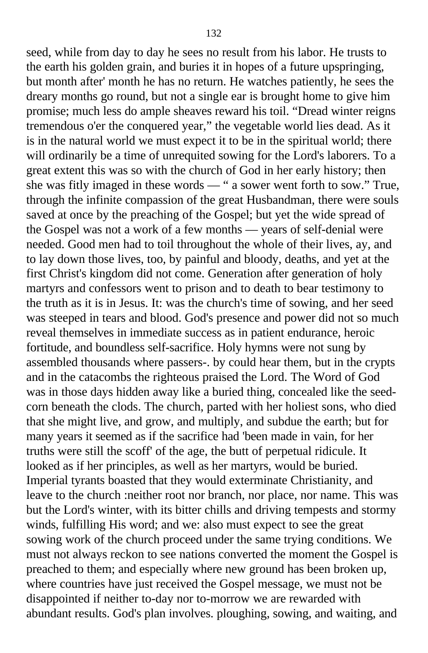seed, while from day to day he sees no result from his labor. He trusts to the earth his golden grain, and buries it in hopes of a future upspringing, but month after' month he has no return. He watches patiently, he sees the dreary months go round, but not a single ear is brought home to give him promise; much less do ample sheaves reward his toil. "Dread winter reigns tremendous o'er the conquered year," the vegetable world lies dead. As it is in the natural world we must expect it to be in the spiritual world; there will ordinarily be a time of unrequited sowing for the Lord's laborers. To a great extent this was so with the church of God in her early history; then she was fitly imaged in these words — " a sower went forth to sow." True, through the infinite compassion of the great Husbandman, there were souls saved at once by the preaching of the Gospel; but yet the wide spread of the Gospel was not a work of a few months — years of self-denial were needed. Good men had to toil throughout the whole of their lives, ay, and to lay down those lives, too, by painful and bloody, deaths, and yet at the first Christ's kingdom did not come. Generation after generation of holy martyrs and confessors went to prison and to death to bear testimony to the truth as it is in Jesus. It: was the church's time of sowing, and her seed was steeped in tears and blood. God's presence and power did not so much reveal themselves in immediate success as in patient endurance, heroic fortitude, and boundless self-sacrifice. Holy hymns were not sung by assembled thousands where passers-. by could hear them, but in the crypts and in the catacombs the righteous praised the Lord. The Word of God was in those days hidden away like a buried thing, concealed like the seedcorn beneath the clods. The church, parted with her holiest sons, who died that she might live, and grow, and multiply, and subdue the earth; but for many years it seemed as if the sacrifice had 'been made in vain, for her truths were still the scoff' of the age, the butt of perpetual ridicule. It looked as if her principles, as well as her martyrs, would be buried. Imperial tyrants boasted that they would exterminate Christianity, and leave to the church :neither root nor branch, nor place, nor name. This was but the Lord's winter, with its bitter chills and driving tempests and stormy winds, fulfilling His word; and we: also must expect to see the great sowing work of the church proceed under the same trying conditions. We must not always reckon to see nations converted the moment the Gospel is preached to them; and especially where new ground has been broken up, where countries have just received the Gospel message, we must not be disappointed if neither to-day nor to-morrow we are rewarded with abundant results. God's plan involves. ploughing, sowing, and waiting, and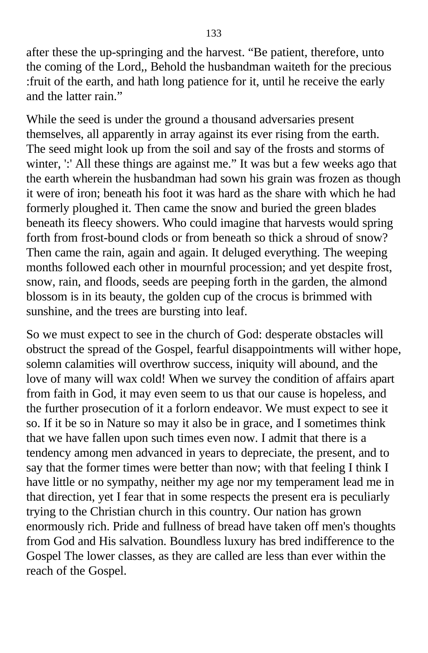after these the up-springing and the harvest. "Be patient, therefore, unto the coming of the Lord,, Behold the husbandman waiteth for the precious :fruit of the earth, and hath long patience for it, until he receive the early and the latter rain."

While the seed is under the ground a thousand adversaries present themselves, all apparently in array against its ever rising from the earth. The seed might look up from the soil and say of the frosts and storms of winter, ':' All these things are against me." It was but a few weeks ago that the earth wherein the husbandman had sown his grain was frozen as though it were of iron; beneath his foot it was hard as the share with which he had formerly ploughed it. Then came the snow and buried the green blades beneath its fleecy showers. Who could imagine that harvests would spring forth from frost-bound clods or from beneath so thick a shroud of snow? Then came the rain, again and again. It deluged everything. The weeping months followed each other in mournful procession; and yet despite frost, snow, rain, and floods, seeds are peeping forth in the garden, the almond blossom is in its beauty, the golden cup of the crocus is brimmed with sunshine, and the trees are bursting into leaf.

So we must expect to see in the church of God: desperate obstacles will obstruct the spread of the Gospel, fearful disappointments will wither hope, solemn calamities will overthrow success, iniquity will abound, and the love of many will wax cold! When we survey the condition of affairs apart from faith in God, it may even seem to us that our cause is hopeless, and the further prosecution of it a forlorn endeavor. We must expect to see it so. If it be so in Nature so may it also be in grace, and I sometimes think that we have fallen upon such times even now. I admit that there is a tendency among men advanced in years to depreciate, the present, and to say that the former times were better than now; with that feeling I think I have little or no sympathy, neither my age nor my temperament lead me in that direction, yet I fear that in some respects the present era is peculiarly trying to the Christian church in this country. Our nation has grown enormously rich. Pride and fullness of bread have taken off men's thoughts from God and His salvation. Boundless luxury has bred indifference to the Gospel The lower classes, as they are called are less than ever within the reach of the Gospel.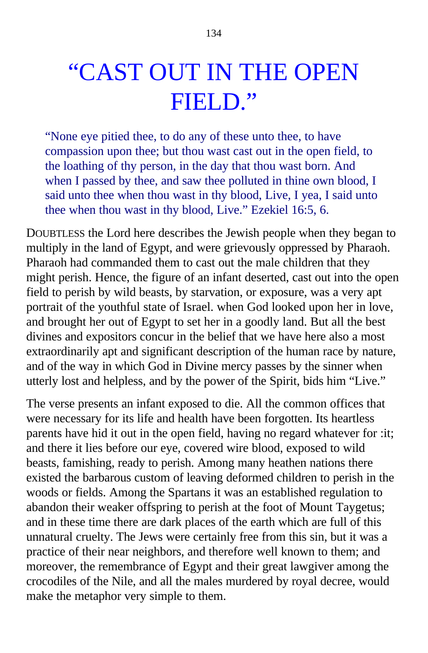"None eye pitied thee, to do any of these unto thee, to have compassion upon thee; but thou wast cast out in the open field, to the loathing of thy person, in the day that thou wast born. And when I passed by thee, and saw thee polluted in thine own blood, I said unto thee when thou wast in thy blood, Live, I yea, I said unto thee when thou wast in thy blood, Live." Ezekiel 16:5, 6.

DOUBTLESS the Lord here describes the Jewish people when they began to multiply in the land of Egypt, and were grievously oppressed by Pharaoh. Pharaoh had commanded them to cast out the male children that they might perish. Hence, the figure of an infant deserted, cast out into the open field to perish by wild beasts, by starvation, or exposure, was a very apt portrait of the youthful state of Israel. when God looked upon her in love, and brought her out of Egypt to set her in a goodly land. But all the best divines and expositors concur in the belief that we have here also a most extraordinarily apt and significant description of the human race by nature, and of the way in which God in Divine mercy passes by the sinner when utterly lost and helpless, and by the power of the Spirit, bids him "Live."

The verse presents an infant exposed to die. All the common offices that were necessary for its life and health have been forgotten. Its heartless parents have hid it out in the open field, having no regard whatever for :it; and there it lies before our eye, covered wire blood, exposed to wild beasts, famishing, ready to perish. Among many heathen nations there existed the barbarous custom of leaving deformed children to perish in the woods or fields. Among the Spartans it was an established regulation to abandon their weaker offspring to perish at the foot of Mount Taygetus; and in these time there are dark places of the earth which are full of this unnatural cruelty. The Jews were certainly free from this sin, but it was a practice of their near neighbors, and therefore well known to them; and moreover, the remembrance of Egypt and their great lawgiver among the crocodiles of the Nile, and all the males murdered by royal decree, would make the metaphor very simple to them.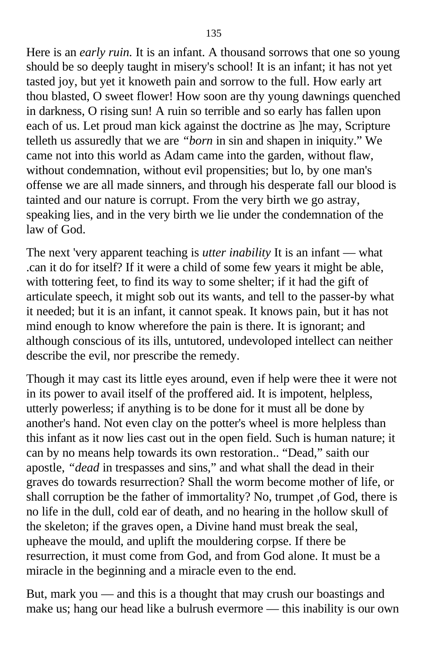Here is an *early ruin*. It is an infant. A thousand sorrows that one so young should be so deeply taught in misery's school! It is an infant; it has not yet tasted joy, but yet it knoweth pain and sorrow to the full. How early art thou blasted, O sweet flower! How soon are thy young dawnings quenched in darkness, O rising sun! A ruin so terrible and so early has fallen upon each of us. Let proud man kick against the doctrine as lhe may, Scripture telleth us assuredly that we are *"born* in sin and shapen in iniquity." We came not into this world as Adam came into the garden, without flaw, without condemnation, without evil propensities; but lo, by one man's offense we are all made sinners, and through his desperate fall our blood is tainted and our nature is corrupt. From the very birth we go astray, speaking lies, and in the very birth we lie under the condemnation of the law of God.

The next 'very apparent teaching is *utter inability* It is an infant — what .can it do for itself? If it were a child of some few years it might be able, with tottering feet, to find its way to some shelter; if it had the gift of articulate speech, it might sob out its wants, and tell to the passer-by what it needed; but it is an infant, it cannot speak. It knows pain, but it has not mind enough to know wherefore the pain is there. It is ignorant; and although conscious of its ills, untutored, undevoloped intellect can neither describe the evil, nor prescribe the remedy.

Though it may cast its little eyes around, even if help were thee it were not in its power to avail itself of the proffered aid. It is impotent, helpless, utterly powerless; if anything is to be done for it must all be done by another's hand. Not even clay on the potter's wheel is more helpless than this infant as it now lies cast out in the open field. Such is human nature; it can by no means help towards its own restoration.. "Dead," saith our apostle, *"dead* in trespasses and sins," and what shall the dead in their graves do towards resurrection? Shall the worm become mother of life, or shall corruption be the father of immortality? No, trumpet ,of God, there is no life in the dull, cold ear of death, and no hearing in the hollow skull of the skeleton; if the graves open, a Divine hand must break the seal, upheave the mould, and uplift the mouldering corpse. If there be resurrection, it must come from God, and from God alone. It must be a miracle in the beginning and a miracle even to the end.

But, mark you — and this is a thought that may crush our boastings and make us; hang our head like a bulrush evermore — this inability is our own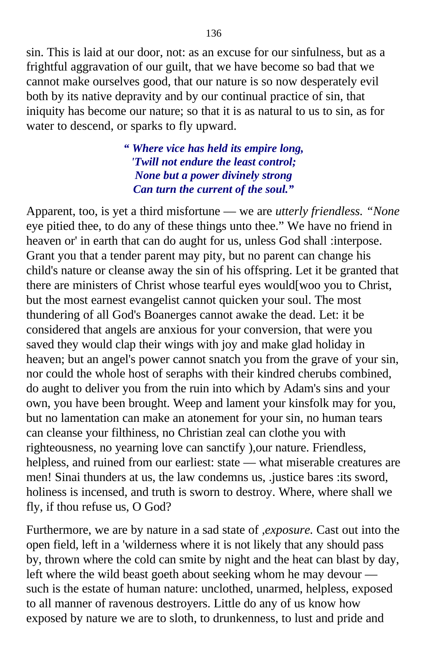sin. This is laid at our door, not: as an excuse for our sinfulness, but as a frightful aggravation of our guilt, that we have become so bad that we cannot make ourselves good, that our nature is so now desperately evil both by its native depravity and by our continual practice of sin, that iniquity has become our nature; so that it is as natural to us to sin, as for water to descend, or sparks to fly upward.

> *" Where vice has held its empire long, 'Twill not endure the least control; None but a power divinely strong Can turn the current of the soul."*

Apparent, too, is yet a third misfortune — we are *utterly friendless. "None* eye pitied thee, to do any of these things unto thee." We have no friend in heaven or' in earth that can do aught for us, unless God shall :interpose. Grant you that a tender parent may pity, but no parent can change his child's nature or cleanse away the sin of his offspring. Let it be granted that there are ministers of Christ whose tearful eyes would[woo you to Christ, but the most earnest evangelist cannot quicken your soul. The most thundering of all God's Boanerges cannot awake the dead. Let: it be considered that angels are anxious for your conversion, that were you saved they would clap their wings with joy and make glad holiday in heaven; but an angel's power cannot snatch you from the grave of your sin, nor could the whole host of seraphs with their kindred cherubs combined, do aught to deliver you from the ruin into which by Adam's sins and your own, you have been brought. Weep and lament your kinsfolk may for you, but no lamentation can make an atonement for your sin, no human tears can cleanse your filthiness, no Christian zeal can clothe you with righteousness, no yearning love can sanctify ),our nature. Friendless, helpless, and ruined from our earliest: state — what miserable creatures are men! Sinai thunders at us, the law condemns us, .justice bares :its sword, holiness is incensed, and truth is sworn to destroy. Where, where shall we fly, if thou refuse us, O God?

Furthermore, we are by nature in a sad state of *,exposure.* Cast out into the open field, left in a 'wilderness where it is not likely that any should pass by, thrown where the cold can smite by night and the heat can blast by day, left where the wild beast goeth about seeking whom he may devour such is the estate of human nature: unclothed, unarmed, helpless, exposed to all manner of ravenous destroyers. Little do any of us know how exposed by nature we are to sloth, to drunkenness, to lust and pride and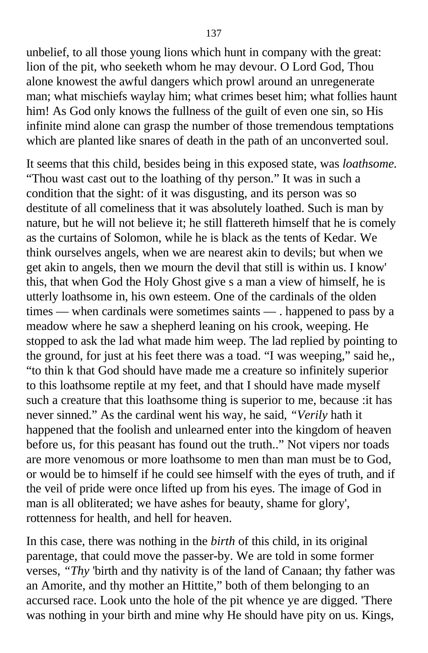unbelief, to all those young lions which hunt in company with the great: lion of the pit, who seeketh whom he may devour. O Lord God, Thou alone knowest the awful dangers which prowl around an unregenerate man; what mischiefs waylay him; what crimes beset him; what follies haunt him! As God only knows the fullness of the guilt of even one sin, so His infinite mind alone can grasp the number of those tremendous temptations which are planted like snares of death in the path of an unconverted soul.

It seems that this child, besides being in this exposed state, was *loathsome.* "Thou wast cast out to the loathing of thy person." It was in such a condition that the sight: of it was disgusting, and its person was so destitute of all comeliness that it was absolutely loathed. Such is man by nature, but he will not believe it; he still flattereth himself that he is comely as the curtains of Solomon, while he is black as the tents of Kedar. We think ourselves angels, when we are nearest akin to devils; but when we get akin to angels, then we mourn the devil that still is within us. I know' this, that when God the Holy Ghost give s a man a view of himself, he is utterly loathsome in, his own esteem. One of the cardinals of the olden times — when cardinals were sometimes saints — . happened to pass by a meadow where he saw a shepherd leaning on his crook, weeping. He stopped to ask the lad what made him weep. The lad replied by pointing to the ground, for just at his feet there was a toad. "I was weeping," said he,, "to thin k that God should have made me a creature so infinitely superior to this loathsome reptile at my feet, and that I should have made myself such a creature that this loathsome thing is superior to me, because :it has never sinned." As the cardinal went his way, he said, *"Verily* hath it happened that the foolish and unlearned enter into the kingdom of heaven before us, for this peasant has found out the truth.." Not vipers nor toads are more venomous or more loathsome to men than man must be to God, or would be to himself if he could see himself with the eyes of truth, and if the veil of pride were once lifted up from his eyes. The image of God in man is all obliterated; we have ashes for beauty, shame for glory', rottenness for health, and hell for heaven.

In this case, there was nothing in the *birth* of this child, in its original parentage, that could move the passer-by. We are told in some former verses, *"Thy* 'birth and thy nativity is of the land of Canaan; thy father was an Amorite, and thy mother an Hittite," both of them belonging to an accursed race. Look unto the hole of the pit whence ye are digged. 'There was nothing in your birth and mine why He should have pity on us. Kings,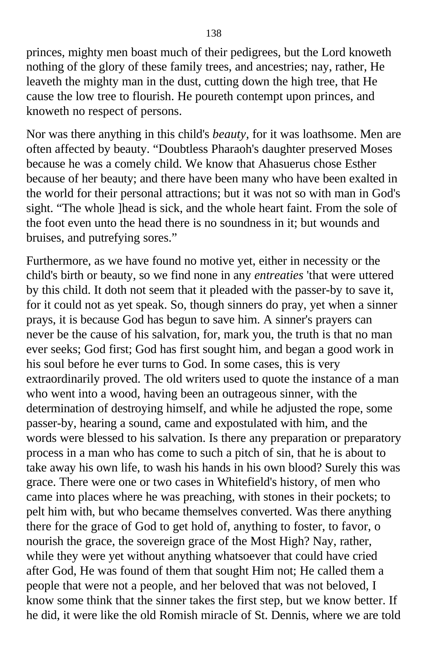princes, mighty men boast much of their pedigrees, but the Lord knoweth nothing of the glory of these family trees, and ancestries; nay, rather, He leaveth the mighty man in the dust, cutting down the high tree, that He cause the low tree to flourish. He poureth contempt upon princes, and knoweth no respect of persons.

Nor was there anything in this child's *beauty,* for it was loathsome. Men are often affected by beauty. "Doubtless Pharaoh's daughter preserved Moses because he was a comely child. We know that Ahasuerus chose Esther because of her beauty; and there have been many who have been exalted in the world for their personal attractions; but it was not so with man in God's sight. "The whole ]head is sick, and the whole heart faint. From the sole of the foot even unto the head there is no soundness in it; but wounds and bruises, and putrefying sores."

Furthermore, as we have found no motive yet, either in necessity or the child's birth or beauty, so we find none in any *entreaties* 'that were uttered by this child. It doth not seem that it pleaded with the passer-by to save it, for it could not as yet speak. So, though sinners do pray, yet when a sinner prays, it is because God has begun to save him. A sinner's prayers can never be the cause of his salvation, for, mark you, the truth is that no man ever seeks; God first; God has first sought him, and began a good work in his soul before he ever turns to God. In some cases, this is very extraordinarily proved. The old writers used to quote the instance of a man who went into a wood, having been an outrageous sinner, with the determination of destroying himself, and while he adjusted the rope, some passer-by, hearing a sound, came and expostulated with him, and the words were blessed to his salvation. Is there any preparation or preparatory process in a man who has come to such a pitch of sin, that he is about to take away his own life, to wash his hands in his own blood? Surely this was grace. There were one or two cases in Whitefield's history, of men who came into places where he was preaching, with stones in their pockets; to pelt him with, but who became themselves converted. Was there anything there for the grace of God to get hold of, anything to foster, to favor, o nourish the grace, the sovereign grace of the Most High? Nay, rather, while they were yet without anything whatsoever that could have cried after God, He was found of them that sought Him not; He called them a people that were not a people, and her beloved that was not beloved, I know some think that the sinner takes the first step, but we know better. If he did, it were like the old Romish miracle of St. Dennis, where we are told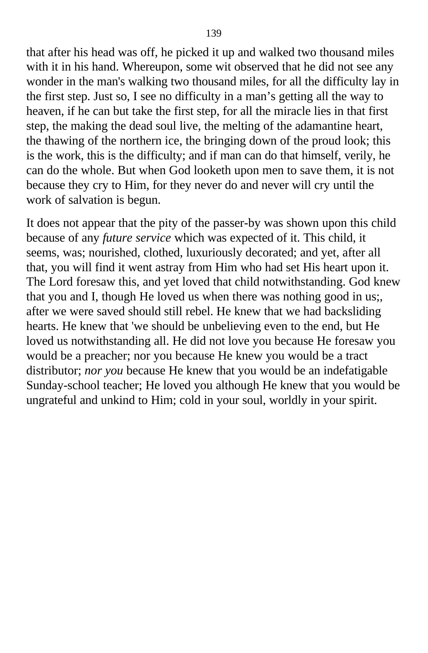that after his head was off, he picked it up and walked two thousand miles with it in his hand. Whereupon, some wit observed that he did not see any wonder in the man's walking two thousand miles, for all the difficulty lay in the first step. Just so, I see no difficulty in a man's getting all the way to heaven, if he can but take the first step, for all the miracle lies in that first step, the making the dead soul live, the melting of the adamantine heart, the thawing of the northern ice, the bringing down of the proud look; this is the work, this is the difficulty; and if man can do that himself, verily, he can do the whole. But when God looketh upon men to save them, it is not because they cry to Him, for they never do and never will cry until the work of salvation is begun.

It does not appear that the pity of the passer-by was shown upon this child because of any *future service* which was expected of it. This child, it seems, was; nourished, clothed, luxuriously decorated; and yet, after all that, you will find it went astray from Him who had set His heart upon it. The Lord foresaw this, and yet loved that child notwithstanding. God knew that you and I, though He loved us when there was nothing good in us;, after we were saved should still rebel. He knew that we had backsliding hearts. He knew that 'we should be unbelieving even to the end, but He loved us notwithstanding all. He did not love you because He foresaw you would be a preacher; nor you because He knew you would be a tract distributor; *nor you* because He knew that you would be an indefatigable Sunday-school teacher; He loved you although He knew that you would be ungrateful and unkind to Him; cold in your soul, worldly in your spirit.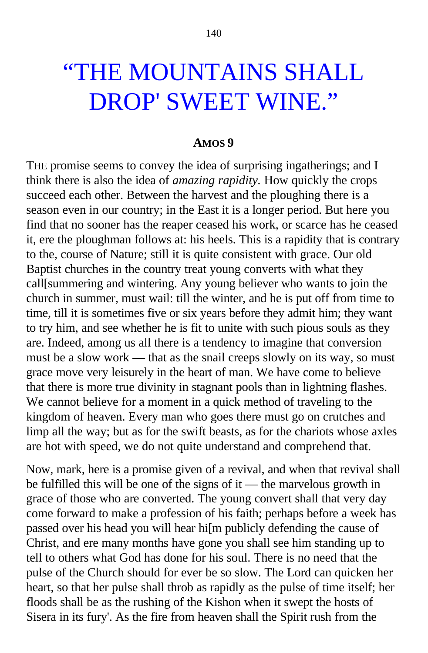### "THE MOUNTAINS SHALL DROP' SWEET WINE."

#### **AMOS 9**

THE promise seems to convey the idea of surprising ingatherings; and I think there is also the idea of *amazing rapidity.* How quickly the crops succeed each other. Between the harvest and the ploughing there is a season even in our country; in the East it is a longer period. But here you find that no sooner has the reaper ceased his work, or scarce has he ceased it, ere the ploughman follows at: his heels. This is a rapidity that is contrary to the, course of Nature; still it is quite consistent with grace. Our old Baptist churches in the country treat young converts with what they call[summering and wintering. Any young believer who wants to join the church in summer, must wail: till the winter, and he is put off from time to time, till it is sometimes five or six years before they admit him; they want to try him, and see whether he is fit to unite with such pious souls as they are. Indeed, among us all there is a tendency to imagine that conversion must be a slow work — that as the snail creeps slowly on its way, so must grace move very leisurely in the heart of man. We have come to believe that there is more true divinity in stagnant pools than in lightning flashes. We cannot believe for a moment in a quick method of traveling to the kingdom of heaven. Every man who goes there must go on crutches and limp all the way; but as for the swift beasts, as for the chariots whose axles are hot with speed, we do not quite understand and comprehend that.

Now, mark, here is a promise given of a revival, and when that revival shall be fulfilled this will be one of the signs of it — the marvelous growth in grace of those who are converted. The young convert shall that very day come forward to make a profession of his faith; perhaps before a week has passed over his head you will hear hi[m publicly defending the cause of Christ, and ere many months have gone you shall see him standing up to tell to others what God has done for his soul. There is no need that the pulse of the Church should for ever be so slow. The Lord can quicken her heart, so that her pulse shall throb as rapidly as the pulse of time itself; her floods shall be as the rushing of the Kishon when it swept the hosts of Sisera in its fury'. As the fire from heaven shall the Spirit rush from the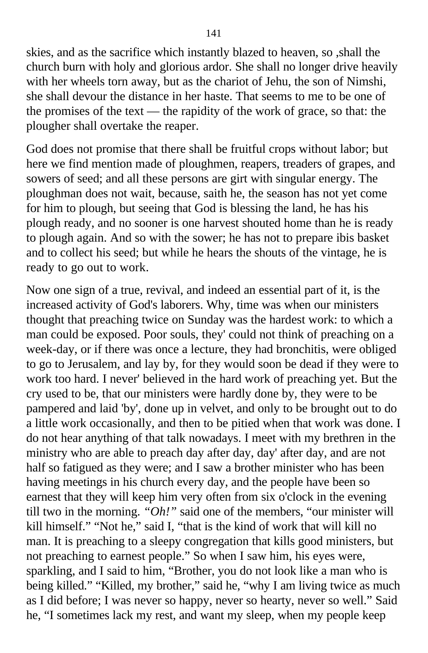skies, and as the sacrifice which instantly blazed to heaven, so ,shall the church burn with holy and glorious ardor. She shall no longer drive heavily with her wheels torn away, but as the chariot of Jehu, the son of Nimshi, she shall devour the distance in her haste. That seems to me to be one of the promises of the text — the rapidity of the work of grace, so that: the plougher shall overtake the reaper.

God does not promise that there shall be fruitful crops without labor; but here we find mention made of ploughmen, reapers, treaders of grapes, and sowers of seed; and all these persons are girt with singular energy. The ploughman does not wait, because, saith he, the season has not yet come for him to plough, but seeing that God is blessing the land, he has his plough ready, and no sooner is one harvest shouted home than he is ready to plough again. And so with the sower; he has not to prepare ibis basket and to collect his seed; but while he hears the shouts of the vintage, he is ready to go out to work.

Now one sign of a true, revival, and indeed an essential part of it, is the increased activity of God's laborers. Why, time was when our ministers thought that preaching twice on Sunday was the hardest work: to which a man could be exposed. Poor souls, they' could not think of preaching on a week-day, or if there was once a lecture, they had bronchitis, were obliged to go to Jerusalem, and lay by, for they would soon be dead if they were to work too hard. I never' believed in the hard work of preaching yet. But the cry used to be, that our ministers were hardly done by, they were to be pampered and laid 'by', done up in velvet, and only to be brought out to do a little work occasionally, and then to be pitied when that work was done. I do not hear anything of that talk nowadays. I meet with my brethren in the ministry who are able to preach day after day, day' after day, and are not half so fatigued as they were; and I saw a brother minister who has been having meetings in his church every day, and the people have been so earnest that they will keep him very often from six o'clock in the evening till two in the morning. *"Oh!"* said one of the members, "our minister will kill himself." "Not he," said I, "that is the kind of work that will kill no man. It is preaching to a sleepy congregation that kills good ministers, but not preaching to earnest people." So when I saw him, his eyes were, sparkling, and I said to him, "Brother, you do not look like a man who is being killed." "Killed, my brother," said he, "why I am living twice as much as I did before; I was never so happy, never so hearty, never so well." Said he, "I sometimes lack my rest, and want my sleep, when my people keep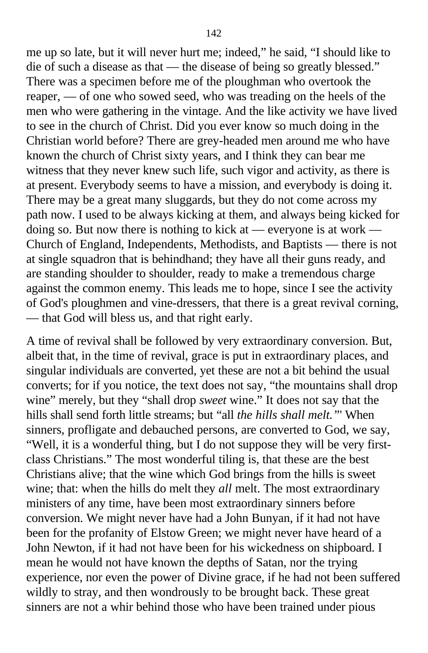me up so late, but it will never hurt me; indeed," he said, "I should like to die of such a disease as that — the disease of being so greatly blessed." There was a specimen before me of the ploughman who overtook the reaper, — of one who sowed seed, who was treading on the heels of the men who were gathering in the vintage. And the like activity we have lived to see in the church of Christ. Did you ever know so much doing in the Christian world before? There are grey-headed men around me who have known the church of Christ sixty years, and I think they can bear me witness that they never knew such life, such vigor and activity, as there is at present. Everybody seems to have a mission, and everybody is doing it. There may be a great many sluggards, but they do not come across my path now. I used to be always kicking at them, and always being kicked for doing so. But now there is nothing to kick at — everyone is at work — Church of England, Independents, Methodists, and Baptists — there is not at single squadron that is behindhand; they have all their guns ready, and are standing shoulder to shoulder, ready to make a tremendous charge against the common enemy. This leads me to hope, since I see the activity of God's ploughmen and vine-dressers, that there is a great revival corning, — that God will bless us, and that right early.

A time of revival shall be followed by very extraordinary conversion. But, albeit that, in the time of revival, grace is put in extraordinary places, and singular individuals are converted, yet these are not a bit behind the usual converts; for if you notice, the text does not say, "the mountains shall drop wine" merely, but they "shall drop *sweet* wine." It does not say that the hills shall send forth little streams; but "all *the hills shall melt."*' When sinners, profligate and debauched persons, are converted to God, we say, "Well, it is a wonderful thing, but I do not suppose they will be very firstclass Christians." The most wonderful tiling is, that these are the best Christians alive; that the wine which God brings from the hills is sweet wine; that: when the hills do melt they *all* melt. The most extraordinary ministers of any time, have been most extraordinary sinners before conversion. We might never have had a John Bunyan, if it had not have been for the profanity of Elstow Green; we might never have heard of a John Newton, if it had not have been for his wickedness on shipboard. I mean he would not have known the depths of Satan, nor the trying experience, nor even the power of Divine grace, if he had not been suffered wildly to stray, and then wondrously to be brought back. These great sinners are not a whir behind those who have been trained under pious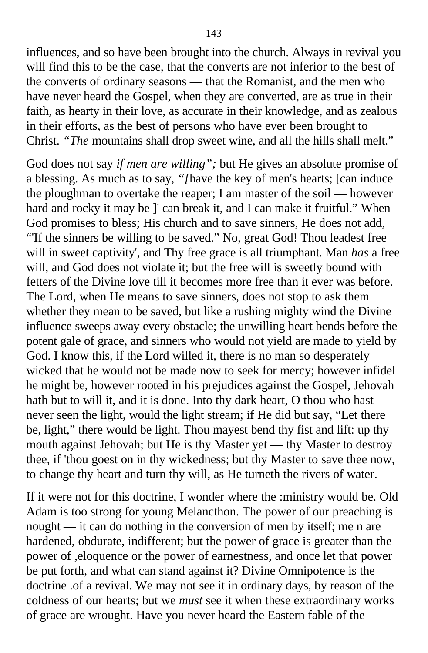influences, and so have been brought into the church. Always in revival you will find this to be the case, that the converts are not inferior to the best of the converts of ordinary seasons — that the Romanist, and the men who have never heard the Gospel, when they are converted, are as true in their faith, as hearty in their love, as accurate in their knowledge, and as zealous in their efforts, as the best of persons who have ever been brought to Christ. *"The* mountains shall drop sweet wine, and all the hills shall melt."

God does not say *if men are willing";* but He gives an absolute promise of a blessing. As much as to say, *"[*have the key of men's hearts; [can induce the ploughman to overtake the reaper; I am master of the soil — however hard and rocky it may be ]' can break it, and I can make it fruitful." When God promises to bless; His church and to save sinners, He does not add, "If the sinners be willing to be saved." No, great God! Thou leadest free will in sweet captivity', and Thy free grace is all triumphant. Man *has* a free will, and God does not violate it; but the free will is sweetly bound with fetters of the Divine love till it becomes more free than it ever was before. The Lord, when He means to save sinners, does not stop to ask them whether they mean to be saved, but like a rushing mighty wind the Divine influence sweeps away every obstacle; the unwilling heart bends before the potent gale of grace, and sinners who would not yield are made to yield by God. I know this, if the Lord willed it, there is no man so desperately wicked that he would not be made now to seek for mercy; however infidel he might be, however rooted in his prejudices against the Gospel, Jehovah hath but to will it, and it is done. Into thy dark heart, O thou who hast never seen the light, would the light stream; if He did but say, "Let there be, light," there would be light. Thou mayest bend thy fist and lift: up thy mouth against Jehovah; but He is thy Master yet — thy Master to destroy thee, if 'thou goest on in thy wickedness; but thy Master to save thee now, to change thy heart and turn thy will, as He turneth the rivers of water.

If it were not for this doctrine, I wonder where the :ministry would be. Old Adam is too strong for young Melancthon. The power of our preaching is nought — it can do nothing in the conversion of men by itself; me n are hardened, obdurate, indifferent; but the power of grace is greater than the power of ,eloquence or the power of earnestness, and once let that power be put forth, and what can stand against it? Divine Omnipotence is the doctrine .of a revival. We may not see it in ordinary days, by reason of the coldness of our hearts; but we *must* see it when these extraordinary works of grace are wrought. Have you never heard the Eastern fable of the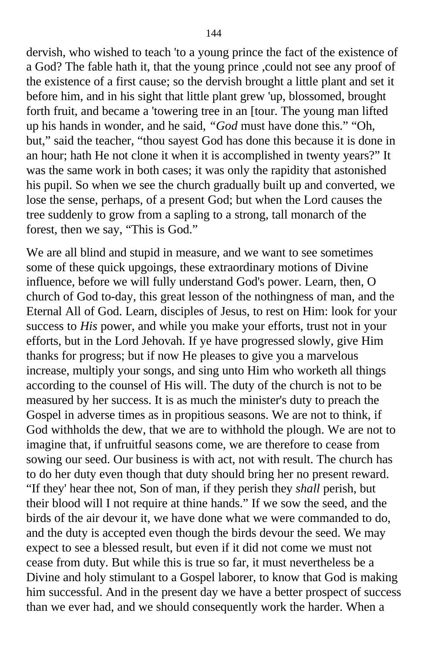dervish, who wished to teach 'to a young prince the fact of the existence of a God? The fable hath it, that the young prince ,could not see any proof of the existence of a first cause; so the dervish brought a little plant and set it before him, and in his sight that little plant grew 'up, blossomed, brought forth fruit, and became a 'towering tree in an [tour. The young man lifted up his hands in wonder, and he said, *"God* must have done this." "Oh, but," said the teacher, "thou sayest God has done this because it is done in an hour; hath He not clone it when it is accomplished in twenty years?" It was the same work in both cases; it was only the rapidity that astonished his pupil. So when we see the church gradually built up and converted, we lose the sense, perhaps, of a present God; but when the Lord causes the tree suddenly to grow from a sapling to a strong, tall monarch of the forest, then we say, "This is God."

We are all blind and stupid in measure, and we want to see sometimes some of these quick upgoings, these extraordinary motions of Divine influence, before we will fully understand God's power. Learn, then, O church of God to-day, this great lesson of the nothingness of man, and the Eternal All of God. Learn, disciples of Jesus, to rest on Him: look for your success to *His* power, and while you make your efforts, trust not in your efforts, but in the Lord Jehovah. If ye have progressed slowly, give Him thanks for progress; but if now He pleases to give you a marvelous increase, multiply your songs, and sing unto Him who worketh all things according to the counsel of His will. The duty of the church is not to be measured by her success. It is as much the minister's duty to preach the Gospel in adverse times as in propitious seasons. We are not to think, if God withholds the dew, that we are to withhold the plough. We are not to imagine that, if unfruitful seasons come, we are therefore to cease from sowing our seed. Our business is with act, not with result. The church has to do her duty even though that duty should bring her no present reward. "If they' hear thee not, Son of man, if they perish they *shall* perish, but their blood will I not require at thine hands." If we sow the seed, and the birds of the air devour it, we have done what we were commanded to do, and the duty is accepted even though the birds devour the seed. We may expect to see a blessed result, but even if it did not come we must not cease from duty. But while this is true so far, it must nevertheless be a Divine and holy stimulant to a Gospel laborer, to know that God is making him successful. And in the present day we have a better prospect of success than we ever had, and we should consequently work the harder. When a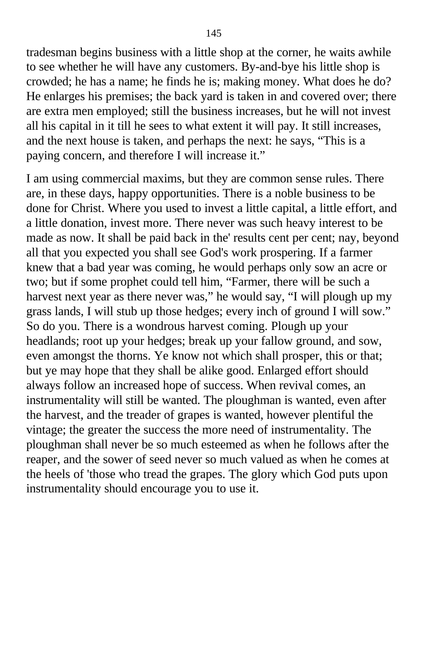tradesman begins business with a little shop at the corner, he waits awhile to see whether he will have any customers. By-and-bye his little shop is crowded; he has a name; he finds he is; making money. What does he do? He enlarges his premises; the back yard is taken in and covered over; there are extra men employed; still the business increases, but he will not invest all his capital in it till he sees to what extent it will pay. It still increases, and the next house is taken, and perhaps the next: he says, "This is a paying concern, and therefore I will increase it."

I am using commercial maxims, but they are common sense rules. There are, in these days, happy opportunities. There is a noble business to be done for Christ. Where you used to invest a little capital, a little effort, and a little donation, invest more. There never was such heavy interest to be made as now. It shall be paid back in the' results cent per cent; nay, beyond all that you expected you shall see God's work prospering. If a farmer knew that a bad year was coming, he would perhaps only sow an acre or two; but if some prophet could tell him, "Farmer, there will be such a harvest next year as there never was," he would say, "I will plough up my grass lands, I will stub up those hedges; every inch of ground I will sow." So do you. There is a wondrous harvest coming. Plough up your headlands; root up your hedges; break up your fallow ground, and sow, even amongst the thorns. Ye know not which shall prosper, this or that; but ye may hope that they shall be alike good. Enlarged effort should always follow an increased hope of success. When revival comes, an instrumentality will still be wanted. The ploughman is wanted, even after the harvest, and the treader of grapes is wanted, however plentiful the vintage; the greater the success the more need of instrumentality. The ploughman shall never be so much esteemed as when he follows after the reaper, and the sower of seed never so much valued as when he comes at the heels of 'those who tread the grapes. The glory which God puts upon instrumentality should encourage you to use it.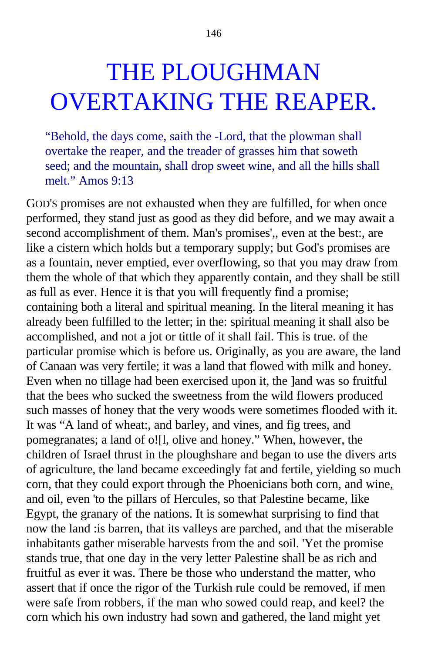# THE PLOUGHMAN OVERTAKING THE REAPER.

"Behold, the days come, saith the -Lord, that the plowman shall overtake the reaper, and the treader of grasses him that soweth seed; and the mountain, shall drop sweet wine, and all the hills shall melt." Amos 9:13

GOD'S promises are not exhausted when they are fulfilled, for when once performed, they stand just as good as they did before, and we may await a second accomplishment of them. Man's promises',, even at the best:, are like a cistern which holds but a temporary supply; but God's promises are as a fountain, never emptied, ever overflowing, so that you may draw from them the whole of that which they apparently contain, and they shall be still as full as ever. Hence it is that you will frequently find a promise; containing both a literal and spiritual meaning. In the literal meaning it has already been fulfilled to the letter; in the: spiritual meaning it shall also be accomplished, and not a jot or tittle of it shall fail. This is true. of the particular promise which is before us. Originally, as you are aware, the land of Canaan was very fertile; it was a land that flowed with milk and honey. Even when no tillage had been exercised upon it, the ]and was so fruitful that the bees who sucked the sweetness from the wild flowers produced such masses of honey that the very woods were sometimes flooded with it. It was "A land of wheat:, and barley, and vines, and fig trees, and pomegranates; a land of o![l, olive and honey." When, however, the children of Israel thrust in the ploughshare and began to use the divers arts of agriculture, the land became exceedingly fat and fertile, yielding so much corn, that they could export through the Phoenicians both corn, and wine, and oil, even 'to the pillars of Hercules, so that Palestine became, like Egypt, the granary of the nations. It is somewhat surprising to find that now the land :is barren, that its valleys are parched, and that the miserable inhabitants gather miserable harvests from the and soil. 'Yet the promise stands true, that one day in the very letter Palestine shall be as rich and fruitful as ever it was. There be those who understand the matter, who assert that if once the rigor of the Turkish rule could be removed, if men were safe from robbers, if the man who sowed could reap, and keel? the corn which his own industry had sown and gathered, the land might yet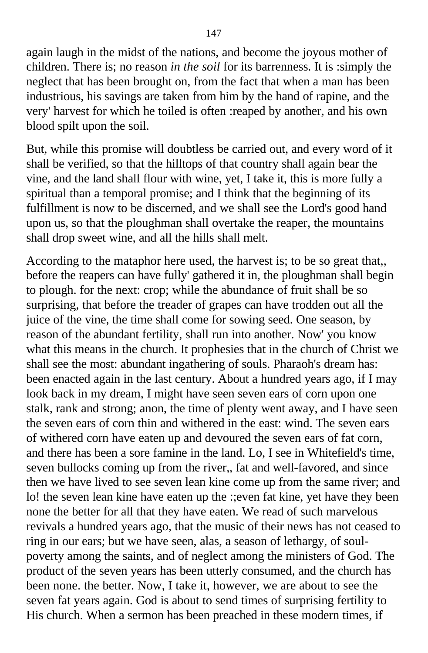again laugh in the midst of the nations, and become the joyous mother of children. There is; no reason *in the soil* for its barrenness. It is :simply the neglect that has been brought on, from the fact that when a man has been industrious, his savings are taken from him by the hand of rapine, and the very' harvest for which he toiled is often :reaped by another, and his own blood spilt upon the soil.

But, while this promise will doubtless be carried out, and every word of it shall be verified, so that the hilltops of that country shall again bear the vine, and the land shall flour with wine, yet, I take it, this is more fully a spiritual than a temporal promise; and I think that the beginning of its fulfillment is now to be discerned, and we shall see the Lord's good hand upon us, so that the ploughman shall overtake the reaper, the mountains shall drop sweet wine, and all the hills shall melt.

According to the mataphor here used, the harvest is; to be so great that,, before the reapers can have fully' gathered it in, the ploughman shall begin to plough. for the next: crop; while the abundance of fruit shall be so surprising, that before the treader of grapes can have trodden out all the juice of the vine, the time shall come for sowing seed. One season, by reason of the abundant fertility, shall run into another. Now' you know what this means in the church. It prophesies that in the church of Christ we shall see the most: abundant ingathering of souls. Pharaoh's dream has: been enacted again in the last century. About a hundred years ago, if I may look back in my dream, I might have seen seven ears of corn upon one stalk, rank and strong; anon, the time of plenty went away, and I have seen the seven ears of corn thin and withered in the east: wind. The seven ears of withered corn have eaten up and devoured the seven ears of fat corn, and there has been a sore famine in the land. Lo, I see in Whitefield's time, seven bullocks coming up from the river,, fat and well-favored, and since then we have lived to see seven lean kine come up from the same river; and lo! the seven lean kine have eaten up the :;even fat kine, yet have they been none the better for all that they have eaten. We read of such marvelous revivals a hundred years ago, that the music of their news has not ceased to ring in our ears; but we have seen, alas, a season of lethargy, of soulpoverty among the saints, and of neglect among the ministers of God. The product of the seven years has been utterly consumed, and the church has been none. the better. Now, I take it, however, we are about to see the seven fat years again. God is about to send times of surprising fertility to His church. When a sermon has been preached in these modern times, if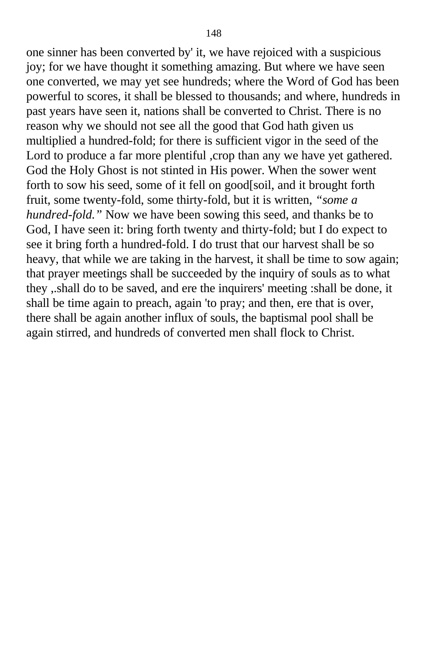one sinner has been converted by' it, we have rejoiced with a suspicious joy; for we have thought it something amazing. But where we have seen one converted, we may yet see hundreds; where the Word of God has been powerful to scores, it shall be blessed to thousands; and where, hundreds in past years have seen it, nations shall be converted to Christ. There is no reason why we should not see all the good that God hath given us multiplied a hundred-fold; for there is sufficient vigor in the seed of the Lord to produce a far more plentiful , crop than any we have yet gathered. God the Holy Ghost is not stinted in His power. When the sower went forth to sow his seed, some of it fell on good[soil, and it brought forth fruit, some twenty-fold, some thirty-fold, but it is written, *"some a hundred-fold."* Now we have been sowing this seed, and thanks be to God, I have seen it: bring forth twenty and thirty-fold; but I do expect to see it bring forth a hundred-fold. I do trust that our harvest shall be so heavy, that while we are taking in the harvest, it shall be time to sow again; that prayer meetings shall be succeeded by the inquiry of souls as to what they ,.shall do to be saved, and ere the inquirers' meeting :shall be done, it shall be time again to preach, again 'to pray; and then, ere that is over, there shall be again another influx of souls, the baptismal pool shall be again stirred, and hundreds of converted men shall flock to Christ.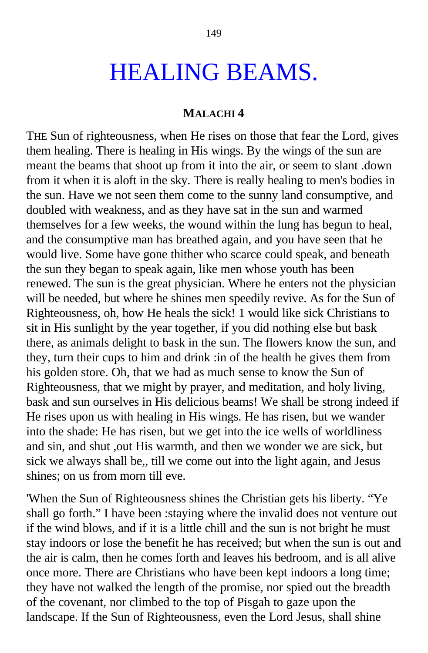### HEALING BEAMS.

#### **MALACHI 4**

THE Sun of righteousness, when He rises on those that fear the Lord, gives them healing. There is healing in His wings. By the wings of the sun are meant the beams that shoot up from it into the air, or seem to slant .down from it when it is aloft in the sky. There is really healing to men's bodies in the sun. Have we not seen them come to the sunny land consumptive, and doubled with weakness, and as they have sat in the sun and warmed themselves for a few weeks, the wound within the lung has begun to heal, and the consumptive man has breathed again, and you have seen that he would live. Some have gone thither who scarce could speak, and beneath the sun they began to speak again, like men whose youth has been renewed. The sun is the great physician. Where he enters not the physician will be needed, but where he shines men speedily revive. As for the Sun of Righteousness, oh, how He heals the sick! 1 would like sick Christians to sit in His sunlight by the year together, if you did nothing else but bask there, as animals delight to bask in the sun. The flowers know the sun, and they, turn their cups to him and drink :in of the health he gives them from his golden store. Oh, that we had as much sense to know the Sun of Righteousness, that we might by prayer, and meditation, and holy living, bask and sun ourselves in His delicious beams! We shall be strong indeed if He rises upon us with healing in His wings. He has risen, but we wander into the shade: He has risen, but we get into the ice wells of worldliness and sin, and shut ,out His warmth, and then we wonder we are sick, but sick we always shall be,, till we come out into the light again, and Jesus shines; on us from morn till eve.

'When the Sun of Righteousness shines the Christian gets his liberty. "Ye shall go forth." I have been :staying where the invalid does not venture out if the wind blows, and if it is a little chill and the sun is not bright he must stay indoors or lose the benefit he has received; but when the sun is out and the air is calm, then he comes forth and leaves his bedroom, and is all alive once more. There are Christians who have been kept indoors a long time; they have not walked the length of the promise, nor spied out the breadth of the covenant, nor climbed to the top of Pisgah to gaze upon the landscape. If the Sun of Righteousness, even the Lord Jesus, shall shine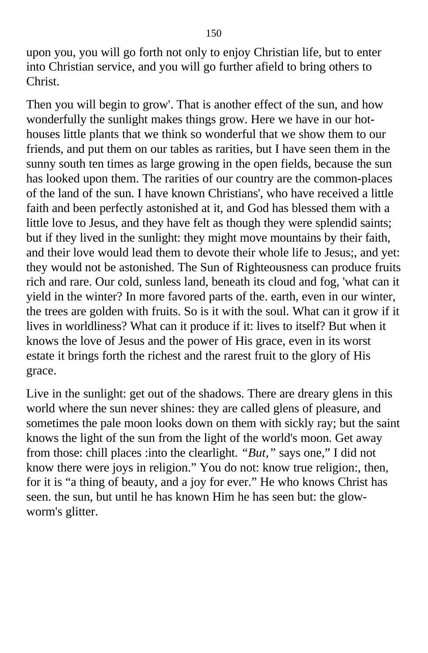upon you, you will go forth not only to enjoy Christian life, but to enter into Christian service, and you will go further afield to bring others to Christ.

Then you will begin to grow'. That is another effect of the sun, and how wonderfully the sunlight makes things grow. Here we have in our hothouses little plants that we think so wonderful that we show them to our friends, and put them on our tables as rarities, but I have seen them in the sunny south ten times as large growing in the open fields, because the sun has looked upon them. The rarities of our country are the common-places of the land of the sun. I have known Christians', who have received a little faith and been perfectly astonished at it, and God has blessed them with a little love to Jesus, and they have felt as though they were splendid saints; but if they lived in the sunlight: they might move mountains by their faith, and their love would lead them to devote their whole life to Jesus;, and yet: they would not be astonished. The Sun of Righteousness can produce fruits rich and rare. Our cold, sunless land, beneath its cloud and fog, 'what can it yield in the winter? In more favored parts of the. earth, even in our winter, the trees are golden with fruits. So is it with the soul. What can it grow if it lives in worldliness? What can it produce if it: lives to itself? But when it knows the love of Jesus and the power of His grace, even in its worst estate it brings forth the richest and the rarest fruit to the glory of His grace.

Live in the sunlight: get out of the shadows. There are dreary glens in this world where the sun never shines: they are called glens of pleasure, and sometimes the pale moon looks down on them with sickly ray; but the saint knows the light of the sun from the light of the world's moon. Get away from those: chill places :into the clearlight. *"But,"* says one," I did not know there were joys in religion." You do not: know true religion:, then, for it is "a thing of beauty, and a joy for ever." He who knows Christ has seen. the sun, but until he has known Him he has seen but: the glowworm's glitter.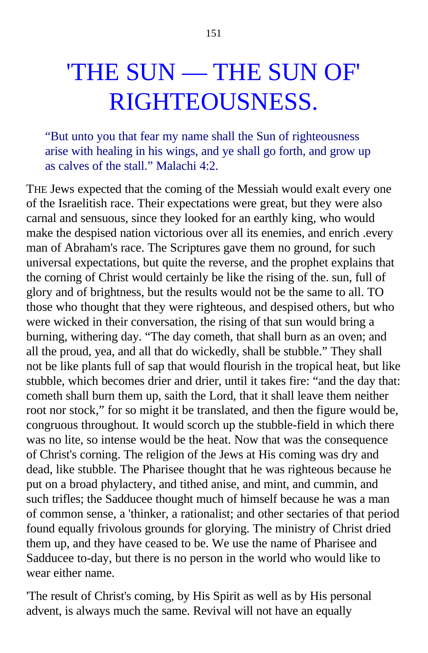## 'THE SUN — THE SUN OF' RIGHTEOUSNESS.

"But unto you that fear my name shall the Sun of righteousness arise with healing in his wings, and ye shall go forth, and grow up as calves of the stall." Malachi 4:2.

THE Jews expected that the coming of the Messiah would exalt every one of the Israelitish race. Their expectations were great, but they were also carnal and sensuous, since they looked for an earthly king, who would make the despised nation victorious over all its enemies, and enrich .every man of Abraham's race. The Scriptures gave them no ground, for such universal expectations, but quite the reverse, and the prophet explains that the corning of Christ would certainly be like the rising of the. sun, full of glory and of brightness, but the results would not be the same to all. TO those who thought that they were righteous, and despised others, but who were wicked in their conversation, the rising of that sun would bring a burning, withering day. "The day cometh, that shall burn as an oven; and all the proud, yea, and all that do wickedly, shall be stubble." They shall not be like plants full of sap that would flourish in the tropical heat, but like stubble, which becomes drier and drier, until it takes fire: "and the day that: cometh shall burn them up, saith the Lord, that it shall leave them neither root nor stock," for so might it be translated, and then the figure would be, congruous throughout. It would scorch up the stubble-field in which there was no lite, so intense would be the heat. Now that was the consequence of Christ's corning. The religion of the Jews at His coming was dry and dead, like stubble. The Pharisee thought that he was righteous because he put on a broad phylactery, and tithed anise, and mint, and cummin, and such trifles; the Sadducee thought much of himself because he was a man of common sense, a 'thinker, a rationalist; and other sectaries of that period found equally frivolous grounds for glorying. The ministry of Christ dried them up, and they have ceased to be. We use the name of Pharisee and Sadducee to-day, but there is no person in the world who would like to wear either name.

'The result of Christ's coming, by His Spirit as well as by His personal advent, is always much the same. Revival will not have an equally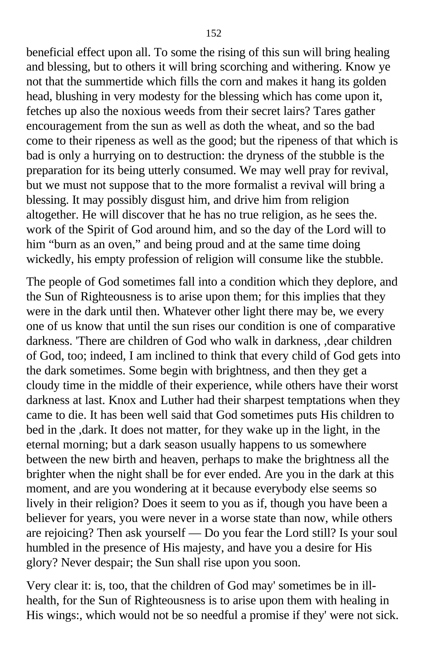beneficial effect upon all. To some the rising of this sun will bring healing and blessing, but to others it will bring scorching and withering. Know ye not that the summertide which fills the corn and makes it hang its golden head, blushing in very modesty for the blessing which has come upon it, fetches up also the noxious weeds from their secret lairs? Tares gather encouragement from the sun as well as doth the wheat, and so the bad come to their ripeness as well as the good; but the ripeness of that which is bad is only a hurrying on to destruction: the dryness of the stubble is the preparation for its being utterly consumed. We may well pray for revival, but we must not suppose that to the more formalist a revival will bring a blessing. It may possibly disgust him, and drive him from religion altogether. He will discover that he has no true religion, as he sees the. work of the Spirit of God around him, and so the day of the Lord will to him "burn as an oven," and being proud and at the same time doing wickedly, his empty profession of religion will consume like the stubble.

The people of God sometimes fall into a condition which they deplore, and the Sun of Righteousness is to arise upon them; for this implies that they were in the dark until then. Whatever other light there may be, we every one of us know that until the sun rises our condition is one of comparative darkness. 'There are children of God who walk in darkness, ,dear children of God, too; indeed, I am inclined to think that every child of God gets into the dark sometimes. Some begin with brightness, and then they get a cloudy time in the middle of their experience, while others have their worst darkness at last. Knox and Luther had their sharpest temptations when they came to die. It has been well said that God sometimes puts His children to bed in the ,dark. It does not matter, for they wake up in the light, in the eternal morning; but a dark season usually happens to us somewhere between the new birth and heaven, perhaps to make the brightness all the brighter when the night shall be for ever ended. Are you in the dark at this moment, and are you wondering at it because everybody else seems so lively in their religion? Does it seem to you as if, though you have been a believer for years, you were never in a worse state than now, while others are rejoicing? Then ask yourself — Do you fear the Lord still? Is your soul humbled in the presence of His majesty, and have you a desire for His glory? Never despair; the Sun shall rise upon you soon.

Very clear it: is, too, that the children of God may' sometimes be in illhealth, for the Sun of Righteousness is to arise upon them with healing in His wings:, which would not be so needful a promise if they' were not sick.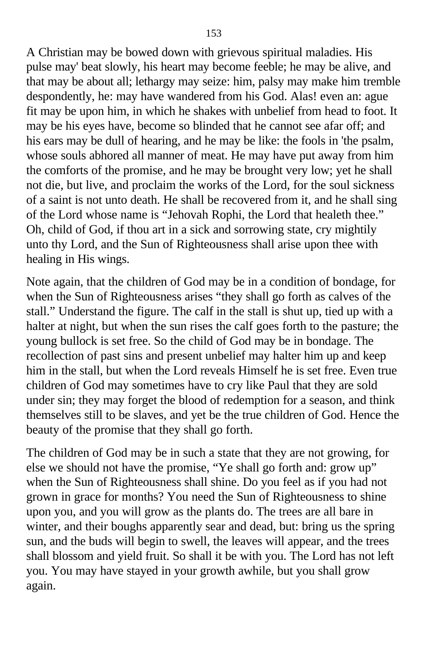A Christian may be bowed down with grievous spiritual maladies. His pulse may' beat slowly, his heart may become feeble; he may be alive, and that may be about all; lethargy may seize: him, palsy may make him tremble despondently, he: may have wandered from his God. Alas! even an: ague fit may be upon him, in which he shakes with unbelief from head to foot. It may be his eyes have, become so blinded that he cannot see afar off; and his ears may be dull of hearing, and he may be like: the fools in 'the psalm, whose souls abhored all manner of meat. He may have put away from him the comforts of the promise, and he may be brought very low; yet he shall not die, but live, and proclaim the works of the Lord, for the soul sickness of a saint is not unto death. He shall be recovered from it, and he shall sing of the Lord whose name is "Jehovah Rophi, the Lord that healeth thee." Oh, child of God, if thou art in a sick and sorrowing state, cry mightily unto thy Lord, and the Sun of Righteousness shall arise upon thee with healing in His wings.

Note again, that the children of God may be in a condition of bondage, for when the Sun of Righteousness arises "they shall go forth as calves of the stall." Understand the figure. The calf in the stall is shut up, tied up with a halter at night, but when the sun rises the calf goes forth to the pasture; the young bullock is set free. So the child of God may be in bondage. The recollection of past sins and present unbelief may halter him up and keep him in the stall, but when the Lord reveals Himself he is set free. Even true children of God may sometimes have to cry like Paul that they are sold under sin; they may forget the blood of redemption for a season, and think themselves still to be slaves, and yet be the true children of God. Hence the beauty of the promise that they shall go forth.

The children of God may be in such a state that they are not growing, for else we should not have the promise, "Ye shall go forth and: grow up" when the Sun of Righteousness shall shine. Do you feel as if you had not grown in grace for months? You need the Sun of Righteousness to shine upon you, and you will grow as the plants do. The trees are all bare in winter, and their boughs apparently sear and dead, but: bring us the spring sun, and the buds will begin to swell, the leaves will appear, and the trees shall blossom and yield fruit. So shall it be with you. The Lord has not left you. You may have stayed in your growth awhile, but you shall grow again.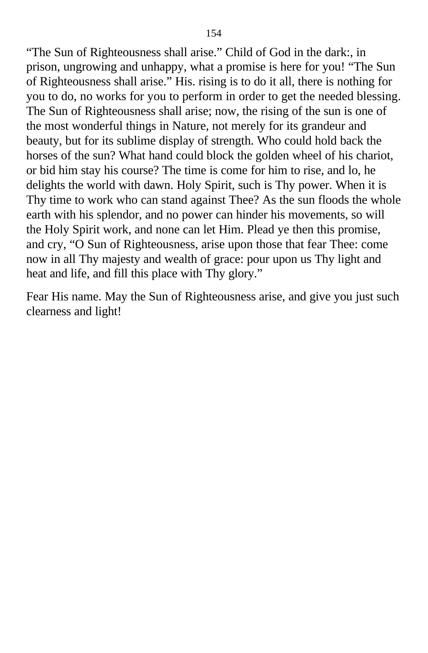"The Sun of Righteousness shall arise." Child of God in the dark:, in prison, ungrowing and unhappy, what a promise is here for you! "The Sun of Righteousness shall arise." His. rising is to do it all, there is nothing for you to do, no works for you to perform in order to get the needed blessing. The Sun of Righteousness shall arise; now, the rising of the sun is one of the most wonderful things in Nature, not merely for its grandeur and beauty, but for its sublime display of strength. Who could hold back the horses of the sun? What hand could block the golden wheel of his chariot, or bid him stay his course? The time is come for him to rise, and lo, he delights the world with dawn. Holy Spirit, such is Thy power. When it is Thy time to work who can stand against Thee? As the sun floods the whole earth with his splendor, and no power can hinder his movements, so will the Holy Spirit work, and none can let Him. Plead ye then this promise, and cry, "O Sun of Righteousness, arise upon those that fear Thee: come now in all Thy majesty and wealth of grace: pour upon us Thy light and heat and life, and fill this place with Thy glory."

Fear His name. May the Sun of Righteousness arise, and give you just such clearness and light!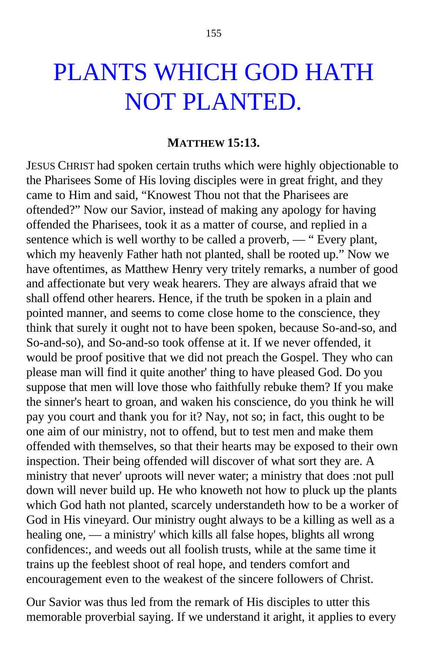## PLANTS WHICH GOD HATH NOT PLANTED.

#### **MATTHEW 15:13.**

JESUS CHRIST had spoken certain truths which were highly objectionable to the Pharisees Some of His loving disciples were in great fright, and they came to Him and said, "Knowest Thou not that the Pharisees are oftended?" Now our Savior, instead of making any apology for having offended the Pharisees, took it as a matter of course, and replied in a sentence which is well worthy to be called a proverb, — " Every plant, which my heavenly Father hath not planted, shall be rooted up." Now we have oftentimes, as Matthew Henry very tritely remarks, a number of good and affectionate but very weak hearers. They are always afraid that we shall offend other hearers. Hence, if the truth be spoken in a plain and pointed manner, and seems to come close home to the conscience, they think that surely it ought not to have been spoken, because So-and-so, and So-and-so), and So-and-so took offense at it. If we never offended, it would be proof positive that we did not preach the Gospel. They who can please man will find it quite another' thing to have pleased God. Do you suppose that men will love those who faithfully rebuke them? If you make the sinner's heart to groan, and waken his conscience, do you think he will pay you court and thank you for it? Nay, not so; in fact, this ought to be one aim of our ministry, not to offend, but to test men and make them offended with themselves, so that their hearts may be exposed to their own inspection. Their being offended will discover of what sort they are. A ministry that never' uproots will never water; a ministry that does :not pull down will never build up. He who knoweth not how to pluck up the plants which God hath not planted, scarcely understandeth how to be a worker of God in His vineyard. Our ministry ought always to be a killing as well as a healing one, — a ministry' which kills all false hopes, blights all wrong confidences:, and weeds out all foolish trusts, while at the same time it trains up the feeblest shoot of real hope, and tenders comfort and encouragement even to the weakest of the sincere followers of Christ.

Our Savior was thus led from the remark of His disciples to utter this memorable proverbial saying. If we understand it aright, it applies to every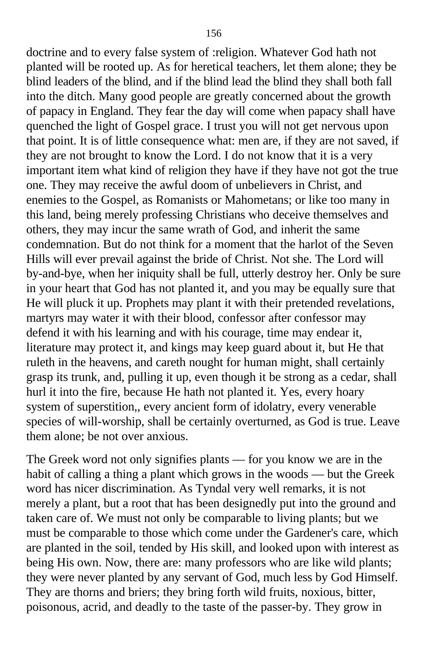doctrine and to every false system of :religion. Whatever God hath not planted will be rooted up. As for heretical teachers, let them alone; they be blind leaders of the blind, and if the blind lead the blind they shall both fall into the ditch. Many good people are greatly concerned about the growth of papacy in England. They fear the day will come when papacy shall have quenched the light of Gospel grace. I trust you will not get nervous upon that point. It is of little consequence what: men are, if they are not saved, if they are not brought to know the Lord. I do not know that it is a very important item what kind of religion they have if they have not got the true one. They may receive the awful doom of unbelievers in Christ, and enemies to the Gospel, as Romanists or Mahometans; or like too many in this land, being merely professing Christians who deceive themselves and others, they may incur the same wrath of God, and inherit the same condemnation. But do not think for a moment that the harlot of the Seven Hills will ever prevail against the bride of Christ. Not she. The Lord will by-and-bye, when her iniquity shall be full, utterly destroy her. Only be sure in your heart that God has not planted it, and you may be equally sure that He will pluck it up. Prophets may plant it with their pretended revelations, martyrs may water it with their blood, confessor after confessor may defend it with his learning and with his courage, time may endear it, literature may protect it, and kings may keep guard about it, but He that ruleth in the heavens, and careth nought for human might, shall certainly grasp its trunk, and, pulling it up, even though it be strong as a cedar, shall hurl it into the fire, because He hath not planted it. Yes, every hoary system of superstition,, every ancient form of idolatry, every venerable species of will-worship, shall be certainly overturned, as God is true. Leave them alone; be not over anxious.

The Greek word not only signifies plants — for you know we are in the habit of calling a thing a plant which grows in the woods — but the Greek word has nicer discrimination. As Tyndal very well remarks, it is not merely a plant, but a root that has been designedly put into the ground and taken care of. We must not only be comparable to living plants; but we must be comparable to those which come under the Gardener's care, which are planted in the soil, tended by His skill, and looked upon with interest as being His own. Now, there are: many professors who are like wild plants; they were never planted by any servant of God, much less by God Himself. They are thorns and briers; they bring forth wild fruits, noxious, bitter, poisonous, acrid, and deadly to the taste of the passer-by. They grow in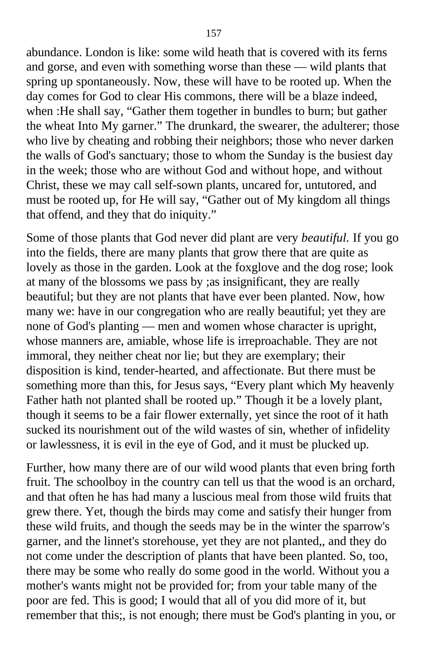abundance. London is like: some wild heath that is covered with its ferns and gorse, and even with something worse than these — wild plants that spring up spontaneously. Now, these will have to be rooted up. When the day comes for God to clear His commons, there will be a blaze indeed, when :He shall say, "Gather them together in bundles to burn; but gather the wheat Into My garner." The drunkard, the swearer, the adulterer; those who live by cheating and robbing their neighbors; those who never darken the walls of God's sanctuary; those to whom the Sunday is the busiest day in the week; those who are without God and without hope, and without Christ, these we may call self-sown plants, uncared for, untutored, and must be rooted up, for He will say, "Gather out of My kingdom all things that offend, and they that do iniquity."

Some of those plants that God never did plant are very *beautiful.* If you go into the fields, there are many plants that grow there that are quite as lovely as those in the garden. Look at the foxglove and the dog rose; look at many of the blossoms we pass by ;as insignificant, they are really beautiful; but they are not plants that have ever been planted. Now, how many we: have in our congregation who are really beautiful; yet they are none of God's planting — men and women whose character is upright, whose manners are, amiable, whose life is irreproachable. They are not immoral, they neither cheat nor lie; but they are exemplary; their disposition is kind, tender-hearted, and affectionate. But there must be something more than this, for Jesus says, "Every plant which My heavenly Father hath not planted shall be rooted up." Though it be a lovely plant, though it seems to be a fair flower externally, yet since the root of it hath sucked its nourishment out of the wild wastes of sin, whether of infidelity or lawlessness, it is evil in the eye of God, and it must be plucked up.

Further, how many there are of our wild wood plants that even bring forth fruit. The schoolboy in the country can tell us that the wood is an orchard, and that often he has had many a luscious meal from those wild fruits that grew there. Yet, though the birds may come and satisfy their hunger from these wild fruits, and though the seeds may be in the winter the sparrow's garner, and the linnet's storehouse, yet they are not planted,, and they do not come under the description of plants that have been planted. So, too, there may be some who really do some good in the world. Without you a mother's wants might not be provided for; from your table many of the poor are fed. This is good; I would that all of you did more of it, but remember that this;, is not enough; there must be God's planting in you, or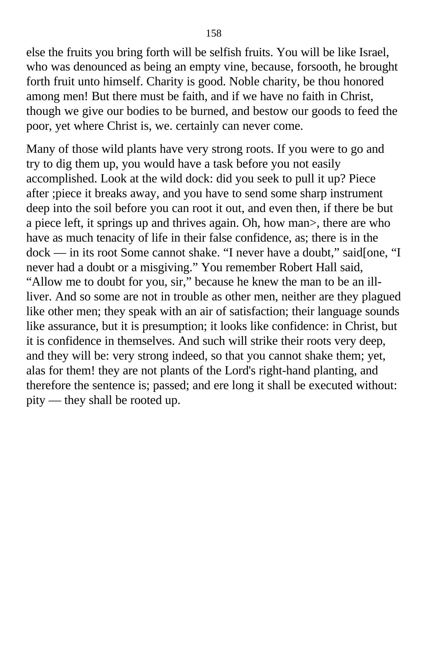else the fruits you bring forth will be selfish fruits. You will be like Israel, who was denounced as being an empty vine, because, forsooth, he brought forth fruit unto himself. Charity is good. Noble charity, be thou honored among men! But there must be faith, and if we have no faith in Christ, though we give our bodies to be burned, and bestow our goods to feed the poor, yet where Christ is, we. certainly can never come.

Many of those wild plants have very strong roots. If you were to go and try to dig them up, you would have a task before you not easily accomplished. Look at the wild dock: did you seek to pull it up? Piece after ;piece it breaks away, and you have to send some sharp instrument deep into the soil before you can root it out, and even then, if there be but a piece left, it springs up and thrives again. Oh, how man>, there are who have as much tenacity of life in their false confidence, as; there is in the dock — in its root Some cannot shake. "I never have a doubt," said[one, "I never had a doubt or a misgiving." You remember Robert Hall said, "Allow me to doubt for you, sir," because he knew the man to be an illliver. And so some are not in trouble as other men, neither are they plagued like other men; they speak with an air of satisfaction; their language sounds like assurance, but it is presumption; it looks like confidence: in Christ, but it is confidence in themselves. And such will strike their roots very deep, and they will be: very strong indeed, so that you cannot shake them; yet, alas for them! they are not plants of the Lord's right-hand planting, and therefore the sentence is; passed; and ere long it shall be executed without: pity — they shall be rooted up.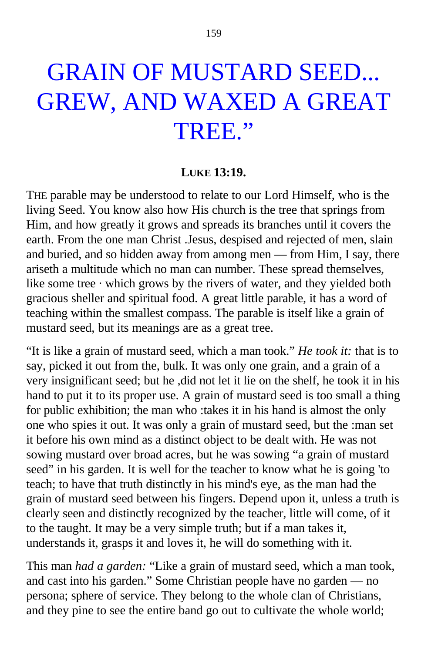# GRAIN OF MUSTARD SEED... GREW, AND WAXED A GREAT TREE."

#### **LUKE 13:19.**

THE parable may be understood to relate to our Lord Himself, who is the living Seed. You know also how His church is the tree that springs from Him, and how greatly it grows and spreads its branches until it covers the earth. From the one man Christ .Jesus, despised and rejected of men, slain and buried, and so hidden away from among men — from Him, I say, there ariseth a multitude which no man can number. These spread themselves, like some tree  $\cdot$  which grows by the rivers of water, and they yielded both gracious sheller and spiritual food. A great little parable, it has a word of teaching within the smallest compass. The parable is itself like a grain of mustard seed, but its meanings are as a great tree.

"It is like a grain of mustard seed, which a man took." *He took it:* that is to say, picked it out from the, bulk. It was only one grain, and a grain of a very insignificant seed; but he ,did not let it lie on the shelf, he took it in his hand to put it to its proper use. A grain of mustard seed is too small a thing for public exhibition; the man who :takes it in his hand is almost the only one who spies it out. It was only a grain of mustard seed, but the :man set it before his own mind as a distinct object to be dealt with. He was not sowing mustard over broad acres, but he was sowing "a grain of mustard seed" in his garden. It is well for the teacher to know what he is going 'to teach; to have that truth distinctly in his mind's eye, as the man had the grain of mustard seed between his fingers. Depend upon it, unless a truth is clearly seen and distinctly recognized by the teacher, little will come, of it to the taught. It may be a very simple truth; but if a man takes it, understands it, grasps it and loves it, he will do something with it.

This man *had a garden:* "Like a grain of mustard seed, which a man took, and cast into his garden." Some Christian people have no garden — no persona; sphere of service. They belong to the whole clan of Christians, and they pine to see the entire band go out to cultivate the whole world;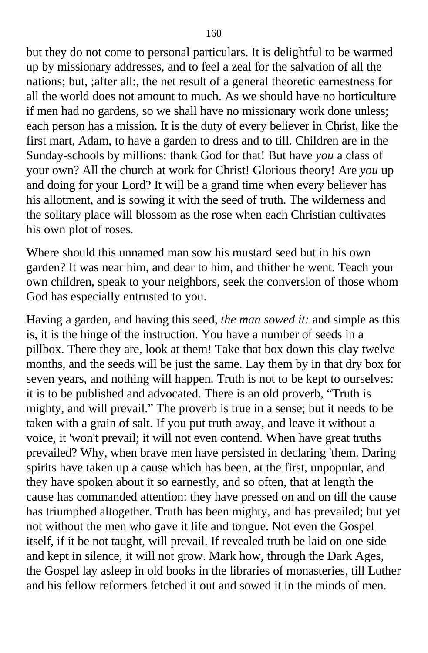but they do not come to personal particulars. It is delightful to be warmed up by missionary addresses, and to feel a zeal for the salvation of all the nations; but, ;after all:, the net result of a general theoretic earnestness for all the world does not amount to much. As we should have no horticulture if men had no gardens, so we shall have no missionary work done unless; each person has a mission. It is the duty of every believer in Christ, like the first mart, Adam, to have a garden to dress and to till. Children are in the Sunday-schools by millions: thank God for that! But have *you* a class of your own? All the church at work for Christ! Glorious theory! Are *you* up and doing for your Lord? It will be a grand time when every believer has his allotment, and is sowing it with the seed of truth. The wilderness and the solitary place will blossom as the rose when each Christian cultivates his own plot of roses.

Where should this unnamed man sow his mustard seed but in his own garden? It was near him, and dear to him, and thither he went. Teach your own children, speak to your neighbors, seek the conversion of those whom God has especially entrusted to you.

Having a garden, and having this seed, *the man sowed it:* and simple as this is, it is the hinge of the instruction. You have a number of seeds in a pillbox. There they are, look at them! Take that box down this clay twelve months, and the seeds will be just the same. Lay them by in that dry box for seven years, and nothing will happen. Truth is not to be kept to ourselves: it is to be published and advocated. There is an old proverb, "Truth is mighty, and will prevail." The proverb is true in a sense; but it needs to be taken with a grain of salt. If you put truth away, and leave it without a voice, it 'won't prevail; it will not even contend. When have great truths prevailed? Why, when brave men have persisted in declaring 'them. Daring spirits have taken up a cause which has been, at the first, unpopular, and they have spoken about it so earnestly, and so often, that at length the cause has commanded attention: they have pressed on and on till the cause has triumphed altogether. Truth has been mighty, and has prevailed; but yet not without the men who gave it life and tongue. Not even the Gospel itself, if it be not taught, will prevail. If revealed truth be laid on one side and kept in silence, it will not grow. Mark how, through the Dark Ages, the Gospel lay asleep in old books in the libraries of monasteries, till Luther and his fellow reformers fetched it out and sowed it in the minds of men.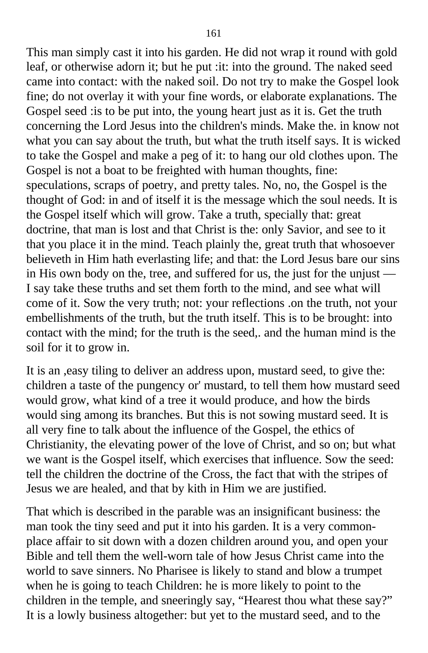This man simply cast it into his garden. He did not wrap it round with gold leaf, or otherwise adorn it; but he put :it: into the ground. The naked seed came into contact: with the naked soil. Do not try to make the Gospel look fine; do not overlay it with your fine words, or elaborate explanations. The Gospel seed :is to be put into, the young heart just as it is. Get the truth concerning the Lord Jesus into the children's minds. Make the. in know not what you can say about the truth, but what the truth itself says. It is wicked to take the Gospel and make a peg of it: to hang our old clothes upon. The Gospel is not a boat to be freighted with human thoughts, fine: speculations, scraps of poetry, and pretty tales. No, no, the Gospel is the thought of God: in and of itself it is the message which the soul needs. It is the Gospel itself which will grow. Take a truth, specially that: great doctrine, that man is lost and that Christ is the: only Savior, and see to it that you place it in the mind. Teach plainly the, great truth that whosoever believeth in Him hath everlasting life; and that: the Lord Jesus bare our sins in His own body on the, tree, and suffered for us, the just for the unjust — I say take these truths and set them forth to the mind, and see what will come of it. Sow the very truth; not: your reflections .on the truth, not your embellishments of the truth, but the truth itself. This is to be brought: into contact with the mind; for the truth is the seed,. and the human mind is the soil for it to grow in.

It is an ,easy tiling to deliver an address upon, mustard seed, to give the: children a taste of the pungency or' mustard, to tell them how mustard seed would grow, what kind of a tree it would produce, and how the birds would sing among its branches. But this is not sowing mustard seed. It is all very fine to talk about the influence of the Gospel, the ethics of Christianity, the elevating power of the love of Christ, and so on; but what we want is the Gospel itself, which exercises that influence. Sow the seed: tell the children the doctrine of the Cross, the fact that with the stripes of Jesus we are healed, and that by kith in Him we are justified.

That which is described in the parable was an insignificant business: the man took the tiny seed and put it into his garden. It is a very commonplace affair to sit down with a dozen children around you, and open your Bible and tell them the well-worn tale of how Jesus Christ came into the world to save sinners. No Pharisee is likely to stand and blow a trumpet when he is going to teach Children: he is more likely to point to the children in the temple, and sneeringly say, "Hearest thou what these say?" It is a lowly business altogether: but yet to the mustard seed, and to the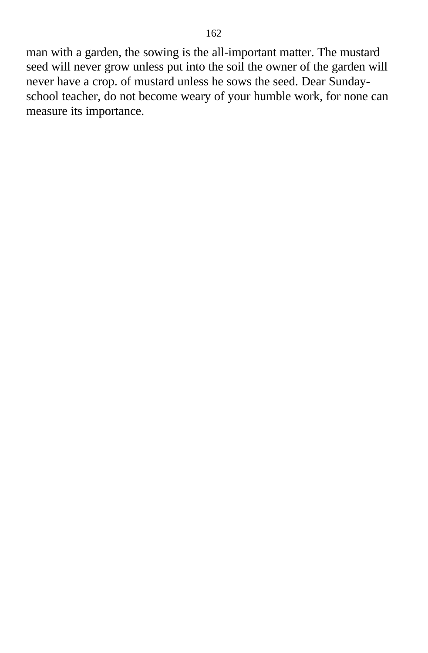man with a garden, the sowing is the all-important matter. The mustard seed will never grow unless put into the soil the owner of the garden will never have a crop. of mustard unless he sows the seed. Dear Sundayschool teacher, do not become weary of your humble work, for none can measure its importance.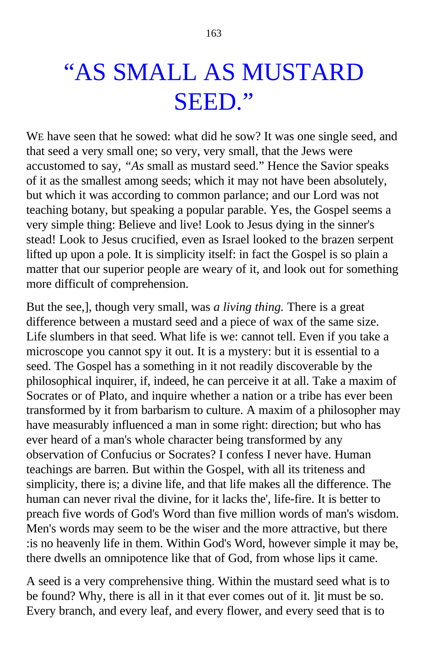## "AS SMALL AS MUSTARD SEED."

WE have seen that he sowed: what did he sow? It was one single seed, and that seed a very small one; so very, very small, that the Jews were accustomed to say, *"As* small as mustard seed." Hence the Savior speaks of it as the smallest among seeds; which it may not have been absolutely, but which it was according to common parlance; and our Lord was not teaching botany, but speaking a popular parable. Yes, the Gospel seems a very simple thing: Believe and live! Look to Jesus dying in the sinner's stead! Look to Jesus crucified, even as Israel looked to the brazen serpent lifted up upon a pole. It is simplicity itself: in fact the Gospel is so plain a matter that our superior people are weary of it, and look out for something more difficult of comprehension.

But the see,], though very small, was *a living thing.* There is a great difference between a mustard seed and a piece of wax of the same size. Life slumbers in that seed. What life is we: cannot tell. Even if you take a microscope you cannot spy it out. It is a mystery: but it is essential to a seed. The Gospel has a something in it not readily discoverable by the philosophical inquirer, if, indeed, he can perceive it at all. Take a maxim of Socrates or of Plato, and inquire whether a nation or a tribe has ever been transformed by it from barbarism to culture. A maxim of a philosopher may have measurably influenced a man in some right: direction; but who has ever heard of a man's whole character being transformed by any observation of Confucius or Socrates? I confess I never have. Human teachings are barren. But within the Gospel, with all its triteness and simplicity, there is; a divine life, and that life makes all the difference. The human can never rival the divine, for it lacks the', life-fire. It is better to preach five words of God's Word than five million words of man's wisdom. Men's words may seem to be the wiser and the more attractive, but there :is no heavenly life in them. Within God's Word, however simple it may be, there dwells an omnipotence like that of God, from whose lips it came.

A seed is a very comprehensive thing. Within the mustard seed what is to be found? Why, there is all in it that ever comes out of it. ]it must be so. Every branch, and every leaf, and every flower, and every seed that is to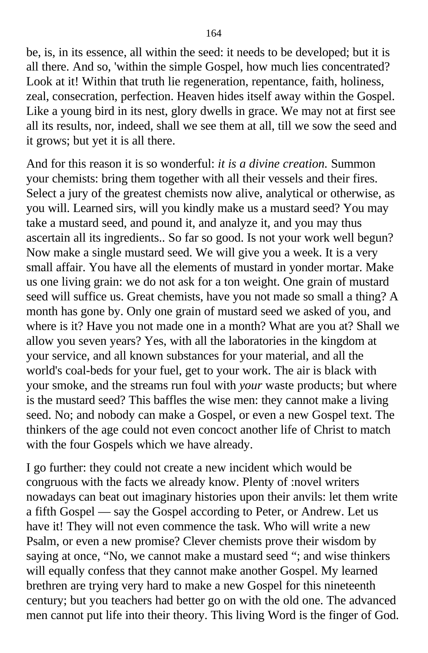be, is, in its essence, all within the seed: it needs to be developed; but it is all there. And so, 'within the simple Gospel, how much lies concentrated? Look at it! Within that truth lie regeneration, repentance, faith, holiness, zeal, consecration, perfection. Heaven hides itself away within the Gospel. Like a young bird in its nest, glory dwells in grace. We may not at first see all its results, nor, indeed, shall we see them at all, till we sow the seed and it grows; but yet it is all there.

And for this reason it is so wonderful: *it is a divine creation.* Summon your chemists: bring them together with all their vessels and their fires. Select a jury of the greatest chemists now alive, analytical or otherwise, as you will. Learned sirs, will you kindly make us a mustard seed? You may take a mustard seed, and pound it, and analyze it, and you may thus ascertain all its ingredients.. So far so good. Is not your work well begun? Now make a single mustard seed. We will give you a week. It is a very small affair. You have all the elements of mustard in yonder mortar. Make us one living grain: we do not ask for a ton weight. One grain of mustard seed will suffice us. Great chemists, have you not made so small a thing? A month has gone by. Only one grain of mustard seed we asked of you, and where is it? Have you not made one in a month? What are you at? Shall we allow you seven years? Yes, with all the laboratories in the kingdom at your service, and all known substances for your material, and all the world's coal-beds for your fuel, get to your work. The air is black with your smoke, and the streams run foul with *your* waste products; but where is the mustard seed? This baffles the wise men: they cannot make a living seed. No; and nobody can make a Gospel, or even a new Gospel text. The thinkers of the age could not even concoct another life of Christ to match with the four Gospels which we have already.

I go further: they could not create a new incident which would be congruous with the facts we already know. Plenty of :novel writers nowadays can beat out imaginary histories upon their anvils: let them write a fifth Gospel — say the Gospel according to Peter, or Andrew. Let us have it! They will not even commence the task. Who will write a new Psalm, or even a new promise? Clever chemists prove their wisdom by saying at once, "No, we cannot make a mustard seed "; and wise thinkers will equally confess that they cannot make another Gospel. My learned brethren are trying very hard to make a new Gospel for this nineteenth century; but you teachers had better go on with the old one. The advanced men cannot put life into their theory. This living Word is the finger of God.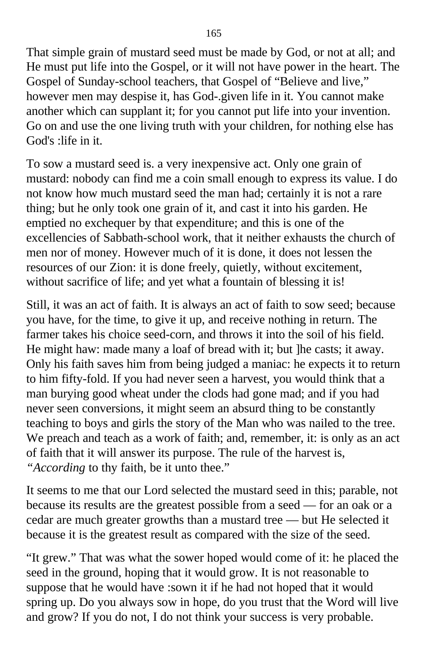That simple grain of mustard seed must be made by God, or not at all; and He must put life into the Gospel, or it will not have power in the heart. The Gospel of Sunday-school teachers, that Gospel of "Believe and live," however men may despise it, has God-.given life in it. You cannot make another which can supplant it; for you cannot put life into your invention. Go on and use the one living truth with your children, for nothing else has God's :life in it.

To sow a mustard seed is. a very inexpensive act. Only one grain of mustard: nobody can find me a coin small enough to express its value. I do not know how much mustard seed the man had; certainly it is not a rare thing; but he only took one grain of it, and cast it into his garden. He emptied no exchequer by that expenditure; and this is one of the excellencies of Sabbath-school work, that it neither exhausts the church of men nor of money. However much of it is done, it does not lessen the resources of our Zion: it is done freely, quietly, without excitement, without sacrifice of life; and yet what a fountain of blessing it is!

Still, it was an act of faith. It is always an act of faith to sow seed; because you have, for the time, to give it up, and receive nothing in return. The farmer takes his choice seed-corn, and throws it into the soil of his field. He might haw: made many a loaf of bread with it; but ]he casts; it away. Only his faith saves him from being judged a maniac: he expects it to return to him fifty-fold. If you had never seen a harvest, you would think that a man burying good wheat under the clods had gone mad; and if you had never seen conversions, it might seem an absurd thing to be constantly teaching to boys and girls the story of the Man who was nailed to the tree. We preach and teach as a work of faith; and, remember, it: is only as an act of faith that it will answer its purpose. The rule of the harvest is, *"According* to thy faith, be it unto thee."

It seems to me that our Lord selected the mustard seed in this; parable, not because its results are the greatest possible from a seed — for an oak or a cedar are much greater growths than a mustard tree — but He selected it because it is the greatest result as compared with the size of the seed.

"It grew." That was what the sower hoped would come of it: he placed the seed in the ground, hoping that it would grow. It is not reasonable to suppose that he would have :sown it if he had not hoped that it would spring up. Do you always sow in hope, do you trust that the Word will live and grow? If you do not, I do not think your success is very probable.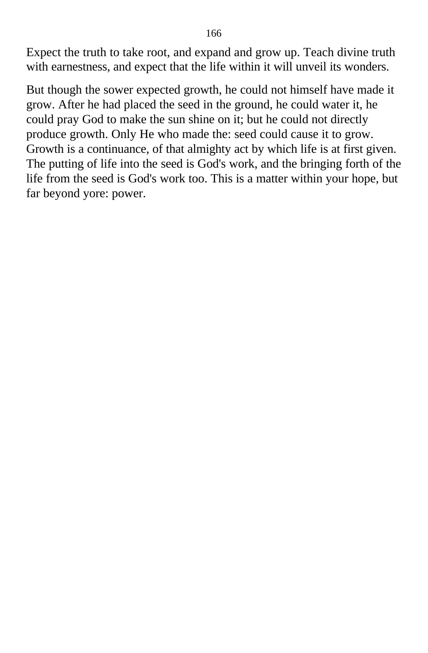Expect the truth to take root, and expand and grow up. Teach divine truth with earnestness, and expect that the life within it will unveil its wonders.

But though the sower expected growth, he could not himself have made it grow. After he had placed the seed in the ground, he could water it, he could pray God to make the sun shine on it; but he could not directly produce growth. Only He who made the: seed could cause it to grow. Growth is a continuance, of that almighty act by which life is at first given. The putting of life into the seed is God's work, and the bringing forth of the life from the seed is God's work too. This is a matter within your hope, but far beyond yore: power.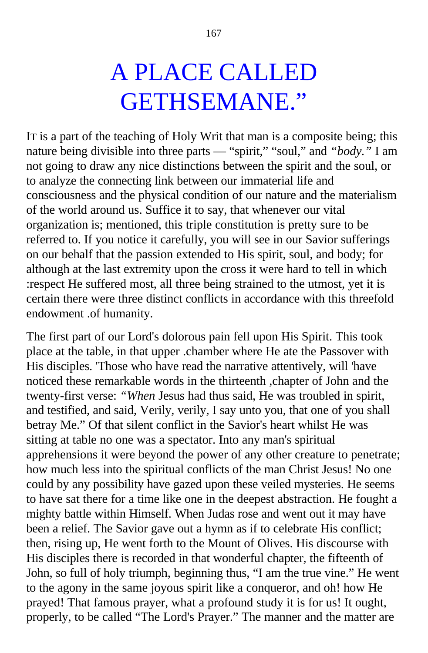## A PLACE CALLED GETHSEMANE."

IT is a part of the teaching of Holy Writ that man is a composite being; this nature being divisible into three parts — "spirit," "soul," and *"body."* I am not going to draw any nice distinctions between the spirit and the soul, or to analyze the connecting link between our immaterial life and consciousness and the physical condition of our nature and the materialism of the world around us. Suffice it to say, that whenever our vital organization is; mentioned, this triple constitution is pretty sure to be referred to. If you notice it carefully, you will see in our Savior sufferings on our behalf that the passion extended to His spirit, soul, and body; for although at the last extremity upon the cross it were hard to tell in which :respect He suffered most, all three being strained to the utmost, yet it is certain there were three distinct conflicts in accordance with this threefold endowment .of humanity.

The first part of our Lord's dolorous pain fell upon His Spirit. This took place at the table, in that upper .chamber where He ate the Passover with His disciples. 'Those who have read the narrative attentively, will 'have noticed these remarkable words in the thirteenth ,chapter of John and the twenty-first verse: *"When* Jesus had thus said, He was troubled in spirit, and testified, and said, Verily, verily, I say unto you, that one of you shall betray Me." Of that silent conflict in the Savior's heart whilst He was sitting at table no one was a spectator. Into any man's spiritual apprehensions it were beyond the power of any other creature to penetrate; how much less into the spiritual conflicts of the man Christ Jesus! No one could by any possibility have gazed upon these veiled mysteries. He seems to have sat there for a time like one in the deepest abstraction. He fought a mighty battle within Himself. When Judas rose and went out it may have been a relief. The Savior gave out a hymn as if to celebrate His conflict; then, rising up, He went forth to the Mount of Olives. His discourse with His disciples there is recorded in that wonderful chapter, the fifteenth of John, so full of holy triumph, beginning thus, "I am the true vine." He went to the agony in the same joyous spirit like a conqueror, and oh! how He prayed! That famous prayer, what a profound study it is for us! It ought, properly, to be called "The Lord's Prayer." The manner and the matter are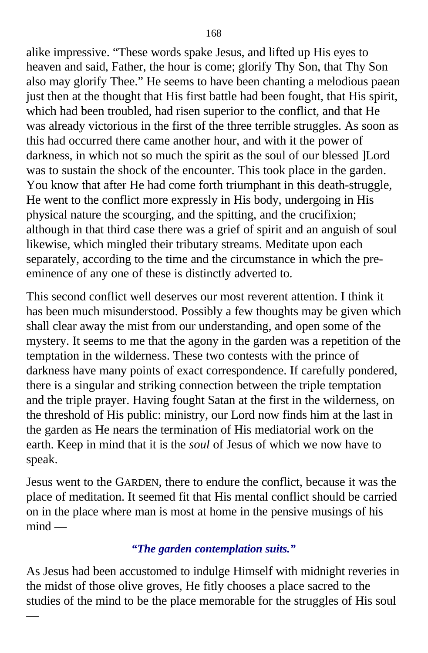alike impressive. "These words spake Jesus, and lifted up His eyes to heaven and said, Father, the hour is come; glorify Thy Son, that Thy Son also may glorify Thee." He seems to have been chanting a melodious paean just then at the thought that His first battle had been fought, that His spirit, which had been troubled, had risen superior to the conflict, and that He was already victorious in the first of the three terrible struggles. As soon as this had occurred there came another hour, and with it the power of darkness, in which not so much the spirit as the soul of our blessed [Lord] was to sustain the shock of the encounter. This took place in the garden. You know that after He had come forth triumphant in this death-struggle, He went to the conflict more expressly in His body, undergoing in His physical nature the scourging, and the spitting, and the crucifixion; although in that third case there was a grief of spirit and an anguish of soul likewise, which mingled their tributary streams. Meditate upon each separately, according to the time and the circumstance in which the preeminence of any one of these is distinctly adverted to.

This second conflict well deserves our most reverent attention. I think it has been much misunderstood. Possibly a few thoughts may be given which shall clear away the mist from our understanding, and open some of the mystery. It seems to me that the agony in the garden was a repetition of the temptation in the wilderness. These two contests with the prince of darkness have many points of exact correspondence. If carefully pondered, there is a singular and striking connection between the triple temptation and the triple prayer. Having fought Satan at the first in the wilderness, on the threshold of His public: ministry, our Lord now finds him at the last in the garden as He nears the termination of His mediatorial work on the earth. Keep in mind that it is the *soul* of Jesus of which we now have to speak.

Jesus went to the GARDEN, there to endure the conflict, because it was the place of meditation. It seemed fit that His mental conflict should be carried on in the place where man is most at home in the pensive musings of his mind —

#### *"The garden contemplation suits."*

As Jesus had been accustomed to indulge Himself with midnight reveries in the midst of those olive groves, He fitly chooses a place sacred to the studies of the mind to be the place memorable for the struggles of His soul

—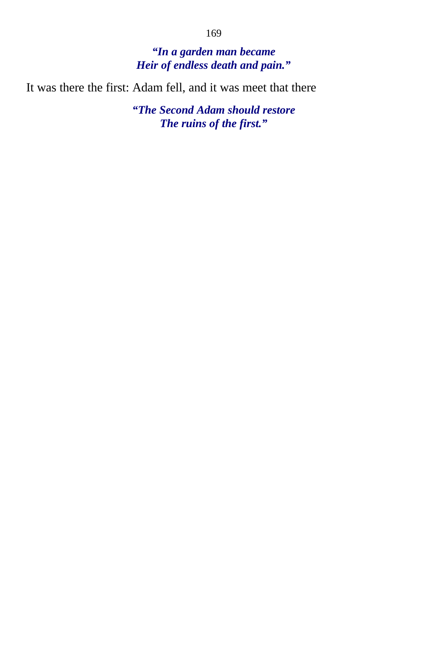*"In a garden man became Heir of endless death and pain."*

It was there the first: Adam fell, and it was meet that there

*"The Second Adam should restore The ruins of the first."*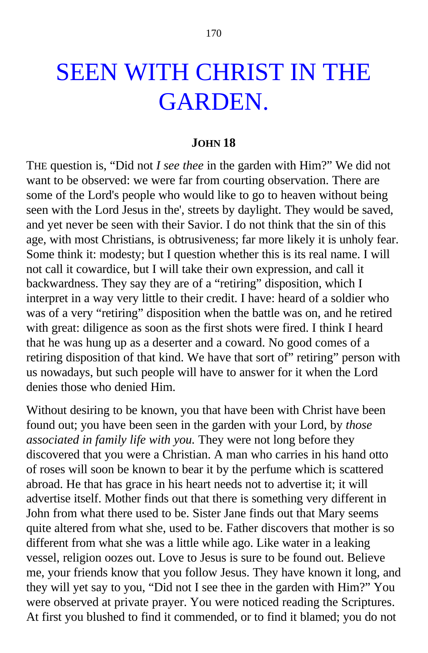### SEEN WITH CHRIST IN THE GARDEN.

#### **JOHN 18**

THE question is, "Did not *I see thee* in the garden with Him?" We did not want to be observed: we were far from courting observation. There are some of the Lord's people who would like to go to heaven without being seen with the Lord Jesus in the', streets by daylight. They would be saved, and yet never be seen with their Savior. I do not think that the sin of this age, with most Christians, is obtrusiveness; far more likely it is unholy fear. Some think it: modesty; but I question whether this is its real name. I will not call it cowardice, but I will take their own expression, and call it backwardness. They say they are of a "retiring" disposition, which I interpret in a way very little to their credit. I have: heard of a soldier who was of a very "retiring" disposition when the battle was on, and he retired with great: diligence as soon as the first shots were fired. I think I heard that he was hung up as a deserter and a coward. No good comes of a retiring disposition of that kind. We have that sort of" retiring" person with us nowadays, but such people will have to answer for it when the Lord denies those who denied Him.

Without desiring to be known, you that have been with Christ have been found out; you have been seen in the garden with your Lord, by *those associated in family life with you.* They were not long before they discovered that you were a Christian. A man who carries in his hand otto of roses will soon be known to bear it by the perfume which is scattered abroad. He that has grace in his heart needs not to advertise it; it will advertise itself. Mother finds out that there is something very different in John from what there used to be. Sister Jane finds out that Mary seems quite altered from what she, used to be. Father discovers that mother is so different from what she was a little while ago. Like water in a leaking vessel, religion oozes out. Love to Jesus is sure to be found out. Believe me, your friends know that you follow Jesus. They have known it long, and they will yet say to you, "Did not I see thee in the garden with Him?" You were observed at private prayer. You were noticed reading the Scriptures. At first you blushed to find it commended, or to find it blamed; you do not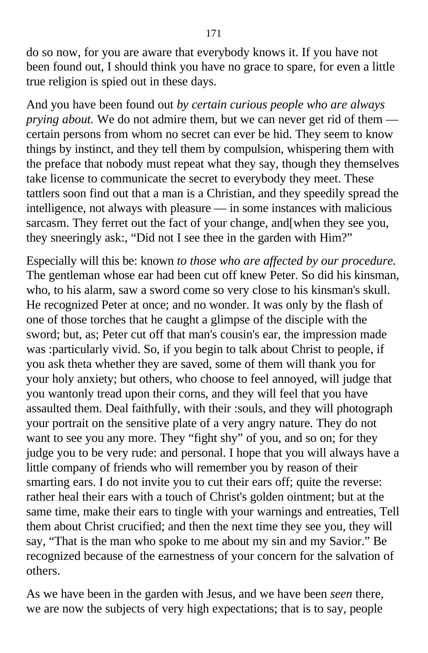do so now, for you are aware that everybody knows it. If you have not been found out, I should think you have no grace to spare, for even a little true religion is spied out in these days.

And you have been found out *by certain curious people who are always prying about.* We do not admire them, but we can never get rid of them certain persons from whom no secret can ever be hid. They seem to know things by instinct, and they tell them by compulsion, whispering them with the preface that nobody must repeat what they say, though they themselves take license to communicate the secret to everybody they meet. These tattlers soon find out that a man is a Christian, and they speedily spread the intelligence, not always with pleasure — in some instances with malicious sarcasm. They ferret out the fact of your change, and[when they see you, they sneeringly ask:, "Did not I see thee in the garden with Him?"

Especially will this be: known *to those who are affected by our procedure.* The gentleman whose ear had been cut off knew Peter. So did his kinsman, who, to his alarm, saw a sword come so very close to his kinsman's skull. He recognized Peter at once; and no wonder. It was only by the flash of one of those torches that he caught a glimpse of the disciple with the sword; but, as; Peter cut off that man's cousin's ear, the impression made was :particularly vivid. So, if you begin to talk about Christ to people, if you ask theta whether they are saved, some of them will thank you for your holy anxiety; but others, who choose to feel annoyed, will judge that you wantonly tread upon their corns, and they will feel that you have assaulted them. Deal faithfully, with their :souls, and they will photograph your portrait on the sensitive plate of a very angry nature. They do not want to see you any more. They "fight shy" of you, and so on; for they judge you to be very rude: and personal. I hope that you will always have a little company of friends who will remember you by reason of their smarting ears. I do not invite you to cut their ears off; quite the reverse: rather heal their ears with a touch of Christ's golden ointment; but at the same time, make their ears to tingle with your warnings and entreaties, Tell them about Christ crucified; and then the next time they see you, they will say, "That is the man who spoke to me about my sin and my Savior." Be recognized because of the earnestness of your concern for the salvation of others.

As we have been in the garden with Jesus, and we have been *seen* there, we are now the subjects of very high expectations; that is to say, people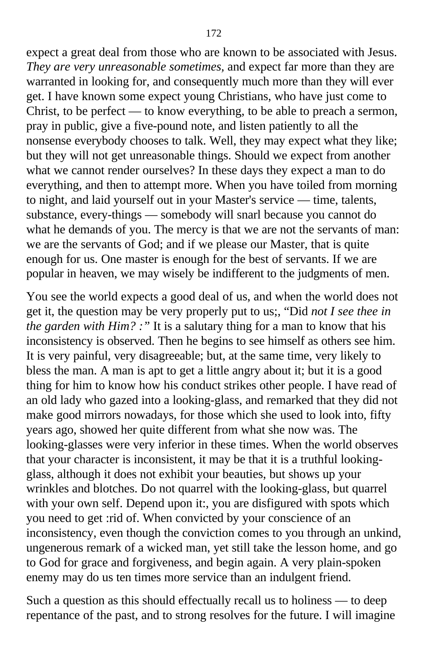expect a great deal from those who are known to be associated with Jesus. *They are very unreasonable sometimes,* and expect far more than they are warranted in looking for, and consequently much more than they will ever get. I have known some expect young Christians, who have just come to Christ, to be perfect — to know everything, to be able to preach a sermon, pray in public, give a five-pound note, and listen patiently to all the nonsense everybody chooses to talk. Well, they may expect what they like; but they will not get unreasonable things. Should we expect from another what we cannot render ourselves? In these days they expect a man to do everything, and then to attempt more. When you have toiled from morning to night, and laid yourself out in your Master's service — time, talents, substance, every-things — somebody will snarl because you cannot do what he demands of you. The mercy is that we are not the servants of man: we are the servants of God; and if we please our Master, that is quite enough for us. One master is enough for the best of servants. If we are popular in heaven, we may wisely be indifferent to the judgments of men.

You see the world expects a good deal of us, and when the world does not get it, the question may be very properly put to us;, "Did *not I see thee in the garden with Him? :"* It is a salutary thing for a man to know that his inconsistency is observed. Then he begins to see himself as others see him. It is very painful, very disagreeable; but, at the same time, very likely to bless the man. A man is apt to get a little angry about it; but it is a good thing for him to know how his conduct strikes other people. I have read of an old lady who gazed into a looking-glass, and remarked that they did not make good mirrors nowadays, for those which she used to look into, fifty years ago, showed her quite different from what she now was. The looking-glasses were very inferior in these times. When the world observes that your character is inconsistent, it may be that it is a truthful lookingglass, although it does not exhibit your beauties, but shows up your wrinkles and blotches. Do not quarrel with the looking-glass, but quarrel with your own self. Depend upon it:, you are disfigured with spots which you need to get :rid of. When convicted by your conscience of an inconsistency, even though the conviction comes to you through an unkind, ungenerous remark of a wicked man, yet still take the lesson home, and go to God for grace and forgiveness, and begin again. A very plain-spoken enemy may do us ten times more service than an indulgent friend.

Such a question as this should effectually recall us to holiness — to deep repentance of the past, and to strong resolves for the future. I will imagine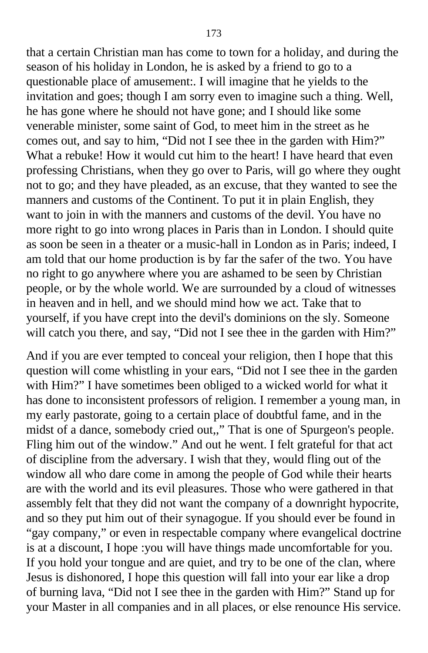that a certain Christian man has come to town for a holiday, and during the season of his holiday in London, he is asked by a friend to go to a questionable place of amusement:. I will imagine that he yields to the invitation and goes; though I am sorry even to imagine such a thing. Well, he has gone where he should not have gone; and I should like some venerable minister, some saint of God, to meet him in the street as he comes out, and say to him, "Did not I see thee in the garden with Him?" What a rebuke! How it would cut him to the heart! I have heard that even professing Christians, when they go over to Paris, will go where they ought not to go; and they have pleaded, as an excuse, that they wanted to see the manners and customs of the Continent. To put it in plain English, they want to join in with the manners and customs of the devil. You have no more right to go into wrong places in Paris than in London. I should quite as soon be seen in a theater or a music-hall in London as in Paris; indeed, I am told that our home production is by far the safer of the two. You have no right to go anywhere where you are ashamed to be seen by Christian people, or by the whole world. We are surrounded by a cloud of witnesses in heaven and in hell, and we should mind how we act. Take that to yourself, if you have crept into the devil's dominions on the sly. Someone will catch you there, and say, "Did not I see thee in the garden with Him?"

And if you are ever tempted to conceal your religion, then I hope that this question will come whistling in your ears, "Did not I see thee in the garden with Him?" I have sometimes been obliged to a wicked world for what it has done to inconsistent professors of religion. I remember a young man, in my early pastorate, going to a certain place of doubtful fame, and in the midst of a dance, somebody cried out,," That is one of Spurgeon's people. Fling him out of the window." And out he went. I felt grateful for that act of discipline from the adversary. I wish that they, would fling out of the window all who dare come in among the people of God while their hearts are with the world and its evil pleasures. Those who were gathered in that assembly felt that they did not want the company of a downright hypocrite, and so they put him out of their synagogue. If you should ever be found in "gay company," or even in respectable company where evangelical doctrine is at a discount, I hope :you will have things made uncomfortable for you. If you hold your tongue and are quiet, and try to be one of the clan, where Jesus is dishonored, I hope this question will fall into your ear like a drop of burning lava, "Did not I see thee in the garden with Him?" Stand up for your Master in all companies and in all places, or else renounce His service.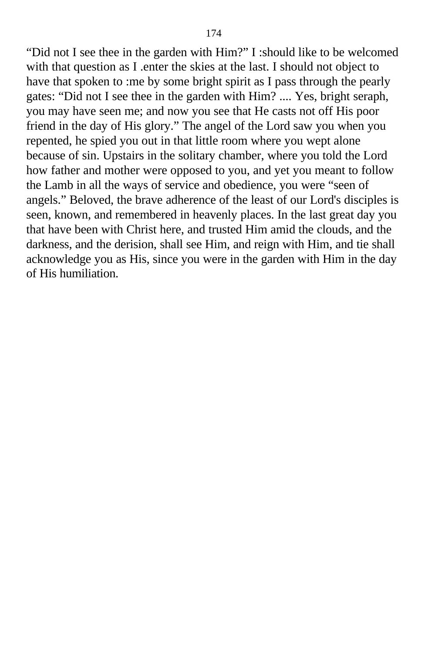"Did not I see thee in the garden with Him?" I :should like to be welcomed with that question as I .enter the skies at the last. I should not object to have that spoken to :me by some bright spirit as I pass through the pearly gates: "Did not I see thee in the garden with Him? .... Yes, bright seraph, you may have seen me; and now you see that He casts not off His poor friend in the day of His glory." The angel of the Lord saw you when you repented, he spied you out in that little room where you wept alone because of sin. Upstairs in the solitary chamber, where you told the Lord how father and mother were opposed to you, and yet you meant to follow the Lamb in all the ways of service and obedience, you were "seen of angels." Beloved, the brave adherence of the least of our Lord's disciples is seen, known, and remembered in heavenly places. In the last great day you that have been with Christ here, and trusted Him amid the clouds, and the darkness, and the derision, shall see Him, and reign with Him, and tie shall acknowledge you as His, since you were in the garden with Him in the day of His humiliation.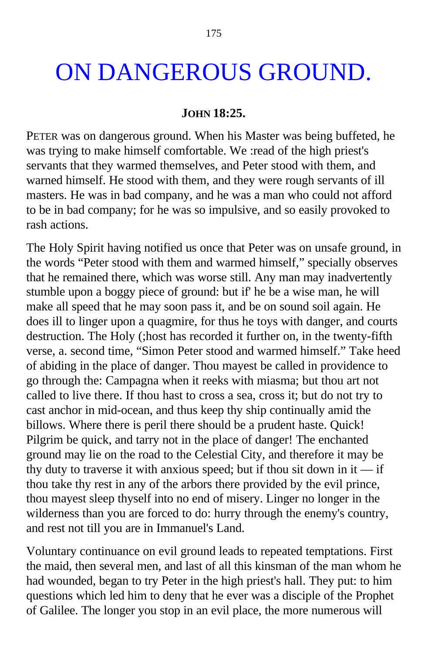### ON DANGEROUS GROUND.

#### **JOHN 18:25.**

PETER was on dangerous ground. When his Master was being buffeted, he was trying to make himself comfortable. We :read of the high priest's servants that they warmed themselves, and Peter stood with them, and warned himself. He stood with them, and they were rough servants of ill masters. He was in bad company, and he was a man who could not afford to be in bad company; for he was so impulsive, and so easily provoked to rash actions.

The Holy Spirit having notified us once that Peter was on unsafe ground, in the words "Peter stood with them and warmed himself," specially observes that he remained there, which was worse still. Any man may inadvertently stumble upon a boggy piece of ground: but if' he be a wise man, he will make all speed that he may soon pass it, and be on sound soil again. He does ill to linger upon a quagmire, for thus he toys with danger, and courts destruction. The Holy (;host has recorded it further on, in the twenty-fifth verse, a. second time, "Simon Peter stood and warmed himself." Take heed of abiding in the place of danger. Thou mayest be called in providence to go through the: Campagna when it reeks with miasma; but thou art not called to live there. If thou hast to cross a sea, cross it; but do not try to cast anchor in mid-ocean, and thus keep thy ship continually amid the billows. Where there is peril there should be a prudent haste. Quick! Pilgrim be quick, and tarry not in the place of danger! The enchanted ground may lie on the road to the Celestial City, and therefore it may be thy duty to traverse it with anxious speed; but if thou sit down in it  $-$  if thou take thy rest in any of the arbors there provided by the evil prince, thou mayest sleep thyself into no end of misery. Linger no longer in the wilderness than you are forced to do: hurry through the enemy's country, and rest not till you are in Immanuel's Land.

Voluntary continuance on evil ground leads to repeated temptations. First the maid, then several men, and last of all this kinsman of the man whom he had wounded, began to try Peter in the high priest's hall. They put: to him questions which led him to deny that he ever was a disciple of the Prophet of Galilee. The longer you stop in an evil place, the more numerous will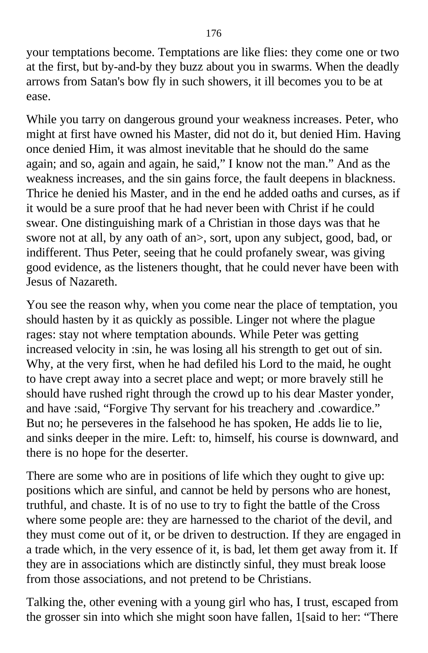your temptations become. Temptations are like flies: they come one or two at the first, but by-and-by they buzz about you in swarms. When the deadly arrows from Satan's bow fly in such showers, it ill becomes you to be at ease.

While you tarry on dangerous ground your weakness increases. Peter, who might at first have owned his Master, did not do it, but denied Him. Having once denied Him, it was almost inevitable that he should do the same again; and so, again and again, he said," I know not the man." And as the weakness increases, and the sin gains force, the fault deepens in blackness. Thrice he denied his Master, and in the end he added oaths and curses, as if it would be a sure proof that he had never been with Christ if he could swear. One distinguishing mark of a Christian in those days was that he swore not at all, by any oath of an>, sort, upon any subject, good, bad, or indifferent. Thus Peter, seeing that he could profanely swear, was giving good evidence, as the listeners thought, that he could never have been with Jesus of Nazareth.

You see the reason why, when you come near the place of temptation, you should hasten by it as quickly as possible. Linger not where the plague rages: stay not where temptation abounds. While Peter was getting increased velocity in :sin, he was losing all his strength to get out of sin. Why, at the very first, when he had defiled his Lord to the maid, he ought to have crept away into a secret place and wept; or more bravely still he should have rushed right through the crowd up to his dear Master yonder, and have :said, "Forgive Thy servant for his treachery and .cowardice." But no; he perseveres in the falsehood he has spoken, He adds lie to lie, and sinks deeper in the mire. Left: to, himself, his course is downward, and there is no hope for the deserter.

There are some who are in positions of life which they ought to give up: positions which are sinful, and cannot be held by persons who are honest, truthful, and chaste. It is of no use to try to fight the battle of the Cross where some people are: they are harnessed to the chariot of the devil, and they must come out of it, or be driven to destruction. If they are engaged in a trade which, in the very essence of it, is bad, let them get away from it. If they are in associations which are distinctly sinful, they must break loose from those associations, and not pretend to be Christians.

Talking the, other evening with a young girl who has, I trust, escaped from the grosser sin into which she might soon have fallen, 1[said to her: "There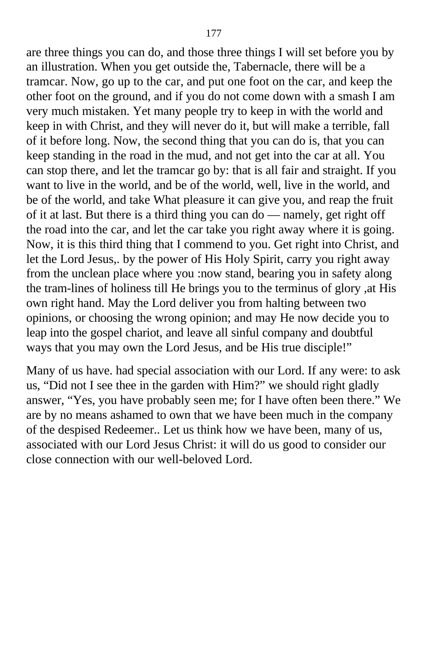are three things you can do, and those three things I will set before you by an illustration. When you get outside the, Tabernacle, there will be a tramcar. Now, go up to the car, and put one foot on the car, and keep the other foot on the ground, and if you do not come down with a smash I am very much mistaken. Yet many people try to keep in with the world and keep in with Christ, and they will never do it, but will make a terrible, fall of it before long. Now, the second thing that you can do is, that you can keep standing in the road in the mud, and not get into the car at all. You can stop there, and let the tramcar go by: that is all fair and straight. If you want to live in the world, and be of the world, well, live in the world, and be of the world, and take What pleasure it can give you, and reap the fruit of it at last. But there is a third thing you can do — namely, get right off the road into the car, and let the car take you right away where it is going. Now, it is this third thing that I commend to you. Get right into Christ, and let the Lord Jesus,. by the power of His Holy Spirit, carry you right away from the unclean place where you :now stand, bearing you in safety along the tram-lines of holiness till He brings you to the terminus of glory ,at His own right hand. May the Lord deliver you from halting between two opinions, or choosing the wrong opinion; and may He now decide you to leap into the gospel chariot, and leave all sinful company and doubtful ways that you may own the Lord Jesus, and be His true disciple!"

Many of us have. had special association with our Lord. If any were: to ask us, "Did not I see thee in the garden with Him?" we should right gladly answer, "Yes, you have probably seen me; for I have often been there." We are by no means ashamed to own that we have been much in the company of the despised Redeemer.. Let us think how we have been, many of us, associated with our Lord Jesus Christ: it will do us good to consider our close connection with our well-beloved Lord.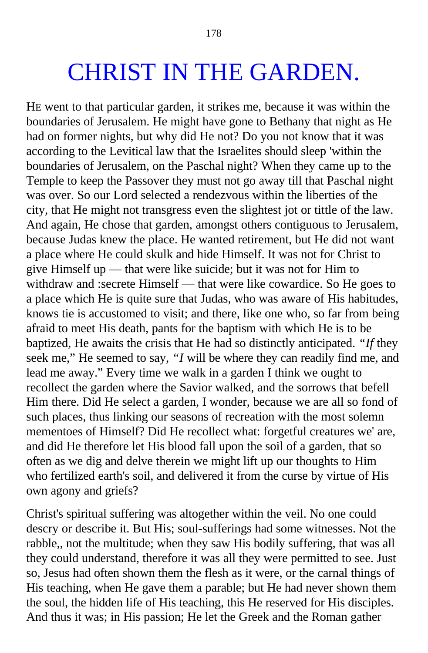#### CHRIST IN THE GARDEN.

HE went to that particular garden, it strikes me, because it was within the boundaries of Jerusalem. He might have gone to Bethany that night as He had on former nights, but why did He not? Do you not know that it was according to the Levitical law that the Israelites should sleep 'within the boundaries of Jerusalem, on the Paschal night? When they came up to the Temple to keep the Passover they must not go away till that Paschal night was over. So our Lord selected a rendezvous within the liberties of the city, that He might not transgress even the slightest jot or tittle of the law. And again, He chose that garden, amongst others contiguous to Jerusalem, because Judas knew the place. He wanted retirement, but He did not want a place where He could skulk and hide Himself. It was not for Christ to give Himself up — that were like suicide; but it was not for Him to withdraw and :secrete Himself — that were like cowardice. So He goes to a place which He is quite sure that Judas, who was aware of His habitudes, knows tie is accustomed to visit; and there, like one who, so far from being afraid to meet His death, pants for the baptism with which He is to be baptized, He awaits the crisis that He had so distinctly anticipated. *"If* they seek me," He seemed to say, *"I* will be where they can readily find me, and lead me away." Every time we walk in a garden I think we ought to recollect the garden where the Savior walked, and the sorrows that befell Him there. Did He select a garden, I wonder, because we are all so fond of such places, thus linking our seasons of recreation with the most solemn mementoes of Himself? Did He recollect what: forgetful creatures we' are, and did He therefore let His blood fall upon the soil of a garden, that so often as we dig and delve therein we might lift up our thoughts to Him who fertilized earth's soil, and delivered it from the curse by virtue of His own agony and griefs?

Christ's spiritual suffering was altogether within the veil. No one could descry or describe it. But His; soul-sufferings had some witnesses. Not the rabble,, not the multitude; when they saw His bodily suffering, that was all they could understand, therefore it was all they were permitted to see. Just so, Jesus had often shown them the flesh as it were, or the carnal things of His teaching, when He gave them a parable; but He had never shown them the soul, the hidden life of His teaching, this He reserved for His disciples. And thus it was; in His passion; He let the Greek and the Roman gather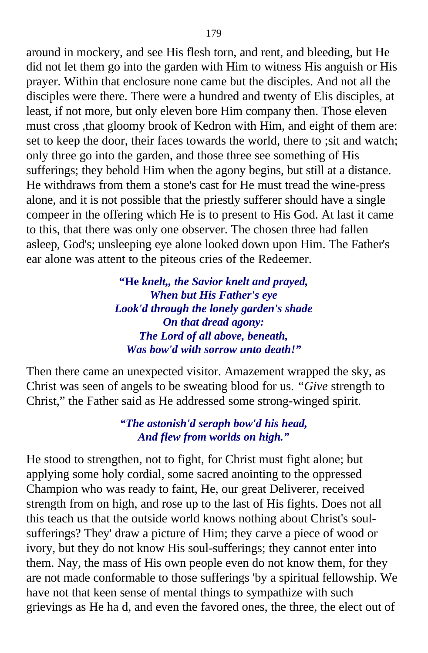around in mockery, and see His flesh torn, and rent, and bleeding, but He did not let them go into the garden with Him to witness His anguish or His prayer. Within that enclosure none came but the disciples. And not all the disciples were there. There were a hundred and twenty of Elis disciples, at least, if not more, but only eleven bore Him company then. Those eleven must cross ,that gloomy brook of Kedron with Him, and eight of them are: set to keep the door, their faces towards the world, there to ;sit and watch; only three go into the garden, and those three see something of His sufferings; they behold Him when the agony begins, but still at a distance. He withdraws from them a stone's cast for He must tread the wine-press alone, and it is not possible that the priestly sufferer should have a single compeer in the offering which He is to present to His God. At last it came to this, that there was only one observer. The chosen three had fallen asleep, God's; unsleeping eye alone looked down upon Him. The Father's ear alone was attent to the piteous cries of the Redeemer.

> **"He** *knelt,, the Savior knelt and prayed, When but His Father's eye Look'd through the lonely garden's shade On that dread agony: The Lord of all above, beneath, Was bow'd with sorrow unto death!"*

Then there came an unexpected visitor. Amazement wrapped the sky, as Christ was seen of angels to be sweating blood for us. *"Give* strength to Christ," the Father said as He addressed some strong-winged spirit.

> *"The astonish'd seraph bow'd his head, And flew from worlds on high."*

He stood to strengthen, not to fight, for Christ must fight alone; but applying some holy cordial, some sacred anointing to the oppressed Champion who was ready to faint, He, our great Deliverer, received strength from on high, and rose up to the last of His fights. Does not all this teach us that the outside world knows nothing about Christ's soulsufferings? They' draw a picture of Him; they carve a piece of wood or ivory, but they do not know His soul-sufferings; they cannot enter into them. Nay, the mass of His own people even do not know them, for they are not made conformable to those sufferings 'by a spiritual fellowship. We have not that keen sense of mental things to sympathize with such grievings as He ha d, and even the favored ones, the three, the elect out of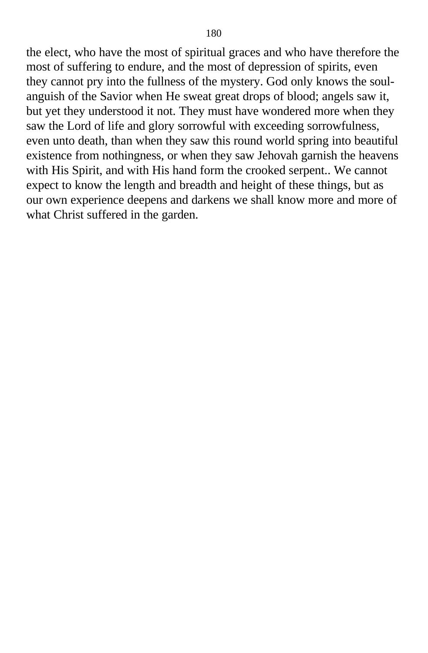the elect, who have the most of spiritual graces and who have therefore the most of suffering to endure, and the most of depression of spirits, even they cannot pry into the fullness of the mystery. God only knows the soulanguish of the Savior when He sweat great drops of blood; angels saw it, but yet they understood it not. They must have wondered more when they saw the Lord of life and glory sorrowful with exceeding sorrowfulness, even unto death, than when they saw this round world spring into beautiful existence from nothingness, or when they saw Jehovah garnish the heavens with His Spirit, and with His hand form the crooked serpent.. We cannot expect to know the length and breadth and height of these things, but as our own experience deepens and darkens we shall know more and more of what Christ suffered in the garden.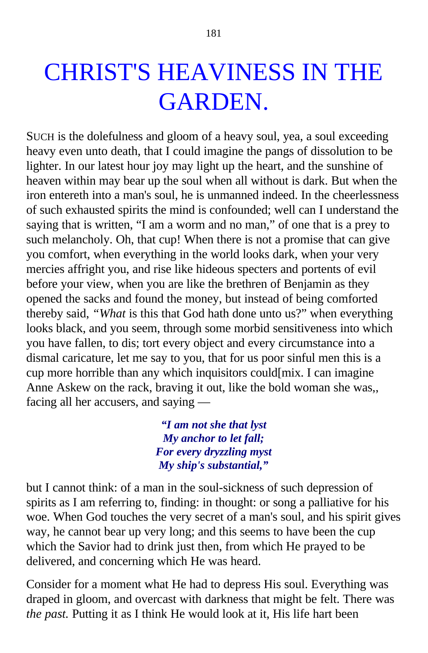SUCH is the dolefulness and gloom of a heavy soul, yea, a soul exceeding heavy even unto death, that I could imagine the pangs of dissolution to be lighter. In our latest hour joy may light up the heart, and the sunshine of heaven within may bear up the soul when all without is dark. But when the iron entereth into a man's soul, he is unmanned indeed. In the cheerlessness of such exhausted spirits the mind is confounded; well can I understand the saying that is written, "I am a worm and no man," of one that is a prey to such melancholy. Oh, that cup! When there is not a promise that can give you comfort, when everything in the world looks dark, when your very mercies affright you, and rise like hideous specters and portents of evil before your view, when you are like the brethren of Benjamin as they opened the sacks and found the money, but instead of being comforted thereby said, *"What* is this that God hath done unto us?" when everything looks black, and you seem, through some morbid sensitiveness into which you have fallen, to dis; tort every object and every circumstance into a dismal caricature, let me say to you, that for us poor sinful men this is a cup more horrible than any which inquisitors could[mix. I can imagine Anne Askew on the rack, braving it out, like the bold woman she was,, facing all her accusers, and saying —

> *"I am not she that lyst My anchor to let fall; For every dryzzling myst My ship's substantial,"*

but I cannot think: of a man in the soul-sickness of such depression of spirits as I am referring to, finding: in thought: or song a palliative for his woe. When God touches the very secret of a man's soul, and his spirit gives way, he cannot bear up very long; and this seems to have been the cup which the Savior had to drink just then, from which He prayed to be delivered, and concerning which He was heard.

Consider for a moment what He had to depress His soul. Everything was draped in gloom, and overcast with darkness that might be felt. There was *the past.* Putting it as I think He would look at it, His life hart been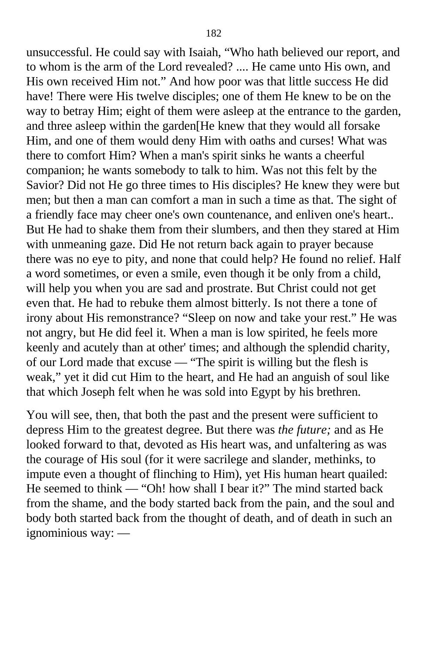unsuccessful. He could say with Isaiah, "Who hath believed our report, and to whom is the arm of the Lord revealed? .... He came unto His own, and His own received Him not." And how poor was that little success He did have! There were His twelve disciples; one of them He knew to be on the way to betray Him; eight of them were asleep at the entrance to the garden, and three asleep within the garden[He knew that they would all forsake Him, and one of them would deny Him with oaths and curses! What was there to comfort Him? When a man's spirit sinks he wants a cheerful companion; he wants somebody to talk to him. Was not this felt by the Savior? Did not He go three times to His disciples? He knew they were but men; but then a man can comfort a man in such a time as that. The sight of a friendly face may cheer one's own countenance, and enliven one's heart.. But He had to shake them from their slumbers, and then they stared at Him with unmeaning gaze. Did He not return back again to prayer because there was no eye to pity, and none that could help? He found no relief. Half a word sometimes, or even a smile, even though it be only from a child, will help you when you are sad and prostrate. But Christ could not get even that. He had to rebuke them almost bitterly. Is not there a tone of irony about His remonstrance? "Sleep on now and take your rest." He was not angry, but He did feel it. When a man is low spirited, he feels more keenly and acutely than at other' times; and although the splendid charity, of our Lord made that excuse — "The spirit is willing but the flesh is weak," yet it did cut Him to the heart, and He had an anguish of soul like that which Joseph felt when he was sold into Egypt by his brethren.

You will see, then, that both the past and the present were sufficient to depress Him to the greatest degree. But there was *the future;* and as He looked forward to that, devoted as His heart was, and unfaltering as was the courage of His soul (for it were sacrilege and slander, methinks, to impute even a thought of flinching to Him), yet His human heart quailed: He seemed to think — "Oh! how shall I bear it?" The mind started back from the shame, and the body started back from the pain, and the soul and body both started back from the thought of death, and of death in such an ignominious way: —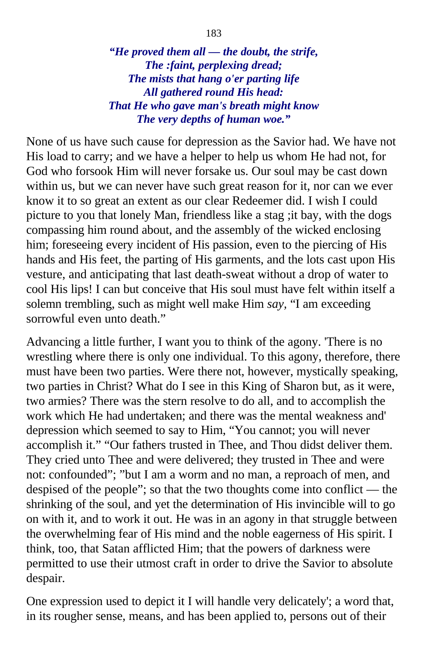*"He proved them all — the doubt, the strife, The :faint, perplexing dread; The mists that hang o'er parting life All gathered round His head: That He who gave man's breath might know The very depths of human woe."*

None of us have such cause for depression as the Savior had. We have not His load to carry; and we have a helper to help us whom He had not, for God who forsook Him will never forsake us. Our soul may be cast down within us, but we can never have such great reason for it, nor can we ever know it to so great an extent as our clear Redeemer did. I wish I could picture to you that lonely Man, friendless like a stag ;it bay, with the dogs compassing him round about, and the assembly of the wicked enclosing him; foreseeing every incident of His passion, even to the piercing of His hands and His feet, the parting of His garments, and the lots cast upon His vesture, and anticipating that last death-sweat without a drop of water to cool His lips! I can but conceive that His soul must have felt within itself a solemn trembling, such as might well make Him *say,* "I am exceeding sorrowful even unto death."

Advancing a little further, I want you to think of the agony. 'There is no wrestling where there is only one individual. To this agony, therefore, there must have been two parties. Were there not, however, mystically speaking, two parties in Christ? What do I see in this King of Sharon but, as it were, two armies? There was the stern resolve to do all, and to accomplish the work which He had undertaken; and there was the mental weakness and' depression which seemed to say to Him, "You cannot; you will never accomplish it." "Our fathers trusted in Thee, and Thou didst deliver them. They cried unto Thee and were delivered; they trusted in Thee and were not: confounded"; "but I am a worm and no man, a reproach of men, and despised of the people"; so that the two thoughts come into conflict — the shrinking of the soul, and yet the determination of His invincible will to go on with it, and to work it out. He was in an agony in that struggle between the overwhelming fear of His mind and the noble eagerness of His spirit. I think, too, that Satan afflicted Him; that the powers of darkness were permitted to use their utmost craft in order to drive the Savior to absolute despair.

One expression used to depict it I will handle very delicately'; a word that, in its rougher sense, means, and has been applied to, persons out of their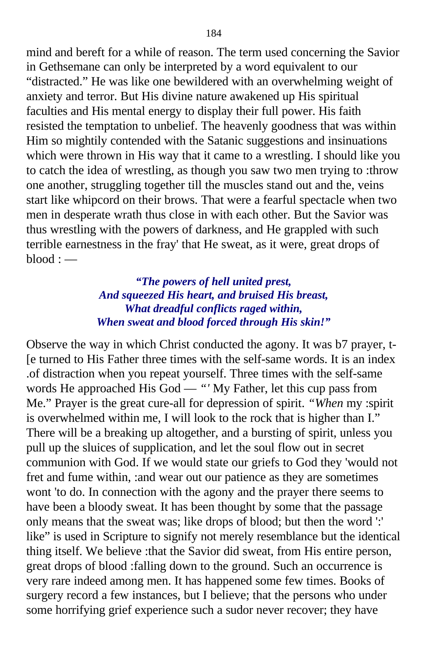mind and bereft for a while of reason. The term used concerning the Savior in Gethsemane can only be interpreted by a word equivalent to our "distracted." He was like one bewildered with an overwhelming weight of anxiety and terror. But His divine nature awakened up His spiritual faculties and His mental energy to display their full power. His faith resisted the temptation to unbelief. The heavenly goodness that was within Him so mightily contended with the Satanic suggestions and insinuations which were thrown in His way that it came to a wrestling. I should like you to catch the idea of wrestling, as though you saw two men trying to :throw one another, struggling together till the muscles stand out and the, veins start like whipcord on their brows. That were a fearful spectacle when two men in desperate wrath thus close in with each other. But the Savior was thus wrestling with the powers of darkness, and He grappled with such terrible earnestness in the fray' that He sweat, as it were, great drops of  $\text{blood} :=$ 

### *"The powers of hell united prest, And squeezed His heart, and bruised His breast, What dreadful conflicts raged within, When sweat and blood forced through His skin!"*

Observe the way in which Christ conducted the agony. It was b7 prayer, t- [e turned to His Father three times with the self-same words. It is an index .of distraction when you repeat yourself. Three times with the self-same words He approached His God — *"'* My Father, let this cup pass from Me." Prayer is the great cure-all for depression of spirit. *"When* my :spirit is overwhelmed within me, I will look to the rock that is higher than I." There will be a breaking up altogether, and a bursting of spirit, unless you pull up the sluices of supplication, and let the soul flow out in secret communion with God. If we would state our griefs to God they 'would not fret and fume within, :and wear out our patience as they are sometimes wont 'to do. In connection with the agony and the prayer there seems to have been a bloody sweat. It has been thought by some that the passage only means that the sweat was; like drops of blood; but then the word ':' like" is used in Scripture to signify not merely resemblance but the identical thing itself. We believe :that the Savior did sweat, from His entire person, great drops of blood :falling down to the ground. Such an occurrence is very rare indeed among men. It has happened some few times. Books of surgery record a few instances, but I believe; that the persons who under some horrifying grief experience such a sudor never recover; they have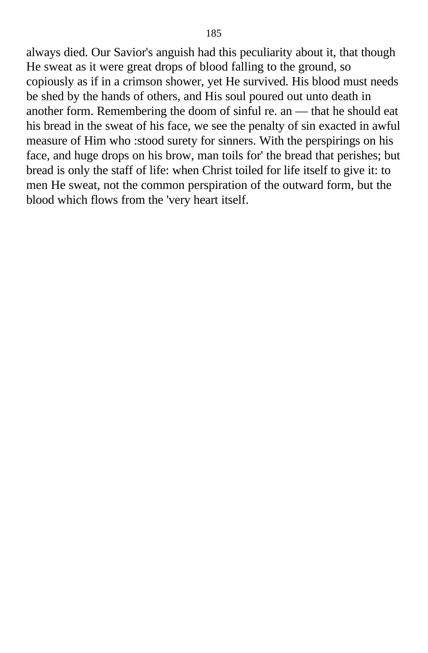always died. Our Savior's anguish had this peculiarity about it, that though He sweat as it were great drops of blood falling to the ground, so copiously as if in a crimson shower, yet He survived. His blood must needs be shed by the hands of others, and His soul poured out unto death in another form. Remembering the doom of sinful re. an — that he should eat his bread in the sweat of his face, we see the penalty of sin exacted in awful measure of Him who :stood surety for sinners. With the perspirings on his face, and huge drops on his brow, man toils for' the bread that perishes; but bread is only the staff of life: when Christ toiled for life itself to give it: to men He sweat, not the common perspiration of the outward form, but the blood which flows from the 'very heart itself.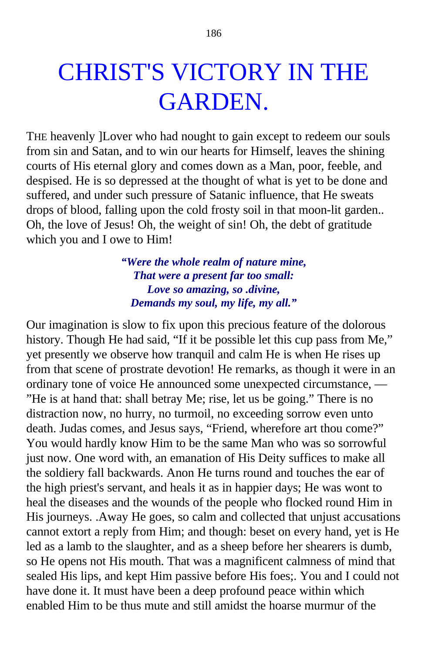# CHRIST'S VICTORY IN THE GARDEN.

THE heavenly ]Lover who had nought to gain except to redeem our souls from sin and Satan, and to win our hearts for Himself, leaves the shining courts of His eternal glory and comes down as a Man, poor, feeble, and despised. He is so depressed at the thought of what is yet to be done and suffered, and under such pressure of Satanic influence, that He sweats drops of blood, falling upon the cold frosty soil in that moon-lit garden.. Oh, the love of Jesus! Oh, the weight of sin! Oh, the debt of gratitude which you and I owe to Him!

> *"Were the whole realm of nature mine, That were a present far too small: Love so amazing, so .divine, Demands my soul, my life, my all."*

Our imagination is slow to fix upon this precious feature of the dolorous history. Though He had said, "If it be possible let this cup pass from Me," yet presently we observe how tranquil and calm He is when He rises up from that scene of prostrate devotion! He remarks, as though it were in an ordinary tone of voice He announced some unexpected circumstance, — "He is at hand that: shall betray Me; rise, let us be going." There is no distraction now, no hurry, no turmoil, no exceeding sorrow even unto death. Judas comes, and Jesus says, "Friend, wherefore art thou come?" You would hardly know Him to be the same Man who was so sorrowful just now. One word with, an emanation of His Deity suffices to make all the soldiery fall backwards. Anon He turns round and touches the ear of the high priest's servant, and heals it as in happier days; He was wont to heal the diseases and the wounds of the people who flocked round Him in His journeys. .Away He goes, so calm and collected that unjust accusations cannot extort a reply from Him; and though: beset on every hand, yet is He led as a lamb to the slaughter, and as a sheep before her shearers is dumb, so He opens not His mouth. That was a magnificent calmness of mind that sealed His lips, and kept Him passive before His foes;. You and I could not have done it. It must have been a deep profound peace within which enabled Him to be thus mute and still amidst the hoarse murmur of the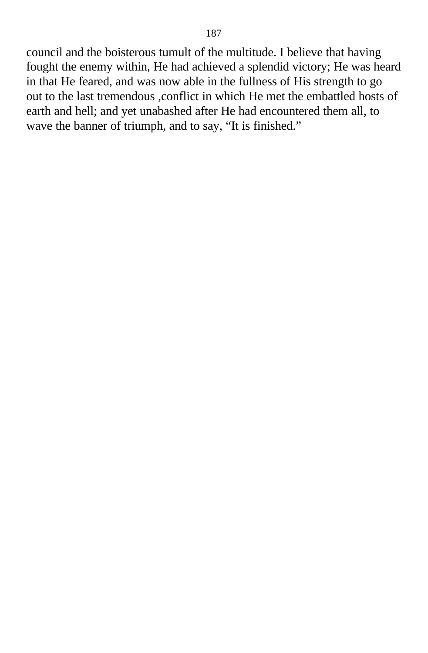council and the boisterous tumult of the multitude. I believe that having fought the enemy within, He had achieved a splendid victory; He was heard in that He feared, and was now able in the fullness of His strength to go out to the last tremendous ,conflict in which He met the embattled hosts of earth and hell; and yet unabashed after He had encountered them all, to wave the banner of triumph, and to say, "It is finished."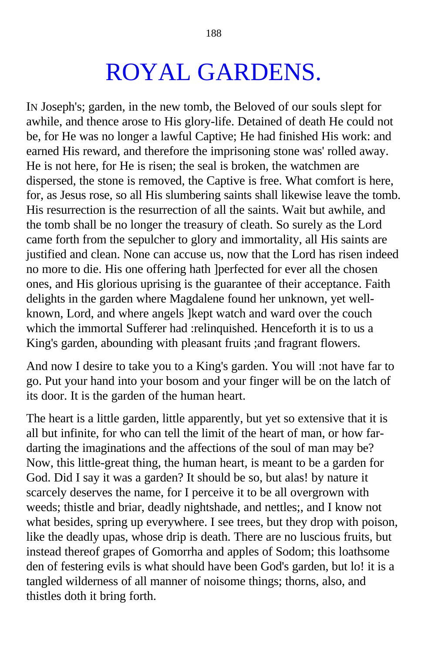### ROYAL GARDENS.

IN Joseph's; garden, in the new tomb, the Beloved of our souls slept for awhile, and thence arose to His glory-life. Detained of death He could not be, for He was no longer a lawful Captive; He had finished His work: and earned His reward, and therefore the imprisoning stone was' rolled away. He is not here, for He is risen; the seal is broken, the watchmen are dispersed, the stone is removed, the Captive is free. What comfort is here, for, as Jesus rose, so all His slumbering saints shall likewise leave the tomb. His resurrection is the resurrection of all the saints. Wait but awhile, and the tomb shall be no longer the treasury of cleath. So surely as the Lord came forth from the sepulcher to glory and immortality, all His saints are justified and clean. None can accuse us, now that the Lord has risen indeed no more to die. His one offering hath ]perfected for ever all the chosen ones, and His glorious uprising is the guarantee of their acceptance. Faith delights in the garden where Magdalene found her unknown, yet wellknown, Lord, and where angels ]kept watch and ward over the couch which the immortal Sufferer had :relinquished. Henceforth it is to us a King's garden, abounding with pleasant fruits ;and fragrant flowers.

And now I desire to take you to a King's garden. You will :not have far to go. Put your hand into your bosom and your finger will be on the latch of its door. It is the garden of the human heart.

The heart is a little garden, little apparently, but yet so extensive that it is all but infinite, for who can tell the limit of the heart of man, or how fardarting the imaginations and the affections of the soul of man may be? Now, this little-great thing, the human heart, is meant to be a garden for God. Did I say it was a garden? It should be so, but alas! by nature it scarcely deserves the name, for I perceive it to be all overgrown with weeds; thistle and briar, deadly nightshade, and nettles;, and I know not what besides, spring up everywhere. I see trees, but they drop with poison, like the deadly upas, whose drip is death. There are no luscious fruits, but instead thereof grapes of Gomorrha and apples of Sodom; this loathsome den of festering evils is what should have been God's garden, but lo! it is a tangled wilderness of all manner of noisome things; thorns, also, and thistles doth it bring forth.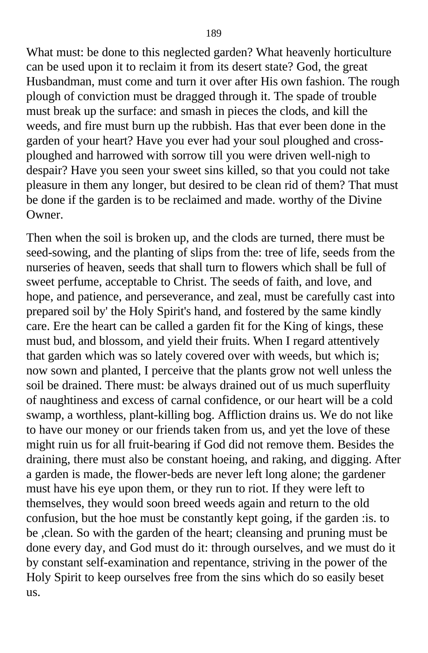What must: be done to this neglected garden? What heavenly horticulture can be used upon it to reclaim it from its desert state? God, the great Husbandman, must come and turn it over after His own fashion. The rough plough of conviction must be dragged through it. The spade of trouble must break up the surface: and smash in pieces the clods, and kill the weeds, and fire must burn up the rubbish. Has that ever been done in the garden of your heart? Have you ever had your soul ploughed and crossploughed and harrowed with sorrow till you were driven well-nigh to despair? Have you seen your sweet sins killed, so that you could not take pleasure in them any longer, but desired to be clean rid of them? That must be done if the garden is to be reclaimed and made. worthy of the Divine Owner.

Then when the soil is broken up, and the clods are turned, there must be seed-sowing, and the planting of slips from the: tree of life, seeds from the nurseries of heaven, seeds that shall turn to flowers which shall be full of sweet perfume, acceptable to Christ. The seeds of faith, and love, and hope, and patience, and perseverance, and zeal, must be carefully cast into prepared soil by' the Holy Spirit's hand, and fostered by the same kindly care. Ere the heart can be called a garden fit for the King of kings, these must bud, and blossom, and yield their fruits. When I regard attentively that garden which was so lately covered over with weeds, but which is; now sown and planted, I perceive that the plants grow not well unless the soil be drained. There must: be always drained out of us much superfluity of naughtiness and excess of carnal confidence, or our heart will be a cold swamp, a worthless, plant-killing bog. Affliction drains us. We do not like to have our money or our friends taken from us, and yet the love of these might ruin us for all fruit-bearing if God did not remove them. Besides the draining, there must also be constant hoeing, and raking, and digging. After a garden is made, the flower-beds are never left long alone; the gardener must have his eye upon them, or they run to riot. If they were left to themselves, they would soon breed weeds again and return to the old confusion, but the hoe must be constantly kept going, if the garden :is. to be ,clean. So with the garden of the heart; cleansing and pruning must be done every day, and God must do it: through ourselves, and we must do it by constant self-examination and repentance, striving in the power of the Holy Spirit to keep ourselves free from the sins which do so easily beset us.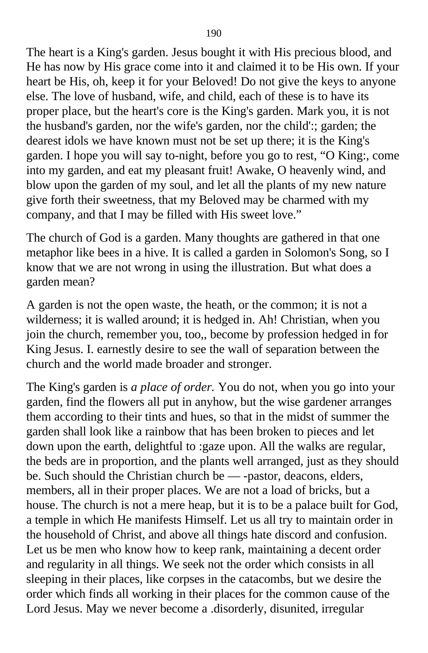The heart is a King's garden. Jesus bought it with His precious blood, and He has now by His grace come into it and claimed it to be His own. If your heart be His, oh, keep it for your Beloved! Do not give the keys to anyone else. The love of husband, wife, and child, each of these is to have its proper place, but the heart's core is the King's garden. Mark you, it is not the husband's garden, nor the wife's garden, nor the child':; garden; the dearest idols we have known must not be set up there; it is the King's garden. I hope you will say to-night, before you go to rest, "O King:, come into my garden, and eat my pleasant fruit! Awake, O heavenly wind, and blow upon the garden of my soul, and let all the plants of my new nature give forth their sweetness, that my Beloved may be charmed with my company, and that I may be filled with His sweet love."

The church of God is a garden. Many thoughts are gathered in that one metaphor like bees in a hive. It is called a garden in Solomon's Song, so I know that we are not wrong in using the illustration. But what does a garden mean?

A garden is not the open waste, the heath, or the common; it is not a wilderness; it is walled around; it is hedged in. Ah! Christian, when you join the church, remember you, too,, become by profession hedged in for King Jesus. I. earnestly desire to see the wall of separation between the church and the world made broader and stronger.

The King's garden is *a place of order.* You do not, when you go into your garden, find the flowers all put in anyhow, but the wise gardener arranges them according to their tints and hues, so that in the midst of summer the garden shall look like a rainbow that has been broken to pieces and let down upon the earth, delightful to :gaze upon. All the walks are regular, the beds are in proportion, and the plants well arranged, just as they should be. Such should the Christian church be — -pastor, deacons, elders, members, all in their proper places. We are not a load of bricks, but a house. The church is not a mere heap, but it is to be a palace built for God, a temple in which He manifests Himself. Let us all try to maintain order in the household of Christ, and above all things hate discord and confusion. Let us be men who know how to keep rank, maintaining a decent order and regularity in all things. We seek not the order which consists in all sleeping in their places, like corpses in the catacombs, but we desire the order which finds all working in their places for the common cause of the Lord Jesus. May we never become a .disorderly, disunited, irregular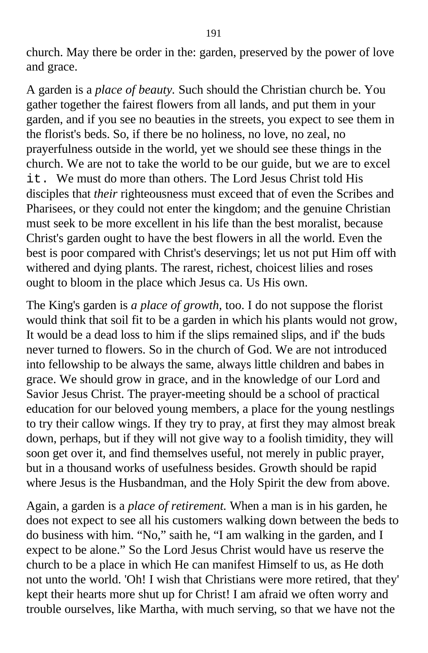church. May there be order in the: garden, preserved by the power of love and grace.

A garden is a *place of beauty.* Such should the Christian church be. You gather together the fairest flowers from all lands, and put them in your garden, and if you see no beauties in the streets, you expect to see them in the florist's beds. So, if there be no holiness, no love, no zeal, no prayerfulness outside in the world, yet we should see these things in the church. We are not to take the world to be our guide, but we are to excel it. We must do more than others. The Lord Jesus Christ told His disciples that *their* righteousness must exceed that of even the Scribes and Pharisees, or they could not enter the kingdom; and the genuine Christian must seek to be more excellent in his life than the best moralist, because Christ's garden ought to have the best flowers in all the world. Even the best is poor compared with Christ's deservings; let us not put Him off with withered and dying plants. The rarest, richest, choicest lilies and roses ought to bloom in the place which Jesus ca. Us His own.

The King's garden is *a place of growth,* too. I do not suppose the florist would think that soil fit to be a garden in which his plants would not grow, It would be a dead loss to him if the slips remained slips, and if' the buds never turned to flowers. So in the church of God. We are not introduced into fellowship to be always the same, always little children and babes in grace. We should grow in grace, and in the knowledge of our Lord and Savior Jesus Christ. The prayer-meeting should be a school of practical education for our beloved young members, a place for the young nestlings to try their callow wings. If they try to pray, at first they may almost break down, perhaps, but if they will not give way to a foolish timidity, they will soon get over it, and find themselves useful, not merely in public prayer, but in a thousand works of usefulness besides. Growth should be rapid where Jesus is the Husbandman, and the Holy Spirit the dew from above.

Again, a garden is a *place of retirement.* When a man is in his garden, he does not expect to see all his customers walking down between the beds to do business with him. "No," saith he, "I am walking in the garden, and I expect to be alone." So the Lord Jesus Christ would have us reserve the church to be a place in which He can manifest Himself to us, as He doth not unto the world. 'Oh! I wish that Christians were more retired, that they' kept their hearts more shut up for Christ! I am afraid we often worry and trouble ourselves, like Martha, with much serving, so that we have not the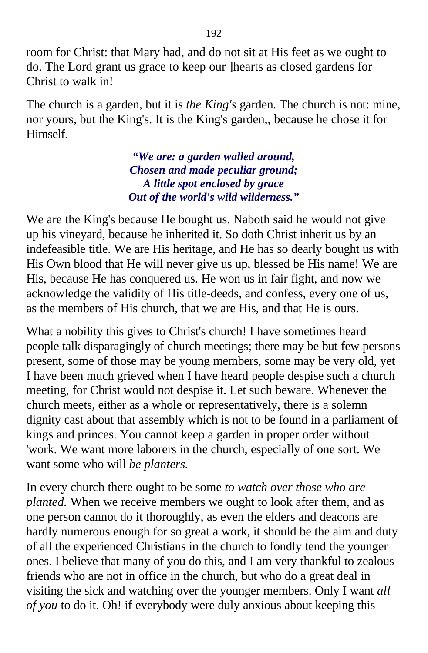room for Christ: that Mary had, and do not sit at His feet as we ought to do. The Lord grant us grace to keep our ]hearts as closed gardens for Christ to walk in!

The church is a garden, but it is *the King's* garden. The church is not: mine, nor yours, but the King's. It is the King's garden,, because he chose it for Himself.

> *"We are: a garden walled around, Chosen and made peculiar ground; A little spot enclosed by grace Out of the world's wild wilderness."*

We are the King's because He bought us. Naboth said he would not give up his vineyard, because he inherited it. So doth Christ inherit us by an indefeasible title. We are His heritage, and He has so dearly bought us with His Own blood that He will never give us up, blessed be His name! We are His, because He has conquered us. He won us in fair fight, and now we acknowledge the validity of His title-deeds, and confess, every one of us, as the members of His church, that we are His, and that He is ours.

What a nobility this gives to Christ's church! I have sometimes heard people talk disparagingly of church meetings; there may be but few persons present, some of those may be young members, some may be very old, yet I have been much grieved when I have heard people despise such a church meeting, for Christ would not despise it. Let such beware. Whenever the church meets, either as a whole or representatively, there is a solemn dignity cast about that assembly which is not to be found in a parliament of kings and princes. You cannot keep a garden in proper order without 'work. We want more laborers in the church, especially of one sort. We want some who will *be planters.*

In every church there ought to be some *to watch over those who are planted.* When we receive members we ought to look after them, and as one person cannot do it thoroughly, as even the elders and deacons are hardly numerous enough for so great a work, it should be the aim and duty of all the experienced Christians in the church to fondly tend the younger ones. I believe that many of you do this, and I am very thankful to zealous friends who are not in office in the church, but who do a great deal in visiting the sick and watching over the younger members. Only I want *all of you* to do it. Oh! if everybody were duly anxious about keeping this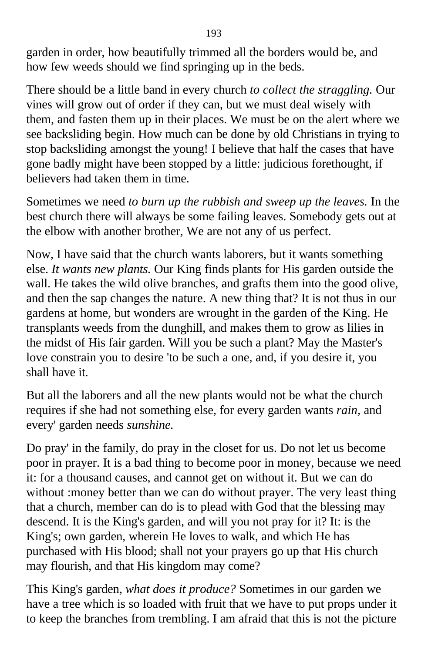garden in order, how beautifully trimmed all the borders would be, and how few weeds should we find springing up in the beds.

There should be a little band in every church *to collect the straggling.* Our vines will grow out of order if they can, but we must deal wisely with them, and fasten them up in their places. We must be on the alert where we see backsliding begin. How much can be done by old Christians in trying to stop backsliding amongst the young! I believe that half the cases that have gone badly might have been stopped by a little: judicious forethought, if believers had taken them in time.

Sometimes we need *to burn up the rubbish and sweep up the leaves.* In the best church there will always be some failing leaves. Somebody gets out at the elbow with another brother, We are not any of us perfect.

Now, I have said that the church wants laborers, but it wants something else. *It wants new plants.* Our King finds plants for His garden outside the wall. He takes the wild olive branches, and grafts them into the good olive, and then the sap changes the nature. A new thing that? It is not thus in our gardens at home, but wonders are wrought in the garden of the King. He transplants weeds from the dunghill, and makes them to grow as lilies in the midst of His fair garden. Will you be such a plant? May the Master's love constrain you to desire 'to be such a one, and, if you desire it, you shall have it.

But all the laborers and all the new plants would not be what the church requires if she had not something else, for every garden wants *rain,* and every' garden needs *sunshine.*

Do pray' in the family, do pray in the closet for us. Do not let us become poor in prayer. It is a bad thing to become poor in money, because we need it: for a thousand causes, and cannot get on without it. But we can do without :money better than we can do without prayer. The very least thing that a church, member can do is to plead with God that the blessing may descend. It is the King's garden, and will you not pray for it? It: is the King's; own garden, wherein He loves to walk, and which He has purchased with His blood; shall not your prayers go up that His church may flourish, and that His kingdom may come?

This King's garden, *what does it produce?* Sometimes in our garden we have a tree which is so loaded with fruit that we have to put props under it to keep the branches from trembling. I am afraid that this is not the picture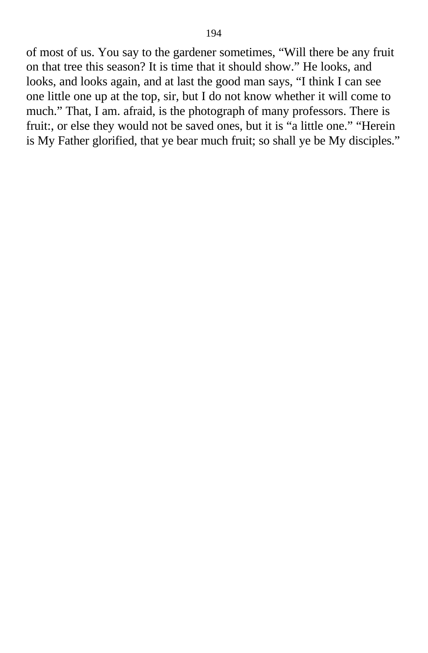of most of us. You say to the gardener sometimes, "Will there be any fruit on that tree this season? It is time that it should show." He looks, and looks, and looks again, and at last the good man says, "I think I can see one little one up at the top, sir, but I do not know whether it will come to much." That, I am. afraid, is the photograph of many professors. There is fruit:, or else they would not be saved ones, but it is "a little one." "Herein is My Father glorified, that ye bear much fruit; so shall ye be My disciples."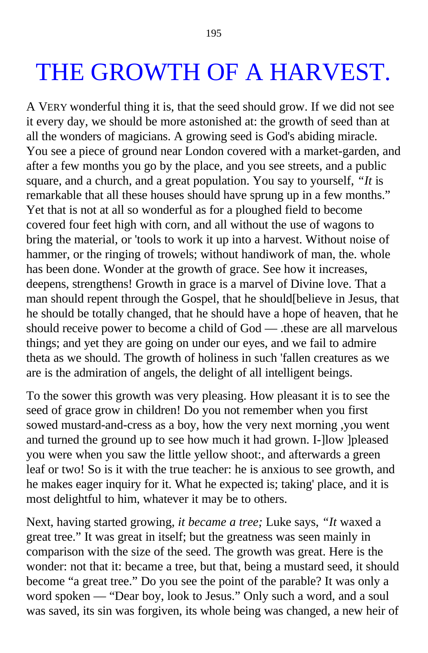# THE GROWTH OF A HARVEST.

A VERY wonderful thing it is, that the seed should grow. If we did not see it every day, we should be more astonished at: the growth of seed than at all the wonders of magicians. A growing seed is God's abiding miracle. You see a piece of ground near London covered with a market-garden, and after a few months you go by the place, and you see streets, and a public square, and a church, and a great population. You say to yourself, *"It* is remarkable that all these houses should have sprung up in a few months." Yet that is not at all so wonderful as for a ploughed field to become covered four feet high with corn, and all without the use of wagons to bring the material, or 'tools to work it up into a harvest. Without noise of hammer, or the ringing of trowels; without handiwork of man, the. whole has been done. Wonder at the growth of grace. See how it increases, deepens, strengthens! Growth in grace is a marvel of Divine love. That a man should repent through the Gospel, that he should[believe in Jesus, that he should be totally changed, that he should have a hope of heaven, that he should receive power to become a child of God — .these are all marvelous things; and yet they are going on under our eyes, and we fail to admire theta as we should. The growth of holiness in such 'fallen creatures as we are is the admiration of angels, the delight of all intelligent beings.

To the sower this growth was very pleasing. How pleasant it is to see the seed of grace grow in children! Do you not remember when you first sowed mustard-and-cress as a boy, how the very next morning ,you went and turned the ground up to see how much it had grown. I-]low ]pleased you were when you saw the little yellow shoot:, and afterwards a green leaf or two! So is it with the true teacher: he is anxious to see growth, and he makes eager inquiry for it. What he expected is; taking' place, and it is most delightful to him, whatever it may be to others.

Next, having started growing, *it became a tree;* Luke says, *"It* waxed a great tree." It was great in itself; but the greatness was seen mainly in comparison with the size of the seed. The growth was great. Here is the wonder: not that it: became a tree, but that, being a mustard seed, it should become "a great tree." Do you see the point of the parable? It was only a word spoken — "Dear boy, look to Jesus." Only such a word, and a soul was saved, its sin was forgiven, its whole being was changed, a new heir of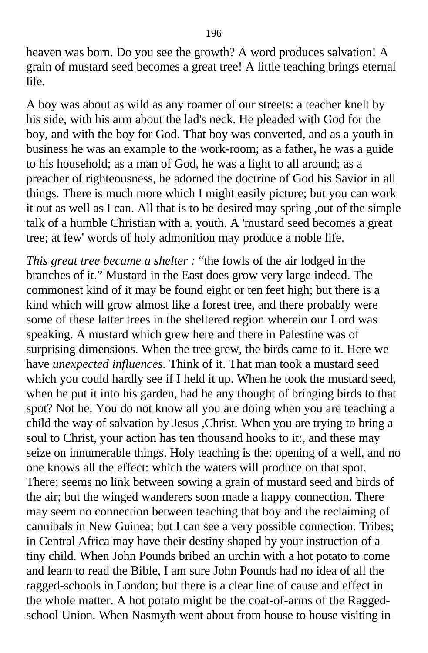heaven was born. Do you see the growth? A word produces salvation! A grain of mustard seed becomes a great tree! A little teaching brings eternal life.

A boy was about as wild as any roamer of our streets: a teacher knelt by his side, with his arm about the lad's neck. He pleaded with God for the boy, and with the boy for God. That boy was converted, and as a youth in business he was an example to the work-room; as a father, he was a guide to his household; as a man of God, he was a light to all around; as a preacher of righteousness, he adorned the doctrine of God his Savior in all things. There is much more which I might easily picture; but you can work it out as well as I can. All that is to be desired may spring ,out of the simple talk of a humble Christian with a. youth. A 'mustard seed becomes a great tree; at few' words of holy admonition may produce a noble life.

*This great tree became a shelter :* "the fowls of the air lodged in the branches of it." Mustard in the East does grow very large indeed. The commonest kind of it may be found eight or ten feet high; but there is a kind which will grow almost like a forest tree, and there probably were some of these latter trees in the sheltered region wherein our Lord was speaking. A mustard which grew here and there in Palestine was of surprising dimensions. When the tree grew, the birds came to it. Here we have *unexpected influences.* Think of it. That man took a mustard seed which you could hardly see if I held it up. When he took the mustard seed, when he put it into his garden, had he any thought of bringing birds to that spot? Not he. You do not know all you are doing when you are teaching a child the way of salvation by Jesus ,Christ. When you are trying to bring a soul to Christ, your action has ten thousand hooks to it:, and these may seize on innumerable things. Holy teaching is the: opening of a well, and no one knows all the effect: which the waters will produce on that spot. There: seems no link between sowing a grain of mustard seed and birds of the air; but the winged wanderers soon made a happy connection. There may seem no connection between teaching that boy and the reclaiming of cannibals in New Guinea; but I can see a very possible connection. Tribes; in Central Africa may have their destiny shaped by your instruction of a tiny child. When John Pounds bribed an urchin with a hot potato to come and learn to read the Bible, I am sure John Pounds had no idea of all the ragged-schools in London; but there is a clear line of cause and effect in the whole matter. A hot potato might be the coat-of-arms of the Raggedschool Union. When Nasmyth went about from house to house visiting in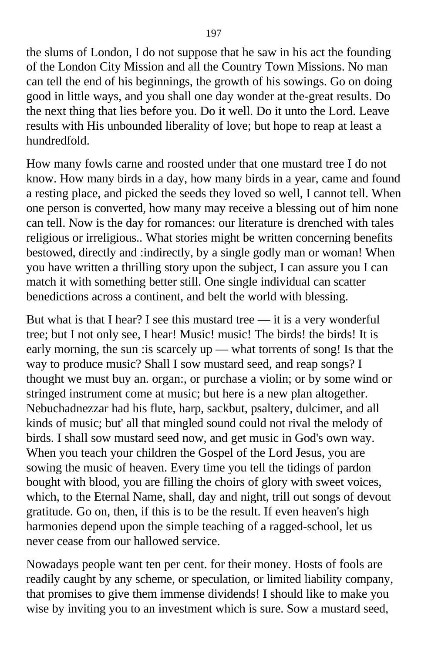the slums of London, I do not suppose that he saw in his act the founding of the London City Mission and all the Country Town Missions. No man can tell the end of his beginnings, the growth of his sowings. Go on doing good in little ways, and you shall one day wonder at the-great results. Do the next thing that lies before you. Do it well. Do it unto the Lord. Leave results with His unbounded liberality of love; but hope to reap at least a hundredfold.

How many fowls carne and roosted under that one mustard tree I do not know. How many birds in a day, how many birds in a year, came and found a resting place, and picked the seeds they loved so well, I cannot tell. When one person is converted, how many may receive a blessing out of him none can tell. Now is the day for romances: our literature is drenched with tales religious or irreligious.. What stories might be written concerning benefits bestowed, directly and :indirectly, by a single godly man or woman! When you have written a thrilling story upon the subject, I can assure you I can match it with something better still. One single individual can scatter benedictions across a continent, and belt the world with blessing.

But what is that I hear? I see this mustard tree — it is a very wonderful tree; but I not only see, I hear! Music! music! The birds! the birds! It is early morning, the sun :is scarcely up — what torrents of song! Is that the way to produce music? Shall I sow mustard seed, and reap songs? I thought we must buy an. organ:, or purchase a violin; or by some wind or stringed instrument come at music; but here is a new plan altogether. Nebuchadnezzar had his flute, harp, sackbut, psaltery, dulcimer, and all kinds of music; but' all that mingled sound could not rival the melody of birds. I shall sow mustard seed now, and get music in God's own way. When you teach your children the Gospel of the Lord Jesus, you are sowing the music of heaven. Every time you tell the tidings of pardon bought with blood, you are filling the choirs of glory with sweet voices, which, to the Eternal Name, shall, day and night, trill out songs of devout gratitude. Go on, then, if this is to be the result. If even heaven's high harmonies depend upon the simple teaching of a ragged-school, let us never cease from our hallowed service.

Nowadays people want ten per cent. for their money. Hosts of fools are readily caught by any scheme, or speculation, or limited liability company, that promises to give them immense dividends! I should like to make you wise by inviting you to an investment which is sure. Sow a mustard seed,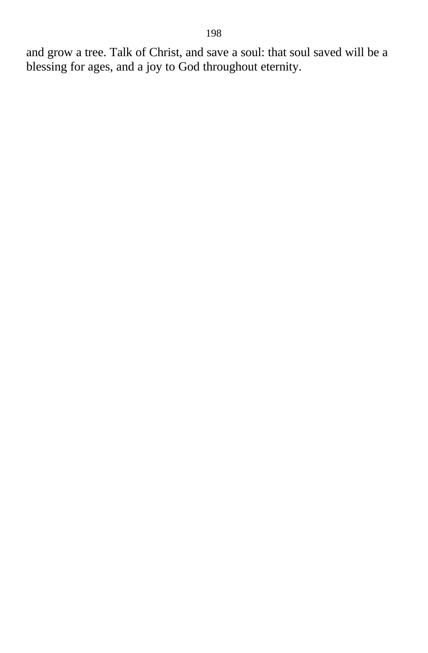and grow a tree. Talk of Christ, and save a soul: that soul saved will be a blessing for ages, and a joy to God throughout eternity.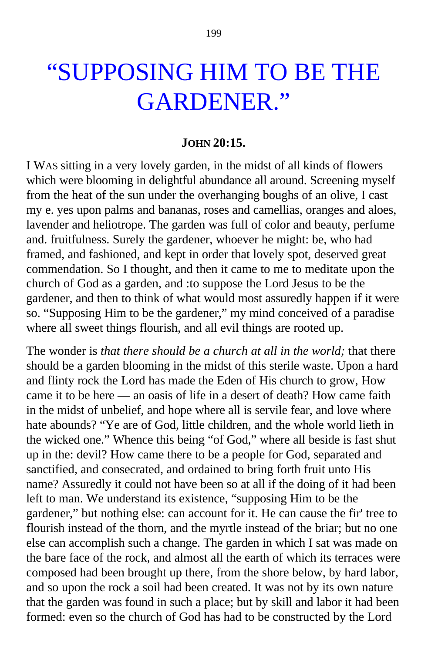### "SUPPOSING HIM TO BE THE GARDENER."

#### **JOHN 20:15.**

I WAS sitting in a very lovely garden, in the midst of all kinds of flowers which were blooming in delightful abundance all around. Screening myself from the heat of the sun under the overhanging boughs of an olive, I cast my e. yes upon palms and bananas, roses and camellias, oranges and aloes, lavender and heliotrope. The garden was full of color and beauty, perfume and. fruitfulness. Surely the gardener, whoever he might: be, who had framed, and fashioned, and kept in order that lovely spot, deserved great commendation. So I thought, and then it came to me to meditate upon the church of God as a garden, and :to suppose the Lord Jesus to be the gardener, and then to think of what would most assuredly happen if it were so. "Supposing Him to be the gardener," my mind conceived of a paradise where all sweet things flourish, and all evil things are rooted up.

The wonder is *that there should be a church at all in the world;* that there should be a garden blooming in the midst of this sterile waste. Upon a hard and flinty rock the Lord has made the Eden of His church to grow, How came it to be here — an oasis of life in a desert of death? How came faith in the midst of unbelief, and hope where all is servile fear, and love where hate abounds? "Ye are of God, little children, and the whole world lieth in the wicked one." Whence this being "of God," where all beside is fast shut up in the: devil? How came there to be a people for God, separated and sanctified, and consecrated, and ordained to bring forth fruit unto His name? Assuredly it could not have been so at all if the doing of it had been left to man. We understand its existence, "supposing Him to be the gardener," but nothing else: can account for it. He can cause the fir' tree to flourish instead of the thorn, and the myrtle instead of the briar; but no one else can accomplish such a change. The garden in which I sat was made on the bare face of the rock, and almost all the earth of which its terraces were composed had been brought up there, from the shore below, by hard labor, and so upon the rock a soil had been created. It was not by its own nature that the garden was found in such a place; but by skill and labor it had been formed: even so the church of God has had to be constructed by the Lord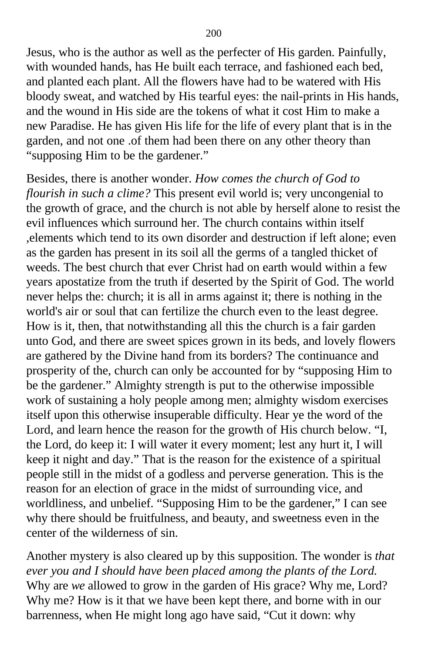Jesus, who is the author as well as the perfecter of His garden. Painfully, with wounded hands, has He built each terrace, and fashioned each bed, and planted each plant. All the flowers have had to be watered with His bloody sweat, and watched by His tearful eyes: the nail-prints in His hands, and the wound in His side are the tokens of what it cost Him to make a new Paradise. He has given His life for the life of every plant that is in the garden, and not one .of them had been there on any other theory than "supposing Him to be the gardener."

Besides, there is another wonder. *How comes the church of God to flourish in such a clime?* This present evil world is; very uncongenial to the growth of grace, and the church is not able by herself alone to resist the evil influences which surround her. The church contains within itself ,elements which tend to its own disorder and destruction if left alone; even as the garden has present in its soil all the germs of a tangled thicket of weeds. The best church that ever Christ had on earth would within a few years apostatize from the truth if deserted by the Spirit of God. The world never helps the: church; it is all in arms against it; there is nothing in the world's air or soul that can fertilize the church even to the least degree. How is it, then, that notwithstanding all this the church is a fair garden unto God, and there are sweet spices grown in its beds, and lovely flowers are gathered by the Divine hand from its borders? The continuance and prosperity of the, church can only be accounted for by "supposing Him to be the gardener." Almighty strength is put to the otherwise impossible work of sustaining a holy people among men; almighty wisdom exercises itself upon this otherwise insuperable difficulty. Hear ye the word of the Lord, and learn hence the reason for the growth of His church below. "I, the Lord, do keep it: I will water it every moment; lest any hurt it, I will keep it night and day." That is the reason for the existence of a spiritual people still in the midst of a godless and perverse generation. This is the reason for an election of grace in the midst of surrounding vice, and worldliness, and unbelief. "Supposing Him to be the gardener," I can see why there should be fruitfulness, and beauty, and sweetness even in the center of the wilderness of sin.

Another mystery is also cleared up by this supposition. The wonder is *that ever you and I should have been placed among the plants of the Lord.* Why are *we* allowed to grow in the garden of His grace? Why me, Lord? Why me? How is it that we have been kept there, and borne with in our barrenness, when He might long ago have said, "Cut it down: why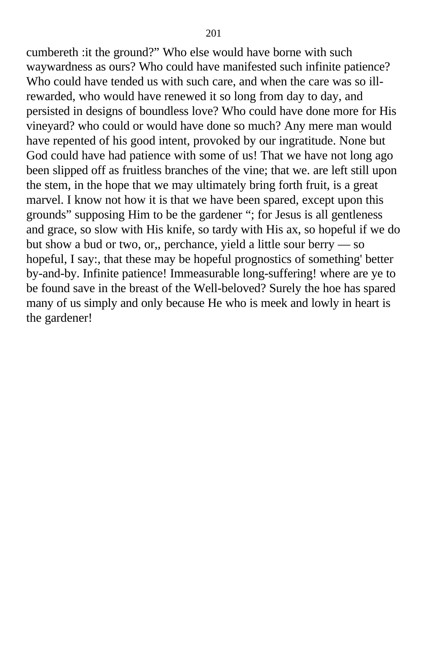cumbereth :it the ground?" Who else would have borne with such waywardness as ours? Who could have manifested such infinite patience? Who could have tended us with such care, and when the care was so illrewarded, who would have renewed it so long from day to day, and persisted in designs of boundless love? Who could have done more for His vineyard? who could or would have done so much? Any mere man would have repented of his good intent, provoked by our ingratitude. None but God could have had patience with some of us! That we have not long ago been slipped off as fruitless branches of the vine; that we. are left still upon the stem, in the hope that we may ultimately bring forth fruit, is a great marvel. I know not how it is that we have been spared, except upon this grounds" supposing Him to be the gardener "; for Jesus is all gentleness and grace, so slow with His knife, so tardy with His ax, so hopeful if we do but show a bud or two, or,, perchance, yield a little sour berry — so hopeful, I say:, that these may be hopeful prognostics of something' better by-and-by. Infinite patience! Immeasurable long-suffering! where are ye to be found save in the breast of the Well-beloved? Surely the hoe has spared many of us simply and only because He who is meek and lowly in heart is the gardener!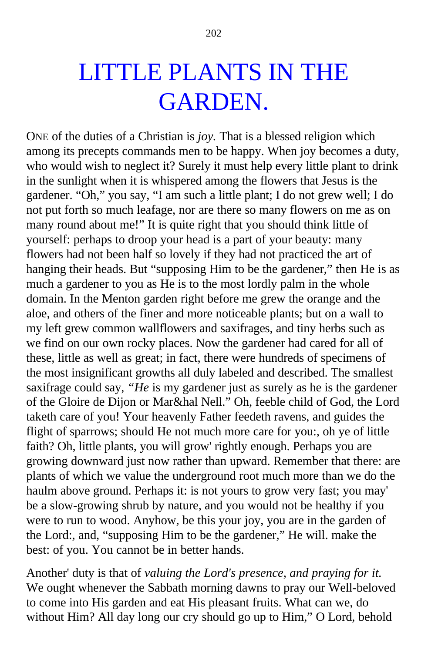# LITTLE PLANTS IN THE GARDEN.

ONE of the duties of a Christian is *joy.* That is a blessed religion which among its precepts commands men to be happy. When joy becomes a duty, who would wish to neglect it? Surely it must help every little plant to drink in the sunlight when it is whispered among the flowers that Jesus is the gardener. "Oh," you say, "I am such a little plant; I do not grew well; I do not put forth so much leafage, nor are there so many flowers on me as on many round about me!" It is quite right that you should think little of yourself: perhaps to droop your head is a part of your beauty: many flowers had not been half so lovely if they had not practiced the art of hanging their heads. But "supposing Him to be the gardener," then He is as much a gardener to you as He is to the most lordly palm in the whole domain. In the Menton garden right before me grew the orange and the aloe, and others of the finer and more noticeable plants; but on a wall to my left grew common wallflowers and saxifrages, and tiny herbs such as we find on our own rocky places. Now the gardener had cared for all of these, little as well as great; in fact, there were hundreds of specimens of the most insignificant growths all duly labeled and described. The smallest saxifrage could say, *"He* is my gardener just as surely as he is the gardener of the Gloire de Dijon or Mar&hal Nell." Oh, feeble child of God, the Lord taketh care of you! Your heavenly Father feedeth ravens, and guides the flight of sparrows; should He not much more care for you:, oh ye of little faith? Oh, little plants, you will grow' rightly enough. Perhaps you are growing downward just now rather than upward. Remember that there: are plants of which we value the underground root much more than we do the haulm above ground. Perhaps it: is not yours to grow very fast; you may' be a slow-growing shrub by nature, and you would not be healthy if you were to run to wood. Anyhow, be this your joy, you are in the garden of the Lord:, and, "supposing Him to be the gardener," He will. make the best: of you. You cannot be in better hands.

Another' duty is that of *valuing the Lord's presence, and praying for it.* We ought whenever the Sabbath morning dawns to pray our Well-beloved to come into His garden and eat His pleasant fruits. What can we, do without Him? All day long our cry should go up to Him," O Lord, behold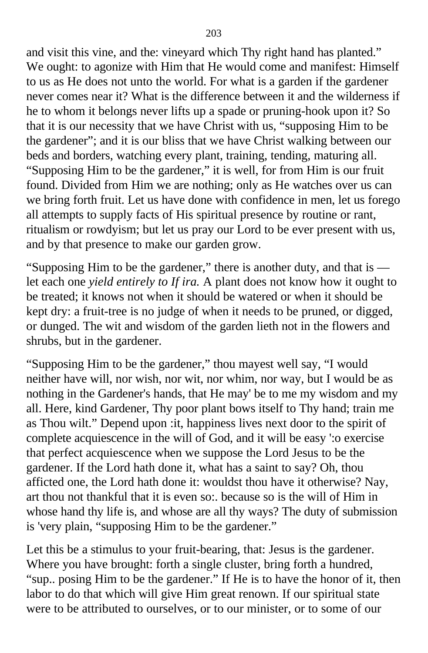and visit this vine, and the: vineyard which Thy right hand has planted." We ought: to agonize with Him that He would come and manifest: Himself to us as He does not unto the world. For what is a garden if the gardener never comes near it? What is the difference between it and the wilderness if he to whom it belongs never lifts up a spade or pruning-hook upon it? So that it is our necessity that we have Christ with us, "supposing Him to be the gardener"; and it is our bliss that we have Christ walking between our beds and borders, watching every plant, training, tending, maturing all. "Supposing Him to be the gardener," it is well, for from Him is our fruit found. Divided from Him we are nothing; only as He watches over us can we bring forth fruit. Let us have done with confidence in men, let us forego all attempts to supply facts of His spiritual presence by routine or rant, ritualism or rowdyism; but let us pray our Lord to be ever present with us, and by that presence to make our garden grow.

"Supposing Him to be the gardener," there is another duty, and that is let each one *yield entirely to If ira.* A plant does not know how it ought to be treated; it knows not when it should be watered or when it should be kept dry: a fruit-tree is no judge of when it needs to be pruned, or digged, or dunged. The wit and wisdom of the garden lieth not in the flowers and shrubs, but in the gardener.

"Supposing Him to be the gardener," thou mayest well say, "I would neither have will, nor wish, nor wit, nor whim, nor way, but I would be as nothing in the Gardener's hands, that He may' be to me my wisdom and my all. Here, kind Gardener, Thy poor plant bows itself to Thy hand; train me as Thou wilt." Depend upon :it, happiness lives next door to the spirit of complete acquiescence in the will of God, and it will be easy ':o exercise that perfect acquiescence when we suppose the Lord Jesus to be the gardener. If the Lord hath done it, what has a saint to say? Oh, thou afficted one, the Lord hath done it: wouldst thou have it otherwise? Nay, art thou not thankful that it is even so:. because so is the will of Him in whose hand thy life is, and whose are all thy ways? The duty of submission is 'very plain, "supposing Him to be the gardener."

Let this be a stimulus to your fruit-bearing, that: Jesus is the gardener. Where you have brought: forth a single cluster, bring forth a hundred, "sup.. posing Him to be the gardener." If He is to have the honor of it, then labor to do that which will give Him great renown. If our spiritual state were to be attributed to ourselves, or to our minister, or to some of our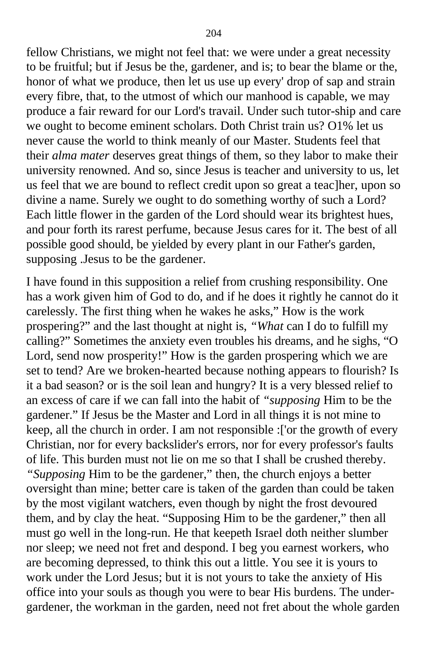fellow Christians, we might not feel that: we were under a great necessity to be fruitful; but if Jesus be the, gardener, and is; to bear the blame or the, honor of what we produce, then let us use up every' drop of sap and strain every fibre, that, to the utmost of which our manhood is capable, we may produce a fair reward for our Lord's travail. Under such tutor-ship and care we ought to become eminent scholars. Doth Christ train us? O1% let us never cause the world to think meanly of our Master. Students feel that their *alma mater* deserves great things of them, so they labor to make their university renowned. And so, since Jesus is teacher and university to us, let us feel that we are bound to reflect credit upon so great a teac]her, upon so divine a name. Surely we ought to do something worthy of such a Lord? Each little flower in the garden of the Lord should wear its brightest hues, and pour forth its rarest perfume, because Jesus cares for it. The best of all possible good should, be yielded by every plant in our Father's garden, supposing .Jesus to be the gardener.

I have found in this supposition a relief from crushing responsibility. One has a work given him of God to do, and if he does it rightly he cannot do it carelessly. The first thing when he wakes he asks," How is the work prospering?" and the last thought at night is, *"What* can I do to fulfill my calling?" Sometimes the anxiety even troubles his dreams, and he sighs, "O Lord, send now prosperity!" How is the garden prospering which we are set to tend? Are we broken-hearted because nothing appears to flourish? Is it a bad season? or is the soil lean and hungry? It is a very blessed relief to an excess of care if we can fall into the habit of *"supposing* Him to be the gardener." If Jesus be the Master and Lord in all things it is not mine to keep, all the church in order. I am not responsible :['or the growth of every Christian, nor for every backslider's errors, nor for every professor's faults of life. This burden must not lie on me so that I shall be crushed thereby. *"Supposing* Him to be the gardener," then, the church enjoys a better oversight than mine; better care is taken of the garden than could be taken by the most vigilant watchers, even though by night the frost devoured them, and by clay the heat. "Supposing Him to be the gardener," then all must go well in the long-run. He that keepeth Israel doth neither slumber nor sleep; we need not fret and despond. I beg you earnest workers, who are becoming depressed, to think this out a little. You see it is yours to work under the Lord Jesus; but it is not yours to take the anxiety of His office into your souls as though you were to bear His burdens. The undergardener, the workman in the garden, need not fret about the whole garden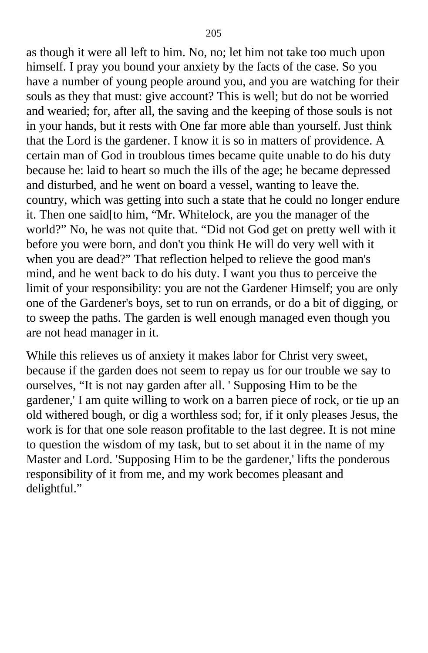as though it were all left to him. No, no; let him not take too much upon himself. I pray you bound your anxiety by the facts of the case. So you have a number of young people around you, and you are watching for their souls as they that must: give account? This is well; but do not be worried and wearied; for, after all, the saving and the keeping of those souls is not in your hands, but it rests with One far more able than yourself. Just think that the Lord is the gardener. I know it is so in matters of providence. A certain man of God in troublous times became quite unable to do his duty because he: laid to heart so much the ills of the age; he became depressed and disturbed, and he went on board a vessel, wanting to leave the. country, which was getting into such a state that he could no longer endure it. Then one said[to him, "Mr. Whitelock, are you the manager of the world?" No, he was not quite that. "Did not God get on pretty well with it before you were born, and don't you think He will do very well with it when you are dead?" That reflection helped to relieve the good man's mind, and he went back to do his duty. I want you thus to perceive the limit of your responsibility: you are not the Gardener Himself; you are only one of the Gardener's boys, set to run on errands, or do a bit of digging, or to sweep the paths. The garden is well enough managed even though you are not head manager in it.

While this relieves us of anxiety it makes labor for Christ very sweet, because if the garden does not seem to repay us for our trouble we say to ourselves, "It is not nay garden after all. ' Supposing Him to be the gardener,' I am quite willing to work on a barren piece of rock, or tie up an old withered bough, or dig a worthless sod; for, if it only pleases Jesus, the work is for that one sole reason profitable to the last degree. It is not mine to question the wisdom of my task, but to set about it in the name of my Master and Lord. 'Supposing Him to be the gardener,' lifts the ponderous responsibility of it from me, and my work becomes pleasant and delightful."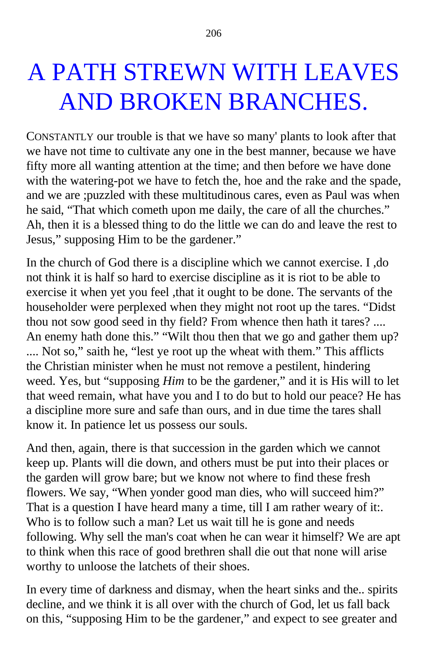CONSTANTLY our trouble is that we have so many' plants to look after that we have not time to cultivate any one in the best manner, because we have fifty more all wanting attention at the time; and then before we have done with the watering-pot we have to fetch the, hoe and the rake and the spade, and we are ;puzzled with these multitudinous cares, even as Paul was when he said, "That which cometh upon me daily, the care of all the churches." Ah, then it is a blessed thing to do the little we can do and leave the rest to Jesus," supposing Him to be the gardener."

In the church of God there is a discipline which we cannot exercise. I ,do not think it is half so hard to exercise discipline as it is riot to be able to exercise it when yet you feel ,that it ought to be done. The servants of the householder were perplexed when they might not root up the tares. "Didst thou not sow good seed in thy field? From whence then hath it tares? .... An enemy hath done this." "Wilt thou then that we go and gather them up? .... Not so," saith he, "lest ye root up the wheat with them." This afflicts the Christian minister when he must not remove a pestilent, hindering weed. Yes, but "supposing *Him* to be the gardener," and it is His will to let that weed remain, what have you and I to do but to hold our peace? He has a discipline more sure and safe than ours, and in due time the tares shall know it. In patience let us possess our souls.

And then, again, there is that succession in the garden which we cannot keep up. Plants will die down, and others must be put into their places or the garden will grow bare; but we know not where to find these fresh flowers. We say, "When yonder good man dies, who will succeed him?" That is a question I have heard many a time, till I am rather weary of it:. Who is to follow such a man? Let us wait till he is gone and needs following. Why sell the man's coat when he can wear it himself? We are apt to think when this race of good brethren shall die out that none will arise worthy to unloose the latchets of their shoes.

In every time of darkness and dismay, when the heart sinks and the.. spirits decline, and we think it is all over with the church of God, let us fall back on this, "supposing Him to be the gardener," and expect to see greater and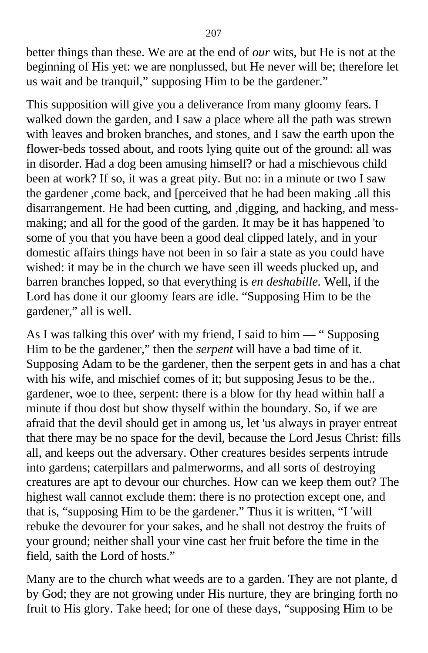better things than these. We are at the end of *our* wits, but He is not at the beginning of His yet: we are nonplussed, but He never will be; therefore let us wait and be tranquil," supposing Him to be the gardener."

This supposition will give you a deliverance from many gloomy fears. I walked down the garden, and I saw a place where all the path was strewn with leaves and broken branches, and stones, and I saw the earth upon the flower-beds tossed about, and roots lying quite out of the ground: all was in disorder. Had a dog been amusing himself? or had a mischievous child been at work? If so, it was a great pity. But no: in a minute or two I saw the gardener ,come back, and [perceived that he had been making .all this disarrangement. He had been cutting, and ,digging, and hacking, and messmaking; and all for the good of the garden. It may be it has happened 'to some of you that you have been a good deal clipped lately, and in your domestic affairs things have not been in so fair a state as you could have wished: it may be in the church we have seen ill weeds plucked up, and barren branches lopped, so that everything is *en deshabille.* Well, if the Lord has done it our gloomy fears are idle. "Supposing Him to be the gardener," all is well.

As I was talking this over' with my friend, I said to him — " Supposing Him to be the gardener," then the *serpent* will have a bad time of it. Supposing Adam to be the gardener, then the serpent gets in and has a chat with his wife, and mischief comes of it; but supposing Jesus to be the.. gardener, woe to thee, serpent: there is a blow for thy head within half a minute if thou dost but show thyself within the boundary. So, if we are afraid that the devil should get in among us, let 'us always in prayer entreat that there may be no space for the devil, because the Lord Jesus Christ: fills all, and keeps out the adversary. Other creatures besides serpents intrude into gardens; caterpillars and palmerworms, and all sorts of destroying creatures are apt to devour our churches. How can we keep them out? The highest wall cannot exclude them: there is no protection except one, and that is, "supposing Him to be the gardener." Thus it is written, "I 'will rebuke the devourer for your sakes, and he shall not destroy the fruits of your ground; neither shall your vine cast her fruit before the time in the field, saith the Lord of hosts."

Many are to the church what weeds are to a garden. They are not plante, d by God; they are not growing under His nurture, they are bringing forth no fruit to His glory. Take heed; for one of these days, "supposing Him to be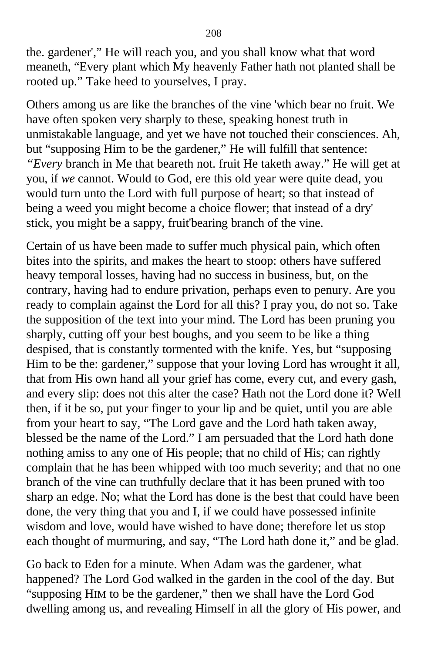the. gardener'," He will reach you, and you shall know what that word meaneth, "Every plant which My heavenly Father hath not planted shall be rooted up." Take heed to yourselves, I pray.

Others among us are like the branches of the vine 'which bear no fruit. We have often spoken very sharply to these, speaking honest truth in unmistakable language, and yet we have not touched their consciences. Ah, but "supposing Him to be the gardener," He will fulfill that sentence: *"Every* branch in Me that beareth not. fruit He taketh away." He will get at you, if *we* cannot. Would to God, ere this old year were quite dead, you would turn unto the Lord with full purpose of heart; so that instead of being a weed you might become a choice flower; that instead of a dry' stick, you might be a sappy, fruit'bearing branch of the vine.

Certain of us have been made to suffer much physical pain, which often bites into the spirits, and makes the heart to stoop: others have suffered heavy temporal losses, having had no success in business, but, on the contrary, having had to endure privation, perhaps even to penury. Are you ready to complain against the Lord for all this? I pray you, do not so. Take the supposition of the text into your mind. The Lord has been pruning you sharply, cutting off your best boughs, and you seem to be like a thing despised, that is constantly tormented with the knife. Yes, but "supposing Him to be the: gardener," suppose that your loving Lord has wrought it all, that from His own hand all your grief has come, every cut, and every gash, and every slip: does not this alter the case? Hath not the Lord done it? Well then, if it be so, put your finger to your lip and be quiet, until you are able from your heart to say, "The Lord gave and the Lord hath taken away, blessed be the name of the Lord." I am persuaded that the Lord hath done nothing amiss to any one of His people; that no child of His; can rightly complain that he has been whipped with too much severity; and that no one branch of the vine can truthfully declare that it has been pruned with too sharp an edge. No; what the Lord has done is the best that could have been done, the very thing that you and I, if we could have possessed infinite wisdom and love, would have wished to have done; therefore let us stop each thought of murmuring, and say, "The Lord hath done it," and be glad.

Go back to Eden for a minute. When Adam was the gardener, what happened? The Lord God walked in the garden in the cool of the day. But "supposing HIM to be the gardener," then we shall have the Lord God dwelling among us, and revealing Himself in all the glory of His power, and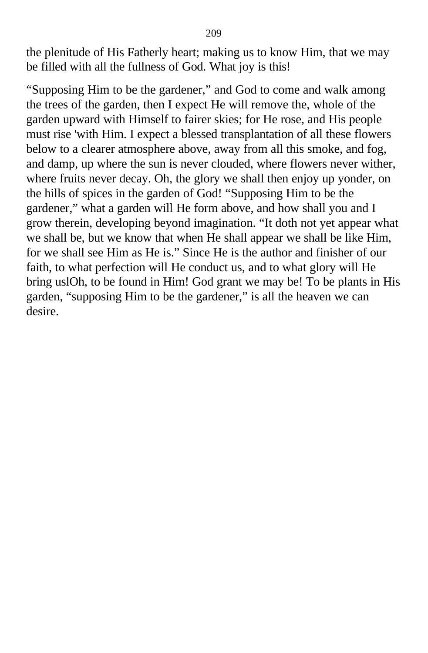the plenitude of His Fatherly heart; making us to know Him, that we may be filled with all the fullness of God. What joy is this!

"Supposing Him to be the gardener," and God to come and walk among the trees of the garden, then I expect He will remove the, whole of the garden upward with Himself to fairer skies; for He rose, and His people must rise 'with Him. I expect a blessed transplantation of all these flowers below to a clearer atmosphere above, away from all this smoke, and fog, and damp, up where the sun is never clouded, where flowers never wither, where fruits never decay. Oh, the glory we shall then enjoy up yonder, on the hills of spices in the garden of God! "Supposing Him to be the gardener," what a garden will He form above, and how shall you and I grow therein, developing beyond imagination. "It doth not yet appear what we shall be, but we know that when He shall appear we shall be like Him, for we shall see Him as He is." Since He is the author and finisher of our faith, to what perfection will He conduct us, and to what glory will He bring uslOh, to be found in Him! God grant we may be! To be plants in His garden, "supposing Him to be the gardener," is all the heaven we can desire.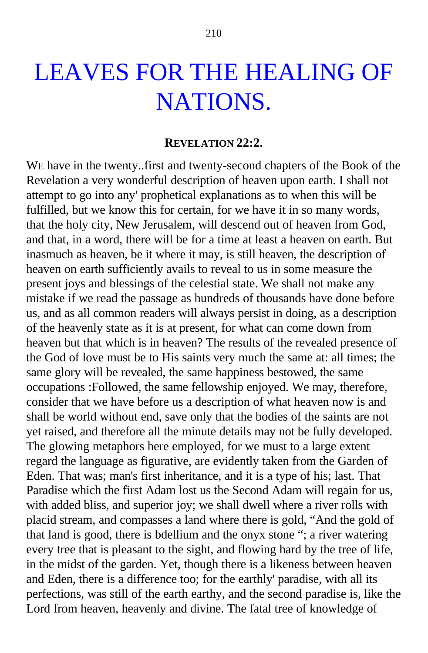## LEAVES FOR THE HEALING OF NATIONS.

#### **REVELATION 22:2.**

WE have in the twenty..first and twenty-second chapters of the Book of the Revelation a very wonderful description of heaven upon earth. I shall not attempt to go into any' prophetical explanations as to when this will be fulfilled, but we know this for certain, for we have it in so many words, that the holy city, New Jerusalem, will descend out of heaven from God, and that, in a word, there will be for a time at least a heaven on earth. But inasmuch as heaven, be it where it may, is still heaven, the description of heaven on earth sufficiently avails to reveal to us in some measure the present joys and blessings of the celestial state. We shall not make any mistake if we read the passage as hundreds of thousands have done before us, and as all common readers will always persist in doing, as a description of the heavenly state as it is at present, for what can come down from heaven but that which is in heaven? The results of the revealed presence of the God of love must be to His saints very much the same at: all times; the same glory will be revealed, the same happiness bestowed, the same occupations :Followed, the same fellowship enjoyed. We may, therefore, consider that we have before us a description of what heaven now is and shall be world without end, save only that the bodies of the saints are not yet raised, and therefore all the minute details may not be fully developed. The glowing metaphors here employed, for we must to a large extent regard the language as figurative, are evidently taken from the Garden of Eden. That was; man's first inheritance, and it is a type of his; last. That Paradise which the first Adam lost us the Second Adam will regain for us, with added bliss, and superior joy; we shall dwell where a river rolls with placid stream, and compasses a land where there is gold, "And the gold of that land is good, there is bdellium and the onyx stone "; a river watering every tree that is pleasant to the sight, and flowing hard by the tree of life, in the midst of the garden. Yet, though there is a likeness between heaven and Eden, there is a difference too; for the earthly' paradise, with all its perfections, was still of the earth earthy, and the second paradise is, like the Lord from heaven, heavenly and divine. The fatal tree of knowledge of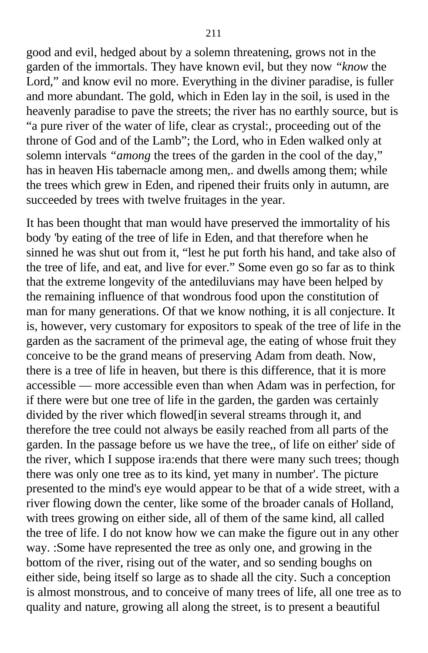good and evil, hedged about by a solemn threatening, grows not in the garden of the immortals. They have known evil, but they now *"know* the Lord," and know evil no more. Everything in the diviner paradise, is fuller and more abundant. The gold, which in Eden lay in the soil, is used in the heavenly paradise to pave the streets; the river has no earthly source, but is "a pure river of the water of life, clear as crystal:, proceeding out of the throne of God and of the Lamb"; the Lord, who in Eden walked only at solemn intervals *"among* the trees of the garden in the cool of the day," has in heaven His tabernacle among men,. and dwells among them; while the trees which grew in Eden, and ripened their fruits only in autumn, are succeeded by trees with twelve fruitages in the year.

It has been thought that man would have preserved the immortality of his body 'by eating of the tree of life in Eden, and that therefore when he sinned he was shut out from it, "lest he put forth his hand, and take also of the tree of life, and eat, and live for ever." Some even go so far as to think that the extreme longevity of the antediluvians may have been helped by the remaining influence of that wondrous food upon the constitution of man for many generations. Of that we know nothing, it is all conjecture. It is, however, very customary for expositors to speak of the tree of life in the garden as the sacrament of the primeval age, the eating of whose fruit they conceive to be the grand means of preserving Adam from death. Now, there is a tree of life in heaven, but there is this difference, that it is more accessible — more accessible even than when Adam was in perfection, for if there were but one tree of life in the garden, the garden was certainly divided by the river which flowed[in several streams through it, and therefore the tree could not always be easily reached from all parts of the garden. In the passage before us we have the tree,, of life on either' side of the river, which I suppose ira:ends that there were many such trees; though there was only one tree as to its kind, yet many in number'. The picture presented to the mind's eye would appear to be that of a wide street, with a river flowing down the center, like some of the broader canals of Holland, with trees growing on either side, all of them of the same kind, all called the tree of life. I do not know how we can make the figure out in any other way. :Some have represented the tree as only one, and growing in the bottom of the river, rising out of the water, and so sending boughs on either side, being itself so large as to shade all the city. Such a conception is almost monstrous, and to conceive of many trees of life, all one tree as to quality and nature, growing all along the street, is to present a beautiful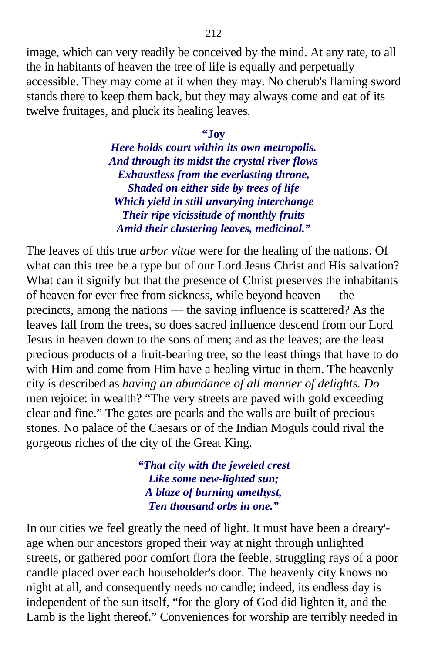image, which can very readily be conceived by the mind. At any rate, to all the in habitants of heaven the tree of life is equally and perpetually accessible. They may come at it when they may. No cherub's flaming sword stands there to keep them back, but they may always come and eat of its twelve fruitages, and pluck its healing leaves.

#### **"Joy**

*Here holds court within its own metropolis. And through its midst the crystal river flows Exhaustless from the everlasting throne, Shaded on either side by trees of life Which yield in still unvarying interchange Their ripe vicissitude of monthly fruits Amid their clustering leaves, medicinal."*

The leaves of this true *arbor vitae* were for the healing of the nations. Of what can this tree be a type but of our Lord Jesus Christ and His salvation? What can it signify but that the presence of Christ preserves the inhabitants of heaven for ever free from sickness, while beyond heaven — the precincts, among the nations — the saving influence is scattered? As the leaves fall from the trees, so does sacred influence descend from our Lord Jesus in heaven down to the sons of men; and as the leaves; are the least precious products of a fruit-bearing tree, so the least things that have to do with Him and come from Him have a healing virtue in them. The heavenly city is described as *having an abundance of all manner of delights. Do* men rejoice: in wealth? "The very streets are paved with gold exceeding clear and fine." The gates are pearls and the walls are built of precious stones. No palace of the Caesars or of the Indian Moguls could rival the gorgeous riches of the city of the Great King.

> *"That city with the jeweled crest Like some new-lighted sun; A blaze of burning amethyst, Ten thousand orbs in one."*

In our cities we feel greatly the need of light. It must have been a dreary' age when our ancestors groped their way at night through unlighted streets, or gathered poor comfort flora the feeble, struggling rays of a poor candle placed over each householder's door. The heavenly city knows no night at all, and consequently needs no candle; indeed, its endless day is independent of the sun itself, "for the glory of God did lighten it, and the Lamb is the light thereof." Conveniences for worship are terribly needed in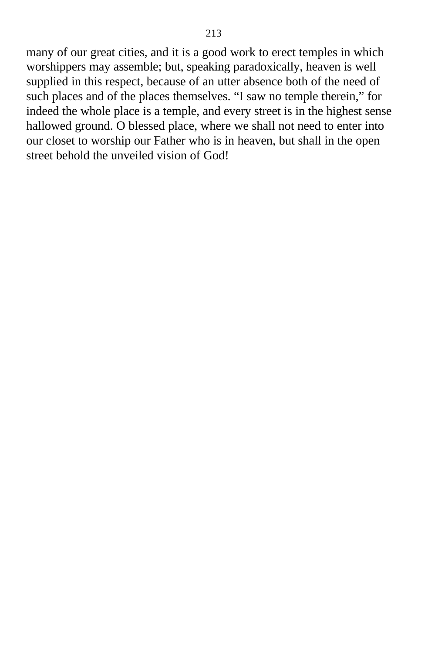many of our great cities, and it is a good work to erect temples in which worshippers may assemble; but, speaking paradoxically, heaven is well supplied in this respect, because of an utter absence both of the need of such places and of the places themselves. "I saw no temple therein," for indeed the whole place is a temple, and every street is in the highest sense hallowed ground. O blessed place, where we shall not need to enter into our closet to worship our Father who is in heaven, but shall in the open street behold the unveiled vision of God!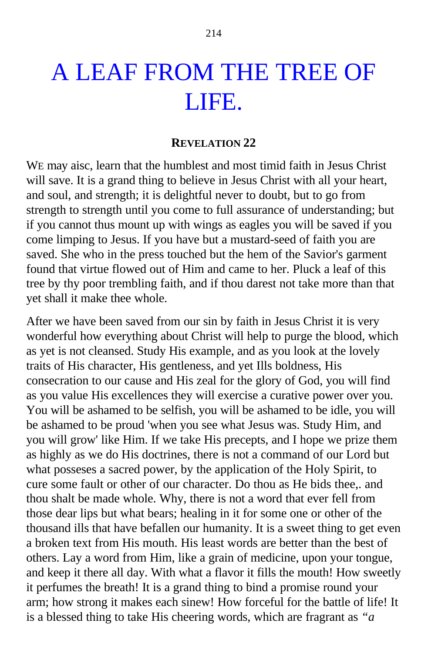### A LEAF FROM THE TREE OF LIFE.

#### **REVELATION 22**

WE may aisc, learn that the humblest and most timid faith in Jesus Christ will save. It is a grand thing to believe in Jesus Christ with all your heart, and soul, and strength; it is delightful never to doubt, but to go from strength to strength until you come to full assurance of understanding; but if you cannot thus mount up with wings as eagles you will be saved if you come limping to Jesus. If you have but a mustard-seed of faith you are saved. She who in the press touched but the hem of the Savior's garment found that virtue flowed out of Him and came to her. Pluck a leaf of this tree by thy poor trembling faith, and if thou darest not take more than that yet shall it make thee whole.

After we have been saved from our sin by faith in Jesus Christ it is very wonderful how everything about Christ will help to purge the blood, which as yet is not cleansed. Study His example, and as you look at the lovely traits of His character, His gentleness, and yet Ills boldness, His consecration to our cause and His zeal for the glory of God, you will find as you value His excellences they will exercise a curative power over you. You will be ashamed to be selfish, you will be ashamed to be idle, you will be ashamed to be proud 'when you see what Jesus was. Study Him, and you will grow' like Him. If we take His precepts, and I hope we prize them as highly as we do His doctrines, there is not a command of our Lord but what posseses a sacred power, by the application of the Holy Spirit, to cure some fault or other of our character. Do thou as He bids thee,. and thou shalt be made whole. Why, there is not a word that ever fell from those dear lips but what bears; healing in it for some one or other of the thousand ills that have befallen our humanity. It is a sweet thing to get even a broken text from His mouth. His least words are better than the best of others. Lay a word from Him, like a grain of medicine, upon your tongue, and keep it there all day. With what a flavor it fills the mouth! How sweetly it perfumes the breath! It is a grand thing to bind a promise round your arm; how strong it makes each sinew! How forceful for the battle of life! It is a blessed thing to take His cheering words, which are fragrant as *"a*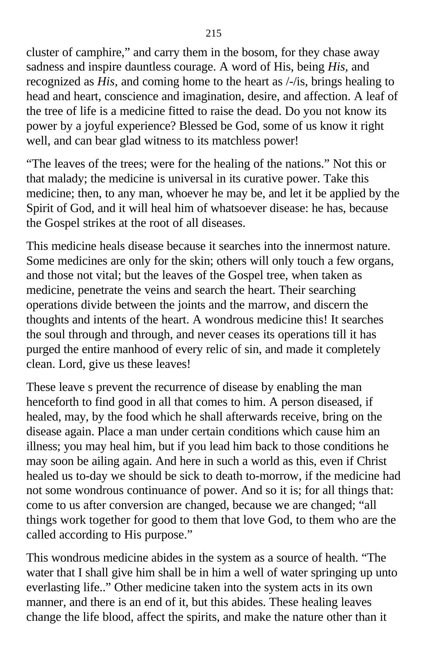cluster of camphire," and carry them in the bosom, for they chase away sadness and inspire dauntless courage. A word of His, being *His,* and recognized as *His,* and coming home to the heart as /-/is, brings healing to head and heart, conscience and imagination, desire, and affection. A leaf of the tree of life is a medicine fitted to raise the dead. Do you not know its power by a joyful experience? Blessed be God, some of us know it right well, and can bear glad witness to its matchless power!

"The leaves of the trees; were for the healing of the nations." Not this or that malady; the medicine is universal in its curative power. Take this medicine; then, to any man, whoever he may be, and let it be applied by the Spirit of God, and it will heal him of whatsoever disease: he has, because the Gospel strikes at the root of all diseases.

This medicine heals disease because it searches into the innermost nature. Some medicines are only for the skin; others will only touch a few organs, and those not vital; but the leaves of the Gospel tree, when taken as medicine, penetrate the veins and search the heart. Their searching operations divide between the joints and the marrow, and discern the thoughts and intents of the heart. A wondrous medicine this! It searches the soul through and through, and never ceases its operations till it has purged the entire manhood of every relic of sin, and made it completely clean. Lord, give us these leaves!

These leave s prevent the recurrence of disease by enabling the man henceforth to find good in all that comes to him. A person diseased, if healed, may, by the food which he shall afterwards receive, bring on the disease again. Place a man under certain conditions which cause him an illness; you may heal him, but if you lead him back to those conditions he may soon be ailing again. And here in such a world as this, even if Christ healed us to-day we should be sick to death to-morrow, if the medicine had not some wondrous continuance of power. And so it is; for all things that: come to us after conversion are changed, because we are changed; "all things work together for good to them that love God, to them who are the called according to His purpose."

This wondrous medicine abides in the system as a source of health. "The water that I shall give him shall be in him a well of water springing up unto everlasting life.." Other medicine taken into the system acts in its own manner, and there is an end of it, but this abides. These healing leaves change the life blood, affect the spirits, and make the nature other than it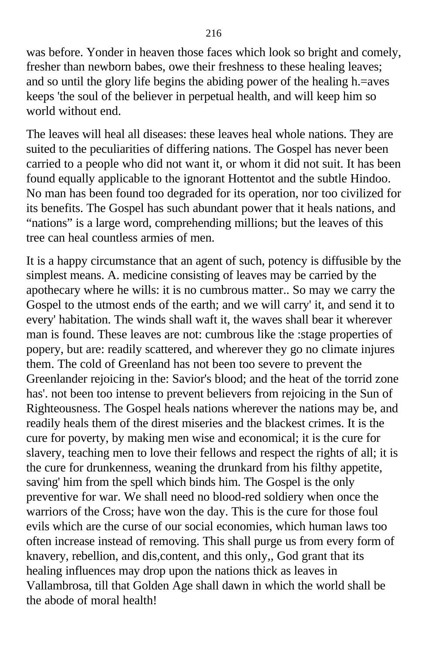was before. Yonder in heaven those faces which look so bright and comely, fresher than newborn babes, owe their freshness to these healing leaves; and so until the glory life begins the abiding power of the healing h.=aves keeps 'the soul of the believer in perpetual health, and will keep him so world without end.

The leaves will heal all diseases: these leaves heal whole nations. They are suited to the peculiarities of differing nations. The Gospel has never been carried to a people who did not want it, or whom it did not suit. It has been found equally applicable to the ignorant Hottentot and the subtle Hindoo. No man has been found too degraded for its operation, nor too civilized for its benefits. The Gospel has such abundant power that it heals nations, and "nations" is a large word, comprehending millions; but the leaves of this tree can heal countless armies of men.

It is a happy circumstance that an agent of such, potency is diffusible by the simplest means. A. medicine consisting of leaves may be carried by the apothecary where he wills: it is no cumbrous matter.. So may we carry the Gospel to the utmost ends of the earth; and we will carry' it, and send it to every' habitation. The winds shall waft it, the waves shall bear it wherever man is found. These leaves are not: cumbrous like the :stage properties of popery, but are: readily scattered, and wherever they go no climate injures them. The cold of Greenland has not been too severe to prevent the Greenlander rejoicing in the: Savior's blood; and the heat of the torrid zone has'. not been too intense to prevent believers from rejoicing in the Sun of Righteousness. The Gospel heals nations wherever the nations may be, and readily heals them of the direst miseries and the blackest crimes. It is the cure for poverty, by making men wise and economical; it is the cure for slavery, teaching men to love their fellows and respect the rights of all; it is the cure for drunkenness, weaning the drunkard from his filthy appetite, saving' him from the spell which binds him. The Gospel is the only preventive for war. We shall need no blood-red soldiery when once the warriors of the Cross; have won the day. This is the cure for those foul evils which are the curse of our social economies, which human laws too often increase instead of removing. This shall purge us from every form of knavery, rebellion, and dis,content, and this only,, God grant that its healing influences may drop upon the nations thick as leaves in Vallambrosa, till that Golden Age shall dawn in which the world shall be the abode of moral health!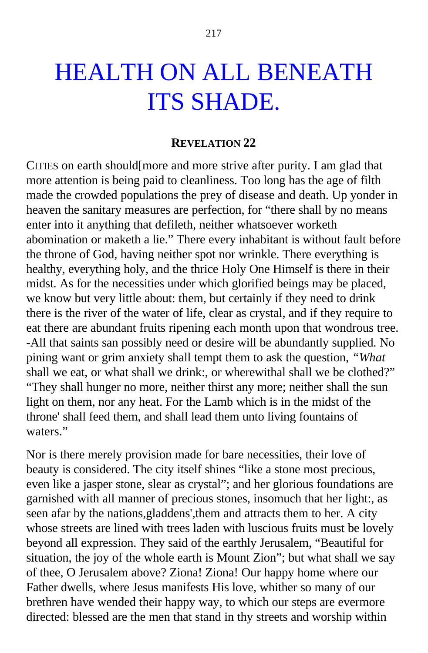## HEALTH ON ALL BENEATH ITS SHADE.

#### **REVELATION 22**

CITIES on earth should[more and more strive after purity. I am glad that more attention is being paid to cleanliness. Too long has the age of filth made the crowded populations the prey of disease and death. Up yonder in heaven the sanitary measures are perfection, for "there shall by no means enter into it anything that defileth, neither whatsoever worketh abomination or maketh a lie." There every inhabitant is without fault before the throne of God, having neither spot nor wrinkle. There everything is healthy, everything holy, and the thrice Holy One Himself is there in their midst. As for the necessities under which glorified beings may be placed, we know but very little about: them, but certainly if they need to drink there is the river of the water of life, clear as crystal, and if they require to eat there are abundant fruits ripening each month upon that wondrous tree. -All that saints san possibly need or desire will be abundantly supplied. No pining want or grim anxiety shall tempt them to ask the question, *"What* shall we eat, or what shall we drink:, or wherewithal shall we be clothed?" "They shall hunger no more, neither thirst any more; neither shall the sun light on them, nor any heat. For the Lamb which is in the midst of the throne' shall feed them, and shall lead them unto living fountains of waters."

Nor is there merely provision made for bare necessities, their love of beauty is considered. The city itself shines "like a stone most precious, even like a jasper stone, slear as crystal"; and her glorious foundations are garnished with all manner of precious stones, insomuch that her light:, as seen afar by the nations,gladdens',them and attracts them to her. A city whose streets are lined with trees laden with luscious fruits must be lovely beyond all expression. They said of the earthly Jerusalem, "Beautiful for situation, the joy of the whole earth is Mount Zion"; but what shall we say of thee, O Jerusalem above? Ziona! Ziona! Our happy home where our Father dwells, where Jesus manifests His love, whither so many of our brethren have wended their happy way, to which our steps are evermore directed: blessed are the men that stand in thy streets and worship within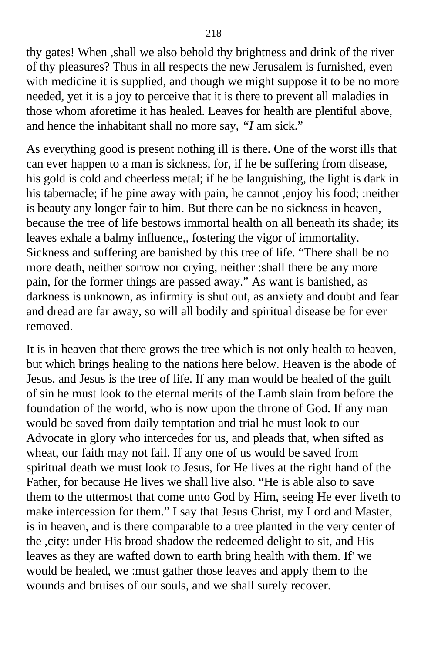thy gates! When ,shall we also behold thy brightness and drink of the river of thy pleasures? Thus in all respects the new Jerusalem is furnished, even with medicine it is supplied, and though we might suppose it to be no more needed, yet it is a joy to perceive that it is there to prevent all maladies in those whom aforetime it has healed. Leaves for health are plentiful above, and hence the inhabitant shall no more say, *"I* am sick."

As everything good is present nothing ill is there. One of the worst ills that can ever happen to a man is sickness, for, if he be suffering from disease, his gold is cold and cheerless metal; if he be languishing, the light is dark in his tabernacle; if he pine away with pain, he cannot ,enjoy his food; :neither is beauty any longer fair to him. But there can be no sickness in heaven, because the tree of life bestows immortal health on all beneath its shade; its leaves exhale a balmy influence,, fostering the vigor of immortality. Sickness and suffering are banished by this tree of life. "There shall be no more death, neither sorrow nor crying, neither :shall there be any more pain, for the former things are passed away." As want is banished, as darkness is unknown, as infirmity is shut out, as anxiety and doubt and fear and dread are far away, so will all bodily and spiritual disease be for ever removed.

It is in heaven that there grows the tree which is not only health to heaven, but which brings healing to the nations here below. Heaven is the abode of Jesus, and Jesus is the tree of life. If any man would be healed of the guilt of sin he must look to the eternal merits of the Lamb slain from before the foundation of the world, who is now upon the throne of God. If any man would be saved from daily temptation and trial he must look to our Advocate in glory who intercedes for us, and pleads that, when sifted as wheat, our faith may not fail. If any one of us would be saved from spiritual death we must look to Jesus, for He lives at the right hand of the Father, for because He lives we shall live also. "He is able also to save them to the uttermost that come unto God by Him, seeing He ever liveth to make intercession for them." I say that Jesus Christ, my Lord and Master, is in heaven, and is there comparable to a tree planted in the very center of the ,city: under His broad shadow the redeemed delight to sit, and His leaves as they are wafted down to earth bring health with them. If' we would be healed, we :must gather those leaves and apply them to the wounds and bruises of our souls, and we shall surely recover.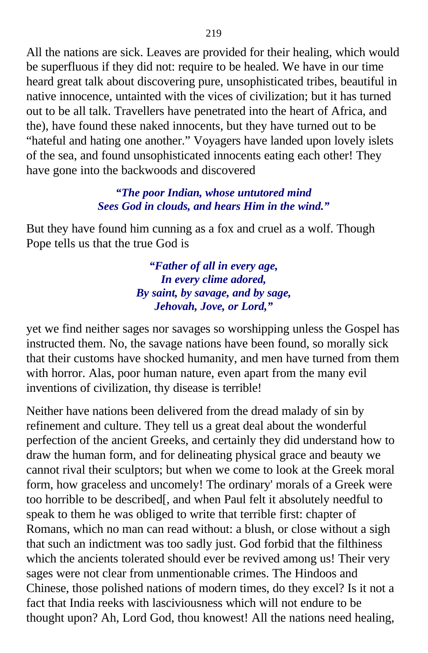All the nations are sick. Leaves are provided for their healing, which would be superfluous if they did not: require to be healed. We have in our time heard great talk about discovering pure, unsophisticated tribes, beautiful in native innocence, untainted with the vices of civilization; but it has turned out to be all talk. Travellers have penetrated into the heart of Africa, and the), have found these naked innocents, but they have turned out to be "hateful and hating one another." Voyagers have landed upon lovely islets of the sea, and found unsophisticated innocents eating each other! They have gone into the backwoods and discovered

#### *"The poor Indian, whose untutored mind Sees God in clouds, and hears Him in the wind."*

But they have found him cunning as a fox and cruel as a wolf. Though Pope tells us that the true God is

> *"Father of all in every age, In every clime adored, By saint, by savage, and by sage, Jehovah, Jove, or Lord,"*

yet we find neither sages nor savages so worshipping unless the Gospel has instructed them. No, the savage nations have been found, so morally sick that their customs have shocked humanity, and men have turned from them with horror. Alas, poor human nature, even apart from the many evil inventions of civilization, thy disease is terrible!

Neither have nations been delivered from the dread malady of sin by refinement and culture. They tell us a great deal about the wonderful perfection of the ancient Greeks, and certainly they did understand how to draw the human form, and for delineating physical grace and beauty we cannot rival their sculptors; but when we come to look at the Greek moral form, how graceless and uncomely! The ordinary' morals of a Greek were too horrible to be described[, and when Paul felt it absolutely needful to speak to them he was obliged to write that terrible first: chapter of Romans, which no man can read without: a blush, or close without a sigh that such an indictment was too sadly just. God forbid that the filthiness which the ancients tolerated should ever be revived among us! Their very sages were not clear from unmentionable crimes. The Hindoos and Chinese, those polished nations of modern times, do they excel? Is it not a fact that India reeks with lasciviousness which will not endure to be thought upon? Ah, Lord God, thou knowest! All the nations need healing,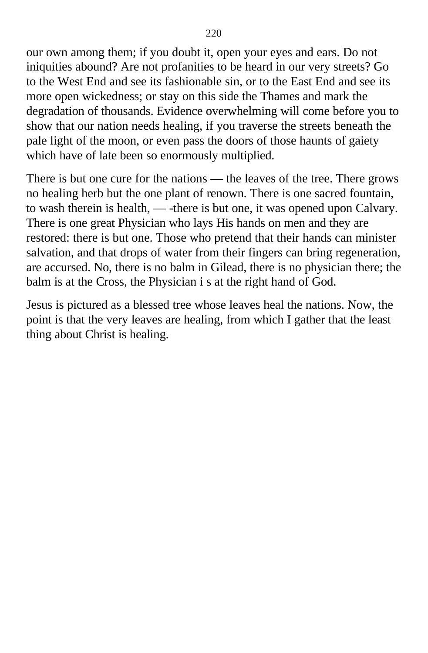our own among them; if you doubt it, open your eyes and ears. Do not iniquities abound? Are not profanities to be heard in our very streets? Go to the West End and see its fashionable sin, or to the East End and see its more open wickedness; or stay on this side the Thames and mark the degradation of thousands. Evidence overwhelming will come before you to show that our nation needs healing, if you traverse the streets beneath the pale light of the moon, or even pass the doors of those haunts of gaiety which have of late been so enormously multiplied.

There is but one cure for the nations — the leaves of the tree. There grows no healing herb but the one plant of renown. There is one sacred fountain, to wash therein is health, — -there is but one, it was opened upon Calvary. There is one great Physician who lays His hands on men and they are restored: there is but one. Those who pretend that their hands can minister salvation, and that drops of water from their fingers can bring regeneration, are accursed. No, there is no balm in Gilead, there is no physician there; the balm is at the Cross, the Physician i s at the right hand of God.

Jesus is pictured as a blessed tree whose leaves heal the nations. Now, the point is that the very leaves are healing, from which I gather that the least thing about Christ is healing.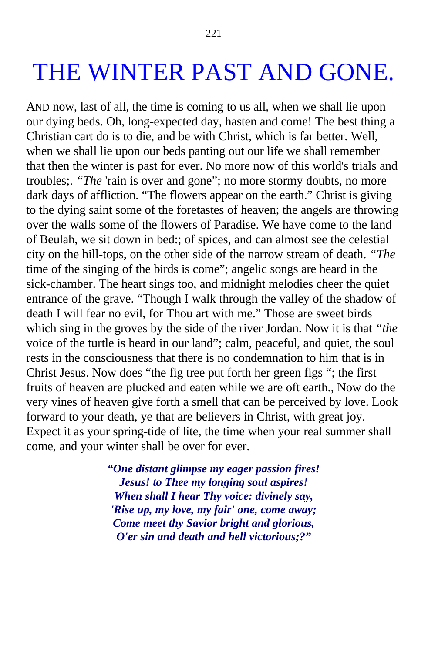# THE WINTER PAST AND GONE.

AND now, last of all, the time is coming to us all, when we shall lie upon our dying beds. Oh, long-expected day, hasten and come! The best thing a Christian cart do is to die, and be with Christ, which is far better. Well, when we shall lie upon our beds panting out our life we shall remember that then the winter is past for ever. No more now of this world's trials and troubles;. *"The* 'rain is over and gone"; no more stormy doubts, no more dark days of affliction. "The flowers appear on the earth." Christ is giving to the dying saint some of the foretastes of heaven; the angels are throwing over the walls some of the flowers of Paradise. We have come to the land of Beulah, we sit down in bed:; of spices, and can almost see the celestial city on the hill-tops, on the other side of the narrow stream of death. *"The* time of the singing of the birds is come"; angelic songs are heard in the sick-chamber. The heart sings too, and midnight melodies cheer the quiet entrance of the grave. "Though I walk through the valley of the shadow of death I will fear no evil, for Thou art with me." Those are sweet birds which sing in the groves by the side of the river Jordan. Now it is that *"the* voice of the turtle is heard in our land"; calm, peaceful, and quiet, the soul rests in the consciousness that there is no condemnation to him that is in Christ Jesus. Now does "the fig tree put forth her green figs "; the first fruits of heaven are plucked and eaten while we are oft earth., Now do the very vines of heaven give forth a smell that can be perceived by love. Look forward to your death, ye that are believers in Christ, with great joy. Expect it as your spring-tide of lite, the time when your real summer shall come, and your winter shall be over for ever.

> *"One distant glimpse my eager passion fires! Jesus! to Thee my longing soul aspires! When shall I hear Thy voice: divinely say, 'Rise up, my love, my fair' one, come away; Come meet thy Savior bright and glorious, O'er sin and death and hell victorious;?"*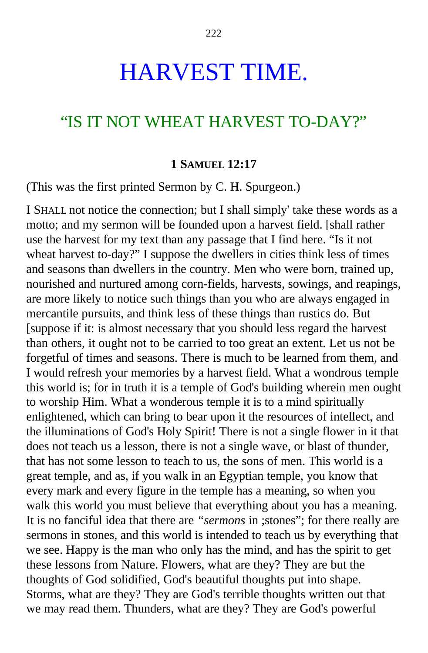# HARVEST TIME.

### "IS IT NOT WHEAT HARVEST TO-DAY?"

#### **1 SAMUEL 12:17**

(This was the first printed Sermon by C. H. Spurgeon.)

I SHALL not notice the connection; but I shall simply' take these words as a motto; and my sermon will be founded upon a harvest field. [shall rather use the harvest for my text than any passage that I find here. "Is it not wheat harvest to-day?" I suppose the dwellers in cities think less of times and seasons than dwellers in the country. Men who were born, trained up, nourished and nurtured among corn-fields, harvests, sowings, and reapings, are more likely to notice such things than you who are always engaged in mercantile pursuits, and think less of these things than rustics do. But [suppose if it: is almost necessary that you should less regard the harvest than others, it ought not to be carried to too great an extent. Let us not be forgetful of times and seasons. There is much to be learned from them, and I would refresh your memories by a harvest field. What a wondrous temple this world is; for in truth it is a temple of God's building wherein men ought to worship Him. What a wonderous temple it is to a mind spiritually enlightened, which can bring to bear upon it the resources of intellect, and the illuminations of God's Holy Spirit! There is not a single flower in it that does not teach us a lesson, there is not a single wave, or blast of thunder, that has not some lesson to teach to us, the sons of men. This world is a great temple, and as, if you walk in an Egyptian temple, you know that every mark and every figure in the temple has a meaning, so when you walk this world you must believe that everything about you has a meaning. It is no fanciful idea that there are *"sermons* in ;stones"; for there really are sermons in stones, and this world is intended to teach us by everything that we see. Happy is the man who only has the mind, and has the spirit to get these lessons from Nature. Flowers, what are they? They are but the thoughts of God solidified, God's beautiful thoughts put into shape. Storms, what are they? They are God's terrible thoughts written out that we may read them. Thunders, what are they? They are God's powerful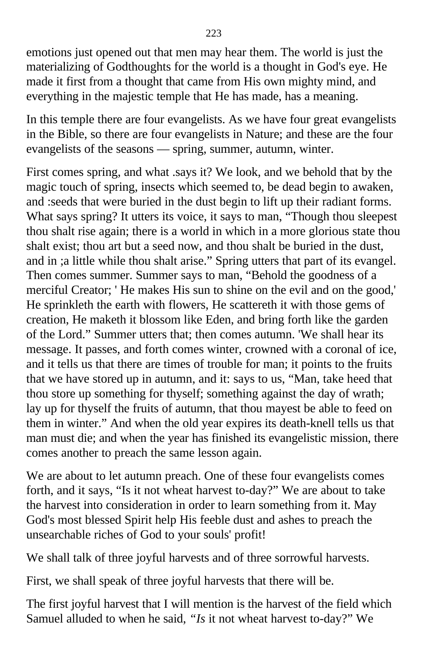emotions just opened out that men may hear them. The world is just the materializing of Godthoughts for the world is a thought in God's eye. He made it first from a thought that came from His own mighty mind, and everything in the majestic temple that He has made, has a meaning.

In this temple there are four evangelists. As we have four great evangelists in the Bible, so there are four evangelists in Nature; and these are the four evangelists of the seasons — spring, summer, autumn, winter.

First comes spring, and what .says it? We look, and we behold that by the magic touch of spring, insects which seemed to, be dead begin to awaken, and :seeds that were buried in the dust begin to lift up their radiant forms. What says spring? It utters its voice, it says to man, "Though thou sleepest" thou shalt rise again; there is a world in which in a more glorious state thou shalt exist; thou art but a seed now, and thou shalt be buried in the dust, and in ;a little while thou shalt arise." Spring utters that part of its evangel. Then comes summer. Summer says to man, "Behold the goodness of a merciful Creator; ' He makes His sun to shine on the evil and on the good,' He sprinkleth the earth with flowers, He scattereth it with those gems of creation, He maketh it blossom like Eden, and bring forth like the garden of the Lord." Summer utters that; then comes autumn. 'We shall hear its message. It passes, and forth comes winter, crowned with a coronal of ice, and it tells us that there are times of trouble for man; it points to the fruits that we have stored up in autumn, and it: says to us, "Man, take heed that thou store up something for thyself; something against the day of wrath; lay up for thyself the fruits of autumn, that thou mayest be able to feed on them in winter." And when the old year expires its death-knell tells us that man must die; and when the year has finished its evangelistic mission, there comes another to preach the same lesson again.

We are about to let autumn preach. One of these four evangelists comes forth, and it says, "Is it not wheat harvest to-day?" We are about to take the harvest into consideration in order to learn something from it. May God's most blessed Spirit help His feeble dust and ashes to preach the unsearchable riches of God to your souls' profit!

We shall talk of three joyful harvests and of three sorrowful harvests.

First, we shall speak of three joyful harvests that there will be.

The first joyful harvest that I will mention is the harvest of the field which Samuel alluded to when he said, *"Is* it not wheat harvest to-day?" We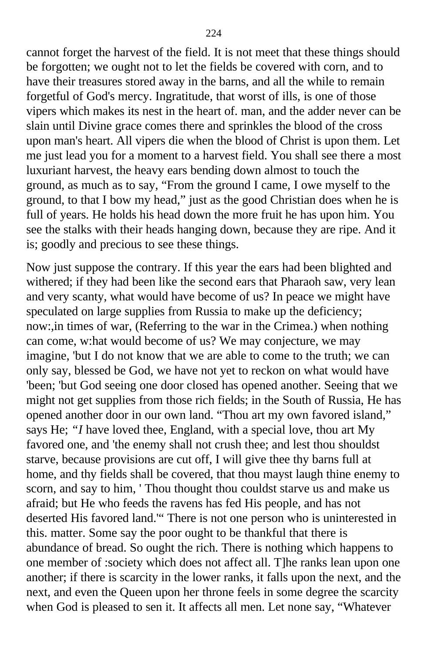cannot forget the harvest of the field. It is not meet that these things should be forgotten; we ought not to let the fields be covered with corn, and to have their treasures stored away in the barns, and all the while to remain forgetful of God's mercy. Ingratitude, that worst of ills, is one of those vipers which makes its nest in the heart of. man, and the adder never can be slain until Divine grace comes there and sprinkles the blood of the cross upon man's heart. All vipers die when the blood of Christ is upon them. Let me just lead you for a moment to a harvest field. You shall see there a most luxuriant harvest, the heavy ears bending down almost to touch the ground, as much as to say, "From the ground I came, I owe myself to the ground, to that I bow my head," just as the good Christian does when he is full of years. He holds his head down the more fruit he has upon him. You see the stalks with their heads hanging down, because they are ripe. And it is; goodly and precious to see these things.

Now just suppose the contrary. If this year the ears had been blighted and withered; if they had been like the second ears that Pharaoh saw, very lean and very scanty, what would have become of us? In peace we might have speculated on large supplies from Russia to make up the deficiency; now:,in times of war, (Referring to the war in the Crimea.) when nothing can come, w:hat would become of us? We may conjecture, we may imagine, 'but I do not know that we are able to come to the truth; we can only say, blessed be God, we have not yet to reckon on what would have 'been; 'but God seeing one door closed has opened another. Seeing that we might not get supplies from those rich fields; in the South of Russia, He has opened another door in our own land. "Thou art my own favored island," says He; *"I* have loved thee, England, with a special love, thou art My favored one, and 'the enemy shall not crush thee; and lest thou shouldst starve, because provisions are cut off, I will give thee thy barns full at home, and thy fields shall be covered, that thou mayst laugh thine enemy to scorn, and say to him, ' Thou thought thou couldst starve us and make us afraid; but He who feeds the ravens has fed His people, and has not deserted His favored land.'" There is not one person who is uninterested in this. matter. Some say the poor ought to be thankful that there is abundance of bread. So ought the rich. There is nothing which happens to one member of :society which does not affect all. T]he ranks lean upon one another; if there is scarcity in the lower ranks, it falls upon the next, and the next, and even the Queen upon her throne feels in some degree the scarcity when God is pleased to sen it. It affects all men. Let none say, "Whatever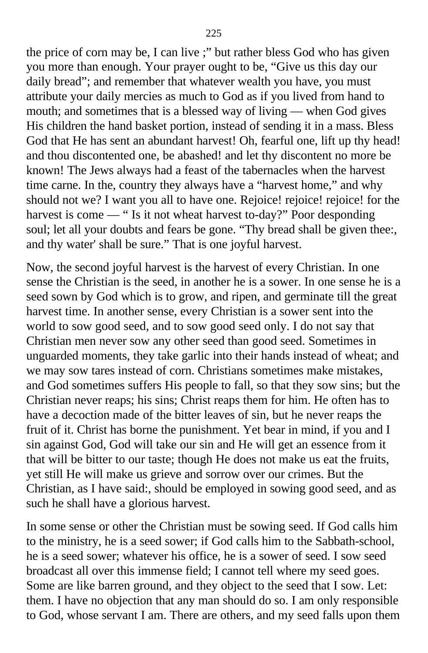the price of corn may be, I can live ;" but rather bless God who has given you more than enough. Your prayer ought to be, "Give us this day our daily bread"; and remember that whatever wealth you have, you must attribute your daily mercies as much to God as if you lived from hand to mouth; and sometimes that is a blessed way of living — when God gives His children the hand basket portion, instead of sending it in a mass. Bless God that He has sent an abundant harvest! Oh, fearful one, lift up thy head! and thou discontented one, be abashed! and let thy discontent no more be known! The Jews always had a feast of the tabernacles when the harvest time carne. In the, country they always have a "harvest home," and why should not we? I want you all to have one. Rejoice! rejoice! rejoice! for the harvest is come — " Is it not wheat harvest to-day?" Poor desponding soul; let all your doubts and fears be gone. "Thy bread shall be given thee:, and thy water' shall be sure." That is one joyful harvest.

Now, the second joyful harvest is the harvest of every Christian. In one sense the Christian is the seed, in another he is a sower. In one sense he is a seed sown by God which is to grow, and ripen, and germinate till the great harvest time. In another sense, every Christian is a sower sent into the world to sow good seed, and to sow good seed only. I do not say that Christian men never sow any other seed than good seed. Sometimes in unguarded moments, they take garlic into their hands instead of wheat; and we may sow tares instead of corn. Christians sometimes make mistakes, and God sometimes suffers His people to fall, so that they sow sins; but the Christian never reaps; his sins; Christ reaps them for him. He often has to have a decoction made of the bitter leaves of sin, but he never reaps the fruit of it. Christ has borne the punishment. Yet bear in mind, if you and I sin against God, God will take our sin and He will get an essence from it that will be bitter to our taste; though He does not make us eat the fruits, yet still He will make us grieve and sorrow over our crimes. But the Christian, as I have said:, should be employed in sowing good seed, and as such he shall have a glorious harvest.

In some sense or other the Christian must be sowing seed. If God calls him to the ministry, he is a seed sower; if God calls him to the Sabbath-school, he is a seed sower; whatever his office, he is a sower of seed. I sow seed broadcast all over this immense field; I cannot tell where my seed goes. Some are like barren ground, and they object to the seed that I sow. Let: them. I have no objection that any man should do so. I am only responsible to God, whose servant I am. There are others, and my seed falls upon them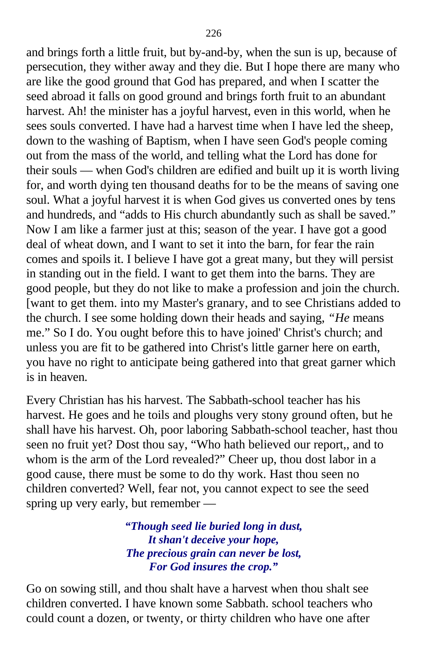and brings forth a little fruit, but by-and-by, when the sun is up, because of persecution, they wither away and they die. But I hope there are many who are like the good ground that God has prepared, and when I scatter the seed abroad it falls on good ground and brings forth fruit to an abundant harvest. Ah! the minister has a joyful harvest, even in this world, when he sees souls converted. I have had a harvest time when I have led the sheep, down to the washing of Baptism, when I have seen God's people coming out from the mass of the world, and telling what the Lord has done for their souls — when God's children are edified and built up it is worth living for, and worth dying ten thousand deaths for to be the means of saving one soul. What a joyful harvest it is when God gives us converted ones by tens and hundreds, and "adds to His church abundantly such as shall be saved." Now I am like a farmer just at this; season of the year. I have got a good deal of wheat down, and I want to set it into the barn, for fear the rain comes and spoils it. I believe I have got a great many, but they will persist in standing out in the field. I want to get them into the barns. They are good people, but they do not like to make a profession and join the church. [want to get them. into my Master's granary, and to see Christians added to the church. I see some holding down their heads and saying, *"He* means me." So I do. You ought before this to have joined' Christ's church; and unless you are fit to be gathered into Christ's little garner here on earth, you have no right to anticipate being gathered into that great garner which is in heaven.

Every Christian has his harvest. The Sabbath-school teacher has his harvest. He goes and he toils and ploughs very stony ground often, but he shall have his harvest. Oh, poor laboring Sabbath-school teacher, hast thou seen no fruit yet? Dost thou say, "Who hath believed our report,, and to whom is the arm of the Lord revealed?" Cheer up, thou dost labor in a good cause, there must be some to do thy work. Hast thou seen no children converted? Well, fear not, you cannot expect to see the seed spring up very early, but remember —

> *"Though seed lie buried long in dust, It shan't deceive your hope, The precious grain can never be lost, For God insures the crop."*

Go on sowing still, and thou shalt have a harvest when thou shalt see children converted. I have known some Sabbath. school teachers who could count a dozen, or twenty, or thirty children who have one after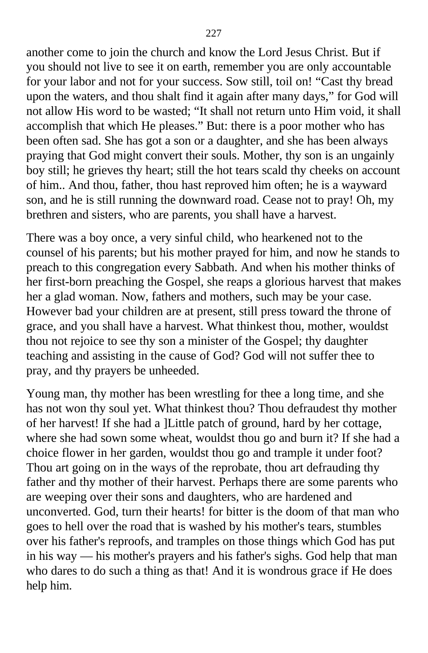another come to join the church and know the Lord Jesus Christ. But if you should not live to see it on earth, remember you are only accountable for your labor and not for your success. Sow still, toil on! "Cast thy bread upon the waters, and thou shalt find it again after many days," for God will not allow His word to be wasted; "It shall not return unto Him void, it shall accomplish that which He pleases." But: there is a poor mother who has been often sad. She has got a son or a daughter, and she has been always praying that God might convert their souls. Mother, thy son is an ungainly boy still; he grieves thy heart; still the hot tears scald thy cheeks on account of him.. And thou, father, thou hast reproved him often; he is a wayward son, and he is still running the downward road. Cease not to pray! Oh, my brethren and sisters, who are parents, you shall have a harvest.

There was a boy once, a very sinful child, who hearkened not to the counsel of his parents; but his mother prayed for him, and now he stands to preach to this congregation every Sabbath. And when his mother thinks of her first-born preaching the Gospel, she reaps a glorious harvest that makes her a glad woman. Now, fathers and mothers, such may be your case. However bad your children are at present, still press toward the throne of grace, and you shall have a harvest. What thinkest thou, mother, wouldst thou not rejoice to see thy son a minister of the Gospel; thy daughter teaching and assisting in the cause of God? God will not suffer thee to pray, and thy prayers be unheeded.

Young man, thy mother has been wrestling for thee a long time, and she has not won thy soul yet. What thinkest thou? Thou defraudest thy mother of her harvest! If she had a ]Little patch of ground, hard by her cottage, where she had sown some wheat, wouldst thou go and burn it? If she had a choice flower in her garden, wouldst thou go and trample it under foot? Thou art going on in the ways of the reprobate, thou art defrauding thy father and thy mother of their harvest. Perhaps there are some parents who are weeping over their sons and daughters, who are hardened and unconverted. God, turn their hearts! for bitter is the doom of that man who goes to hell over the road that is washed by his mother's tears, stumbles over his father's reproofs, and tramples on those things which God has put in his way — his mother's prayers and his father's sighs. God help that man who dares to do such a thing as that! And it is wondrous grace if He does help him.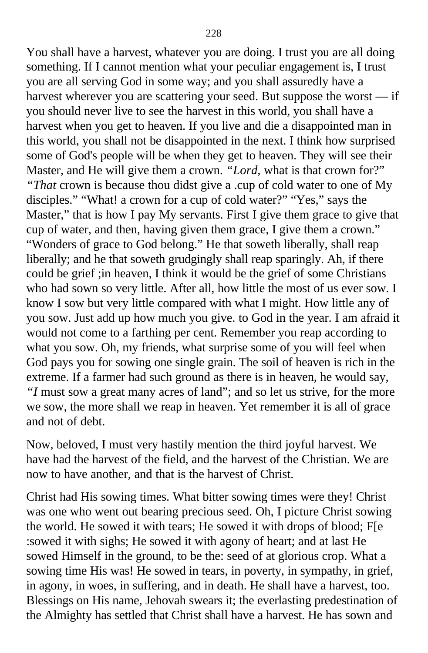You shall have a harvest, whatever you are doing. I trust you are all doing something. If I cannot mention what your peculiar engagement is, I trust you are all serving God in some way; and you shall assuredly have a harvest wherever you are scattering your seed. But suppose the worst — if you should never live to see the harvest in this world, you shall have a harvest when you get to heaven. If you live and die a disappointed man in this world, you shall not be disappointed in the next. I think how surprised some of God's people will be when they get to heaven. They will see their Master, and He will give them a crown. *"Lord*, what is that crown for?" *"That* crown is because thou didst give a .cup of cold water to one of My disciples." "What! a crown for a cup of cold water?" "Yes," says the Master," that is how I pay My servants. First I give them grace to give that cup of water, and then, having given them grace, I give them a crown." "Wonders of grace to God belong." He that soweth liberally, shall reap liberally; and he that soweth grudgingly shall reap sparingly. Ah, if there could be grief ;in heaven, I think it would be the grief of some Christians who had sown so very little. After all, how little the most of us ever sow. I know I sow but very little compared with what I might. How little any of you sow. Just add up how much you give. to God in the year. I am afraid it would not come to a farthing per cent. Remember you reap according to what you sow. Oh, my friends, what surprise some of you will feel when God pays you for sowing one single grain. The soil of heaven is rich in the extreme. If a farmer had such ground as there is in heaven, he would say, *"I* must sow a great many acres of land"; and so let us strive, for the more we sow, the more shall we reap in heaven. Yet remember it is all of grace and not of debt.

Now, beloved, I must very hastily mention the third joyful harvest. We have had the harvest of the field, and the harvest of the Christian. We are now to have another, and that is the harvest of Christ.

Christ had His sowing times. What bitter sowing times were they! Christ was one who went out bearing precious seed. Oh, I picture Christ sowing the world. He sowed it with tears; He sowed it with drops of blood; F[e :sowed it with sighs; He sowed it with agony of heart; and at last He sowed Himself in the ground, to be the: seed of at glorious crop. What a sowing time His was! He sowed in tears, in poverty, in sympathy, in grief, in agony, in woes, in suffering, and in death. He shall have a harvest, too. Blessings on His name, Jehovah swears it; the everlasting predestination of the Almighty has settled that Christ shall have a harvest. He has sown and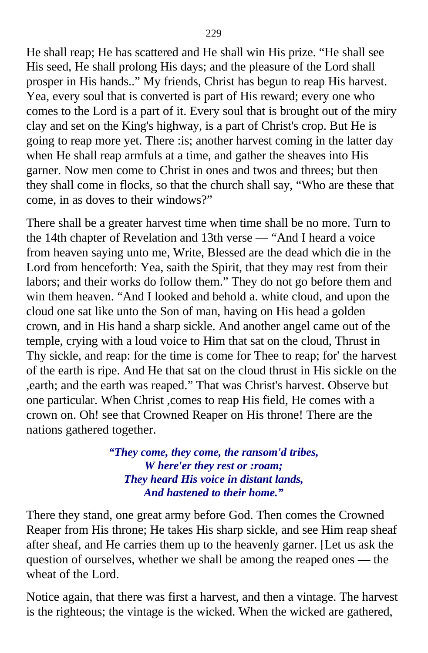He shall reap; He has scattered and He shall win His prize. "He shall see His seed, He shall prolong His days; and the pleasure of the Lord shall prosper in His hands.." My friends, Christ has begun to reap His harvest. Yea, every soul that is converted is part of His reward; every one who comes to the Lord is a part of it. Every soul that is brought out of the miry clay and set on the King's highway, is a part of Christ's crop. But He is going to reap more yet. There :is; another harvest coming in the latter day when He shall reap armfuls at a time, and gather the sheaves into His garner. Now men come to Christ in ones and twos and threes; but then they shall come in flocks, so that the church shall say, "Who are these that come, in as doves to their windows?"

There shall be a greater harvest time when time shall be no more. Turn to the 14th chapter of Revelation and 13th verse — "And I heard a voice from heaven saying unto me, Write, Blessed are the dead which die in the Lord from henceforth: Yea, saith the Spirit, that they may rest from their labors; and their works do follow them." They do not go before them and win them heaven. "And I looked and behold a. white cloud, and upon the cloud one sat like unto the Son of man, having on His head a golden crown, and in His hand a sharp sickle. And another angel came out of the temple, crying with a loud voice to Him that sat on the cloud, Thrust in Thy sickle, and reap: for the time is come for Thee to reap; for' the harvest of the earth is ripe. And He that sat on the cloud thrust in His sickle on the ,earth; and the earth was reaped." That was Christ's harvest. Observe but one particular. When Christ ,comes to reap His field, He comes with a crown on. Oh! see that Crowned Reaper on His throne! There are the nations gathered together.

> *"They come, they come, the ransom'd tribes, W here'er they rest or :roam; They heard His voice in distant lands, And hastened to their home."*

There they stand, one great army before God. Then comes the Crowned Reaper from His throne; He takes His sharp sickle, and see Him reap sheaf after sheaf, and He carries them up to the heavenly garner. [Let us ask the question of ourselves, whether we shall be among the reaped ones — the wheat of the Lord.

Notice again, that there was first a harvest, and then a vintage. The harvest is the righteous; the vintage is the wicked. When the wicked are gathered,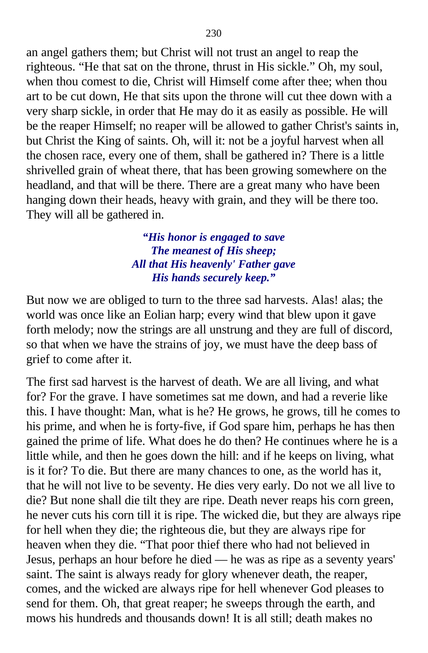an angel gathers them; but Christ will not trust an angel to reap the righteous. "He that sat on the throne, thrust in His sickle." Oh, my soul, when thou comest to die, Christ will Himself come after thee; when thou art to be cut down, He that sits upon the throne will cut thee down with a very sharp sickle, in order that He may do it as easily as possible. He will be the reaper Himself; no reaper will be allowed to gather Christ's saints in, but Christ the King of saints. Oh, will it: not be a joyful harvest when all the chosen race, every one of them, shall be gathered in? There is a little shrivelled grain of wheat there, that has been growing somewhere on the headland, and that will be there. There are a great many who have been hanging down their heads, heavy with grain, and they will be there too. They will all be gathered in.

> *"His honor is engaged to save The meanest of His sheep; All that His heavenly' Father gave His hands securely keep."*

But now we are obliged to turn to the three sad harvests. Alas! alas; the world was once like an Eolian harp; every wind that blew upon it gave forth melody; now the strings are all unstrung and they are full of discord, so that when we have the strains of joy, we must have the deep bass of grief to come after it.

The first sad harvest is the harvest of death. We are all living, and what for? For the grave. I have sometimes sat me down, and had a reverie like this. I have thought: Man, what is he? He grows, he grows, till he comes to his prime, and when he is forty-five, if God spare him, perhaps he has then gained the prime of life. What does he do then? He continues where he is a little while, and then he goes down the hill: and if he keeps on living, what is it for? To die. But there are many chances to one, as the world has it, that he will not live to be seventy. He dies very early. Do not we all live to die? But none shall die tilt they are ripe. Death never reaps his corn green, he never cuts his corn till it is ripe. The wicked die, but they are always ripe for hell when they die; the righteous die, but they are always ripe for heaven when they die. "That poor thief there who had not believed in Jesus, perhaps an hour before he died — he was as ripe as a seventy years' saint. The saint is always ready for glory whenever death, the reaper, comes, and the wicked are always ripe for hell whenever God pleases to send for them. Oh, that great reaper; he sweeps through the earth, and mows his hundreds and thousands down! It is all still; death makes no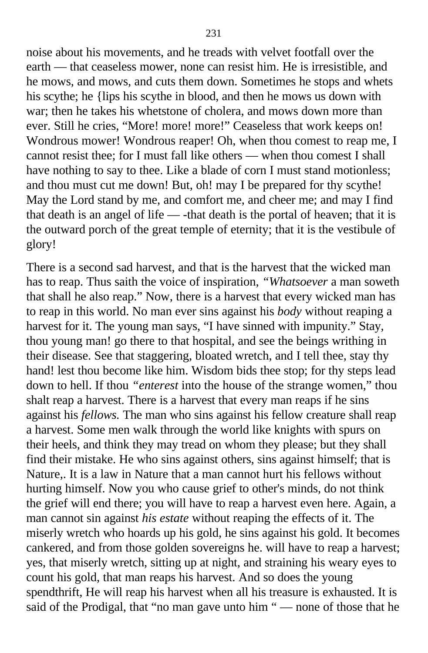noise about his movements, and he treads with velvet footfall over the earth — that ceaseless mower, none can resist him. He is irresistible, and he mows, and mows, and cuts them down. Sometimes he stops and whets his scythe; he {lips his scythe in blood, and then he mows us down with war; then he takes his whetstone of cholera, and mows down more than ever. Still he cries, "More! more! more!" Ceaseless that work keeps on! Wondrous mower! Wondrous reaper! Oh, when thou comest to reap me, I cannot resist thee; for I must fall like others — when thou comest I shall have nothing to say to thee. Like a blade of corn I must stand motionless; and thou must cut me down! But, oh! may I be prepared for thy scythe! May the Lord stand by me, and comfort me, and cheer me; and may I find that death is an angel of life — -that death is the portal of heaven; that it is the outward porch of the great temple of eternity; that it is the vestibule of glory!

There is a second sad harvest, and that is the harvest that the wicked man has to reap. Thus saith the voice of inspiration, *"Whatsoever* a man soweth that shall he also reap." Now, there is a harvest that every wicked man has to reap in this world. No man ever sins against his *body* without reaping a harvest for it. The young man says, "I have sinned with impunity." Stay, thou young man! go there to that hospital, and see the beings writhing in their disease. See that staggering, bloated wretch, and I tell thee, stay thy hand! lest thou become like him. Wisdom bids thee stop; for thy steps lead down to hell. If thou *"enterest* into the house of the strange women," thou shalt reap a harvest. There is a harvest that every man reaps if he sins against his *fellows.* The man who sins against his fellow creature shall reap a harvest. Some men walk through the world like knights with spurs on their heels, and think they may tread on whom they please; but they shall find their mistake. He who sins against others, sins against himself; that is Nature,. It is a law in Nature that a man cannot hurt his fellows without hurting himself. Now you who cause grief to other's minds, do not think the grief will end there; you will have to reap a harvest even here. Again, a man cannot sin against *his estate* without reaping the effects of it. The miserly wretch who hoards up his gold, he sins against his gold. It becomes cankered, and from those golden sovereigns he. will have to reap a harvest; yes, that miserly wretch, sitting up at night, and straining his weary eyes to count his gold, that man reaps his harvest. And so does the young spendthrift, He will reap his harvest when all his treasure is exhausted. It is said of the Prodigal, that "no man gave unto him " — none of those that he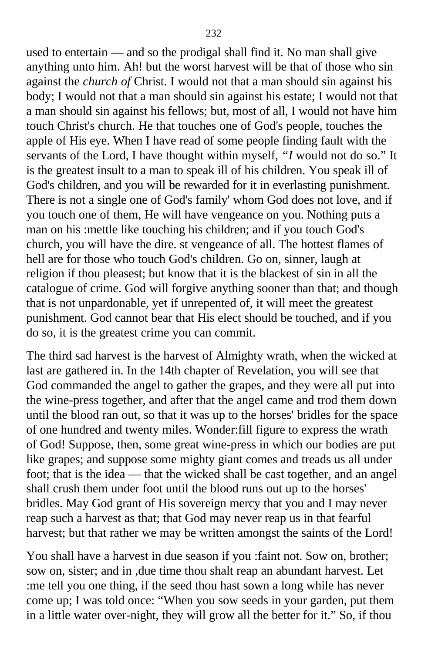used to entertain — and so the prodigal shall find it. No man shall give anything unto him. Ah! but the worst harvest will be that of those who sin against the *church of* Christ. I would not that a man should sin against his body; I would not that a man should sin against his estate; I would not that a man should sin against his fellows; but, most of all, I would not have him touch Christ's church. He that touches one of God's people, touches the apple of His eye. When I have read of some people finding fault with the servants of the Lord, I have thought within myself, *"I* would not do so." It is the greatest insult to a man to speak ill of his children. You speak ill of God's children, and you will be rewarded for it in everlasting punishment. There is not a single one of God's family' whom God does not love, and if you touch one of them, He will have vengeance on you. Nothing puts a man on his :mettle like touching his children; and if you touch God's church, you will have the dire. st vengeance of all. The hottest flames of hell are for those who touch God's children. Go on, sinner, laugh at religion if thou pleasest; but know that it is the blackest of sin in all the catalogue of crime. God will forgive anything sooner than that; and though that is not unpardonable, yet if unrepented of, it will meet the greatest punishment. God cannot bear that His elect should be touched, and if you do so, it is the greatest crime you can commit.

The third sad harvest is the harvest of Almighty wrath, when the wicked at last are gathered in. In the 14th chapter of Revelation, you will see that God commanded the angel to gather the grapes, and they were all put into the wine-press together, and after that the angel came and trod them down until the blood ran out, so that it was up to the horses' bridles for the space of one hundred and twenty miles. Wonder:fill figure to express the wrath of God! Suppose, then, some great wine-press in which our bodies are put like grapes; and suppose some mighty giant comes and treads us all under foot; that is the idea — that the wicked shall be cast together, and an angel shall crush them under foot until the blood runs out up to the horses' bridles. May God grant of His sovereign mercy that you and I may never reap such a harvest as that; that God may never reap us in that fearful harvest; but that rather we may be written amongst the saints of the Lord!

You shall have a harvest in due season if you :faint not. Sow on, brother; sow on, sister; and in ,due time thou shalt reap an abundant harvest. Let :me tell you one thing, if the seed thou hast sown a long while has never come up; I was told once: "When you sow seeds in your garden, put them in a little water over-night, they will grow all the better for it." So, if thou